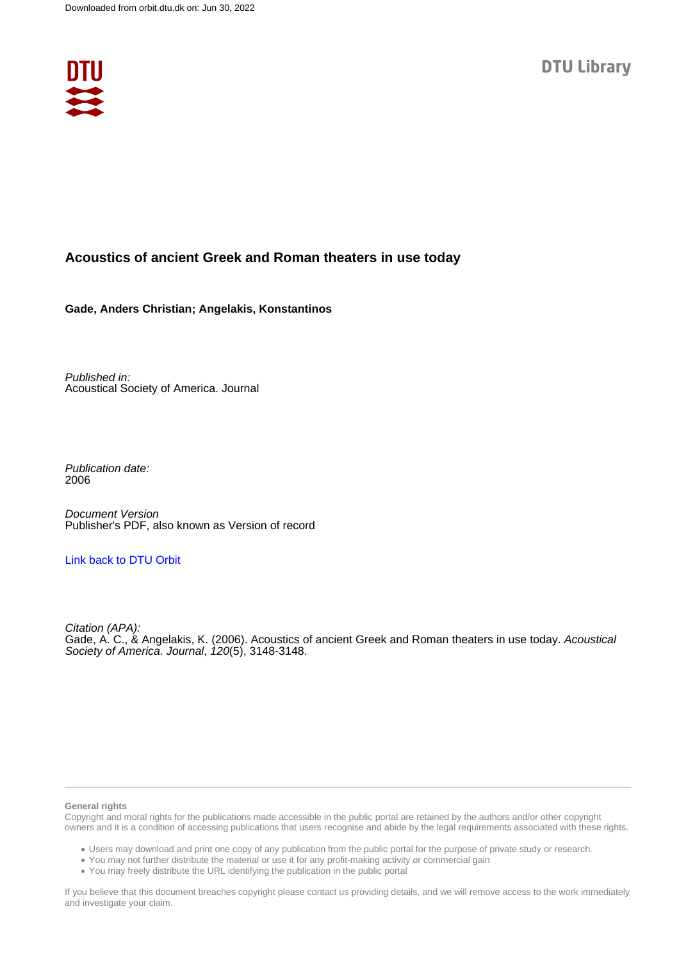

# **Acoustics of ancient Greek and Roman theaters in use today**

**Gade, Anders Christian; Angelakis, Konstantinos**

Published in: Acoustical Society of America. Journal

Publication date: 2006

Document Version Publisher's PDF, also known as Version of record

# [Link back to DTU Orbit](https://orbit.dtu.dk/en/publications/b42669cc-6c51-4bd3-9bed-9f0ba3d13bcf)

Citation (APA): Gade, A. C., & Angelakis, K. (2006). Acoustics of ancient Greek and Roman theaters in use today. Acoustical Society of America. Journal, 120(5), 3148-3148.

# **General rights**

Copyright and moral rights for the publications made accessible in the public portal are retained by the authors and/or other copyright owners and it is a condition of accessing publications that users recognise and abide by the legal requirements associated with these rights.

Users may download and print one copy of any publication from the public portal for the purpose of private study or research.

- You may not further distribute the material or use it for any profit-making activity or commercial gain
- You may freely distribute the URL identifying the publication in the public portal

If you believe that this document breaches copyright please contact us providing details, and we will remove access to the work immediately and investigate your claim.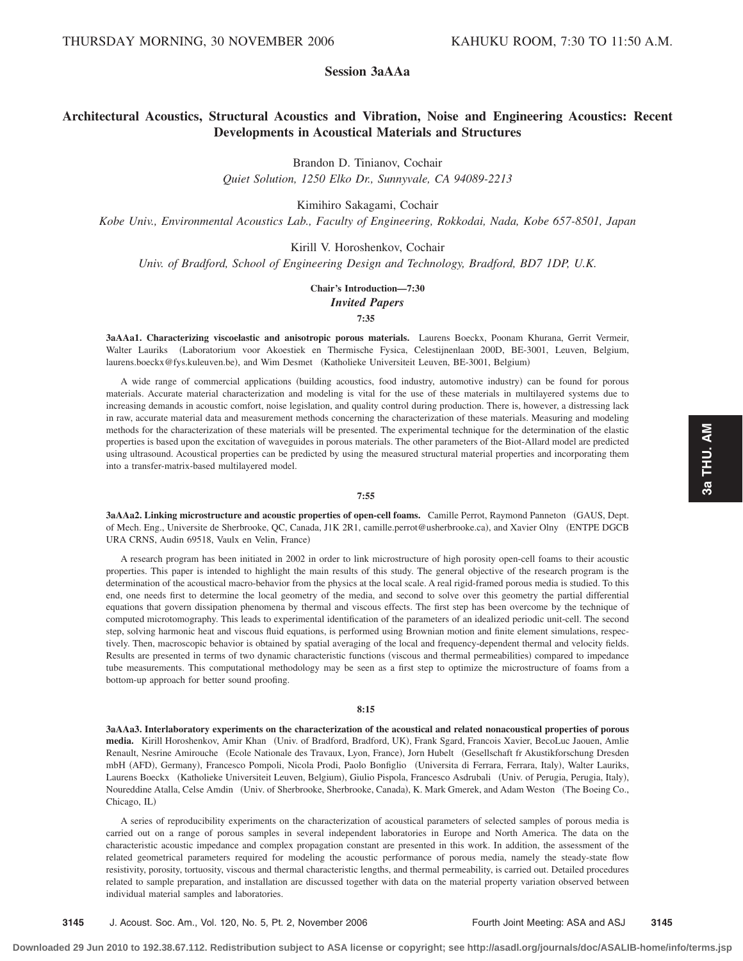# **Session 3aAAa**

# **Architectural Acoustics, Structural Acoustics and Vibration, Noise and Engineering Acoustics: Recent Developments in Acoustical Materials and Structures**

Brandon D. Tinianov, Cochair *Quiet Solution, 1250 Elko Dr., Sunnyvale, CA 94089-2213*

Kimihiro Sakagami, Cochair

*Kobe Univ., Environmental Acoustics Lab., Faculty of Engineering, Rokkodai, Nada, Kobe 657-8501, Japan*

# Kirill V. Horoshenkov, Cochair

*Univ. of Bradford, School of Engineering Design and Technology, Bradford, BD7 1DP, U.K.*

# **Chair's Introduction—7:30**

# *Invited Papers*

**7:35**

**3aAAa1. Characterizing viscoelastic and anisotropic porous materials.** Laurens Boeckx, Poonam Khurana, Gerrit Vermeir, Walter Lauriks Laboratorium voor Akoestiek en Thermische Fysica, Celestijnenlaan 200D, BE-3001, Leuven, Belgium, laurens.boeckx@fys.kuleuven.be), and Wim Desmet (Katholieke Universiteit Leuven, BE-3001, Belgium)

A wide range of commercial applications (building acoustics, food industry, automotive industry) can be found for porous materials. Accurate material characterization and modeling is vital for the use of these materials in multilayered systems due to increasing demands in acoustic comfort, noise legislation, and quality control during production. There is, however, a distressing lack in raw, accurate material data and measurement methods concerning the characterization of these materials. Measuring and modeling methods for the characterization of these materials will be presented. The experimental technique for the determination of the elastic properties is based upon the excitation of waveguides in porous materials. The other parameters of the Biot-Allard model are predicted using ultrasound. Acoustical properties can be predicted by using the measured structural material properties and incorporating them into a transfer-matrix-based multilayered model.

### **7:55**

**3aAAa2. Linking microstructure and acoustic properties of open-cell foams.** Camille Perrot, Raymond Panneton GAUS, Dept. of Mech. Eng., Universite de Sherbrooke, QC, Canada, J1K 2R1, camille.perrot@usherbrooke.ca), and Xavier Olny (ENTPE DGCB URA CRNS, Audin 69518, Vaulx en Velin, France)

A research program has been initiated in 2002 in order to link microstructure of high porosity open-cell foams to their acoustic properties. This paper is intended to highlight the main results of this study. The general objective of the research program is the determination of the acoustical macro-behavior from the physics at the local scale. A real rigid-framed porous media is studied. To this end, one needs first to determine the local geometry of the media, and second to solve over this geometry the partial differential equations that govern dissipation phenomena by thermal and viscous effects. The first step has been overcome by the technique of computed microtomography. This leads to experimental identification of the parameters of an idealized periodic unit-cell. The second step, solving harmonic heat and viscous fluid equations, is performed using Brownian motion and finite element simulations, respectively. Then, macroscopic behavior is obtained by spatial averaging of the local and frequency-dependent thermal and velocity fields. Results are presented in terms of two dynamic characteristic functions (viscous and thermal permeabilities) compared to impedance tube measurements. This computational methodology may be seen as a first step to optimize the microstructure of foams from a bottom-up approach for better sound proofing.

# **8:15**

**3aAAa3. Interlaboratory experiments on the characterization of the acoustical and related nonacoustical properties of porous** media. Kirill Horoshenkov, Amir Khan (Univ. of Bradford, Bradford, UK), Frank Sgard, Francois Xavier, BecoLuc Jaouen, Amlie Renault, Nesrine Amirouche (Ecole Nationale des Travaux, Lyon, France), Jorn Hubelt (Gesellschaft fr Akustikforschung Dresden mbH (AFD), Germany), Francesco Pompoli, Nicola Prodi, Paolo Bonfiglio (Universita di Ferrara, Ferrara, Italy), Walter Lauriks, Laurens Boeckx (Katholieke Universiteit Leuven, Belgium), Giulio Pispola, Francesco Asdrubali (Univ. of Perugia, Perugia, Italy), Noureddine Atalla, Celse Amdin (Univ. of Sherbrooke, Sherbrooke, Canada), K. Mark Gmerek, and Adam Weston (The Boeing Co., Chicago, IL)

A series of reproducibility experiments on the characterization of acoustical parameters of selected samples of porous media is carried out on a range of porous samples in several independent laboratories in Europe and North America. The data on the characteristic acoustic impedance and complex propagation constant are presented in this work. In addition, the assessment of the related geometrical parameters required for modeling the acoustic performance of porous media, namely the steady-state flow resistivity, porosity, tortuosity, viscous and thermal characteristic lengths, and thermal permeability, is carried out. Detailed procedures related to sample preparation, and installation are discussed together with data on the material property variation observed between individual material samples and laboratories.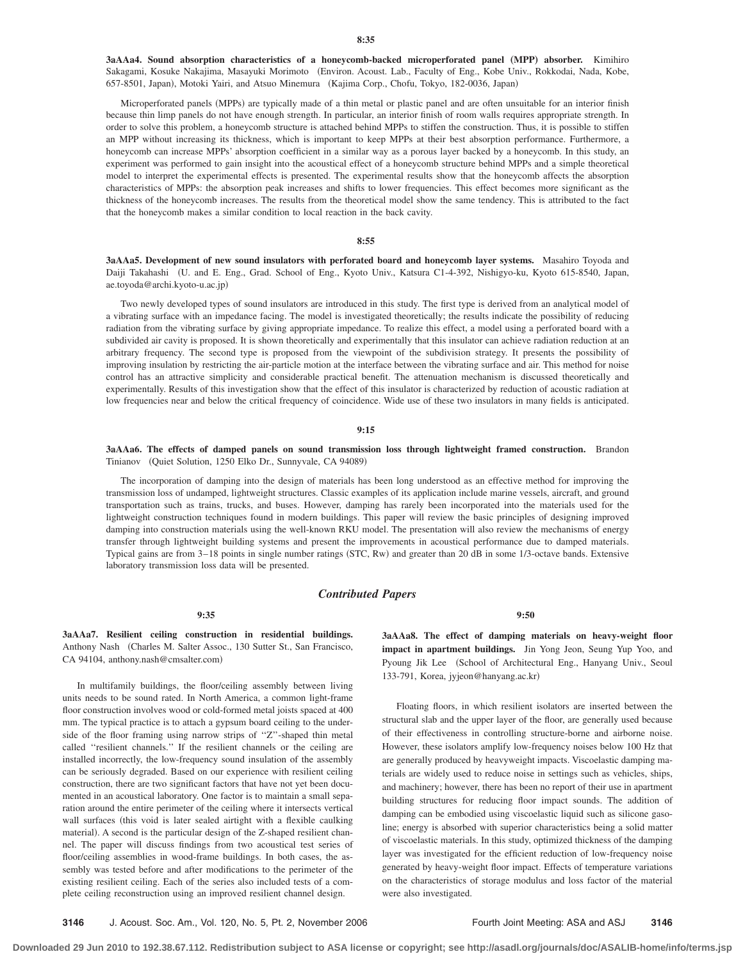**3aAAa4. Sound absorption characteristics of a honeycomb-backed microperforated panel** "**MPP**… **absorber.** Kimihiro Sakagami, Kosuke Nakajima, Masayuki Morimoto Environ. Acoust. Lab., Faculty of Eng., Kobe Univ., Rokkodai, Nada, Kobe, 657-8501, Japan), Motoki Yairi, and Atsuo Minemura (Kajima Corp., Chofu, Tokyo, 182-0036, Japan)

Microperforated panels (MPPs) are typically made of a thin metal or plastic panel and are often unsuitable for an interior finish because thin limp panels do not have enough strength. In particular, an interior finish of room walls requires appropriate strength. In order to solve this problem, a honeycomb structure is attached behind MPPs to stiffen the construction. Thus, it is possible to stiffen an MPP without increasing its thickness, which is important to keep MPPs at their best absorption performance. Furthermore, a honeycomb can increase MPPs' absorption coefficient in a similar way as a porous layer backed by a honeycomb. In this study, an experiment was performed to gain insight into the acoustical effect of a honeycomb structure behind MPPs and a simple theoretical model to interpret the experimental effects is presented. The experimental results show that the honeycomb affects the absorption characteristics of MPPs: the absorption peak increases and shifts to lower frequencies. This effect becomes more significant as the thickness of the honeycomb increases. The results from the theoretical model show the same tendency. This is attributed to the fact that the honeycomb makes a similar condition to local reaction in the back cavity.

# **8:55**

**3aAAa5. Development of new sound insulators with perforated board and honeycomb layer systems.** Masahiro Toyoda and Daiji Takahashi U. and E. Eng., Grad. School of Eng., Kyoto Univ., Katsura C1-4-392, Nishigyo-ku, Kyoto 615-8540, Japan, ae.toyoda@archi.kyoto-u.ac.jp-

Two newly developed types of sound insulators are introduced in this study. The first type is derived from an analytical model of a vibrating surface with an impedance facing. The model is investigated theoretically; the results indicate the possibility of reducing radiation from the vibrating surface by giving appropriate impedance. To realize this effect, a model using a perforated board with a subdivided air cavity is proposed. It is shown theoretically and experimentally that this insulator can achieve radiation reduction at an arbitrary frequency. The second type is proposed from the viewpoint of the subdivision strategy. It presents the possibility of improving insulation by restricting the air-particle motion at the interface between the vibrating surface and air. This method for noise control has an attractive simplicity and considerable practical benefit. The attenuation mechanism is discussed theoretically and experimentally. Results of this investigation show that the effect of this insulator is characterized by reduction of acoustic radiation at low frequencies near and below the critical frequency of coincidence. Wide use of these two insulators in many fields is anticipated.

# **9:15**

**3aAAa6. The effects of damped panels on sound transmission loss through lightweight framed construction.** Brandon Tinianov (Quiet Solution, 1250 Elko Dr., Sunnyvale, CA 94089)

The incorporation of damping into the design of materials has been long understood as an effective method for improving the transmission loss of undamped, lightweight structures. Classic examples of its application include marine vessels, aircraft, and ground transportation such as trains, trucks, and buses. However, damping has rarely been incorporated into the materials used for the lightweight construction techniques found in modern buildings. This paper will review the basic principles of designing improved damping into construction materials using the well-known RKU model. The presentation will also review the mechanisms of energy transfer through lightweight building systems and present the improvements in acoustical performance due to damped materials. Typical gains are from 3–18 points in single number ratings (STC, Rw) and greater than 20 dB in some 1/3-octave bands. Extensive laboratory transmission loss data will be presented.

# *Contributed Papers*

**9:35**

**3aAAa7. Resilient ceiling construction in residential buildings.** Anthony Nash (Charles M. Salter Assoc., 130 Sutter St., San Francisco, CA 94104, anthony.nash@cmsalter.com)

In multifamily buildings, the floor/ceiling assembly between living units needs to be sound rated. In North America, a common light-frame floor construction involves wood or cold-formed metal joists spaced at 400 mm. The typical practice is to attach a gypsum board ceiling to the underside of the floor framing using narrow strips of ''Z''-shaped thin metal called ''resilient channels.'' If the resilient channels or the ceiling are installed incorrectly, the low-frequency sound insulation of the assembly can be seriously degraded. Based on our experience with resilient ceiling construction, there are two significant factors that have not yet been documented in an acoustical laboratory. One factor is to maintain a small separation around the entire perimeter of the ceiling where it intersects vertical wall surfaces (this void is later sealed airtight with a flexible caulking material). A second is the particular design of the Z-shaped resilient channel. The paper will discuss findings from two acoustical test series of floor/ceiling assemblies in wood-frame buildings. In both cases, the assembly was tested before and after modifications to the perimeter of the existing resilient ceiling. Each of the series also included tests of a complete ceiling reconstruction using an improved resilient channel design.

**9:50**

**3aAAa8. The effect of damping materials on heavy-weight floor impact in apartment buildings.** Jin Yong Jeon, Seung Yup Yoo, and Pyoung Jik Lee (School of Architectural Eng., Hanyang Univ., Seoul 133-791, Korea, jyjeon@hanyang.ac.kr)

Floating floors, in which resilient isolators are inserted between the structural slab and the upper layer of the floor, are generally used because of their effectiveness in controlling structure-borne and airborne noise. However, these isolators amplify low-frequency noises below 100 Hz that are generally produced by heavyweight impacts. Viscoelastic damping materials are widely used to reduce noise in settings such as vehicles, ships, and machinery; however, there has been no report of their use in apartment building structures for reducing floor impact sounds. The addition of damping can be embodied using viscoelastic liquid such as silicone gasoline; energy is absorbed with superior characteristics being a solid matter of viscoelastic materials. In this study, optimized thickness of the damping layer was investigated for the efficient reduction of low-frequency noise generated by heavy-weight floor impact. Effects of temperature variations on the characteristics of storage modulus and loss factor of the material were also investigated.

**3146** J. Acoust. Soc. Am., Vol. 120, No. 5, Pt. 2, November 2006 Fourth Joint Meeting: ASA and ASJ **3146**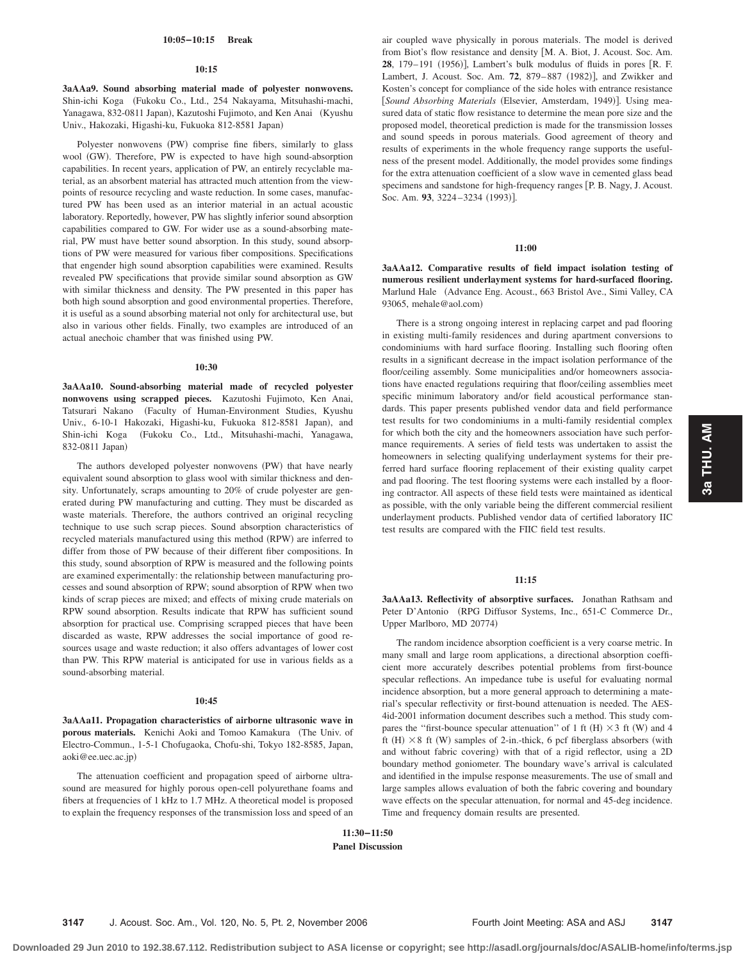### **10:05–10:15 Break**

### **10:15**

**3aAAa9. Sound absorbing material made of polyester nonwovens.** Shin-ichi Koga (Fukoku Co., Ltd., 254 Nakayama, Mitsuhashi-machi, Yanagawa, 832-0811 Japan), Kazutoshi Fujimoto, and Ken Anai (Kyushu Univ., Hakozaki, Higashi-ku, Fukuoka 812-8581 Japan)

Polyester nonwovens (PW) comprise fine fibers, similarly to glass wool (GW). Therefore, PW is expected to have high sound-absorption capabilities. In recent years, application of PW, an entirely recyclable material, as an absorbent material has attracted much attention from the viewpoints of resource recycling and waste reduction. In some cases, manufactured PW has been used as an interior material in an actual acoustic laboratory. Reportedly, however, PW has slightly inferior sound absorption capabilities compared to GW. For wider use as a sound-absorbing material, PW must have better sound absorption. In this study, sound absorptions of PW were measured for various fiber compositions. Specifications that engender high sound absorption capabilities were examined. Results revealed PW specifications that provide similar sound absorption as GW with similar thickness and density. The PW presented in this paper has both high sound absorption and good environmental properties. Therefore, it is useful as a sound absorbing material not only for architectural use, but also in various other fields. Finally, two examples are introduced of an actual anechoic chamber that was finished using PW.

### **10:30**

**3aAAa10. Sound-absorbing material made of recycled polyester nonwovens using scrapped pieces.** Kazutoshi Fujimoto, Ken Anai, Tatsurari Nakano (Faculty of Human-Environment Studies, Kyushu Univ., 6-10-1 Hakozaki, Higashi-ku, Fukuoka 812-8581 Japan), and Shin-ichi Koga (Fukoku Co., Ltd., Mitsuhashi-machi, Yanagawa, 832-0811 Japan)

The authors developed polyester nonwovens (PW) that have nearly equivalent sound absorption to glass wool with similar thickness and density. Unfortunately, scraps amounting to 20% of crude polyester are generated during PW manufacturing and cutting. They must be discarded as waste materials. Therefore, the authors contrived an original recycling technique to use such scrap pieces. Sound absorption characteristics of recycled materials manufactured using this method (RPW) are inferred to differ from those of PW because of their different fiber compositions. In this study, sound absorption of RPW is measured and the following points are examined experimentally: the relationship between manufacturing processes and sound absorption of RPW; sound absorption of RPW when two kinds of scrap pieces are mixed; and effects of mixing crude materials on RPW sound absorption. Results indicate that RPW has sufficient sound absorption for practical use. Comprising scrapped pieces that have been discarded as waste, RPW addresses the social importance of good resources usage and waste reduction; it also offers advantages of lower cost than PW. This RPW material is anticipated for use in various fields as a sound-absorbing material.

### **10:45**

**3aAAa11. Propagation characteristics of airborne ultrasonic wave in** porous materials. Kenichi Aoki and Tomoo Kamakura (The Univ. of Electro-Commun., 1-5-1 Chofugaoka, Chofu-shi, Tokyo 182-8585, Japan, aoki@ee.uec.ac.jp)

The attenuation coefficient and propagation speed of airborne ultrasound are measured for highly porous open-cell polyurethane foams and fibers at frequencies of 1 kHz to 1.7 MHz. A theoretical model is proposed to explain the frequency responses of the transmission loss and speed of an air coupled wave physically in porous materials. The model is derived from Biot's flow resistance and density [M. A. Biot, J. Acoust. Soc. Am. **28**, 179–191 (1956)], Lambert's bulk modulus of fluids in pores [R. F. Lambert, J. Acoust. Soc. Am. 72, 879–887 (1982)], and Zwikker and Kosten's concept for compliance of the side holes with entrance resistance [Sound Absorbing Materials (Elsevier, Amsterdam, 1949)]. Using measured data of static flow resistance to determine the mean pore size and the proposed model, theoretical prediction is made for the transmission losses and sound speeds in porous materials. Good agreement of theory and results of experiments in the whole frequency range supports the usefulness of the present model. Additionally, the model provides some findings for the extra attenuation coefficient of a slow wave in cemented glass bead specimens and sandstone for high-frequency ranges [P. B. Nagy, J. Acoust. Soc. Am. **93**, 3224–3234 (1993)].

### **11:00**

**3aAAa12. Comparative results of field impact isolation testing of numerous resilient underlayment systems for hard-surfaced flooring.** Marlund Hale (Advance Eng. Acoust., 663 Bristol Ave., Simi Valley, CA 93065, mehale@aol.com)

There is a strong ongoing interest in replacing carpet and pad flooring in existing multi-family residences and during apartment conversions to condominiums with hard surface flooring. Installing such flooring often results in a significant decrease in the impact isolation performance of the floor/ceiling assembly. Some municipalities and/or homeowners associations have enacted regulations requiring that floor/ceiling assemblies meet specific minimum laboratory and/or field acoustical performance standards. This paper presents published vendor data and field performance test results for two condominiums in a multi-family residential complex for which both the city and the homeowners association have such performance requirements. A series of field tests was undertaken to assist the homeowners in selecting qualifying underlayment systems for their preferred hard surface flooring replacement of their existing quality carpet and pad flooring. The test flooring systems were each installed by a flooring contractor. All aspects of these field tests were maintained as identical as possible, with the only variable being the different commercial resilient underlayment products. Published vendor data of certified laboratory IIC test results are compared with the FIIC field test results.

### **11:15**

**3aAAa13. Reflectivity of absorptive surfaces.** Jonathan Rathsam and Peter D'Antonio (RPG Diffusor Systems, Inc., 651-C Commerce Dr., Upper Marlboro, MD 20774)

The random incidence absorption coefficient is a very coarse metric. In many small and large room applications, a directional absorption coefficient more accurately describes potential problems from first-bounce specular reflections. An impedance tube is useful for evaluating normal incidence absorption, but a more general approach to determining a material's specular reflectivity or first-bound attenuation is needed. The AES-4id-2001 information document describes such a method. This study compares the "first-bounce specular attenuation" of 1 ft  $(H) \times 3$  ft  $(W)$  and 4 ft (H)  $\times$  8 ft (W) samples of 2-in.-thick, 6 pcf fiberglass absorbers (with and without fabric covering) with that of a rigid reflector, using a 2D boundary method goniometer. The boundary wave's arrival is calculated and identified in the impulse response measurements. The use of small and large samples allows evaluation of both the fabric covering and boundary wave effects on the specular attenuation, for normal and 45-deg incidence. Time and frequency domain results are presented.

**3147** J. Acoust. Soc. Am., Vol. 120, No. 5, Pt. 2, November 2006 Fourth Joint Meeting: ASA and ASJ **3147**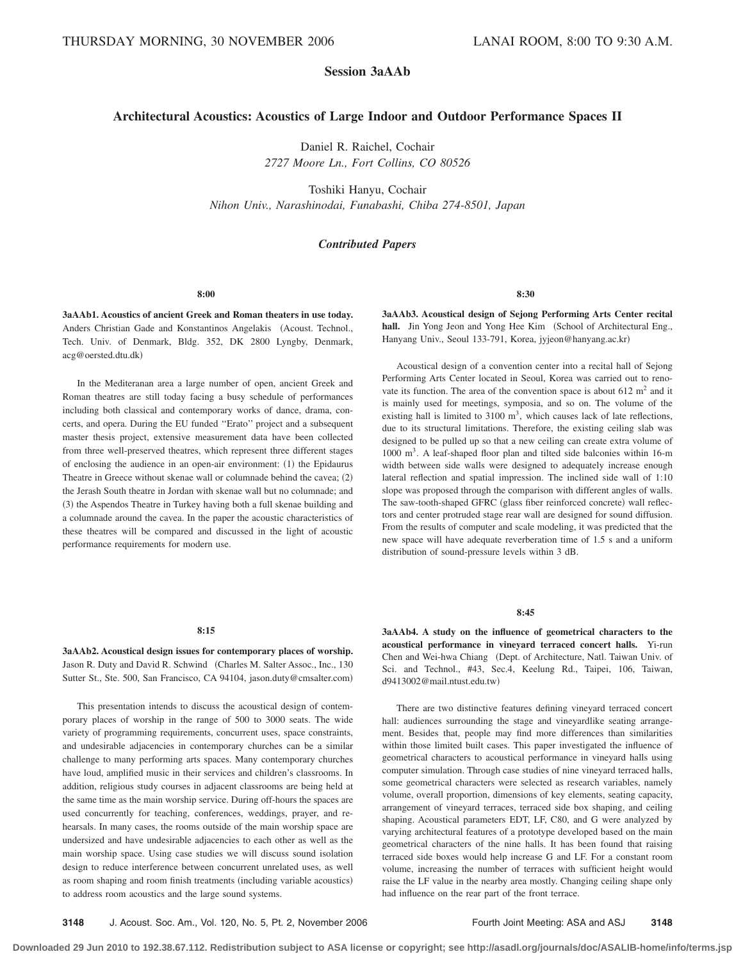# **Session 3aAAb**

# **Architectural Acoustics: Acoustics of Large Indoor and Outdoor Performance Spaces II**

Daniel R. Raichel, Cochair *2727 Moore Ln., Fort Collins, CO 80526*

Toshiki Hanyu, Cochair *Nihon Univ., Narashinodai, Funabashi, Chiba 274-8501, Japan*

# *Contributed Papers*

**8:00**

**3aAAb1. Acoustics of ancient Greek and Roman theaters in use today.** Anders Christian Gade and Konstantinos Angelakis (Acoust. Technol., Tech. Univ. of Denmark, Bldg. 352, DK 2800 Lyngby, Denmark, acg@oersted.dtu.dk-

In the Mediteranan area a large number of open, ancient Greek and Roman theatres are still today facing a busy schedule of performances including both classical and contemporary works of dance, drama, concerts, and opera. During the EU funded ''Erato'' project and a subsequent master thesis project, extensive measurement data have been collected from three well-preserved theatres, which represent three different stages of enclosing the audience in an open-air environment: (1) the Epidaurus Theatre in Greece without skenae wall or columnade behind the cavea; (2) the Jerash South theatre in Jordan with skenae wall but no columnade; and (3) the Aspendos Theatre in Turkey having both a full skenae building and a columnade around the cavea. In the paper the acoustic characteristics of these theatres will be compared and discussed in the light of acoustic performance requirements for modern use.

# **8:30**

**3aAAb3. Acoustical design of Sejong Performing Arts Center recital** hall. Jin Yong Jeon and Yong Hee Kim (School of Architectural Eng., Hanyang Univ., Seoul 133-791, Korea, jyjeon@hanyang.ac.kr)

Acoustical design of a convention center into a recital hall of Sejong Performing Arts Center located in Seoul, Korea was carried out to renovate its function. The area of the convention space is about  $612 \text{ m}^2$  and it is mainly used for meetings, symposia, and so on. The volume of the existing hall is limited to  $3100 \text{ m}^3$ , which causes lack of late reflections, due to its structural limitations. Therefore, the existing ceiling slab was designed to be pulled up so that a new ceiling can create extra volume of 1000 m3. A leaf-shaped floor plan and tilted side balconies within 16-m width between side walls were designed to adequately increase enough lateral reflection and spatial impression. The inclined side wall of 1:10 slope was proposed through the comparison with different angles of walls. The saw-tooth-shaped GFRC (glass fiber reinforced concrete) wall reflectors and center protruded stage rear wall are designed for sound diffusion. From the results of computer and scale modeling, it was predicted that the new space will have adequate reverberation time of 1.5 s and a uniform distribution of sound-pressure levels within 3 dB.

#### **8:15**

**3aAAb2. Acoustical design issues for contemporary places of worship.** Jason R. Duty and David R. Schwind (Charles M. Salter Assoc., Inc., 130) Sutter St., Ste. 500, San Francisco, CA 94104, jason.duty@cmsalter.com)

This presentation intends to discuss the acoustical design of contemporary places of worship in the range of 500 to 3000 seats. The wide variety of programming requirements, concurrent uses, space constraints, and undesirable adjacencies in contemporary churches can be a similar challenge to many performing arts spaces. Many contemporary churches have loud, amplified music in their services and children's classrooms. In addition, religious study courses in adjacent classrooms are being held at the same time as the main worship service. During off-hours the spaces are used concurrently for teaching, conferences, weddings, prayer, and rehearsals. In many cases, the rooms outside of the main worship space are undersized and have undesirable adjacencies to each other as well as the main worship space. Using case studies we will discuss sound isolation design to reduce interference between concurrent unrelated uses, as well as room shaping and room finish treatments (including variable acoustics) to address room acoustics and the large sound systems.

**8:45**

**3aAAb4. A study on the influence of geometrical characters to the acoustical performance in vineyard terraced concert halls.** Yi-run Chen and Wei-hwa Chiang (Dept. of Architecture, Natl. Taiwan Univ. of Sci. and Technol., #43, Sec.4, Keelung Rd., Taipei, 106, Taiwan, d9413002@mail.ntust.edu.tw-

There are two distinctive features defining vineyard terraced concert hall: audiences surrounding the stage and vineyardlike seating arrangement. Besides that, people may find more differences than similarities within those limited built cases. This paper investigated the influence of geometrical characters to acoustical performance in vineyard halls using computer simulation. Through case studies of nine vineyard terraced halls, some geometrical characters were selected as research variables, namely volume, overall proportion, dimensions of key elements, seating capacity, arrangement of vineyard terraces, terraced side box shaping, and ceiling shaping. Acoustical parameters EDT, LF, C80, and G were analyzed by varying architectural features of a prototype developed based on the main geometrical characters of the nine halls. It has been found that raising terraced side boxes would help increase G and LF. For a constant room volume, increasing the number of terraces with sufficient height would raise the LF value in the nearby area mostly. Changing ceiling shape only had influence on the rear part of the front terrace.

**3148** J. Acoust. Soc. Am., Vol. 120, No. 5, Pt. 2, November 2006 Fourth Joint Meeting: ASA and ASJ 3148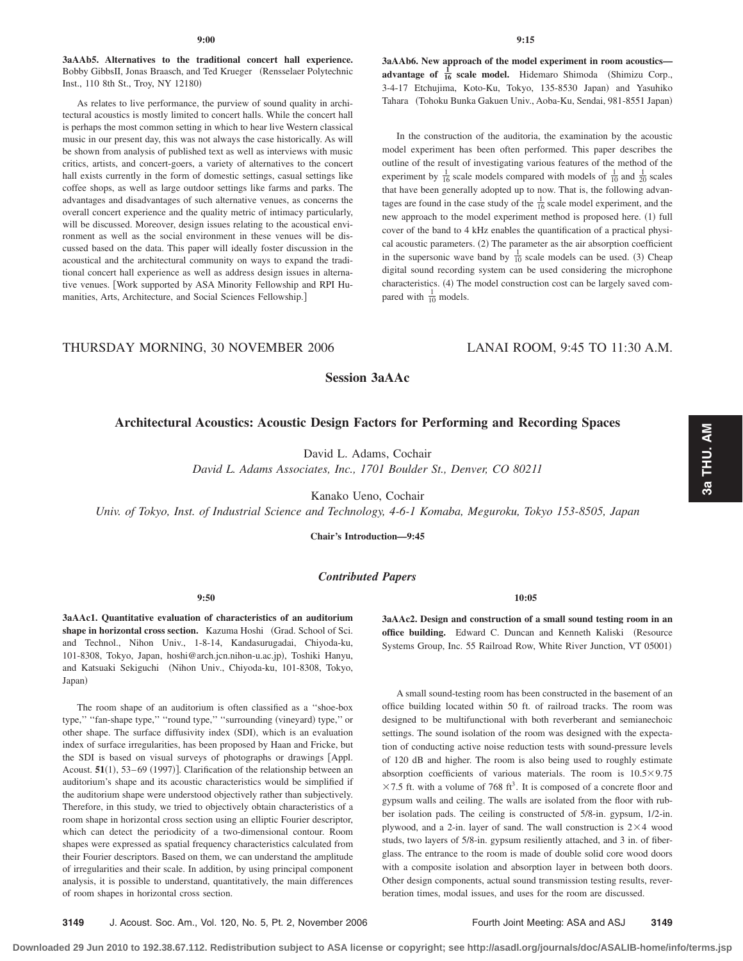**3aAAb5. Alternatives to the traditional concert hall experience.** Bobby GibbsII, Jonas Braasch, and Ted Krueger (Rensselaer Polytechnic Inst., 110 8th St., Troy, NY 12180)

As relates to live performance, the purview of sound quality in architectural acoustics is mostly limited to concert halls. While the concert hall is perhaps the most common setting in which to hear live Western classical music in our present day, this was not always the case historically. As will be shown from analysis of published text as well as interviews with music critics, artists, and concert-goers, a variety of alternatives to the concert hall exists currently in the form of domestic settings, casual settings like coffee shops, as well as large outdoor settings like farms and parks. The advantages and disadvantages of such alternative venues, as concerns the overall concert experience and the quality metric of intimacy particularly, will be discussed. Moreover, design issues relating to the acoustical environment as well as the social environment in these venues will be discussed based on the data. This paper will ideally foster discussion in the acoustical and the architectural community on ways to expand the traditional concert hall experience as well as address design issues in alternative venues. Work supported by ASA Minority Fellowship and RPI Humanities, Arts, Architecture, and Social Sciences Fellowship.

**3aAAb6. New approach of the model experiment in room acoustics advantage of**  $\frac{1}{16}$  **scale model.** Hidemaro Shimoda (Shimizu Corp., 3-4-17 Etchujima, Koto-Ku, Tokyo, 135-8530 Japan) and Yasuhiko Tahara (Tohoku Bunka Gakuen Univ., Aoba-Ku, Sendai, 981-8551 Japan)

In the construction of the auditoria, the examination by the acoustic model experiment has been often performed. This paper describes the outline of the result of investigating various features of the method of the experiment by  $\frac{1}{16}$  scale models compared with models of  $\frac{1}{10}$  and  $\frac{1}{20}$  scales that have been generally adopted up to now. That is, the following advantages are found in the case study of the  $\frac{1}{16}$  scale model experiment, and the new approach to the model experiment method is proposed here. (1) full cover of the band to 4 kHz enables the quantification of a practical physical acoustic parameters. (2) The parameter as the air absorption coefficient in the supersonic wave band by  $\frac{1}{10}$  scale models can be used. (3) Cheap digital sound recording system can be used considering the microphone characteristics. (4) The model construction cost can be largely saved compared with  $\frac{1}{10}$  models.

# THURSDAY MORNING, 30 NOVEMBER 2006 LANAI ROOM, 9:45 TO 11:30 A.M.

# **Session 3aAAc**

# **Architectural Acoustics: Acoustic Design Factors for Performing and Recording Spaces**

David L. Adams, Cochair

*David L. Adams Associates, Inc., 1701 Boulder St., Denver, CO 80211*

Kanako Ueno, Cochair

*Univ. of Tokyo, Inst. of Industrial Science and Technology, 4-6-1 Komaba, Meguroku, Tokyo 153-8505, Japan*

**Chair's Introduction—9:45**

# *Contributed Papers*

**9:50**

**3aAAc1. Quantitative evaluation of characteristics of an auditorium** shape in horizontal cross section. Kazuma Hoshi (Grad. School of Sci. and Technol., Nihon Univ., 1-8-14, Kandasurugadai, Chiyoda-ku, 101-8308, Tokyo, Japan, hoshi@arch.jcn.nihon-u.ac.jp), Toshiki Hanyu, and Katsuaki Sekiguchi (Nihon Univ., Chiyoda-ku, 101-8308, Tokyo, Japan)

The room shape of an auditorium is often classified as a ''shoe-box type," "fan-shape type," "round type," "surrounding (vineyard) type," or other shape. The surface diffusivity index (SDI), which is an evaluation index of surface irregularities, has been proposed by Haan and Fricke, but the SDI is based on visual surveys of photographs or drawings [Appl. Acoust.  $51(1)$ ,  $53-69$  (1997)]. Clarification of the relationship between an auditorium's shape and its acoustic characteristics would be simplified if the auditorium shape were understood objectively rather than subjectively. Therefore, in this study, we tried to objectively obtain characteristics of a room shape in horizontal cross section using an elliptic Fourier descriptor, which can detect the periodicity of a two-dimensional contour. Room shapes were expressed as spatial frequency characteristics calculated from their Fourier descriptors. Based on them, we can understand the amplitude of irregularities and their scale. In addition, by using principal component analysis, it is possible to understand, quantitatively, the main differences of room shapes in horizontal cross section.

**3aAAc2. Design and construction of a small sound testing room in an** office building. Edward C. Duncan and Kenneth Kaliski (Resource Systems Group, Inc. 55 Railroad Row, White River Junction, VT 05001)

A small sound-testing room has been constructed in the basement of an office building located within 50 ft. of railroad tracks. The room was designed to be multifunctional with both reverberant and semianechoic settings. The sound isolation of the room was designed with the expectation of conducting active noise reduction tests with sound-pressure levels of 120 dB and higher. The room is also being used to roughly estimate absorption coefficients of various materials. The room is  $10.5 \times 9.75$  $\times$  7.5 ft. with a volume of 768 ft<sup>3</sup>. It is composed of a concrete floor and gypsum walls and ceiling. The walls are isolated from the floor with rubber isolation pads. The ceiling is constructed of 5/8-in. gypsum, 1/2-in. plywood, and a 2-in. layer of sand. The wall construction is  $2 \times 4$  wood studs, two layers of 5/8-in. gypsum resiliently attached, and 3 in. of fiberglass. The entrance to the room is made of double solid core wood doors with a composite isolation and absorption layer in between both doors. Other design components, actual sound transmission testing results, reverberation times, modal issues, and uses for the room are discussed.

**Downloaded 29 Jun 2010 to 192.38.67.112. Redistribution subject to ASA license or copyright; see http://asadl.org/journals/doc/ASALIB-home/info/terms.jsp**

**10:05**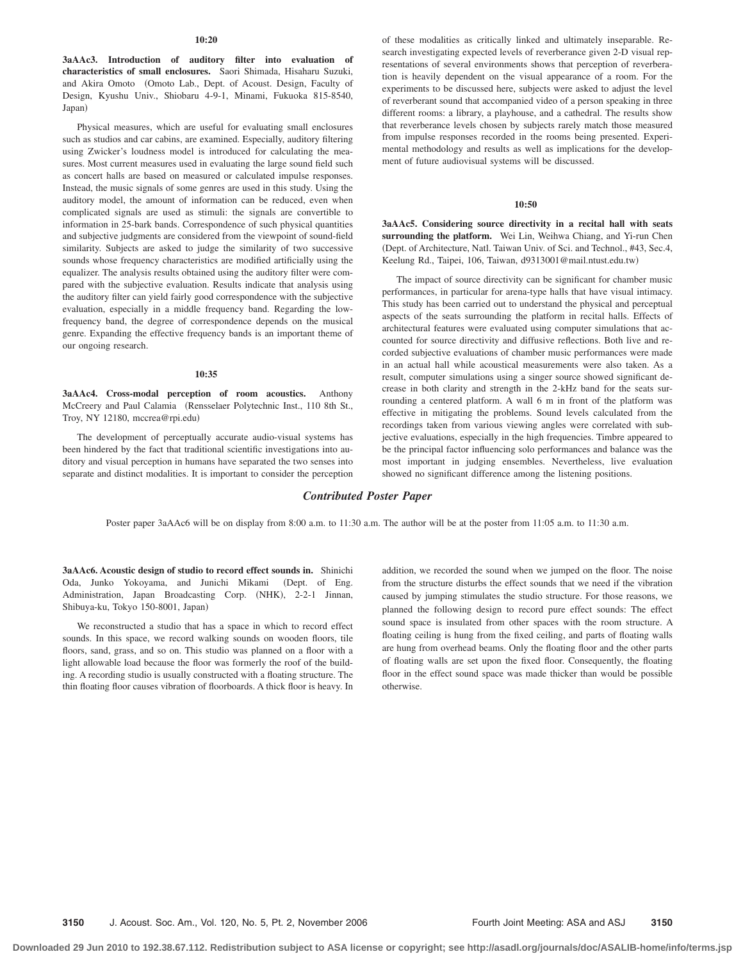### **10:20**

**3aAAc3. Introduction of auditory filter into evaluation of characteristics of small enclosures.** Saori Shimada, Hisaharu Suzuki, and Akira Omoto (Omoto Lab., Dept. of Acoust. Design, Faculty of Design, Kyushu Univ., Shiobaru 4-9-1, Minami, Fukuoka 815-8540, Japan)

Physical measures, which are useful for evaluating small enclosures such as studios and car cabins, are examined. Especially, auditory filtering using Zwicker's loudness model is introduced for calculating the measures. Most current measures used in evaluating the large sound field such as concert halls are based on measured or calculated impulse responses. Instead, the music signals of some genres are used in this study. Using the auditory model, the amount of information can be reduced, even when complicated signals are used as stimuli: the signals are convertible to information in 25-bark bands. Correspondence of such physical quantities and subjective judgments are considered from the viewpoint of sound-field similarity. Subjects are asked to judge the similarity of two successive sounds whose frequency characteristics are modified artificially using the equalizer. The analysis results obtained using the auditory filter were compared with the subjective evaluation. Results indicate that analysis using the auditory filter can yield fairly good correspondence with the subjective evaluation, especially in a middle frequency band. Regarding the lowfrequency band, the degree of correspondence depends on the musical genre. Expanding the effective frequency bands is an important theme of our ongoing research.

### **10:35**

**3aAAc4. Cross-modal perception of room acoustics.** Anthony McCreery and Paul Calamia (Rensselaer Polytechnic Inst., 110 8th St., Troy, NY 12180, mccrea@rpi.edu-

The development of perceptually accurate audio-visual systems has been hindered by the fact that traditional scientific investigations into auditory and visual perception in humans have separated the two senses into separate and distinct modalities. It is important to consider the perception

of these modalities as critically linked and ultimately inseparable. Research investigating expected levels of reverberance given 2-D visual representations of several environments shows that perception of reverberation is heavily dependent on the visual appearance of a room. For the experiments to be discussed here, subjects were asked to adjust the level of reverberant sound that accompanied video of a person speaking in three different rooms: a library, a playhouse, and a cathedral. The results show that reverberance levels chosen by subjects rarely match those measured from impulse responses recorded in the rooms being presented. Experimental methodology and results as well as implications for the development of future audiovisual systems will be discussed.

### **10:50**

**3aAAc5. Considering source directivity in a recital hall with seats surrounding the platform.** Wei Lin, Weihwa Chiang, and Yi-run Chen Dept. of Architecture, Natl. Taiwan Univ. of Sci. and Technol., #43, Sec.4, Keelung Rd., Taipei, 106, Taiwan, d9313001@mail.ntust.edu.tw)

The impact of source directivity can be significant for chamber music performances, in particular for arena-type halls that have visual intimacy. This study has been carried out to understand the physical and perceptual aspects of the seats surrounding the platform in recital halls. Effects of architectural features were evaluated using computer simulations that accounted for source directivity and diffusive reflections. Both live and recorded subjective evaluations of chamber music performances were made in an actual hall while acoustical measurements were also taken. As a result, computer simulations using a singer source showed significant decrease in both clarity and strength in the 2-kHz band for the seats surrounding a centered platform. A wall 6 m in front of the platform was effective in mitigating the problems. Sound levels calculated from the recordings taken from various viewing angles were correlated with subjective evaluations, especially in the high frequencies. Timbre appeared to be the principal factor influencing solo performances and balance was the most important in judging ensembles. Nevertheless, live evaluation showed no significant difference among the listening positions.

# *Contributed Poster Paper*

Poster paper 3aAAc6 will be on display from 8:00 a.m. to 11:30 a.m. The author will be at the poster from 11:05 a.m. to 11:30 a.m.

**3aAAc6. Acoustic design of studio to record effect sounds in.** Shinichi Oda, Junko Yokoyama, and Junichi Mikami (Dept. of Eng. Administration, Japan Broadcasting Corp. (NHK), 2-2-1 Jinnan, Shibuya-ku, Tokyo 150-8001, Japan)

We reconstructed a studio that has a space in which to record effect sounds. In this space, we record walking sounds on wooden floors, tile floors, sand, grass, and so on. This studio was planned on a floor with a light allowable load because the floor was formerly the roof of the building. A recording studio is usually constructed with a floating structure. The thin floating floor causes vibration of floorboards. A thick floor is heavy. In addition, we recorded the sound when we jumped on the floor. The noise from the structure disturbs the effect sounds that we need if the vibration caused by jumping stimulates the studio structure. For those reasons, we planned the following design to record pure effect sounds: The effect sound space is insulated from other spaces with the room structure. A floating ceiling is hung from the fixed ceiling, and parts of floating walls are hung from overhead beams. Only the floating floor and the other parts of floating walls are set upon the fixed floor. Consequently, the floating floor in the effect sound space was made thicker than would be possible otherwise.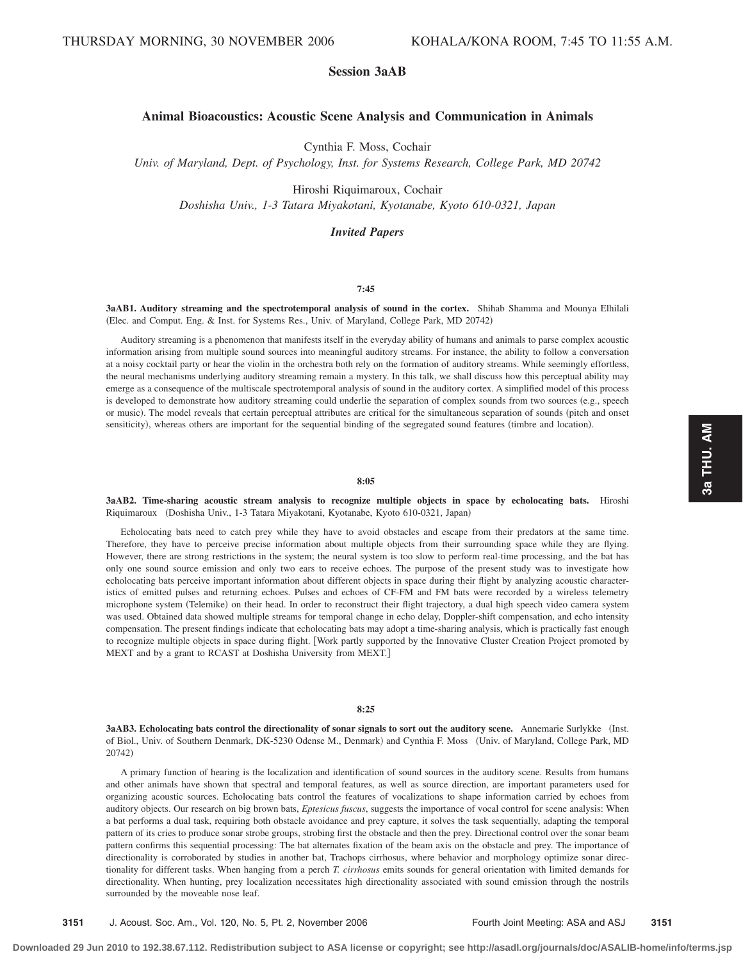# **Session 3aAB**

# **Animal Bioacoustics: Acoustic Scene Analysis and Communication in Animals**

Cynthia F. Moss, Cochair

*Univ. of Maryland, Dept. of Psychology, Inst. for Systems Research, College Park, MD 20742*

Hiroshi Riquimaroux, Cochair

*Doshisha Univ., 1-3 Tatara Miyakotani, Kyotanabe, Kyoto 610-0321, Japan*

# *Invited Papers*

# **7:45**

**3aAB1. Auditory streaming and the spectrotemporal analysis of sound in the cortex.** Shihab Shamma and Mounya Elhilali (Elec. and Comput. Eng. & Inst. for Systems Res., Univ. of Maryland, College Park, MD 20742)

Auditory streaming is a phenomenon that manifests itself in the everyday ability of humans and animals to parse complex acoustic information arising from multiple sound sources into meaningful auditory streams. For instance, the ability to follow a conversation at a noisy cocktail party or hear the violin in the orchestra both rely on the formation of auditory streams. While seemingly effortless, the neural mechanisms underlying auditory streaming remain a mystery. In this talk, we shall discuss how this perceptual ability may emerge as a consequence of the multiscale spectrotemporal analysis of sound in the auditory cortex. A simplified model of this process is developed to demonstrate how auditory streaming could underlie the separation of complex sounds from two sources (e.g., speech or music). The model reveals that certain perceptual attributes are critical for the simultaneous separation of sounds (pitch and onset sensiticity), whereas others are important for the sequential binding of the segregated sound features (timbre and location).

### **8:05**

**3aAB2. Time-sharing acoustic stream analysis to recognize multiple objects in space by echolocating bats.** Hiroshi Riquimaroux Doshisha Univ., 1-3 Tatara Miyakotani, Kyotanabe, Kyoto 610-0321, Japan-

Echolocating bats need to catch prey while they have to avoid obstacles and escape from their predators at the same time. Therefore, they have to perceive precise information about multiple objects from their surrounding space while they are flying. However, there are strong restrictions in the system; the neural system is too slow to perform real-time processing, and the bat has only one sound source emission and only two ears to receive echoes. The purpose of the present study was to investigate how echolocating bats perceive important information about different objects in space during their flight by analyzing acoustic characteristics of emitted pulses and returning echoes. Pulses and echoes of CF-FM and FM bats were recorded by a wireless telemetry microphone system (Telemike) on their head. In order to reconstruct their flight trajectory, a dual high speech video camera system was used. Obtained data showed multiple streams for temporal change in echo delay, Doppler-shift compensation, and echo intensity compensation. The present findings indicate that echolocating bats may adopt a time-sharing analysis, which is practically fast enough to recognize multiple objects in space during flight. Work partly supported by the Innovative Cluster Creation Project promoted by MEXT and by a grant to RCAST at Doshisha University from MEXT.

### **8:25**

**3aAB3. Echolocating bats control the directionality of sonar signals to sort out the auditory scene.** Annemarie Surlykke Inst. of Biol., Univ. of Southern Denmark, DK-5230 Odense M., Denmark) and Cynthia F. Moss (Univ. of Maryland, College Park, MD 20742)

A primary function of hearing is the localization and identification of sound sources in the auditory scene. Results from humans and other animals have shown that spectral and temporal features, as well as source direction, are important parameters used for organizing acoustic sources. Echolocating bats control the features of vocalizations to shape information carried by echoes from auditory objects. Our research on big brown bats, *Eptesicus fuscus*, suggests the importance of vocal control for scene analysis: When a bat performs a dual task, requiring both obstacle avoidance and prey capture, it solves the task sequentially, adapting the temporal pattern of its cries to produce sonar strobe groups, strobing first the obstacle and then the prey. Directional control over the sonar beam pattern confirms this sequential processing: The bat alternates fixation of the beam axis on the obstacle and prey. The importance of directionality is corroborated by studies in another bat, Trachops cirrhosus, where behavior and morphology optimize sonar directionality for different tasks. When hanging from a perch *T. cirrhosus* emits sounds for general orientation with limited demands for directionality. When hunting, prey localization necessitates high directionality associated with sound emission through the nostrils surrounded by the moveable nose leaf.

**3151** J. Acoust. Soc. Am., Vol. 120, No. 5, Pt. 2, November 2006 Fourth Joint Meeting: ASA and ASJ **3151**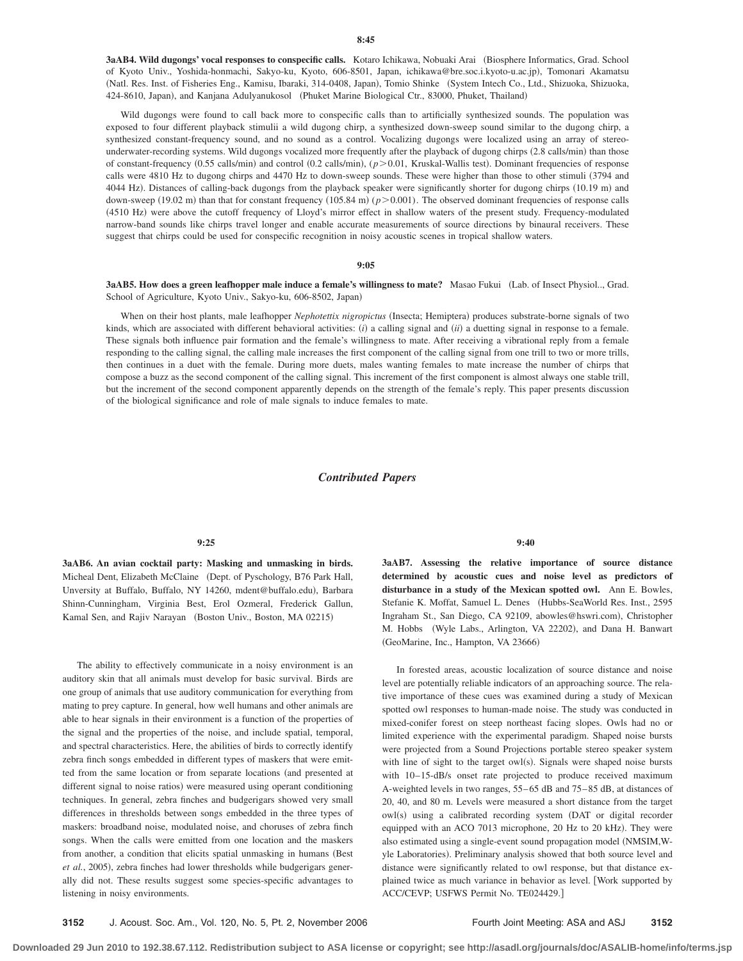3aAB4. Wild dugongs' vocal responses to conspecific calls. Kotaro Ichikawa, Nobuaki Arai (Biosphere Informatics, Grad. School of Kyoto Univ., Yoshida-honmachi, Sakyo-ku, Kyoto, 606-8501, Japan, ichikawa@bre.soc.i.kyoto-u.ac.jp), Tomonari Akamatsu (Natl. Res. Inst. of Fisheries Eng., Kamisu, Ibaraki, 314-0408, Japan), Tomio Shinke (System Intech Co., Ltd., Shizuoka, Shizuoka, 424-8610, Japan), and Kanjana Adulyanukosol (Phuket Marine Biological Ctr., 83000, Phuket, Thailand)

Wild dugongs were found to call back more to conspecific calls than to artificially synthesized sounds. The population was exposed to four different playback stimulii a wild dugong chirp, a synthesized down-sweep sound similar to the dugong chirp, a synthesized constant-frequency sound, and no sound as a control. Vocalizing dugongs were localized using an array of stereounderwater-recording systems. Wild dugongs vocalized more frequently after the playback of dugong chirps (2.8 calls/min) than those of constant-frequency (0.55 calls/min) and control (0.2 calls/min), ( $p$  > 0.01, Kruskal-Wallis test). Dominant frequencies of response calls were 4810 Hz to dugong chirps and 4470 Hz to down-sweep sounds. These were higher than those to other stimuli 3794 and 4044 Hz). Distances of calling-back dugongs from the playback speaker were significantly shorter for dugong chirps (10.19 m) and down-sweep  $(19.02 \text{ m})$  than that for constant frequency  $(105.84 \text{ m})$  ( $p > 0.001$ ). The observed dominant frequencies of response calls (4510 Hz) were above the cutoff frequency of Lloyd's mirror effect in shallow waters of the present study. Frequency-modulated narrow-band sounds like chirps travel longer and enable accurate measurements of source directions by binaural receivers. These suggest that chirps could be used for conspecific recognition in noisy acoustic scenes in tropical shallow waters.

### **9:05**

**3aAB5. How does a green leafhopper male induce a female's willingness to mate?** Masao Fukui Lab. of Insect Physiol.., Grad. School of Agriculture, Kyoto Univ., Sakyo-ku, 606-8502, Japan)

When on their host plants, male leafhopper *Nephotettix nigropictus* (Insecta; Hemiptera) produces substrate-borne signals of two kinds, which are associated with different behavioral activities: *(i)* a calling signal and *(ii)* a duetting signal in response to a female. These signals both influence pair formation and the female's willingness to mate. After receiving a vibrational reply from a female responding to the calling signal, the calling male increases the first component of the calling signal from one trill to two or more trills, then continues in a duet with the female. During more duets, males wanting females to mate increase the number of chirps that compose a buzz as the second component of the calling signal. This increment of the first component is almost always one stable trill, but the increment of the second component apparently depends on the strength of the female's reply. This paper presents discussion of the biological significance and role of male signals to induce females to mate.

### *Contributed Papers*

# **9:25**

**3aAB6. An avian cocktail party: Masking and unmasking in birds.** Micheal Dent, Elizabeth McClaine (Dept. of Pyschology, B76 Park Hall, Unversity at Buffalo, Buffalo, NY 14260, mdent@buffalo.edu), Barbara Shinn-Cunningham, Virginia Best, Erol Ozmeral, Frederick Gallun, Kamal Sen, and Rajiv Narayan (Boston Univ., Boston, MA 02215)

The ability to effectively communicate in a noisy environment is an auditory skin that all animals must develop for basic survival. Birds are one group of animals that use auditory communication for everything from mating to prey capture. In general, how well humans and other animals are able to hear signals in their environment is a function of the properties of the signal and the properties of the noise, and include spatial, temporal, and spectral characteristics. Here, the abilities of birds to correctly identify zebra finch songs embedded in different types of maskers that were emitted from the same location or from separate locations (and presented at different signal to noise ratios) were measured using operant conditioning techniques. In general, zebra finches and budgerigars showed very small differences in thresholds between songs embedded in the three types of maskers: broadband noise, modulated noise, and choruses of zebra finch songs. When the calls were emitted from one location and the maskers from another, a condition that elicits spatial unmasking in humans (Best et al., 2005), zebra finches had lower thresholds while budgerigars generally did not. These results suggest some species-specific advantages to listening in noisy environments.

#### **9:40**

**3aAB7. Assessing the relative importance of source distance determined by acoustic cues and noise level as predictors of disturbance in a study of the Mexican spotted owl.** Ann E. Bowles, Stefanie K. Moffat, Samuel L. Denes (Hubbs-SeaWorld Res. Inst., 2595 Ingraham St., San Diego, CA 92109, abowles@hswri.com), Christopher M. Hobbs (Wyle Labs., Arlington, VA 22202), and Dana H. Banwart (GeoMarine, Inc., Hampton, VA 23666)

In forested areas, acoustic localization of source distance and noise level are potentially reliable indicators of an approaching source. The relative importance of these cues was examined during a study of Mexican spotted owl responses to human-made noise. The study was conducted in mixed-conifer forest on steep northeast facing slopes. Owls had no or limited experience with the experimental paradigm. Shaped noise bursts were projected from a Sound Projections portable stereo speaker system with line of sight to the target owl(s). Signals were shaped noise bursts with 10–15-dB/s onset rate projected to produce received maximum A-weighted levels in two ranges, 55– 65 dB and 75– 85 dB, at distances of 20, 40, and 80 m. Levels were measured a short distance from the target owl(s) using a calibrated recording system (DAT or digital recorder equipped with an ACO 7013 microphone, 20 Hz to 20 kHz). They were also estimated using a single-event sound propagation model (NMSIM, Wyle Laboratories). Preliminary analysis showed that both source level and distance were significantly related to owl response, but that distance explained twice as much variance in behavior as level. Work supported by ACC/CEVP; USFWS Permit No. TE024429.

**3152** J. Acoust. Soc. Am., Vol. 120, No. 5, Pt. 2, November 2006 Fourth Joint Meeting: ASA and ASJ **3152**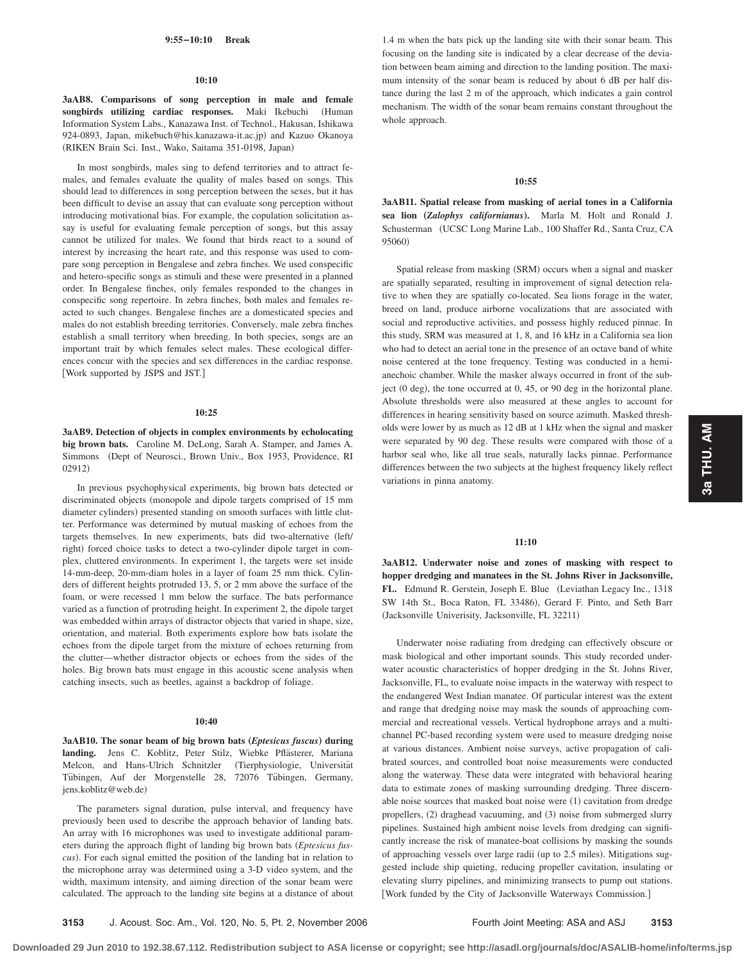#### **9:55–10:10 Break**

### **10:10**

**3aAB8. Comparisons of song perception in male and female** songbirds utilizing cardiac responses. Maki Ikebuchi (Human Information System Labs., Kanazawa Inst. of Technol., Hakusan, Ishikawa 924-0893, Japan, mikebuch@his.kanazawa-it.ac.jp) and Kazuo Okanoya RIKEN Brain Sci. Inst., Wako, Saitama 351-0198, Japan-

In most songbirds, males sing to defend territories and to attract females, and females evaluate the quality of males based on songs. This should lead to differences in song perception between the sexes, but it has been difficult to devise an assay that can evaluate song perception without introducing motivational bias. For example, the copulation solicitation assay is useful for evaluating female perception of songs, but this assay cannot be utilized for males. We found that birds react to a sound of interest by increasing the heart rate, and this response was used to compare song perception in Bengalese and zebra finches. We used conspecific and hetero-specific songs as stimuli and these were presented in a planned order. In Bengalese finches, only females responded to the changes in conspecific song repertoire. In zebra finches, both males and females reacted to such changes. Bengalese finches are a domesticated species and males do not establish breeding territories. Conversely, male zebra finches establish a small territory when breeding. In both species, songs are an important trait by which females select males. These ecological differences concur with the species and sex differences in the cardiac response. Work supported by JSPS and JST.

### **10:25**

**3aAB9. Detection of objects in complex environments by echolocating big brown bats.** Caroline M. DeLong, Sarah A. Stamper, and James A. Simmons (Dept of Neurosci., Brown Univ., Box 1953, Providence, RI 02912)

In previous psychophysical experiments, big brown bats detected or discriminated objects (monopole and dipole targets comprised of 15 mm diameter cylinders) presented standing on smooth surfaces with little clutter. Performance was determined by mutual masking of echoes from the targets themselves. In new experiments, bats did two-alternative (left/ right) forced choice tasks to detect a two-cylinder dipole target in complex, cluttered environments. In experiment 1, the targets were set inside 14-mm-deep, 20-mm-diam holes in a layer of foam 25 mm thick. Cylinders of different heights protruded 13, 5, or 2 mm above the surface of the foam, or were recessed 1 mm below the surface. The bats performance varied as a function of protruding height. In experiment 2, the dipole target was embedded within arrays of distractor objects that varied in shape, size, orientation, and material. Both experiments explore how bats isolate the echoes from the dipole target from the mixture of echoes returning from the clutter—whether distractor objects or echoes from the sides of the holes. Big brown bats must engage in this acoustic scene analysis when catching insects, such as beetles, against a backdrop of foliage.

### **10:40**

3aAB10. The sonar beam of big brown bats (Eptesicus fuscus) during landing. Jens C. Koblitz, Peter Stilz, Wiebke Pflästerer, Mariana Melcon, and Hans-Ulrich Schnitzler (Tierphysiologie, Universität Tübingen, Auf der Morgenstelle 28, 72076 Tübingen, Germany, jens.koblitz@web.de-

The parameters signal duration, pulse interval, and frequency have previously been used to describe the approach behavior of landing bats. An array with 16 microphones was used to investigate additional parameters during the approach flight of landing big brown bats *Eptesicus fus*cus). For each signal emitted the position of the landing bat in relation to the microphone array was determined using a 3-D video system, and the width, maximum intensity, and aiming direction of the sonar beam were calculated. The approach to the landing site begins at a distance of about 1.4 m when the bats pick up the landing site with their sonar beam. This focusing on the landing site is indicated by a clear decrease of the deviation between beam aiming and direction to the landing position. The maximum intensity of the sonar beam is reduced by about 6 dB per half distance during the last 2 m of the approach, which indicates a gain control mechanism. The width of the sonar beam remains constant throughout the whole approach.

### **10:55**

**3aAB11. Spatial release from masking of aerial tones in a California** sea lion (Zalophys californianus). Marla M. Holt and Ronald J. Schusterman (UCSC Long Marine Lab., 100 Shaffer Rd., Santa Cruz, CA 95060)

Spatial release from masking (SRM) occurs when a signal and masker are spatially separated, resulting in improvement of signal detection relative to when they are spatially co-located. Sea lions forage in the water, breed on land, produce airborne vocalizations that are associated with social and reproductive activities, and possess highly reduced pinnae. In this study, SRM was measured at 1, 8, and 16 kHz in a California sea lion who had to detect an aerial tone in the presence of an octave band of white noise centered at the tone frequency. Testing was conducted in a hemianechoic chamber. While the masker always occurred in front of the subject (0 deg), the tone occurred at 0, 45, or 90 deg in the horizontal plane. Absolute thresholds were also measured at these angles to account for differences in hearing sensitivity based on source azimuth. Masked thresholds were lower by as much as 12 dB at 1 kHz when the signal and masker were separated by 90 deg. These results were compared with those of a harbor seal who, like all true seals, naturally lacks pinnae. Performance differences between the two subjects at the highest frequency likely reflect variations in pinna anatomy.

# **11:10**

**3aAB12. Underwater noise and zones of masking with respect to hopper dredging and manatees in the St. Johns River in Jacksonville,** FL. Edmund R. Gerstein, Joseph E. Blue (Leviathan Legacy Inc., 1318) SW 14th St., Boca Raton, FL 33486), Gerard F. Pinto, and Seth Barr (Jacksonville Univerisity, Jacksonville, FL 32211)

Underwater noise radiating from dredging can effectively obscure or mask biological and other important sounds. This study recorded underwater acoustic characteristics of hopper dredging in the St. Johns River, Jacksonville, FL, to evaluate noise impacts in the waterway with respect to the endangered West Indian manatee. Of particular interest was the extent and range that dredging noise may mask the sounds of approaching commercial and recreational vessels. Vertical hydrophone arrays and a multichannel PC-based recording system were used to measure dredging noise at various distances. Ambient noise surveys, active propagation of calibrated sources, and controlled boat noise measurements were conducted along the waterway. These data were integrated with behavioral hearing data to estimate zones of masking surrounding dredging. Three discernable noise sources that masked boat noise were (1) cavitation from dredge propellers, (2) draghead vacuuming, and (3) noise from submerged slurry pipelines. Sustained high ambient noise levels from dredging can significantly increase the risk of manatee-boat collisions by masking the sounds of approaching vessels over large radii (up to 2.5 miles). Mitigations suggested include ship quieting, reducing propeller cavitation, insulating or elevating slurry pipelines, and minimizing transects to pump out stations. [Work funded by the City of Jacksonville Waterways Commission.]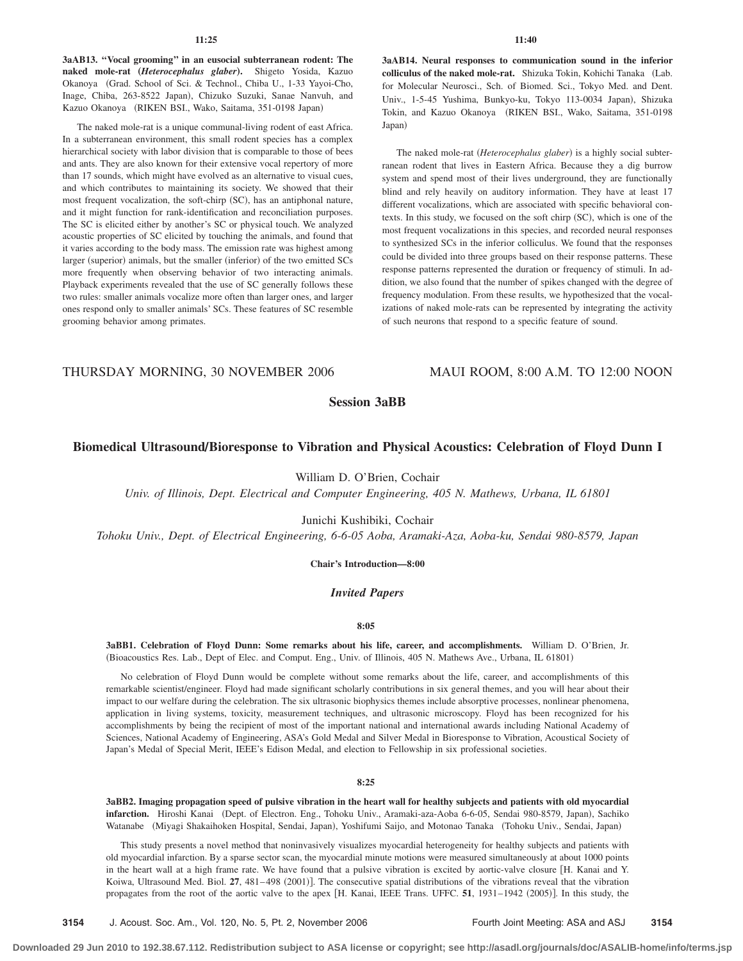**3aAB13. ''Vocal grooming'' in an eusocial subterranean rodent: The** naked mole-rat (Heterocephalus glaber). Shigeto Yosida, Kazuo Okanoya Grad. School of Sci. & Technol., Chiba U., 1-33 Yayoi-Cho, Inage, Chiba, 263-8522 Japan), Chizuko Suzuki, Sanae Nanvuh, and Kazuo Okanoya (RIKEN BSI., Wako, Saitama, 351-0198 Japan)

The naked mole-rat is a unique communal-living rodent of east Africa. In a subterranean environment, this small rodent species has a complex hierarchical society with labor division that is comparable to those of bees and ants. They are also known for their extensive vocal repertory of more than 17 sounds, which might have evolved as an alternative to visual cues, and which contributes to maintaining its society. We showed that their most frequent vocalization, the soft-chirp (SC), has an antiphonal nature, and it might function for rank-identification and reconciliation purposes. The SC is elicited either by another's SC or physical touch. We analyzed acoustic properties of SC elicited by touching the animals, and found that it varies according to the body mass. The emission rate was highest among larger (superior) animals, but the smaller (inferior) of the two emitted SCs more frequently when observing behavior of two interacting animals. Playback experiments revealed that the use of SC generally follows these two rules: smaller animals vocalize more often than larger ones, and larger ones respond only to smaller animals' SCs. These features of SC resemble grooming behavior among primates.

**3aAB14. Neural responses to communication sound in the inferior** colliculus of the naked mole-rat. Shizuka Tokin, Kohichi Tanaka (Lab. for Molecular Neurosci., Sch. of Biomed. Sci., Tokyo Med. and Dent. Univ., 1-5-45 Yushima, Bunkyo-ku, Tokyo 113-0034 Japan), Shizuka Tokin, and Kazuo Okanoya (RIKEN BSI., Wako, Saitama, 351-0198 Japan)

The naked mole-rat (Heterocephalus glaber) is a highly social subterranean rodent that lives in Eastern Africa. Because they a dig burrow system and spend most of their lives underground, they are functionally blind and rely heavily on auditory information. They have at least 17 different vocalizations, which are associated with specific behavioral contexts. In this study, we focused on the soft chirp (SC), which is one of the most frequent vocalizations in this species, and recorded neural responses to synthesized SCs in the inferior colliculus. We found that the responses could be divided into three groups based on their response patterns. These response patterns represented the duration or frequency of stimuli. In addition, we also found that the number of spikes changed with the degree of frequency modulation. From these results, we hypothesized that the vocalizations of naked mole-rats can be represented by integrating the activity of such neurons that respond to a specific feature of sound.

# THURSDAY MORNING, 30 NOVEMBER 2006 MAUI ROOM, 8:00 A.M. TO 12:00 NOON

# **Session 3aBB**

# **Biomedical UltrasoundÕBioresponse to Vibration and Physical Acoustics: Celebration of Floyd Dunn I**

William D. O'Brien, Cochair

*Univ. of Illinois, Dept. Electrical and Computer Engineering, 405 N. Mathews, Urbana, IL 61801*

Junichi Kushibiki, Cochair

*Tohoku Univ., Dept. of Electrical Engineering, 6-6-05 Aoba, Aramaki-Aza, Aoba-ku, Sendai 980-8579, Japan*

**Chair's Introduction—8:00**

# *Invited Papers*

### **8:05**

**3aBB1. Celebration of Floyd Dunn: Some remarks about his life, career, and accomplishments.** William D. O'Brien, Jr. (Bioacoustics Res. Lab., Dept of Elec. and Comput. Eng., Univ. of Illinois, 405 N. Mathews Ave., Urbana, IL 61801)

No celebration of Floyd Dunn would be complete without some remarks about the life, career, and accomplishments of this remarkable scientist/engineer. Floyd had made significant scholarly contributions in six general themes, and you will hear about their impact to our welfare during the celebration. The six ultrasonic biophysics themes include absorptive processes, nonlinear phenomena, application in living systems, toxicity, measurement techniques, and ultrasonic microscopy. Floyd has been recognized for his accomplishments by being the recipient of most of the important national and international awards including National Academy of Sciences, National Academy of Engineering, ASA's Gold Medal and Silver Medal in Bioresponse to Vibration, Acoustical Society of Japan's Medal of Special Merit, IEEE's Edison Medal, and election to Fellowship in six professional societies.

# **8:25**

**3aBB2. Imaging propagation speed of pulsive vibration in the heart wall for healthy subjects and patients with old myocardial** infarction. Hiroshi Kanai (Dept. of Electron. Eng., Tohoku Univ., Aramaki-aza-Aoba 6-6-05, Sendai 980-8579, Japan), Sachiko Watanabe (Miyagi Shakaihoken Hospital, Sendai, Japan), Yoshifumi Saijo, and Motonao Tanaka (Tohoku Univ., Sendai, Japan)

This study presents a novel method that noninvasively visualizes myocardial heterogeneity for healthy subjects and patients with old myocardial infarction. By a sparse sector scan, the myocardial minute motions were measured simultaneously at about 1000 points in the heart wall at a high frame rate. We have found that a pulsive vibration is excited by aortic-valve closure H. Kanai and Y. Koiwa, Ultrasound Med. Biol. 27, 481–498 (2001)]. The consecutive spatial distributions of the vibrations reveal that the vibration propagates from the root of the aortic valve to the apex [H. Kanai, IEEE Trans. UFFC. **51**, 1931–1942 (2005)]. In this study, the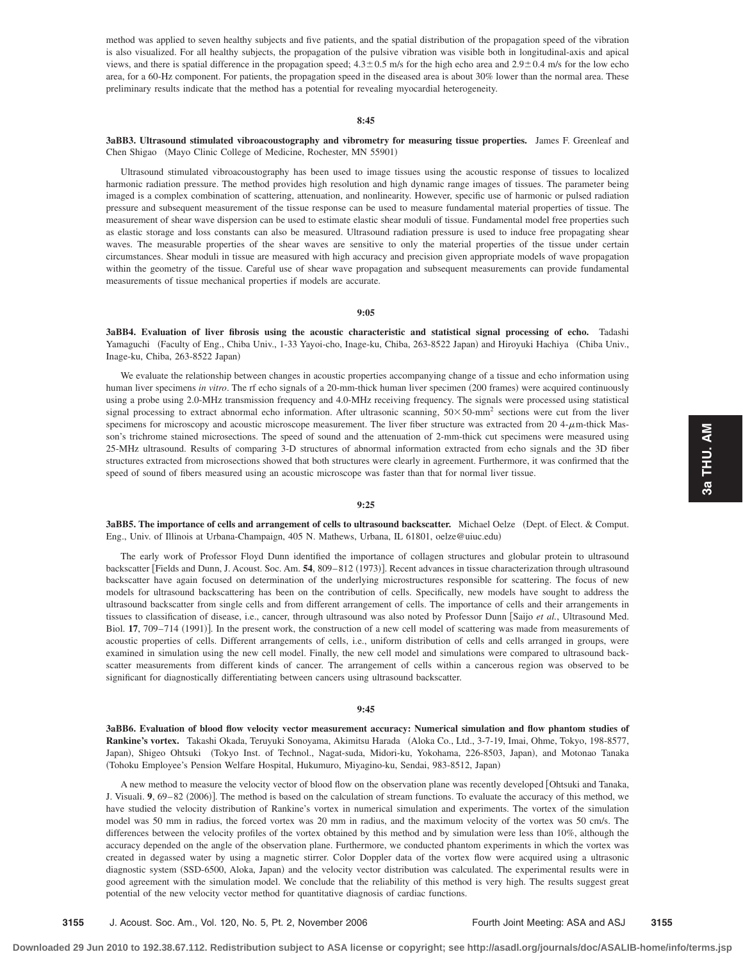method was applied to seven healthy subjects and five patients, and the spatial distribution of the propagation speed of the vibration is also visualized. For all healthy subjects, the propagation of the pulsive vibration was visible both in longitudinal-axis and apical views, and there is spatial difference in the propagation speed;  $4.3\pm0.5$  m/s for the high echo area and  $2.9\pm0.4$  m/s for the low echo area, for a 60-Hz component. For patients, the propagation speed in the diseased area is about 30% lower than the normal area. These preliminary results indicate that the method has a potential for revealing myocardial heterogeneity.

### **8:45**

# **3aBB3. Ultrasound stimulated vibroacoustography and vibrometry for measuring tissue properties.** James F. Greenleaf and Chen Shigao (Mayo Clinic College of Medicine, Rochester, MN 55901)

Ultrasound stimulated vibroacoustography has been used to image tissues using the acoustic response of tissues to localized harmonic radiation pressure. The method provides high resolution and high dynamic range images of tissues. The parameter being imaged is a complex combination of scattering, attenuation, and nonlinearity. However, specific use of harmonic or pulsed radiation pressure and subsequent measurement of the tissue response can be used to measure fundamental material properties of tissue. The measurement of shear wave dispersion can be used to estimate elastic shear moduli of tissue. Fundamental model free properties such as elastic storage and loss constants can also be measured. Ultrasound radiation pressure is used to induce free propagating shear waves. The measurable properties of the shear waves are sensitive to only the material properties of the tissue under certain circumstances. Shear moduli in tissue are measured with high accuracy and precision given appropriate models of wave propagation within the geometry of the tissue. Careful use of shear wave propagation and subsequent measurements can provide fundamental measurements of tissue mechanical properties if models are accurate.

### **9:05**

**3aBB4. Evaluation of liver fibrosis using the acoustic characteristic and statistical signal processing of echo.** Tadashi Yamaguchi (Faculty of Eng., Chiba Univ., 1-33 Yayoi-cho, Inage-ku, Chiba, 263-8522 Japan) and Hiroyuki Hachiya (Chiba Univ., Inage-ku, Chiba, 263-8522 Japan)

We evaluate the relationship between changes in acoustic properties accompanying change of a tissue and echo information using human liver specimens in vitro. The rf echo signals of a 20-mm-thick human liver specimen (200 frames) were acquired continuously using a probe using 2.0-MHz transmission frequency and 4.0-MHz receiving frequency. The signals were processed using statistical signal processing to extract abnormal echo information. After ultrasonic scanning,  $50 \times 50$ -mm<sup>2</sup> sections were cut from the liver specimens for microscopy and acoustic microscope measurement. The liver fiber structure was extracted from  $20.4-\mu$ m-thick Masson's trichrome stained microsections. The speed of sound and the attenuation of 2-mm-thick cut specimens were measured using 25-MHz ultrasound. Results of comparing 3-D structures of abnormal information extracted from echo signals and the 3D fiber structures extracted from microsections showed that both structures were clearly in agreement. Furthermore, it was confirmed that the speed of sound of fibers measured using an acoustic microscope was faster than that for normal liver tissue.

### **9:25**

**3aBB5. The importance of cells and arrangement of cells to ultrasound backscatter.** Michael Oelze (Dept. of Elect. & Comput. Eng., Univ. of Illinois at Urbana-Champaign, 405 N. Mathews, Urbana, IL 61801, oelze@uiuc.edu-

The early work of Professor Floyd Dunn identified the importance of collagen structures and globular protein to ultrasound backscatter [Fields and Dunn, J. Acoust. Soc. Am. 54, 809–812 (1973)]. Recent advances in tissue characterization through ultrasound backscatter have again focused on determination of the underlying microstructures responsible for scattering. The focus of new models for ultrasound backscattering has been on the contribution of cells. Specifically, new models have sought to address the ultrasound backscatter from single cells and from different arrangement of cells. The importance of cells and their arrangements in tissues to classification of disease, i.e., cancer, through ultrasound was also noted by Professor Dunn [Saijo et al., Ultrasound Med. Biol. 17, 709-714 (1991)]. In the present work, the construction of a new cell model of scattering was made from measurements of acoustic properties of cells. Different arrangements of cells, i.e., uniform distribution of cells and cells arranged in groups, were examined in simulation using the new cell model. Finally, the new cell model and simulations were compared to ultrasound backscatter measurements from different kinds of cancer. The arrangement of cells within a cancerous region was observed to be significant for diagnostically differentiating between cancers using ultrasound backscatter.

# **9:45**

**3aBB6. Evaluation of blood flow velocity vector measurement accuracy: Numerical simulation and flow phantom studies of** Rankine's vortex. Takashi Okada, Teruyuki Sonoyama, Akimitsu Harada (Aloka Co., Ltd., 3-7-19, Imai, Ohme, Tokyo, 198-8577, Japan), Shigeo Ohtsuki (Tokyo Inst. of Technol., Nagat-suda, Midori-ku, Yokohama, 226-8503, Japan), and Motonao Tanaka Tohoku Employee's Pension Welfare Hospital, Hukumuro, Miyagino-ku, Sendai, 983-8512, Japan-

A new method to measure the velocity vector of blood flow on the observation plane was recently developed Ohtsuki and Tanaka, J. Visuali. 9, 69–82 (2006)]. The method is based on the calculation of stream functions. To evaluate the accuracy of this method, we have studied the velocity distribution of Rankine's vortex in numerical simulation and experiments. The vortex of the simulation model was 50 mm in radius, the forced vortex was 20 mm in radius, and the maximum velocity of the vortex was 50 cm/s. The differences between the velocity profiles of the vortex obtained by this method and by simulation were less than 10%, although the accuracy depended on the angle of the observation plane. Furthermore, we conducted phantom experiments in which the vortex was created in degassed water by using a magnetic stirrer. Color Doppler data of the vortex flow were acquired using a ultrasonic diagnostic system (SSD-6500, Aloka, Japan) and the velocity vector distribution was calculated. The experimental results were in good agreement with the simulation model. We conclude that the reliability of this method is very high. The results suggest great potential of the new velocity vector method for quantitative diagnosis of cardiac functions.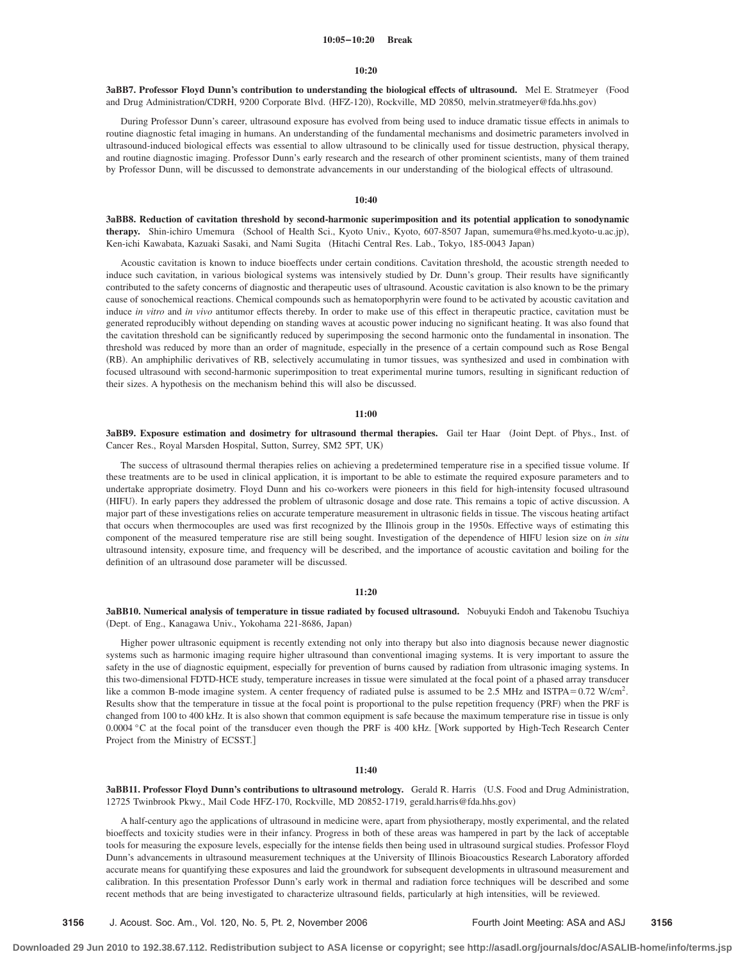#### **10:05–10:20 Break**

#### **10:20**

**3aBB7. Professor Floyd Dunn's contribution to understanding the biological effects of ultrasound.** Mel E. Stratmeyer (Food and Drug Administration/CDRH, 9200 Corporate Blvd. (HFZ-120), Rockville, MD 20850, melvin.stratmeyer@fda.hhs.gov)

During Professor Dunn's career, ultrasound exposure has evolved from being used to induce dramatic tissue effects in animals to routine diagnostic fetal imaging in humans. An understanding of the fundamental mechanisms and dosimetric parameters involved in ultrasound-induced biological effects was essential to allow ultrasound to be clinically used for tissue destruction, physical therapy, and routine diagnostic imaging. Professor Dunn's early research and the research of other prominent scientists, many of them trained by Professor Dunn, will be discussed to demonstrate advancements in our understanding of the biological effects of ultrasound.

### **10:40**

**3aBB8. Reduction of cavitation threshold by second-harmonic superimposition and its potential application to sonodynamic** therapy. Shin-ichiro Umemura (School of Health Sci., Kyoto Univ., Kyoto, 607-8507 Japan, sumemura@hs.med.kyoto-u.ac.jp), Ken-ichi Kawabata, Kazuaki Sasaki, and Nami Sugita (Hitachi Central Res. Lab., Tokyo, 185-0043 Japan)

Acoustic cavitation is known to induce bioeffects under certain conditions. Cavitation threshold, the acoustic strength needed to induce such cavitation, in various biological systems was intensively studied by Dr. Dunn's group. Their results have significantly contributed to the safety concerns of diagnostic and therapeutic uses of ultrasound. Acoustic cavitation is also known to be the primary cause of sonochemical reactions. Chemical compounds such as hematoporphyrin were found to be activated by acoustic cavitation and induce *in vitro* and *in vivo* antitumor effects thereby. In order to make use of this effect in therapeutic practice, cavitation must be generated reproducibly without depending on standing waves at acoustic power inducing no significant heating. It was also found that the cavitation threshold can be significantly reduced by superimposing the second harmonic onto the fundamental in insonation. The threshold was reduced by more than an order of magnitude, especially in the presence of a certain compound such as Rose Bengal RB-. An amphiphilic derivatives of RB, selectively accumulating in tumor tissues, was synthesized and used in combination with focused ultrasound with second-harmonic superimposition to treat experimental murine tumors, resulting in significant reduction of their sizes. A hypothesis on the mechanism behind this will also be discussed.

### **11:00**

**3aBB9. Exposure estimation and dosimetry for ultrasound thermal therapies.** Gail ter Haar Joint Dept. of Phys., Inst. of Cancer Res., Royal Marsden Hospital, Sutton, Surrey, SM2 5PT, UK-

The success of ultrasound thermal therapies relies on achieving a predetermined temperature rise in a specified tissue volume. If these treatments are to be used in clinical application, it is important to be able to estimate the required exposure parameters and to undertake appropriate dosimetry. Floyd Dunn and his co-workers were pioneers in this field for high-intensity focused ultrasound (HIFU). In early papers they addressed the problem of ultrasonic dosage and dose rate. This remains a topic of active discussion. A major part of these investigations relies on accurate temperature measurement in ultrasonic fields in tissue. The viscous heating artifact that occurs when thermocouples are used was first recognized by the Illinois group in the 1950s. Effective ways of estimating this component of the measured temperature rise are still being sought. Investigation of the dependence of HIFU lesion size on *in situ* ultrasound intensity, exposure time, and frequency will be described, and the importance of acoustic cavitation and boiling for the definition of an ultrasound dose parameter will be discussed.

# **11:20**

**3aBB10. Numerical analysis of temperature in tissue radiated by focused ultrasound.** Nobuyuki Endoh and Takenobu Tsuchiya (Dept. of Eng., Kanagawa Univ., Yokohama 221-8686, Japan)

Higher power ultrasonic equipment is recently extending not only into therapy but also into diagnosis because newer diagnostic systems such as harmonic imaging require higher ultrasound than conventional imaging systems. It is very important to assure the safety in the use of diagnostic equipment, especially for prevention of burns caused by radiation from ultrasonic imaging systems. In this two-dimensional FDTD-HCE study, temperature increases in tissue were simulated at the focal point of a phased array transducer like a common B-mode imagine system. A center frequency of radiated pulse is assumed to be 2.5 MHz and ISTPA=0.72 W/cm<sup>2</sup>. Results show that the temperature in tissue at the focal point is proportional to the pulse repetition frequency (PRF) when the PRF is changed from 100 to 400 kHz. It is also shown that common equipment is safe because the maximum temperature rise in tissue is only 0.0004 °C at the focal point of the transducer even though the PRF is 400 kHz. Work supported by High-Tech Research Center Project from the Ministry of ECSST.

# **11:40**

**3aBB11. Professor Floyd Dunn's contributions to ultrasound metrology.** Gerald R. Harris U.S. Food and Drug Administration, 12725 Twinbrook Pkwy., Mail Code HFZ-170, Rockville, MD 20852-1719, gerald.harris@fda.hhs.gov-

A half-century ago the applications of ultrasound in medicine were, apart from physiotherapy, mostly experimental, and the related bioeffects and toxicity studies were in their infancy. Progress in both of these areas was hampered in part by the lack of acceptable tools for measuring the exposure levels, especially for the intense fields then being used in ultrasound surgical studies. Professor Floyd Dunn's advancements in ultrasound measurement techniques at the University of Illinois Bioacoustics Research Laboratory afforded accurate means for quantifying these exposures and laid the groundwork for subsequent developments in ultrasound measurement and calibration. In this presentation Professor Dunn's early work in thermal and radiation force techniques will be described and some recent methods that are being investigated to characterize ultrasound fields, particularly at high intensities, will be reviewed.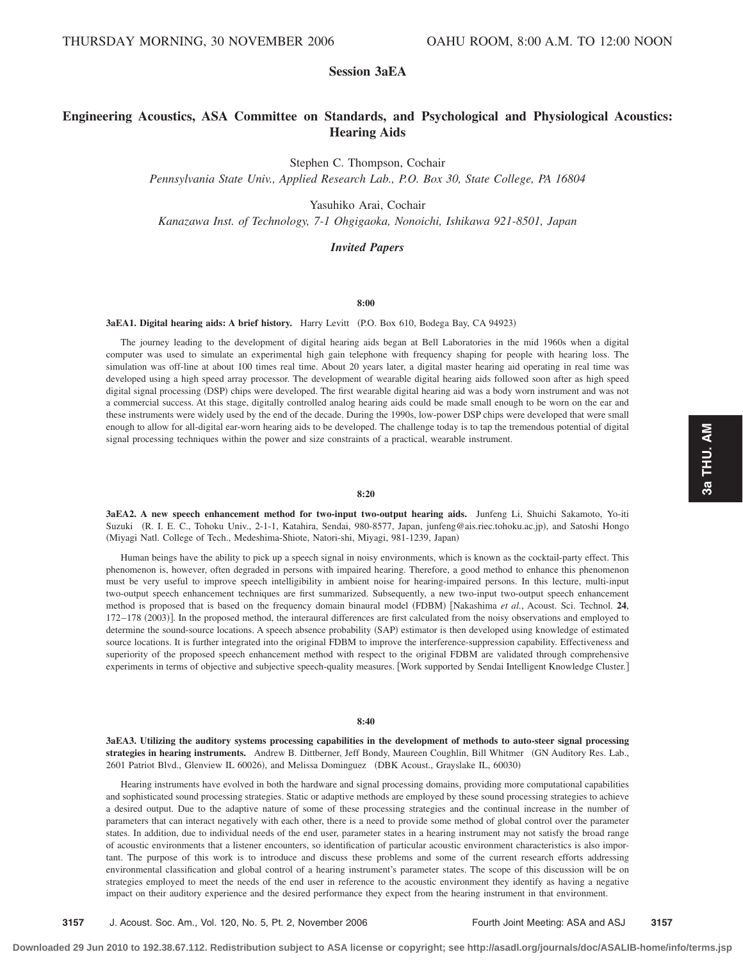# **Session 3aEA**

# **Engineering Acoustics, ASA Committee on Standards, and Psychological and Physiological Acoustics: Hearing Aids**

Stephen C. Thompson, Cochair

*Pennsylvania State Univ., Applied Research Lab., P.O. Box 30, State College, PA 16804*

Yasuhiko Arai, Cochair

*Kanazawa Inst. of Technology, 7-1 Ohgigaoka, Nonoichi, Ishikawa 921-8501, Japan*

# *Invited Papers*

### **8:00**

**3aEA1. Digital hearing aids: A brief history.** Harry Levitt (P.O. Box 610, Bodega Bay, CA 94923)

The journey leading to the development of digital hearing aids began at Bell Laboratories in the mid 1960s when a digital computer was used to simulate an experimental high gain telephone with frequency shaping for people with hearing loss. The simulation was off-line at about 100 times real time. About 20 years later, a digital master hearing aid operating in real time was developed using a high speed array processor. The development of wearable digital hearing aids followed soon after as high speed digital signal processing (DSP) chips were developed. The first wearable digital hearing aid was a body worn instrument and was not a commercial success. At this stage, digitally controlled analog hearing aids could be made small enough to be worn on the ear and these instruments were widely used by the end of the decade. During the 1990s, low-power DSP chips were developed that were small enough to allow for all-digital ear-worn hearing aids to be developed. The challenge today is to tap the tremendous potential of digital signal processing techniques within the power and size constraints of a practical, wearable instrument.

### **8:20**

**3aEA2. A new speech enhancement method for two-input two-output hearing aids.** Junfeng Li, Shuichi Sakamoto, Yo-iti Suzuki (R. I. E. C., Tohoku Univ., 2-1-1, Katahira, Sendai, 980-8577, Japan, junfeng@ais.riec.tohoku.ac.jp), and Satoshi Hongo (Miyagi Natl. College of Tech., Medeshima-Shiote, Natori-shi, Miyagi, 981-1239, Japan)

Human beings have the ability to pick up a speech signal in noisy environments, which is known as the cocktail-party effect. This phenomenon is, however, often degraded in persons with impaired hearing. Therefore, a good method to enhance this phenomenon must be very useful to improve speech intelligibility in ambient noise for hearing-impaired persons. In this lecture, multi-input two-output speech enhancement techniques are first summarized. Subsequently, a new two-input two-output speech enhancement method is proposed that is based on the frequency domain binaural model (FDBM) [Nakashima et al., Acoust. Sci. Technol. 24, 172–178 (2003)]. In the proposed method, the interaural differences are first calculated from the noisy observations and employed to determine the sound-source locations. A speech absence probability (SAP) estimator is then developed using knowledge of estimated source locations. It is further integrated into the original FDBM to improve the interference-suppression capability. Effectiveness and superiority of the proposed speech enhancement method with respect to the original FDBM are validated through comprehensive experiments in terms of objective and subjective speech-quality measures. Work supported by Sendai Intelligent Knowledge Cluster.

# **8:40**

**3aEA3. Utilizing the auditory systems processing capabilities in the development of methods to auto-steer signal processing strategies in hearing instruments.** Andrew B. Dittberner, Jeff Bondy, Maureen Coughlin, Bill Whitmer GN Auditory Res. Lab., 2601 Patriot Blvd., Glenview IL 60026), and Melissa Dominguez (DBK Acoust., Grayslake IL, 60030)

Hearing instruments have evolved in both the hardware and signal processing domains, providing more computational capabilities and sophisticated sound processing strategies. Static or adaptive methods are employed by these sound processing strategies to achieve a desired output. Due to the adaptive nature of some of these processing strategies and the continual increase in the number of parameters that can interact negatively with each other, there is a need to provide some method of global control over the parameter states. In addition, due to individual needs of the end user, parameter states in a hearing instrument may not satisfy the broad range of acoustic environments that a listener encounters, so identification of particular acoustic environment characteristics is also important. The purpose of this work is to introduce and discuss these problems and some of the current research efforts addressing environmental classification and global control of a hearing instrument's parameter states. The scope of this discussion will be on strategies employed to meet the needs of the end user in reference to the acoustic environment they identify as having a negative impact on their auditory experience and the desired performance they expect from the hearing instrument in that environment.

**3157** J. Acoust. Soc. Am., Vol. 120, No. 5, Pt. 2, November 2006 Fourth Joint Meeting: ASA and ASJ **3157**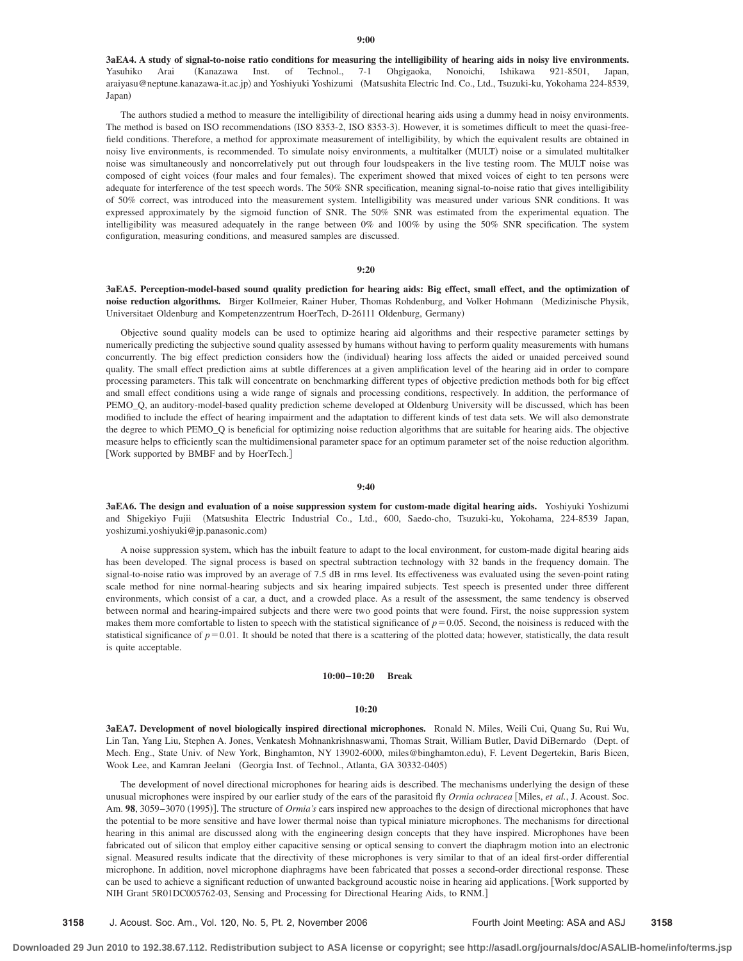**3aEA4. A study of signal-to-noise ratio conditions for measuring the intelligibility of hearing aids in noisy live environments.** Yasuhiko Arai Kanazawa Inst. of Technol., 7-1 Ohgigaoka, Nonoichi, Ishikawa 921-8501, Japan, araiyasu@neptune.kanazawa-it.ac.jp) and Yoshiyuki Yoshizumi (Matsushita Electric Ind. Co., Ltd., Tsuzuki-ku, Yokohama 224-8539, Japan)

The authors studied a method to measure the intelligibility of directional hearing aids using a dummy head in noisy environments. The method is based on ISO recommendations (ISO 8353-2, ISO 8353-3). However, it is sometimes difficult to meet the quasi-freefield conditions. Therefore, a method for approximate measurement of intelligibility, by which the equivalent results are obtained in noisy live environments, is recommended. To simulate noisy environments, a multitalker (MULT) noise or a simulated multitalker noise was simultaneously and noncorrelatively put out through four loudspeakers in the live testing room. The MULT noise was composed of eight voices (four males and four females). The experiment showed that mixed voices of eight to ten persons were adequate for interference of the test speech words. The 50% SNR specification, meaning signal-to-noise ratio that gives intelligibility of 50% correct, was introduced into the measurement system. Intelligibility was measured under various SNR conditions. It was expressed approximately by the sigmoid function of SNR. The 50% SNR was estimated from the experimental equation. The intelligibility was measured adequately in the range between 0% and 100% by using the 50% SNR specification. The system configuration, measuring conditions, and measured samples are discussed.

### **9:20**

**3aEA5. Perception-model-based sound quality prediction for hearing aids: Big effect, small effect, and the optimization of** noise reduction algorithms. Birger Kollmeier, Rainer Huber, Thomas Rohdenburg, and Volker Hohmann (Medizinische Physik, Universitaet Oldenburg and Kompetenzzentrum HoerTech, D-26111 Oldenburg, Germany-

Objective sound quality models can be used to optimize hearing aid algorithms and their respective parameter settings by numerically predicting the subjective sound quality assessed by humans without having to perform quality measurements with humans concurrently. The big effect prediction considers how the (individual) hearing loss affects the aided or unaided perceived sound quality. The small effect prediction aims at subtle differences at a given amplification level of the hearing aid in order to compare processing parameters. This talk will concentrate on benchmarking different types of objective prediction methods both for big effect and small effect conditions using a wide range of signals and processing conditions, respectively. In addition, the performance of PEMO\_Q, an auditory-model-based quality prediction scheme developed at Oldenburg University will be discussed, which has been modified to include the effect of hearing impairment and the adaptation to different kinds of test data sets. We will also demonstrate the degree to which PEMO\_Q is beneficial for optimizing noise reduction algorithms that are suitable for hearing aids. The objective measure helps to efficiently scan the multidimensional parameter space for an optimum parameter set of the noise reduction algorithm. Work supported by BMBF and by HoerTech.

### **9:40**

**3aEA6. The design and evaluation of a noise suppression system for custom-made digital hearing aids.** Yoshiyuki Yoshizumi and Shigekiyo Fujii Matsushita Electric Industrial Co., Ltd., 600, Saedo-cho, Tsuzuki-ku, Yokohama, 224-8539 Japan, yoshizumi.yoshiyuki@jp.panasonic.com-

A noise suppression system, which has the inbuilt feature to adapt to the local environment, for custom-made digital hearing aids has been developed. The signal process is based on spectral subtraction technology with 32 bands in the frequency domain. The signal-to-noise ratio was improved by an average of 7.5 dB in rms level. Its effectiveness was evaluated using the seven-point rating scale method for nine normal-hearing subjects and six hearing impaired subjects. Test speech is presented under three different environments, which consist of a car, a duct, and a crowded place. As a result of the assessment, the same tendency is observed between normal and hearing-impaired subjects and there were two good points that were found. First, the noise suppression system makes them more comfortable to listen to speech with the statistical significance of  $p = 0.05$ . Second, the noisiness is reduced with the statistical significance of  $p = 0.01$ . It should be noted that there is a scattering of the plotted data; however, statistically, the data result is quite acceptable.

### **10:00–10:20 Break**

### **10:20**

**3aEA7. Development of novel biologically inspired directional microphones.** Ronald N. Miles, Weili Cui, Quang Su, Rui Wu, Lin Tan, Yang Liu, Stephen A. Jones, Venkatesh Mohnankrishnaswami, Thomas Strait, William Butler, David DiBernardo (Dept. of Mech. Eng., State Univ. of New York, Binghamton, NY 13902-6000, miles@binghamton.edu), F. Levent Degertekin, Baris Bicen, Wook Lee, and Kamran Jeelani (Georgia Inst. of Technol., Atlanta, GA 30332-0405)

The development of novel directional microphones for hearing aids is described. The mechanisms underlying the design of these unusual microphones were inspired by our earlier study of the ears of the parasitoid fly *Ormia ochracea* [Miles, *et al.*, J. Acoust. Soc. Am. 98, 3059-3070 (1995)]. The structure of *Ormia's* ears inspired new approaches to the design of directional microphones that have the potential to be more sensitive and have lower thermal noise than typical miniature microphones. The mechanisms for directional hearing in this animal are discussed along with the engineering design concepts that they have inspired. Microphones have been fabricated out of silicon that employ either capacitive sensing or optical sensing to convert the diaphragm motion into an electronic signal. Measured results indicate that the directivity of these microphones is very similar to that of an ideal first-order differential microphone. In addition, novel microphone diaphragms have been fabricated that posses a second-order directional response. These can be used to achieve a significant reduction of unwanted background acoustic noise in hearing aid applications. Work supported by NIH Grant 5R01DC005762-03, Sensing and Processing for Directional Hearing Aids, to RNM.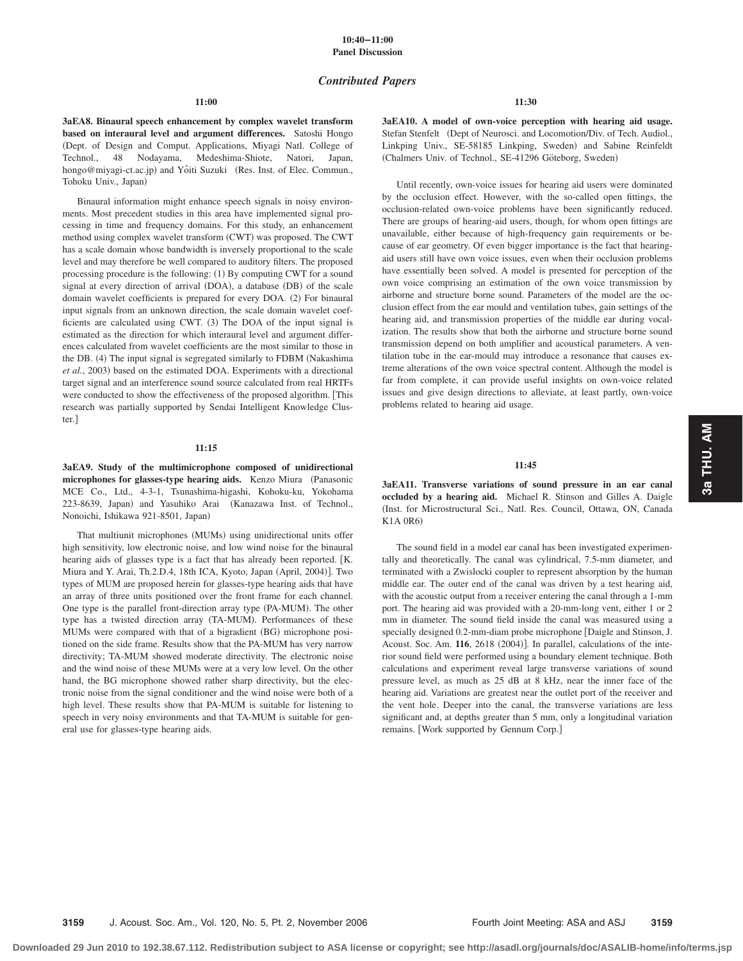# *Contributed Papers*

### **11:00**

**3aEA8. Binaural speech enhancement by complex wavelet transform based on interaural level and argument differences.** Satoshi Hongo Dept. of Design and Comput. Applications, Miyagi Natl. College of Technol., 48 Nodayama, Medeshima-Shiote, Natori, Japan, hongo@miyagi-ct.ac.jp) and Yôiti Suzuki (Res. Inst. of Elec. Commun., Tohoku Univ., Japan)

Binaural information might enhance speech signals in noisy environments. Most precedent studies in this area have implemented signal processing in time and frequency domains. For this study, an enhancement method using complex wavelet transform (CWT) was proposed. The CWT has a scale domain whose bandwidth is inversely proportional to the scale level and may therefore be well compared to auditory filters. The proposed processing procedure is the following: (1) By computing CWT for a sound signal at every direction of arrival (DOA), a database (DB) of the scale domain wavelet coefficients is prepared for every DOA. (2) For binaural input signals from an unknown direction, the scale domain wavelet coefficients are calculated using CWT. (3) The DOA of the input signal is estimated as the direction for which interaural level and argument differences calculated from wavelet coefficients are the most similar to those in the DB. (4) The input signal is segregated similarly to FDBM (Nakashima et al., 2003) based on the estimated DOA. Experiments with a directional target signal and an interference sound source calculated from real HRTFs were conducted to show the effectiveness of the proposed algorithm. This research was partially supported by Sendai Intelligent Knowledge Cluster.

### **11:15**

**3aEA9. Study of the multimicrophone composed of unidirectional** microphones for glasses-type hearing aids. Kenzo Miura (Panasonic MCE Co., Ltd., 4-3-1, Tsunashima-higashi, Kohoku-ku, Yokohama 223-8639, Japan) and Yasuhiko Arai (Kanazawa Inst. of Technol., Nonoichi, Ishikawa 921-8501, Japan)

That multiunit microphones (MUMs) using unidirectional units offer high sensitivity, low electronic noise, and low wind noise for the binaural hearing aids of glasses type is a fact that has already been reported. [K. Miura and Y. Arai, Th.2.D.4, 18th ICA, Kyoto, Japan (April, 2004)]. Two types of MUM are proposed herein for glasses-type hearing aids that have an array of three units positioned over the front frame for each channel. One type is the parallel front-direction array type (PA-MUM). The other type has a twisted direction array (TA-MUM). Performances of these MUMs were compared with that of a bigradient (BG) microphone positioned on the side frame. Results show that the PA-MUM has very narrow directivity; TA-MUM showed moderate directivity. The electronic noise and the wind noise of these MUMs were at a very low level. On the other hand, the BG microphone showed rather sharp directivity, but the electronic noise from the signal conditioner and the wind noise were both of a high level. These results show that PA-MUM is suitable for listening to speech in very noisy environments and that TA-MUM is suitable for general use for glasses-type hearing aids.

### **11:30**

**3aEA10. A model of own-voice perception with hearing aid usage.** Stefan Stenfelt (Dept of Neurosci. and Locomotion/Div. of Tech. Audiol., Linkping Univ., SE-58185 Linkping, Sweden) and Sabine Reinfeldt (Chalmers Univ. of Technol., SE-41296 Göteborg, Sweden)

Until recently, own-voice issues for hearing aid users were dominated by the occlusion effect. However, with the so-called open fittings, the occlusion-related own-voice problems have been significantly reduced. There are groups of hearing-aid users, though, for whom open fittings are unavailable, either because of high-frequency gain requirements or because of ear geometry. Of even bigger importance is the fact that hearingaid users still have own voice issues, even when their occlusion problems have essentially been solved. A model is presented for perception of the own voice comprising an estimation of the own voice transmission by airborne and structure borne sound. Parameters of the model are the occlusion effect from the ear mould and ventilation tubes, gain settings of the hearing aid, and transmission properties of the middle ear during vocalization. The results show that both the airborne and structure borne sound transmission depend on both amplifier and acoustical parameters. A ventilation tube in the ear-mould may introduce a resonance that causes extreme alterations of the own voice spectral content. Although the model is far from complete, it can provide useful insights on own-voice related issues and give design directions to alleviate, at least partly, own-voice problems related to hearing aid usage.

### **11:45**

**3aEA11. Transverse variations of sound pressure in an ear canal occluded by a hearing aid.** Michael R. Stinson and Gilles A. Daigle (Inst. for Microstructural Sci., Natl. Res. Council, Ottawa, ON, Canada  $K1A$   $0R6$ 

The sound field in a model ear canal has been investigated experimentally and theoretically. The canal was cylindrical, 7.5-mm diameter, and terminated with a Zwislocki coupler to represent absorption by the human middle ear. The outer end of the canal was driven by a test hearing aid, with the acoustic output from a receiver entering the canal through a 1-mm port. The hearing aid was provided with a 20-mm-long vent, either 1 or 2 mm in diameter. The sound field inside the canal was measured using a specially designed 0.2-mm-diam probe microphone [Daigle and Stinson, J. Acoust. Soc. Am. 116, 2618 (2004)]. In parallel, calculations of the interior sound field were performed using a boundary element technique. Both calculations and experiment reveal large transverse variations of sound pressure level, as much as 25 dB at 8 kHz, near the inner face of the hearing aid. Variations are greatest near the outlet port of the receiver and the vent hole. Deeper into the canal, the transverse variations are less significant and, at depths greater than 5 mm, only a longitudinal variation remains. Work supported by Gennum Corp.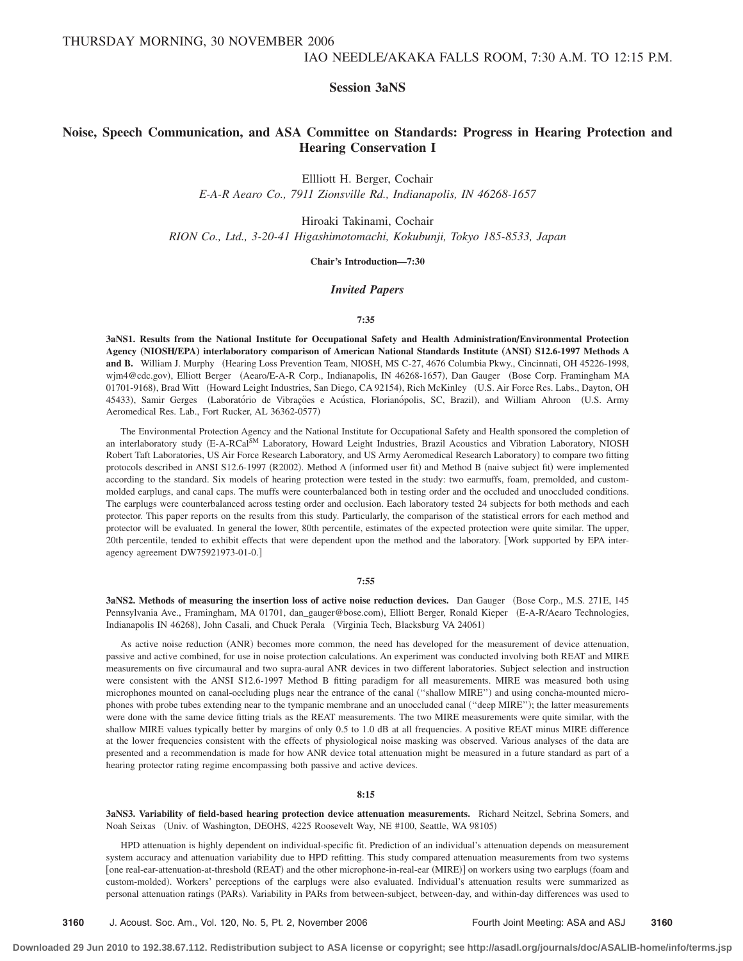THURSDAY MORNING, 30 NOVEMBER 2006

**Session 3aNS**

# **Noise, Speech Communication, and ASA Committee on Standards: Progress in Hearing Protection and Hearing Conservation I**

Ellliott H. Berger, Cochair *E-A-R Aearo Co., 7911 Zionsville Rd., Indianapolis, IN 46268-1657*

Hiroaki Takinami, Cochair *RION Co., Ltd., 3-20-41 Higashimotomachi, Kokubunji, Tokyo 185-8533, Japan*

**Chair's Introduction—7:30**

# *Invited Papers*

### **7:35**

**3aNS1. Results from the National Institute for Occupational Safety and Health AdministrationÕEnvironmental Protection Agency** "**NIOSHÕEPA**… **interlaboratory comparison of American National Standards Institute** "**ANSI**… **S12.6-1997 Methods A** and B. William J. Murphy (Hearing Loss Prevention Team, NIOSH, MS C-27, 4676 Columbia Pkwy., Cincinnati, OH 45226-1998, wjm4@cdc.gov), Elliott Berger (Aearo/E-A-R Corp., Indianapolis, IN 46268-1657), Dan Gauger (Bose Corp. Framingham MA 01701-9168), Brad Witt (Howard Leight Industries, San Diego, CA 92154), Rich McKinley (U.S. Air Force Res. Labs., Dayton, OH 45433), Samir Gerges (Laboratório de Vibrações e Acústica, Florianópolis, SC, Brazil), and William Ahroon (U.S. Army Aeromedical Res. Lab., Fort Rucker, AL 36362-0577)

The Environmental Protection Agency and the National Institute for Occupational Safety and Health sponsored the completion of an interlaboratory study (E-A-RCal<sup>SM</sup> Laboratory, Howard Leight Industries, Brazil Acoustics and Vibration Laboratory, NIOSH Robert Taft Laboratories, US Air Force Research Laboratory, and US Army Aeromedical Research Laboratory) to compare two fitting protocols described in ANSI S12.6-1997 (R2002). Method A (informed user fit) and Method B (naive subject fit) were implemented according to the standard. Six models of hearing protection were tested in the study: two earmuffs, foam, premolded, and custommolded earplugs, and canal caps. The muffs were counterbalanced both in testing order and the occluded and unoccluded conditions. The earplugs were counterbalanced across testing order and occlusion. Each laboratory tested 24 subjects for both methods and each protector. This paper reports on the results from this study. Particularly, the comparison of the statistical errors for each method and protector will be evaluated. In general the lower, 80th percentile, estimates of the expected protection were quite similar. The upper, 20th percentile, tended to exhibit effects that were dependent upon the method and the laboratory. Work supported by EPA interagency agreement DW75921973-01-0.

### **7:55**

**3aNS2. Methods of measuring the insertion loss of active noise reduction devices.** Dan Gauger (Bose Corp., M.S. 271E, 145 Pennsylvania Ave., Framingham, MA 01701, dan\_gauger@bose.com), Elliott Berger, Ronald Kieper (E-A-R/Aearo Technologies, Indianapolis IN 46268), John Casali, and Chuck Perala (Virginia Tech, Blacksburg VA 24061)

As active noise reduction (ANR) becomes more common, the need has developed for the measurement of device attenuation, passive and active combined, for use in noise protection calculations. An experiment was conducted involving both REAT and MIRE measurements on five circumaural and two supra-aural ANR devices in two different laboratories. Subject selection and instruction were consistent with the ANSI S12.6-1997 Method B fitting paradigm for all measurements. MIRE was measured both using microphones mounted on canal-occluding plugs near the entrance of the canal ("shallow MIRE") and using concha-mounted microphones with probe tubes extending near to the tympanic membrane and an unoccluded canal ("deep MIRE"); the latter measurements were done with the same device fitting trials as the REAT measurements. The two MIRE measurements were quite similar, with the shallow MIRE values typically better by margins of only 0.5 to 1.0 dB at all frequencies. A positive REAT minus MIRE difference at the lower frequencies consistent with the effects of physiological noise masking was observed. Various analyses of the data are presented and a recommendation is made for how ANR device total attenuation might be measured in a future standard as part of a hearing protector rating regime encompassing both passive and active devices.

### **8:15**

**3aNS3. Variability of field-based hearing protection device attenuation measurements.** Richard Neitzel, Sebrina Somers, and Noah Seixas Univ. of Washington, DEOHS, 4225 Roosevelt Way, NE #100, Seattle, WA 98105-

HPD attenuation is highly dependent on individual-specific fit. Prediction of an individual's attenuation depends on measurement system accuracy and attenuation variability due to HPD refitting. This study compared attenuation measurements from two systems [one real-ear-attenuation-at-threshold (REAT) and the other microphone-in-real-ear (MIRE)] on workers using two earplugs (foam and custom-molded). Workers' perceptions of the earplugs were also evaluated. Individual's attenuation results were summarized as personal attenuation ratings (PARs). Variability in PARs from between-subject, between-day, and within-day differences was used to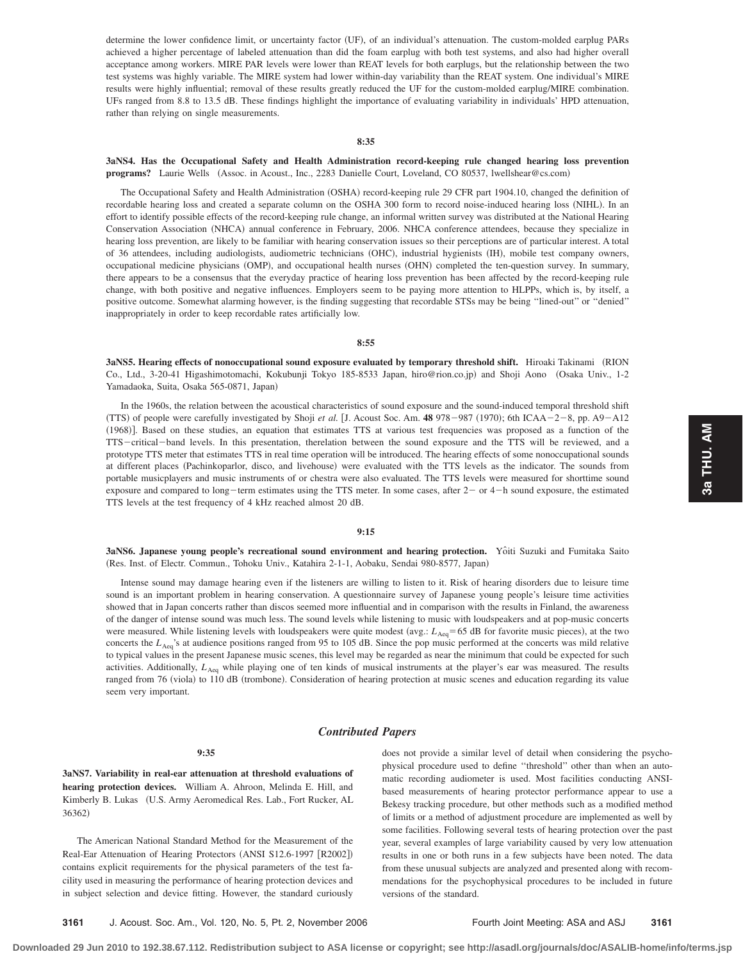determine the lower confidence limit, or uncertainty factor (UF), of an individual's attenuation. The custom-molded earplug PARs achieved a higher percentage of labeled attenuation than did the foam earplug with both test systems, and also had higher overall acceptance among workers. MIRE PAR levels were lower than REAT levels for both earplugs, but the relationship between the two test systems was highly variable. The MIRE system had lower within-day variability than the REAT system. One individual's MIRE results were highly influential; removal of these results greatly reduced the UF for the custom-molded earplug/MIRE combination. UFs ranged from 8.8 to 13.5 dB. These findings highlight the importance of evaluating variability in individuals' HPD attenuation, rather than relying on single measurements.

# **8:35**

# **3aNS4. Has the Occupational Safety and Health Administration record-keeping rule changed hearing loss prevention programs?** Laurie Wells (Assoc. in Acoust., Inc., 2283 Danielle Court, Loveland, CO 80537, lwellshear@cs.com)

The Occupational Safety and Health Administration (OSHA) record-keeping rule 29 CFR part 1904.10, changed the definition of recordable hearing loss and created a separate column on the OSHA 300 form to record noise-induced hearing loss (NIHL). In an effort to identify possible effects of the record-keeping rule change, an informal written survey was distributed at the National Hearing Conservation Association (NHCA) annual conference in February, 2006. NHCA conference attendees, because they specialize in hearing loss prevention, are likely to be familiar with hearing conservation issues so their perceptions are of particular interest. A total of 36 attendees, including audiologists, audiometric technicians (OHC), industrial hygienists (IH), mobile test company owners, occupational medicine physicians (OMP), and occupational health nurses (OHN) completed the ten-question survey. In summary, there appears to be a consensus that the everyday practice of hearing loss prevention has been affected by the record-keeping rule change, with both positive and negative influences. Employers seem to be paying more attention to HLPPs, which is, by itself, a positive outcome. Somewhat alarming however, is the finding suggesting that recordable STSs may be being ''lined-out'' or ''denied'' inappropriately in order to keep recordable rates artificially low.

### **8:55**

**3aNS5. Hearing effects of nonoccupational sound exposure evaluated by temporary threshold shift.** Hiroaki Takinami (RION Co., Ltd., 3-20-41 Higashimotomachi, Kokubunji Tokyo 185-8533 Japan, hiro@rion.co.jp) and Shoji Aono (Osaka Univ., 1-2 Yamadaoka, Suita, Osaka 565-0871, Japan)

In the 1960s, the relation between the acoustical characteristics of sound exposure and the sound-induced temporal threshold shift (TTS) of people were carefully investigated by Shoji *et al.* [J. Acoust Soc. Am. **48** 978-987 (1970); 6th ICAA-2-8, pp. A9-A12 (1968)]. Based on these studies, an equation that estimates TTS at various test frequencies was proposed as a function of the TTS-critical-band levels. In this presentation, therelation between the sound exposure and the TTS will be reviewed, and a prototype TTS meter that estimates TTS in real time operation will be introduced. The hearing effects of some nonoccupational sounds at different places (Pachinkoparlor, disco, and livehouse) were evaluated with the TTS levels as the indicator. The sounds from portable musicplayers and music instruments of or chestra were also evaluated. The TTS levels were measured for shorttime sound exposure and compared to long-term estimates using the TTS meter. In some cases, after  $2-$  or  $4-h$  sound exposure, the estimated TTS levels at the test frequency of 4 kHz reached almost 20 dB.

# **9:15**

**3aNS6. Japanese young people's recreational sound environment and hearing protection.** Yôiti Suzuki and Fumitaka Saito (Res. Inst. of Electr. Commun., Tohoku Univ., Katahira 2-1-1, Aobaku, Sendai 980-8577, Japan)

Intense sound may damage hearing even if the listeners are willing to listen to it. Risk of hearing disorders due to leisure time sound is an important problem in hearing conservation. A questionnaire survey of Japanese young people's leisure time activities showed that in Japan concerts rather than discos seemed more influential and in comparison with the results in Finland, the awareness of the danger of intense sound was much less. The sound levels while listening to music with loudspeakers and at pop-music concerts were measured. While listening levels with loudspeakers were quite modest (avg.: *L*<sub>Aeq</sub>=65 dB for favorite music pieces), at the two concerts the *L*<sub>Aeq</sub>'s at audience positions ranged from 95 to 105 dB. Since the pop music performed at the concerts was mild relative to typical values in the present Japanese music scenes, this level may be regarded as near the minimum that could be expected for such activities. Additionally, *L*<sub>Aeq</sub> while playing one of ten kinds of musical instruments at the player's ear was measured. The results ranged from 76 (viola) to 110 dB (trombone). Consideration of hearing protection at music scenes and education regarding its value seem very important.

### *Contributed Papers*

# **9:35**

**3aNS7. Variability in real-ear attenuation at threshold evaluations of hearing protection devices.** William A. Ahroon, Melinda E. Hill, and Kimberly B. Lukas (U.S. Army Aeromedical Res. Lab., Fort Rucker, AL 36362)

The American National Standard Method for the Measurement of the Real-Ear Attenuation of Hearing Protectors (ANSI S12.6-1997 [R2002]) contains explicit requirements for the physical parameters of the test facility used in measuring the performance of hearing protection devices and in subject selection and device fitting. However, the standard curiously

does not provide a similar level of detail when considering the psychophysical procedure used to define ''threshold'' other than when an automatic recording audiometer is used. Most facilities conducting ANSIbased measurements of hearing protector performance appear to use a Bekesy tracking procedure, but other methods such as a modified method of limits or a method of adjustment procedure are implemented as well by some facilities. Following several tests of hearing protection over the past year, several examples of large variability caused by very low attenuation results in one or both runs in a few subjects have been noted. The data from these unusual subjects are analyzed and presented along with recommendations for the psychophysical procedures to be included in future versions of the standard.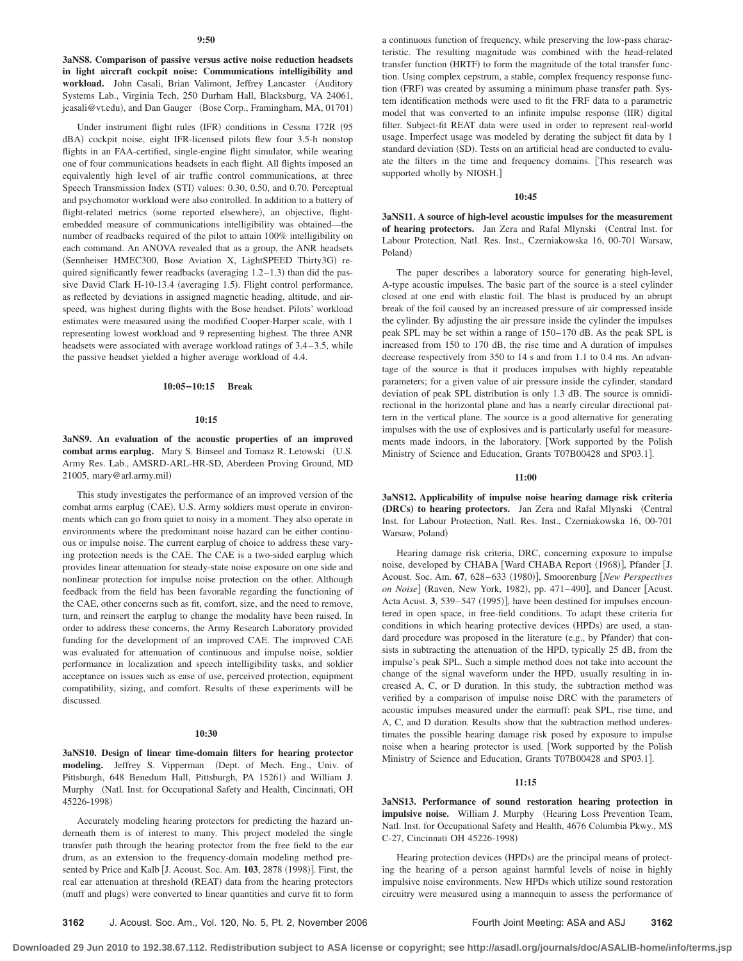**3aNS8. Comparison of passive versus active noise reduction headsets in light aircraft cockpit noise: Communications intelligibility and** workload. John Casali, Brian Valimont, Jeffrey Lancaster (Auditory Systems Lab., Virginia Tech, 250 Durham Hall, Blacksburg, VA 24061, jcasali@vt.edu), and Dan Gauger (Bose Corp., Framingham, MA, 01701)

Under instrument flight rules (IFR) conditions in Cessna 172R (95 dBA) cockpit noise, eight IFR-licensed pilots flew four 3.5-h nonstop flights in an FAA-certified, single-engine flight simulator, while wearing one of four communications headsets in each flight. All flights imposed an equivalently high level of air traffic control communications, at three Speech Transmission Index (STI) values: 0.30, 0.50, and 0.70. Perceptual and psychomotor workload were also controlled. In addition to a battery of flight-related metrics (some reported elsewhere), an objective, flightembedded measure of communications intelligibility was obtained—the number of readbacks required of the pilot to attain 100% intelligibility on each command. An ANOVA revealed that as a group, the ANR headsets (Sennheiser HMEC300, Bose Aviation X, LightSPEED Thirty3G) required significantly fewer readbacks (averaging  $1.2-1.3$ ) than did the passive David Clark H-10-13.4 (averaging 1.5). Flight control performance, as reflected by deviations in assigned magnetic heading, altitude, and airspeed, was highest during flights with the Bose headset. Pilots' workload estimates were measured using the modified Cooper-Harper scale, with 1 representing lowest workload and 9 representing highest. The three ANR headsets were associated with average workload ratings of 3.4 –3.5, while the passive headset yielded a higher average workload of 4.4.

# **10:05–10:15 Break**

### **10:15**

**3aNS9. An evaluation of the acoustic properties of an improved combat arms earplug.** Mary S. Binseel and Tomasz R. Letowski (U.S. Army Res. Lab., AMSRD-ARL-HR-SD, Aberdeen Proving Ground, MD 21005, mary@arl.army.mil-

This study investigates the performance of an improved version of the combat arms earplug (CAE). U.S. Army soldiers must operate in environments which can go from quiet to noisy in a moment. They also operate in environments where the predominant noise hazard can be either continuous or impulse noise. The current earplug of choice to address these varying protection needs is the CAE. The CAE is a two-sided earplug which provides linear attenuation for steady-state noise exposure on one side and nonlinear protection for impulse noise protection on the other. Although feedback from the field has been favorable regarding the functioning of the CAE, other concerns such as fit, comfort, size, and the need to remove, turn, and reinsert the earplug to change the modality have been raised. In order to address these concerns, the Army Research Laboratory provided funding for the development of an improved CAE. The improved CAE was evaluated for attenuation of continuous and impulse noise, soldier performance in localization and speech intelligibility tasks, and soldier acceptance on issues such as ease of use, perceived protection, equipment compatibility, sizing, and comfort. Results of these experiments will be discussed.

### **10:30**

**3aNS10. Design of linear time-domain filters for hearing protector** modeling. Jeffrey S. Vipperman (Dept. of Mech. Eng., Univ. of Pittsburgh, 648 Benedum Hall, Pittsburgh, PA 15261) and William J. Murphy (Natl. Inst. for Occupational Safety and Health, Cincinnati, OH 45226-1998)

Accurately modeling hearing protectors for predicting the hazard underneath them is of interest to many. This project modeled the single transfer path through the hearing protector from the free field to the ear drum, as an extension to the frequency-domain modeling method presented by Price and Kalb [J. Acoust. Soc. Am. 103, 2878 (1998)]. First, the real ear attenuation at threshold (REAT) data from the hearing protectors (muff and plugs) were converted to linear quantities and curve fit to form

a continuous function of frequency, while preserving the low-pass characteristic. The resulting magnitude was combined with the head-related transfer function (HRTF) to form the magnitude of the total transfer function. Using complex cepstrum, a stable, complex frequency response function (FRF) was created by assuming a minimum phase transfer path. System identification methods were used to fit the FRF data to a parametric model that was converted to an infinite impulse response (IIR) digital filter. Subject-fit REAT data were used in order to represent real-world usage. Imperfect usage was modeled by derating the subject fit data by 1 standard deviation (SD). Tests on an artificial head are conducted to evaluate the filters in the time and frequency domains. [This research was supported wholly by NIOSH.]

### **10:45**

**3aNS11. A source of high-level acoustic impulses for the measurement of hearing protectors.** Jan Zera and Rafal Mlynski Central Inst. for Labour Protection, Natl. Res. Inst., Czerniakowska 16, 00-701 Warsaw, Poland)

The paper describes a laboratory source for generating high-level, A-type acoustic impulses. The basic part of the source is a steel cylinder closed at one end with elastic foil. The blast is produced by an abrupt break of the foil caused by an increased pressure of air compressed inside the cylinder. By adjusting the air pressure inside the cylinder the impulses peak SPL may be set within a range of 150–170 dB. As the peak SPL is increased from 150 to 170 dB, the rise time and A duration of impulses decrease respectively from 350 to 14 s and from 1.1 to 0.4 ms. An advantage of the source is that it produces impulses with highly repeatable parameters; for a given value of air pressure inside the cylinder, standard deviation of peak SPL distribution is only 1.3 dB. The source is omnidirectional in the horizontal plane and has a nearly circular directional pattern in the vertical plane. The source is a good alternative for generating impulses with the use of explosives and is particularly useful for measurements made indoors, in the laboratory. Work supported by the Polish Ministry of Science and Education, Grants T07B00428 and SP03.1].

### **11:00**

**3aNS12. Applicability of impulse noise hearing damage risk criteria (DRCs) to hearing protectors.** Jan Zera and Rafal Mlynski (Central Inst. for Labour Protection, Natl. Res. Inst., Czerniakowska 16, 00-701 Warsaw, Poland)

Hearing damage risk criteria, DRC, concerning exposure to impulse noise, developed by CHABA [Ward CHABA Report (1968)], Pfander [J. Acoust. Soc. Am. 67, 628-633 (1980)], Smoorenburg [New Perspectives on Noise] (Raven, New York, 1982), pp. 471-490], and Dancer [Acust. Acta Acust. 3, 539–547 (1995)], have been destined for impulses encountered in open space, in free-field conditions. To adapt these criteria for conditions in which hearing protective devices (HPDs) are used, a standard procedure was proposed in the literature (e.g., by Pfander) that consists in subtracting the attenuation of the HPD, typically 25 dB, from the impulse's peak SPL. Such a simple method does not take into account the change of the signal waveform under the HPD, usually resulting in increased A, C, or D duration. In this study, the subtraction method was verified by a comparison of impulse noise DRC with the parameters of acoustic impulses measured under the earmuff: peak SPL, rise time, and A, C, and D duration. Results show that the subtraction method underestimates the possible hearing damage risk posed by exposure to impulse noise when a hearing protector is used. Work supported by the Polish Ministry of Science and Education, Grants T07B00428 and SP03.1].

# **11:15**

**3aNS13. Performance of sound restoration hearing protection in** impulsive noise. William J. Murphy (Hearing Loss Prevention Team, Natl. Inst. for Occupational Safety and Health, 4676 Columbia Pkwy., MS C-27, Cincinnati OH 45226-1998)

Hearing protection devices (HPDs) are the principal means of protecting the hearing of a person against harmful levels of noise in highly impulsive noise environments. New HPDs which utilize sound restoration circuitry were measured using a mannequin to assess the performance of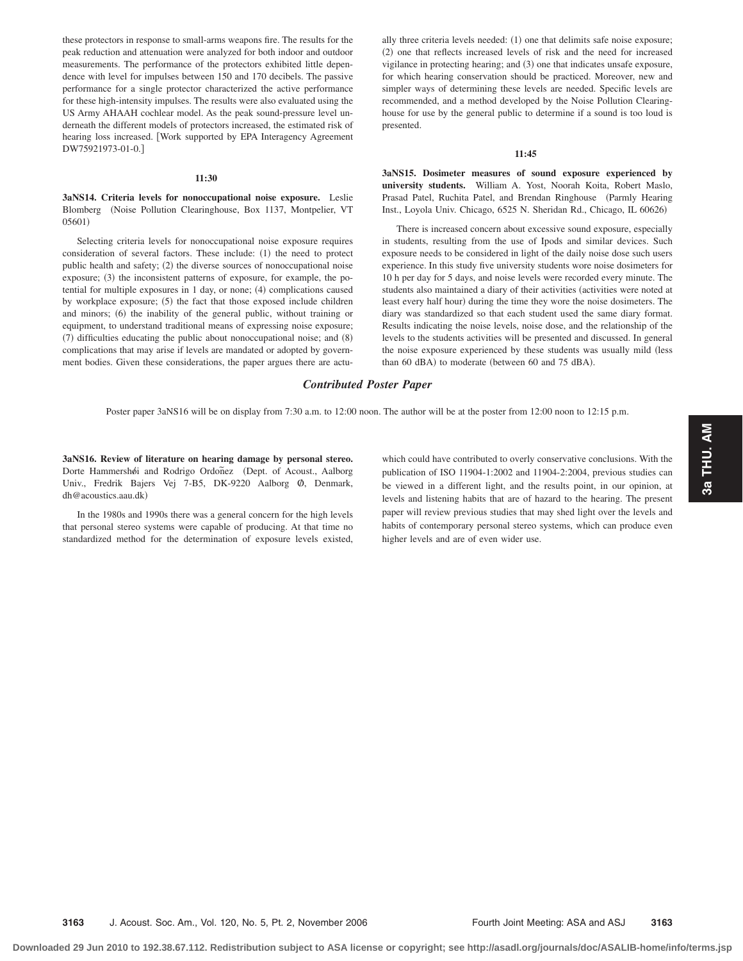these protectors in response to small-arms weapons fire. The results for the peak reduction and attenuation were analyzed for both indoor and outdoor measurements. The performance of the protectors exhibited little dependence with level for impulses between 150 and 170 decibels. The passive performance for a single protector characterized the active performance for these high-intensity impulses. The results were also evaluated using the US Army AHAAH cochlear model. As the peak sound-pressure level underneath the different models of protectors increased, the estimated risk of hearing loss increased. Work supported by EPA Interagency Agreement DW75921973-01-0.

### **11:30**

# **3aNS14. Criteria levels for nonoccupational noise exposure.** Leslie Blomberg (Noise Pollution Clearinghouse, Box 1137, Montpelier, VT  $05601$

Selecting criteria levels for nonoccupational noise exposure requires consideration of several factors. These include: (1) the need to protect public health and safety; (2) the diverse sources of nonoccupational noise exposure; (3) the inconsistent patterns of exposure, for example, the potential for multiple exposures in 1 day, or none; (4) complications caused by workplace exposure; (5) the fact that those exposed include children and minors; (6) the inability of the general public, without training or equipment, to understand traditional means of expressing noise exposure; (7) difficulties educating the public about nonoccupational noise; and (8) complications that may arise if levels are mandated or adopted by government bodies. Given these considerations, the paper argues there are actu-

ally three criteria levels needed: (1) one that delimits safe noise exposure; (2) one that reflects increased levels of risk and the need for increased vigilance in protecting hearing; and (3) one that indicates unsafe exposure, for which hearing conservation should be practiced. Moreover, new and simpler ways of determining these levels are needed. Specific levels are recommended, and a method developed by the Noise Pollution Clearinghouse for use by the general public to determine if a sound is too loud is presented.

### **11:45**

**3aNS15. Dosimeter measures of sound exposure experienced by university students.** William A. Yost, Noorah Koita, Robert Maslo, Prasad Patel, Ruchita Patel, and Brendan Ringhouse (Parmly Hearing Inst., Loyola Univ. Chicago, 6525 N. Sheridan Rd., Chicago, IL 60626)

There is increased concern about excessive sound exposure, especially in students, resulting from the use of Ipods and similar devices. Such exposure needs to be considered in light of the daily noise dose such users experience. In this study five university students wore noise dosimeters for 10 h per day for 5 days, and noise levels were recorded every minute. The students also maintained a diary of their activities (activities were noted at least every half hour) during the time they wore the noise dosimeters. The diary was standardized so that each student used the same diary format. Results indicating the noise levels, noise dose, and the relationship of the levels to the students activities will be presented and discussed. In general the noise exposure experienced by these students was usually mild (less than 60 dBA) to moderate (between 60 and 75 dBA).

# *Contributed Poster Paper*

Poster paper 3aNS16 will be on display from 7:30 a.m. to 12:00 noon. The author will be at the poster from 12:00 noon to 12:15 p.m.

**3aNS16. Review of literature on hearing damage by personal stereo.** Dorte Hammershøi and Rodrigo Ordonez (Dept. of Acoust., Aalborg Univ., Fredrik Bajers Vej 7-B5, DK-9220 Aalborg Ø, Denmark, dh@acoustics.aau.dk-

In the 1980s and 1990s there was a general concern for the high levels that personal stereo systems were capable of producing. At that time no standardized method for the determination of exposure levels existed,

which could have contributed to overly conservative conclusions. With the publication of ISO 11904-1:2002 and 11904-2:2004, previous studies can be viewed in a different light, and the results point, in our opinion, at levels and listening habits that are of hazard to the hearing. The present paper will review previous studies that may shed light over the levels and habits of contemporary personal stereo systems, which can produce even higher levels and are of even wider use.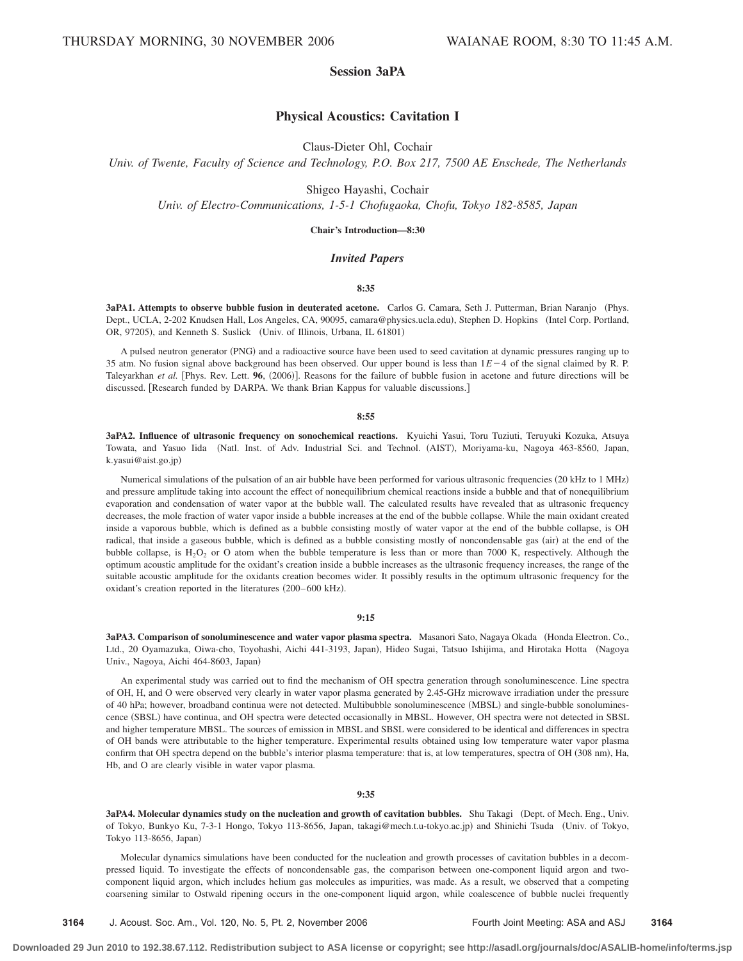# **Session 3aPA**

# **Physical Acoustics: Cavitation I**

Claus-Dieter Ohl, Cochair

*Univ. of Twente, Faculty of Science and Technology, P.O. Box 217, 7500 AE Enschede, The Netherlands*

Shigeo Hayashi, Cochair

*Univ. of Electro-Communications, 1-5-1 Chofugaoka, Chofu, Tokyo 182-8585, Japan*

# **Chair's Introduction—8:30**

# *Invited Papers*

# **8:35**

3aPA1. Attempts to observe bubble fusion in deuterated acetone. Carlos G. Camara, Seth J. Putterman, Brian Naranjo (Phys. Dept., UCLA, 2-202 Knudsen Hall, Los Angeles, CA, 90095, camara@physics.ucla.edu), Stephen D. Hopkins (Intel Corp. Portland, OR, 97205), and Kenneth S. Suslick (Univ. of Illinois, Urbana, IL 61801)

A pulsed neutron generator (PNG) and a radioactive source have been used to seed cavitation at dynamic pressures ranging up to 35 atm. No fusion signal above background has been observed. Our upper bound is less than  $1E-4$  of the signal claimed by R. P. Taleyarkhan *et al.* [Phys. Rev. Lett. 96, (2006)]. Reasons for the failure of bubble fusion in acetone and future directions will be discussed. [Research funded by DARPA. We thank Brian Kappus for valuable discussions.]

#### **8:55**

**3aPA2. Influence of ultrasonic frequency on sonochemical reactions.** Kyuichi Yasui, Toru Tuziuti, Teruyuki Kozuka, Atsuya Towata, and Yasuo Iida (Natl. Inst. of Adv. Industrial Sci. and Technol. (AIST), Moriyama-ku, Nagoya 463-8560, Japan, k.yasui@aist.go.jp)

Numerical simulations of the pulsation of an air bubble have been performed for various ultrasonic frequencies (20 kHz to 1 MHz) and pressure amplitude taking into account the effect of nonequilibrium chemical reactions inside a bubble and that of nonequilibrium evaporation and condensation of water vapor at the bubble wall. The calculated results have revealed that as ultrasonic frequency decreases, the mole fraction of water vapor inside a bubble increases at the end of the bubble collapse. While the main oxidant created inside a vaporous bubble, which is defined as a bubble consisting mostly of water vapor at the end of the bubble collapse, is OH radical, that inside a gaseous bubble, which is defined as a bubble consisting mostly of noncondensable gas (air) at the end of the bubble collapse, is  $H_2O_2$  or O atom when the bubble temperature is less than or more than 7000 K, respectively. Although the optimum acoustic amplitude for the oxidant's creation inside a bubble increases as the ultrasonic frequency increases, the range of the suitable acoustic amplitude for the oxidants creation becomes wider. It possibly results in the optimum ultrasonic frequency for the oxidant's creation reported in the literatures (200-600 kHz).

### **9:15**

**3aPA3. Comparison of sonoluminescence and water vapor plasma spectra.** Masanori Sato, Nagaya Okada (Honda Electron. Co., Ltd., 20 Oyamazuka, Oiwa-cho, Toyohashi, Aichi 441-3193, Japan), Hideo Sugai, Tatsuo Ishijima, and Hirotaka Hotta (Nagoya Univ., Nagoya, Aichi 464-8603, Japan)

An experimental study was carried out to find the mechanism of OH spectra generation through sonoluminescence. Line spectra of OH, H, and O were observed very clearly in water vapor plasma generated by 2.45-GHz microwave irradiation under the pressure of 40 hPa; however, broadband continua were not detected. Multibubble sonoluminescence (MBSL) and single-bubble sonoluminescence (SBSL) have continua, and OH spectra were detected occasionally in MBSL. However, OH spectra were not detected in SBSL and higher temperature MBSL. The sources of emission in MBSL and SBSL were considered to be identical and differences in spectra of OH bands were attributable to the higher temperature. Experimental results obtained using low temperature water vapor plasma confirm that OH spectra depend on the bubble's interior plasma temperature: that is, at low temperatures, spectra of OH (308 nm), Ha, Hb, and O are clearly visible in water vapor plasma.

**9:35**

**3aPA4. Molecular dynamics study on the nucleation and growth of cavitation bubbles.** Shu Takagi (Dept. of Mech. Eng., Univ. of Tokyo, Bunkyo Ku, 7-3-1 Hongo, Tokyo 113-8656, Japan, takagi@mech.t.u-tokyo.ac.jp) and Shinichi Tsuda (Univ. of Tokyo, Tokyo 113-8656, Japan)

Molecular dynamics simulations have been conducted for the nucleation and growth processes of cavitation bubbles in a decompressed liquid. To investigate the effects of noncondensable gas, the comparison between one-component liquid argon and twocomponent liquid argon, which includes helium gas molecules as impurities, was made. As a result, we observed that a competing coarsening similar to Ostwald ripening occurs in the one-component liquid argon, while coalescence of bubble nuclei frequently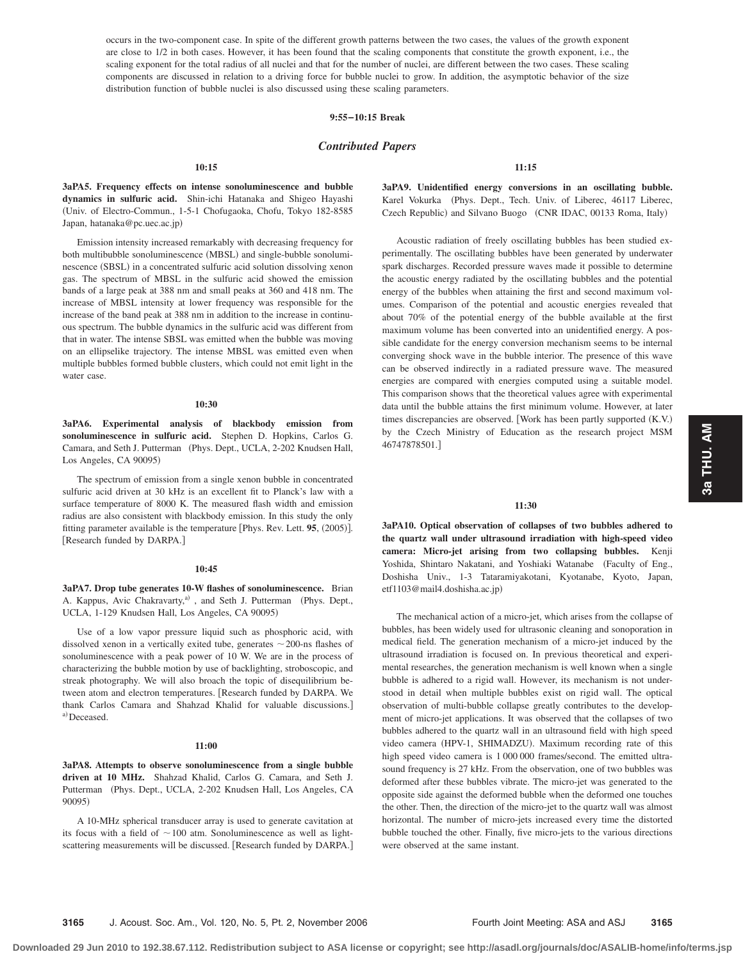occurs in the two-component case. In spite of the different growth patterns between the two cases, the values of the growth exponent are close to 1/2 in both cases. However, it has been found that the scaling components that constitute the growth exponent, i.e., the scaling exponent for the total radius of all nuclei and that for the number of nuclei, are different between the two cases. These scaling components are discussed in relation to a driving force for bubble nuclei to grow. In addition, the asymptotic behavior of the size distribution function of bubble nuclei is also discussed using these scaling parameters.

# **9:55–10:15 Break**

# *Contributed Papers*

### **10:15**

**3aPA5. Frequency effects on intense sonoluminescence and bubble dynamics in sulfuric acid.** Shin-ichi Hatanaka and Shigeo Hayashi Univ. of Electro-Commun., 1-5-1 Chofugaoka, Chofu, Tokyo 182-8585 Japan, hatanaka@pc.uec.ac.jp)

Emission intensity increased remarkably with decreasing frequency for both multibubble sonoluminescence (MBSL) and single-bubble sonoluminescence (SBSL) in a concentrated sulfuric acid solution dissolving xenon gas. The spectrum of MBSL in the sulfuric acid showed the emission bands of a large peak at 388 nm and small peaks at 360 and 418 nm. The increase of MBSL intensity at lower frequency was responsible for the increase of the band peak at 388 nm in addition to the increase in continuous spectrum. The bubble dynamics in the sulfuric acid was different from that in water. The intense SBSL was emitted when the bubble was moving on an ellipselike trajectory. The intense MBSL was emitted even when multiple bubbles formed bubble clusters, which could not emit light in the water case.

### **10:30**

**3aPA6. Experimental analysis of blackbody emission from sonoluminescence in sulfuric acid.** Stephen D. Hopkins, Carlos G. Camara, and Seth J. Putterman (Phys. Dept., UCLA, 2-202 Knudsen Hall, Los Angeles, CA 90095)

The spectrum of emission from a single xenon bubble in concentrated sulfuric acid driven at 30 kHz is an excellent fit to Planck's law with a surface temperature of 8000 K. The measured flash width and emission radius are also consistent with blackbody emission. In this study the only fitting parameter available is the temperature [Phys. Rev. Lett.  $95$ ,  $(2005)$ ]. Research funded by DARPA.

#### **10:45**

**3aPA7. Drop tube generates 10-W flashes of sonoluminescence.** Brian A. Kappus, Avic Chakravarty,<sup>a)</sup>, and Seth J. Putterman (Phys. Dept., UCLA, 1-129 Knudsen Hall, Los Angeles, CA 90095)

Use of a low vapor pressure liquid such as phosphoric acid, with dissolved xenon in a vertically exited tube, generates  $\sim$  200-ns flashes of sonoluminescence with a peak power of 10 W. We are in the process of characterizing the bubble motion by use of backlighting, stroboscopic, and streak photography. We will also broach the topic of disequilibrium between atom and electron temperatures. [Research funded by DARPA. We thank Carlos Camara and Shahzad Khalid for valuable discussions. a) Deceased.

### **11:00**

**3aPA8. Attempts to observe sonoluminescence from a single bubble driven at 10 MHz.** Shahzad Khalid, Carlos G. Camara, and Seth J. Putterman (Phys. Dept., UCLA, 2-202 Knudsen Hall, Los Angeles, CA 90095)

A 10-MHz spherical transducer array is used to generate cavitation at its focus with a field of  $\sim$  100 atm. Sonoluminescence as well as lightscattering measurements will be discussed. [Research funded by DARPA.]

**11:15**

**3aPA9. Unidentified energy conversions in an oscillating bubble.** Karel Vokurka (Phys. Dept., Tech. Univ. of Liberec, 46117 Liberec, Czech Republic) and Silvano Buogo (CNR IDAC, 00133 Roma, Italy)

Acoustic radiation of freely oscillating bubbles has been studied experimentally. The oscillating bubbles have been generated by underwater spark discharges. Recorded pressure waves made it possible to determine the acoustic energy radiated by the oscillating bubbles and the potential energy of the bubbles when attaining the first and second maximum volumes. Comparison of the potential and acoustic energies revealed that about 70% of the potential energy of the bubble available at the first maximum volume has been converted into an unidentified energy. A possible candidate for the energy conversion mechanism seems to be internal converging shock wave in the bubble interior. The presence of this wave can be observed indirectly in a radiated pressure wave. The measured energies are compared with energies computed using a suitable model. This comparison shows that the theoretical values agree with experimental data until the bubble attains the first minimum volume. However, at later times discrepancies are observed. [Work has been partly supported (K.V.) by the Czech Ministry of Education as the research project MSM 46747878501.

# **11:30**

**3aPA10. Optical observation of collapses of two bubbles adhered to the quartz wall under ultrasound irradiation with high-speed video camera: Micro-jet arising from two collapsing bubbles.** Kenji Yoshida, Shintaro Nakatani, and Yoshiaki Watanabe (Faculty of Eng., Doshisha Univ., 1-3 Tataramiyakotani, Kyotanabe, Kyoto, Japan, etf1103@mail4.doshisha.ac.jp)

The mechanical action of a micro-jet, which arises from the collapse of bubbles, has been widely used for ultrasonic cleaning and sonoporation in medical field. The generation mechanism of a micro-jet induced by the ultrasound irradiation is focused on. In previous theoretical and experimental researches, the generation mechanism is well known when a single bubble is adhered to a rigid wall. However, its mechanism is not understood in detail when multiple bubbles exist on rigid wall. The optical observation of multi-bubble collapse greatly contributes to the development of micro-jet applications. It was observed that the collapses of two bubbles adhered to the quartz wall in an ultrasound field with high speed video camera (HPV-1, SHIMADZU). Maximum recording rate of this high speed video camera is 1 000 000 frames/second. The emitted ultrasound frequency is 27 kHz. From the observation, one of two bubbles was deformed after these bubbles vibrate. The micro-jet was generated to the opposite side against the deformed bubble when the deformed one touches the other. Then, the direction of the micro-jet to the quartz wall was almost horizontal. The number of micro-jets increased every time the distorted bubble touched the other. Finally, five micro-jets to the various directions were observed at the same instant.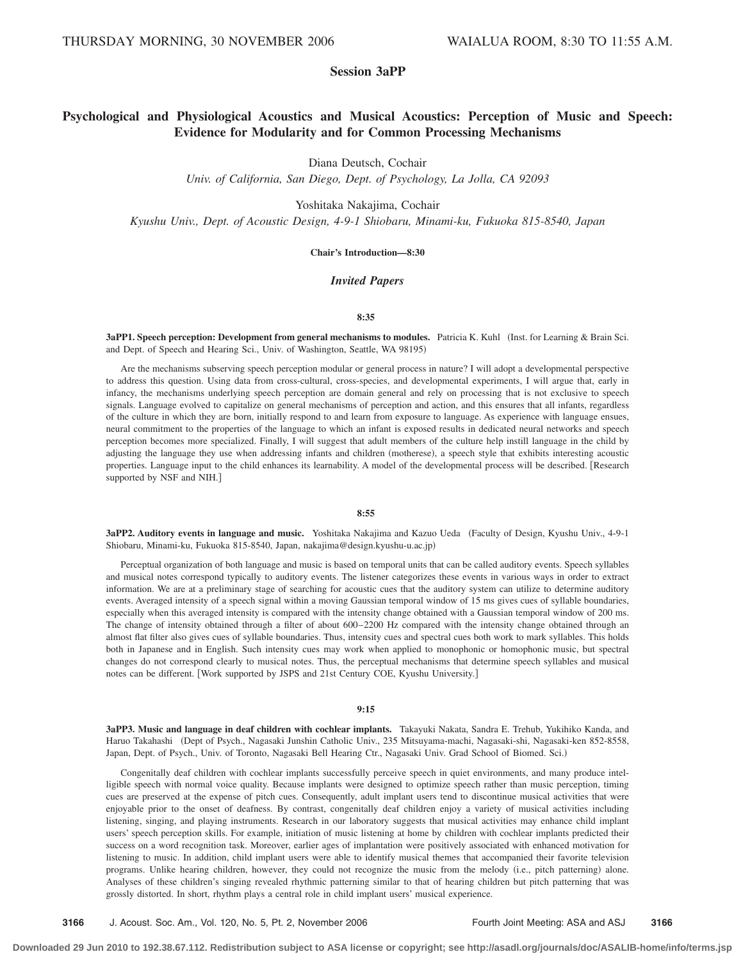# **Session 3aPP**

# **Psychological and Physiological Acoustics and Musical Acoustics: Perception of Music and Speech: Evidence for Modularity and for Common Processing Mechanisms**

Diana Deutsch, Cochair

*Univ. of California, San Diego, Dept. of Psychology, La Jolla, CA 92093*

Yoshitaka Nakajima, Cochair

*Kyushu Univ., Dept. of Acoustic Design, 4-9-1 Shiobaru, Minami-ku, Fukuoka 815-8540, Japan*

# **Chair's Introduction—8:30**

### *Invited Papers*

# **8:35**

**3aPP1. Speech perception: Development from general mechanisms to modules.** Patricia K. Kuhl (Inst. for Learning & Brain Sci. and Dept. of Speech and Hearing Sci., Univ. of Washington, Seattle, WA 98195)

Are the mechanisms subserving speech perception modular or general process in nature? I will adopt a developmental perspective to address this question. Using data from cross-cultural, cross-species, and developmental experiments, I will argue that, early in infancy, the mechanisms underlying speech perception are domain general and rely on processing that is not exclusive to speech signals. Language evolved to capitalize on general mechanisms of perception and action, and this ensures that all infants, regardless of the culture in which they are born, initially respond to and learn from exposure to language. As experience with language ensues, neural commitment to the properties of the language to which an infant is exposed results in dedicated neural networks and speech perception becomes more specialized. Finally, I will suggest that adult members of the culture help instill language in the child by adjusting the language they use when addressing infants and children (motherese), a speech style that exhibits interesting acoustic properties. Language input to the child enhances its learnability. A model of the developmental process will be described. Research supported by NSF and NIH.

### **8:55**

**3aPP2. Auditory events in language and music.** Yoshitaka Nakajima and Kazuo Ueda Faculty of Design, Kyushu Univ., 4-9-1 Shiobaru, Minami-ku, Fukuoka 815-8540, Japan, nakajima@design.kyushu-u.ac.jp)

Perceptual organization of both language and music is based on temporal units that can be called auditory events. Speech syllables and musical notes correspond typically to auditory events. The listener categorizes these events in various ways in order to extract information. We are at a preliminary stage of searching for acoustic cues that the auditory system can utilize to determine auditory events. Averaged intensity of a speech signal within a moving Gaussian temporal window of 15 ms gives cues of syllable boundaries, especially when this averaged intensity is compared with the intensity change obtained with a Gaussian temporal window of 200 ms. The change of intensity obtained through a filter of about 600–2200 Hz compared with the intensity change obtained through an almost flat filter also gives cues of syllable boundaries. Thus, intensity cues and spectral cues both work to mark syllables. This holds both in Japanese and in English. Such intensity cues may work when applied to monophonic or homophonic music, but spectral changes do not correspond clearly to musical notes. Thus, the perceptual mechanisms that determine speech syllables and musical notes can be different. Work supported by JSPS and 21st Century COE, Kyushu University.

# **9:15**

**3aPP3. Music and language in deaf children with cochlear implants.** Takayuki Nakata, Sandra E. Trehub, Yukihiko Kanda, and Haruo Takahashi (Dept of Psych., Nagasaki Junshin Catholic Univ., 235 Mitsuyama-machi, Nagasaki-shi, Nagasaki-ken 852-8558, Japan, Dept. of Psych., Univ. of Toronto, Nagasaki Bell Hearing Ctr., Nagasaki Univ. Grad School of Biomed. Sci.)

Congenitally deaf children with cochlear implants successfully perceive speech in quiet environments, and many produce intelligible speech with normal voice quality. Because implants were designed to optimize speech rather than music perception, timing cues are preserved at the expense of pitch cues. Consequently, adult implant users tend to discontinue musical activities that were enjoyable prior to the onset of deafness. By contrast, congenitally deaf children enjoy a variety of musical activities including listening, singing, and playing instruments. Research in our laboratory suggests that musical activities may enhance child implant users' speech perception skills. For example, initiation of music listening at home by children with cochlear implants predicted their success on a word recognition task. Moreover, earlier ages of implantation were positively associated with enhanced motivation for listening to music. In addition, child implant users were able to identify musical themes that accompanied their favorite television programs. Unlike hearing children, however, they could not recognize the music from the melody (i.e., pitch patterning) alone. Analyses of these children's singing revealed rhythmic patterning similar to that of hearing children but pitch patterning that was grossly distorted. In short, rhythm plays a central role in child implant users' musical experience.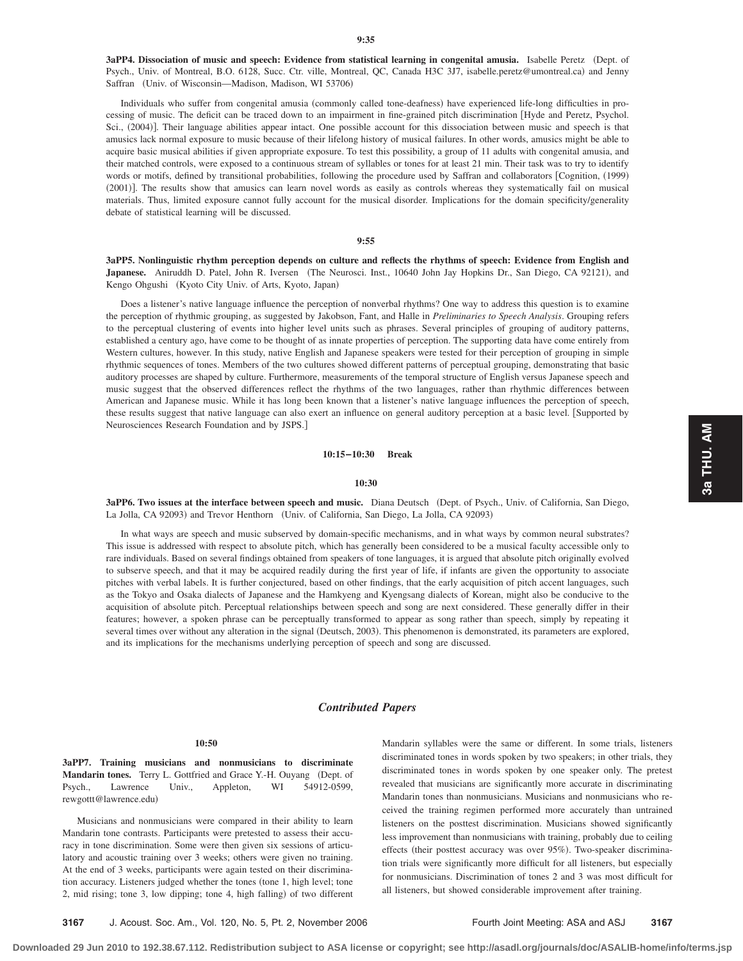3aPP4. Dissociation of music and speech: Evidence from statistical learning in congenital amusia. Isabelle Peretz (Dept. of Psych., Univ. of Montreal, B.O. 6128, Succ. Ctr. ville, Montreal, QC, Canada H3C 3J7, isabelle.peretz@umontreal.ca) and Jenny Saffran (Univ. of Wisconsin-Madison, Madison, WI 53706)

Individuals who suffer from congenital amusia (commonly called tone-deafness) have experienced life-long difficulties in processing of music. The deficit can be traced down to an impairment in fine-grained pitch discrimination Hyde and Peretz, Psychol. Sci., (2004)]. Their language abilities appear intact. One possible account for this dissociation between music and speech is that amusics lack normal exposure to music because of their lifelong history of musical failures. In other words, amusics might be able to acquire basic musical abilities if given appropriate exposure. To test this possibility, a group of 11 adults with congenital amusia, and their matched controls, were exposed to a continuous stream of syllables or tones for at least 21 min. Their task was to try to identify words or motifs, defined by transitional probabilities, following the procedure used by Saffran and collaborators [Cognition, (1999) (2001)]. The results show that amusics can learn novel words as easily as controls whereas they systematically fail on musical materials. Thus, limited exposure cannot fully account for the musical disorder. Implications for the domain specificity/generality debate of statistical learning will be discussed.

### **9:55**

**3aPP5. Nonlinguistic rhythm perception depends on culture and reflects the rhythms of speech: Evidence from English and** Japanese. Aniruddh D. Patel, John R. Iversen (The Neurosci. Inst., 10640 John Jay Hopkins Dr., San Diego, CA 92121), and Kengo Ohgushi (Kyoto City Univ. of Arts, Kyoto, Japan)

Does a listener's native language influence the perception of nonverbal rhythms? One way to address this question is to examine the perception of rhythmic grouping, as suggested by Jakobson, Fant, and Halle in *Preliminaries to Speech Analysis*. Grouping refers to the perceptual clustering of events into higher level units such as phrases. Several principles of grouping of auditory patterns, established a century ago, have come to be thought of as innate properties of perception. The supporting data have come entirely from Western cultures, however. In this study, native English and Japanese speakers were tested for their perception of grouping in simple rhythmic sequences of tones. Members of the two cultures showed different patterns of perceptual grouping, demonstrating that basic auditory processes are shaped by culture. Furthermore, measurements of the temporal structure of English versus Japanese speech and music suggest that the observed differences reflect the rhythms of the two languages, rather than rhythmic differences between American and Japanese music. While it has long been known that a listener's native language influences the perception of speech, these results suggest that native language can also exert an influence on general auditory perception at a basic level. [Supported by Neurosciences Research Foundation and by JSPS.

### **10:15–10:30 Break**

#### **10:30**

**3aPP6. Two issues at the interface between speech and music.** Diana Deutsch (Dept. of Psych., Univ. of California, San Diego, La Jolla, CA 92093) and Trevor Henthorn (Univ. of California, San Diego, La Jolla, CA 92093)

In what ways are speech and music subserved by domain-specific mechanisms, and in what ways by common neural substrates? This issue is addressed with respect to absolute pitch, which has generally been considered to be a musical faculty accessible only to rare individuals. Based on several findings obtained from speakers of tone languages, it is argued that absolute pitch originally evolved to subserve speech, and that it may be acquired readily during the first year of life, if infants are given the opportunity to associate pitches with verbal labels. It is further conjectured, based on other findings, that the early acquisition of pitch accent languages, such as the Tokyo and Osaka dialects of Japanese and the Hamkyeng and Kyengsang dialects of Korean, might also be conducive to the acquisition of absolute pitch. Perceptual relationships between speech and song are next considered. These generally differ in their features; however, a spoken phrase can be perceptually transformed to appear as song rather than speech, simply by repeating it several times over without any alteration in the signal (Deutsch, 2003). This phenomenon is demonstrated, its parameters are explored, and its implications for the mechanisms underlying perception of speech and song are discussed.

# *Contributed Papers*

### **10:50**

**3aPP7. Training musicians and nonmusicians to discriminate** Mandarin tones. Terry L. Gottfried and Grace Y.-H. Ouyang (Dept. of Psych., Lawrence Univ., Appleton, WI 54912-0599, rewgottt@lawrence.edu)

Musicians and nonmusicians were compared in their ability to learn Mandarin tone contrasts. Participants were pretested to assess their accuracy in tone discrimination. Some were then given six sessions of articulatory and acoustic training over 3 weeks; others were given no training. At the end of 3 weeks, participants were again tested on their discrimination accuracy. Listeners judged whether the tones (tone 1, high level; tone 2, mid rising; tone 3, low dipping; tone 4, high falling) of two different

Mandarin syllables were the same or different. In some trials, listeners discriminated tones in words spoken by two speakers; in other trials, they discriminated tones in words spoken by one speaker only. The pretest revealed that musicians are significantly more accurate in discriminating Mandarin tones than nonmusicians. Musicians and nonmusicians who received the training regimen performed more accurately than untrained listeners on the posttest discrimination. Musicians showed significantly less improvement than nonmusicians with training, probably due to ceiling effects (their posttest accuracy was over 95%). Two-speaker discrimination trials were significantly more difficult for all listeners, but especially for nonmusicians. Discrimination of tones 2 and 3 was most difficult for all listeners, but showed considerable improvement after training.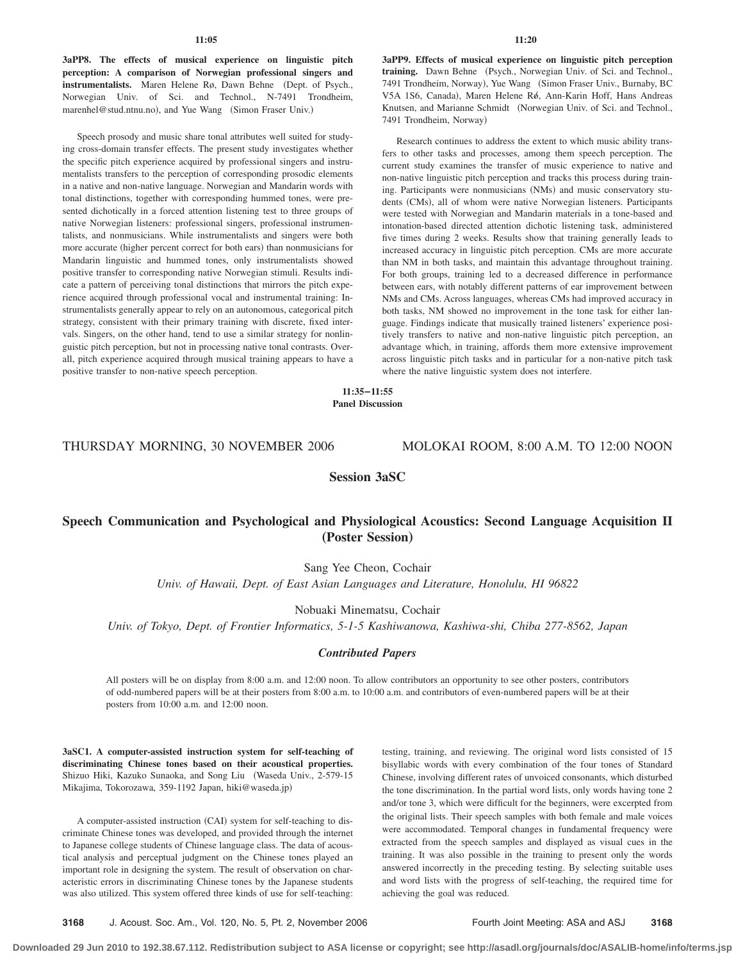**3aPP8. The effects of musical experience on linguistic pitch perception: A comparison of Norwegian professional singers and** instrumentalists. Maren Helene Rø, Dawn Behne (Dept. of Psych., Norwegian Univ. of Sci. and Technol., N-7491 Trondheim, marenhel@stud.ntnu.no), and Yue Wang (Simon Fraser Univ.)

Speech prosody and music share tonal attributes well suited for studying cross-domain transfer effects. The present study investigates whether the specific pitch experience acquired by professional singers and instrumentalists transfers to the perception of corresponding prosodic elements in a native and non-native language. Norwegian and Mandarin words with tonal distinctions, together with corresponding hummed tones, were presented dichotically in a forced attention listening test to three groups of native Norwegian listeners: professional singers, professional instrumentalists, and nonmusicians. While instrumentalists and singers were both more accurate (higher percent correct for both ears) than nonmusicians for Mandarin linguistic and hummed tones, only instrumentalists showed positive transfer to corresponding native Norwegian stimuli. Results indicate a pattern of perceiving tonal distinctions that mirrors the pitch experience acquired through professional vocal and instrumental training: Instrumentalists generally appear to rely on an autonomous, categorical pitch strategy, consistent with their primary training with discrete, fixed intervals. Singers, on the other hand, tend to use a similar strategy for nonlinguistic pitch perception, but not in processing native tonal contrasts. Overall, pitch experience acquired through musical training appears to have a positive transfer to non-native speech perception.

**3aPP9. Effects of musical experience on linguistic pitch perception** training. Dawn Behne (Psych., Norwegian Univ. of Sci. and Technol., 7491 Trondheim, Norway), Yue Wang (Simon Fraser Univ., Burnaby, BC V5A 1S6, Canada), Maren Helene Rø, Ann-Karin Hoff, Hans Andreas Knutsen, and Marianne Schmidt (Norwegian Univ. of Sci. and Technol., 7491 Trondheim, Norway)

Research continues to address the extent to which music ability transfers to other tasks and processes, among them speech perception. The current study examines the transfer of music experience to native and non-native linguistic pitch perception and tracks this process during training. Participants were nonmusicians (NMs) and music conservatory students (CMs), all of whom were native Norwegian listeners. Participants were tested with Norwegian and Mandarin materials in a tone-based and intonation-based directed attention dichotic listening task, administered five times during 2 weeks. Results show that training generally leads to increased accuracy in linguistic pitch perception. CMs are more accurate than NM in both tasks, and maintain this advantage throughout training. For both groups, training led to a decreased difference in performance between ears, with notably different patterns of ear improvement between NMs and CMs. Across languages, whereas CMs had improved accuracy in both tasks, NM showed no improvement in the tone task for either language. Findings indicate that musically trained listeners' experience positively transfers to native and non-native linguistic pitch perception, an advantage which, in training, affords them more extensive improvement across linguistic pitch tasks and in particular for a non-native pitch task where the native linguistic system does not interfere.

**11:35–11:55 Panel Discussion**

# THURSDAY MORNING, 30 NOVEMBER 2006 MOLOKAI ROOM, 8:00 A.M. TO 12:00 NOON

**Session 3aSC**

# **Speech Communication and Psychological and Physiological Acoustics: Second Language Acquisition II** (Poster Session)

Sang Yee Cheon, Cochair

*Univ. of Hawaii, Dept. of East Asian Languages and Literature, Honolulu, HI 96822*

Nobuaki Minematsu, Cochair

*Univ. of Tokyo, Dept. of Frontier Informatics, 5-1-5 Kashiwanowa, Kashiwa-shi, Chiba 277-8562, Japan*

# *Contributed Papers*

All posters will be on display from 8:00 a.m. and 12:00 noon. To allow contributors an opportunity to see other posters, contributors of odd-numbered papers will be at their posters from 8:00 a.m. to 10:00 a.m. and contributors of even-numbered papers will be at their posters from 10:00 a.m. and 12:00 noon.

**3aSC1. A computer-assisted instruction system for self-teaching of discriminating Chinese tones based on their acoustical properties.** Shizuo Hiki, Kazuko Sunaoka, and Song Liu Waseda Univ., 2-579-15 Mikajima, Tokorozawa, 359-1192 Japan, hiki@waseda.jp-

A computer-assisted instruction (CAI) system for self-teaching to discriminate Chinese tones was developed, and provided through the internet to Japanese college students of Chinese language class. The data of acoustical analysis and perceptual judgment on the Chinese tones played an important role in designing the system. The result of observation on characteristic errors in discriminating Chinese tones by the Japanese students was also utilized. This system offered three kinds of use for self-teaching:

testing, training, and reviewing. The original word lists consisted of 15 bisyllabic words with every combination of the four tones of Standard Chinese, involving different rates of unvoiced consonants, which disturbed the tone discrimination. In the partial word lists, only words having tone 2 and/or tone 3, which were difficult for the beginners, were excerpted from the original lists. Their speech samples with both female and male voices were accommodated. Temporal changes in fundamental frequency were extracted from the speech samples and displayed as visual cues in the training. It was also possible in the training to present only the words answered incorrectly in the preceding testing. By selecting suitable uses and word lists with the progress of self-teaching, the required time for achieving the goal was reduced.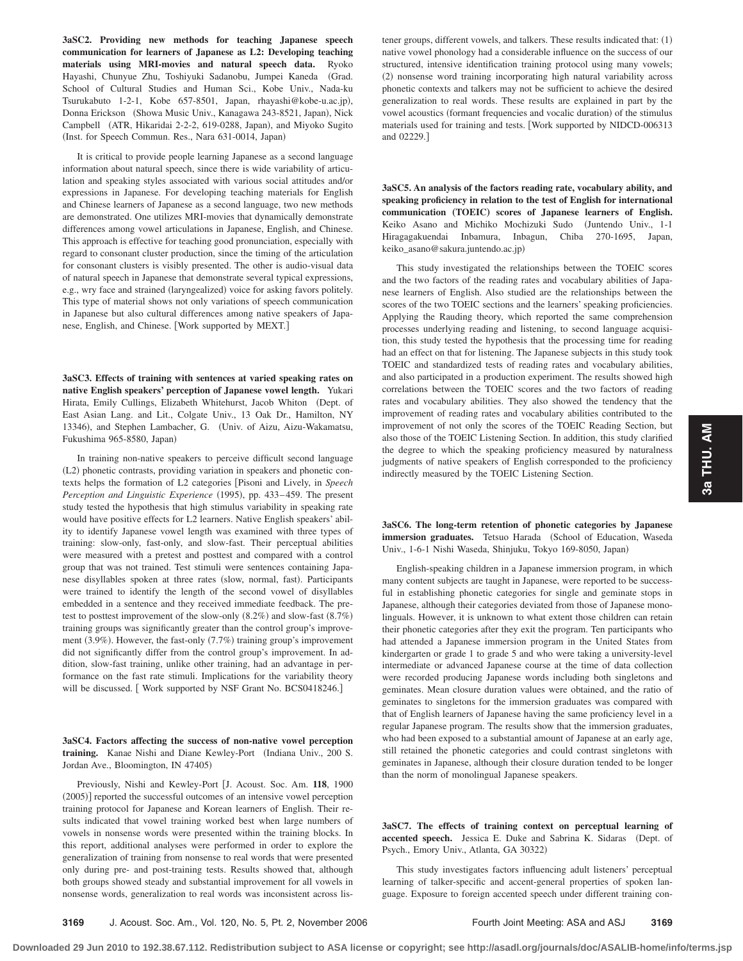**3aSC2. Providing new methods for teaching Japanese speech communication for learners of Japanese as L2: Developing teaching materials using MRI-movies and natural speech data.** Ryoko Hayashi, Chunyue Zhu, Toshiyuki Sadanobu, Jumpei Kaneda (Grad. School of Cultural Studies and Human Sci., Kobe Univ., Nada-ku Tsurukabuto 1-2-1, Kobe 657-8501, Japan, rhayashi@kobe-u.ac.jp), Donna Erickson (Showa Music Univ., Kanagawa 243-8521, Japan), Nick Campbell (ATR, Hikaridai 2-2-2, 619-0288, Japan), and Miyoko Sugito (Inst. for Speech Commun. Res., Nara 631-0014, Japan)

It is critical to provide people learning Japanese as a second language information about natural speech, since there is wide variability of articulation and speaking styles associated with various social attitudes and/or expressions in Japanese. For developing teaching materials for English and Chinese learners of Japanese as a second language, two new methods are demonstrated. One utilizes MRI-movies that dynamically demonstrate differences among vowel articulations in Japanese, English, and Chinese. This approach is effective for teaching good pronunciation, especially with regard to consonant cluster production, since the timing of the articulation for consonant clusters is visibly presented. The other is audio-visual data of natural speech in Japanese that demonstrate several typical expressions, e.g., wry face and strained (laryngealized) voice for asking favors politely. This type of material shows not only variations of speech communication in Japanese but also cultural differences among native speakers of Japanese, English, and Chinese. [Work supported by MEXT.]

**3aSC3. Effects of training with sentences at varied speaking rates on native English speakers' perception of Japanese vowel length.** Yukari Hirata, Emily Cullings, Elizabeth Whitehurst, Jacob Whiton (Dept. of East Asian Lang. and Lit., Colgate Univ., 13 Oak Dr., Hamilton, NY 13346), and Stephen Lambacher, G. (Univ. of Aizu, Aizu-Wakamatsu, Fukushima 965-8580, Japan)

In training non-native speakers to perceive difficult second language (L2) phonetic contrasts, providing variation in speakers and phonetic contexts helps the formation of L2 categories Pisoni and Lively, in *Speech* Perception and Linguistic Experience (1995), pp. 433-459. The present study tested the hypothesis that high stimulus variability in speaking rate would have positive effects for L2 learners. Native English speakers' ability to identify Japanese vowel length was examined with three types of training: slow-only, fast-only, and slow-fast. Their perceptual abilities were measured with a pretest and posttest and compared with a control group that was not trained. Test stimuli were sentences containing Japanese disyllables spoken at three rates (slow, normal, fast). Participants were trained to identify the length of the second vowel of disyllables embedded in a sentence and they received immediate feedback. The pretest to posttest improvement of the slow-only  $(8.2\%)$  and slow-fast  $(8.7\%)$ training groups was significantly greater than the control group's improvement (3.9%). However, the fast-only (7.7%) training group's improvement did not significantly differ from the control group's improvement. In addition, slow-fast training, unlike other training, had an advantage in performance on the fast rate stimuli. Implications for the variability theory will be discussed. [ Work supported by NSF Grant No. BCS0418246.]

**3aSC4. Factors affecting the success of non-native vowel perception** training. Kanae Nishi and Diane Kewley-Port (Indiana Univ., 200 S. Jordan Ave., Bloomington, IN 47405)

Previously, Nishi and Kewley-Port J. Acoust. Soc. Am. **118**, 1900 (2005)] reported the successful outcomes of an intensive vowel perception training protocol for Japanese and Korean learners of English. Their results indicated that vowel training worked best when large numbers of vowels in nonsense words were presented within the training blocks. In this report, additional analyses were performed in order to explore the generalization of training from nonsense to real words that were presented only during pre- and post-training tests. Results showed that, although both groups showed steady and substantial improvement for all vowels in nonsense words, generalization to real words was inconsistent across lis-

tener groups, different vowels, and talkers. These results indicated that: (1) native vowel phonology had a considerable influence on the success of our structured, intensive identification training protocol using many vowels; (2) nonsense word training incorporating high natural variability across phonetic contexts and talkers may not be sufficient to achieve the desired generalization to real words. These results are explained in part by the vowel acoustics (formant frequencies and vocalic duration) of the stimulus materials used for training and tests. Work supported by NIDCD-006313 and 02229.

**3aSC5. An analysis of the factors reading rate, vocabulary ability, and speaking proficiency in relation to the test of English for international** communication (TOEIC) scores of Japanese learners of English. Keiko Asano and Michiko Mochizuki Sudo (Juntendo Univ., 1-1 Hiragagakuendai Inbamura, Inbagun, Chiba 270-1695, Japan, keiko\_asano@sakura.juntendo.ac.jp-

This study investigated the relationships between the TOEIC scores and the two factors of the reading rates and vocabulary abilities of Japanese learners of English. Also studied are the relationships between the scores of the two TOEIC sections and the learners' speaking proficiencies. Applying the Rauding theory, which reported the same comprehension processes underlying reading and listening, to second language acquisition, this study tested the hypothesis that the processing time for reading had an effect on that for listening. The Japanese subjects in this study took TOEIC and standardized tests of reading rates and vocabulary abilities, and also participated in a production experiment. The results showed high correlations between the TOEIC scores and the two factors of reading rates and vocabulary abilities. They also showed the tendency that the improvement of reading rates and vocabulary abilities contributed to the improvement of not only the scores of the TOEIC Reading Section, but also those of the TOEIC Listening Section. In addition, this study clarified the degree to which the speaking proficiency measured by naturalness judgments of native speakers of English corresponded to the proficiency indirectly measured by the TOEIC Listening Section.

**3aSC6. The long-term retention of phonetic categories by Japanese** immersion graduates. Tetsuo Harada (School of Education, Waseda Univ., 1-6-1 Nishi Waseda, Shinjuku, Tokyo 169-8050, Japan)

English-speaking children in a Japanese immersion program, in which many content subjects are taught in Japanese, were reported to be successful in establishing phonetic categories for single and geminate stops in Japanese, although their categories deviated from those of Japanese monolinguals. However, it is unknown to what extent those children can retain their phonetic categories after they exit the program. Ten participants who had attended a Japanese immersion program in the United States from kindergarten or grade 1 to grade 5 and who were taking a university-level intermediate or advanced Japanese course at the time of data collection were recorded producing Japanese words including both singletons and geminates. Mean closure duration values were obtained, and the ratio of geminates to singletons for the immersion graduates was compared with that of English learners of Japanese having the same proficiency level in a regular Japanese program. The results show that the immersion graduates, who had been exposed to a substantial amount of Japanese at an early age, still retained the phonetic categories and could contrast singletons with geminates in Japanese, although their closure duration tended to be longer than the norm of monolingual Japanese speakers.

**3aSC7. The effects of training context on perceptual learning of** accented speech. Jessica E. Duke and Sabrina K. Sidaras (Dept. of Psych., Emory Univ., Atlanta, GA 30322)

This study investigates factors influencing adult listeners' perceptual learning of talker-specific and accent-general properties of spoken language. Exposure to foreign accented speech under different training con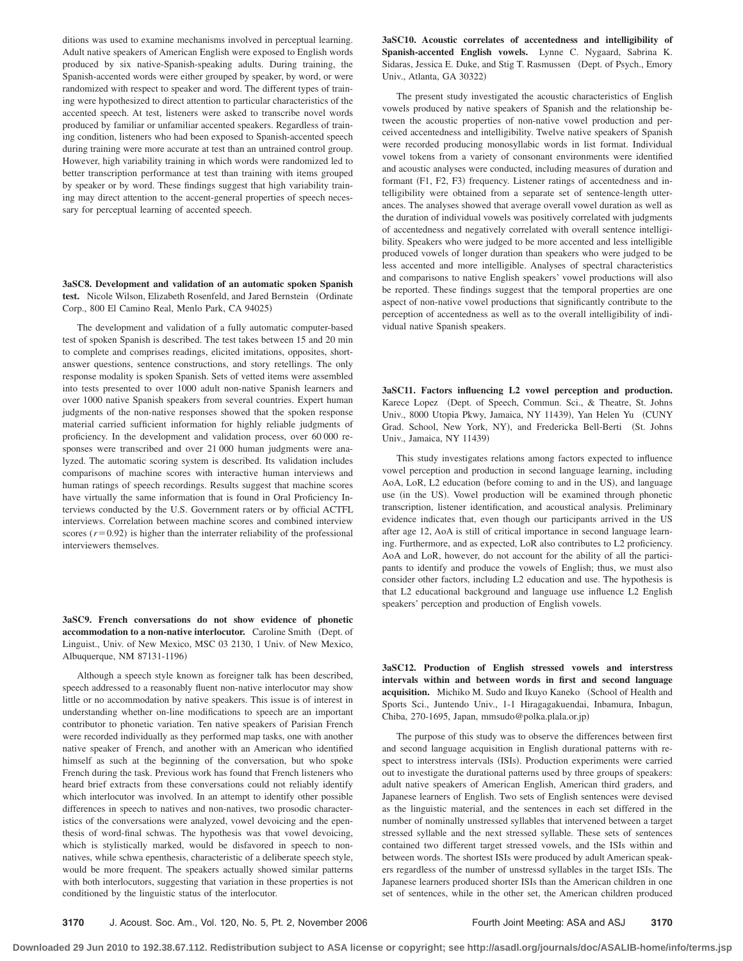ditions was used to examine mechanisms involved in perceptual learning. Adult native speakers of American English were exposed to English words produced by six native-Spanish-speaking adults. During training, the Spanish-accented words were either grouped by speaker, by word, or were randomized with respect to speaker and word. The different types of training were hypothesized to direct attention to particular characteristics of the accented speech. At test, listeners were asked to transcribe novel words produced by familiar or unfamiliar accented speakers. Regardless of training condition, listeners who had been exposed to Spanish-accented speech during training were more accurate at test than an untrained control group. However, high variability training in which words were randomized led to better transcription performance at test than training with items grouped by speaker or by word. These findings suggest that high variability training may direct attention to the accent-general properties of speech necessary for perceptual learning of accented speech.

**3aSC8. Development and validation of an automatic spoken Spanish** test. Nicole Wilson, Elizabeth Rosenfeld, and Jared Bernstein (Ordinate Corp., 800 El Camino Real, Menlo Park, CA 94025)

The development and validation of a fully automatic computer-based test of spoken Spanish is described. The test takes between 15 and 20 min to complete and comprises readings, elicited imitations, opposites, shortanswer questions, sentence constructions, and story retellings. The only response modality is spoken Spanish. Sets of vetted items were assembled into tests presented to over 1000 adult non-native Spanish learners and over 1000 native Spanish speakers from several countries. Expert human judgments of the non-native responses showed that the spoken response material carried sufficient information for highly reliable judgments of proficiency. In the development and validation process, over 60 000 responses were transcribed and over 21 000 human judgments were analyzed. The automatic scoring system is described. Its validation includes comparisons of machine scores with interactive human interviews and human ratings of speech recordings. Results suggest that machine scores have virtually the same information that is found in Oral Proficiency Interviews conducted by the U.S. Government raters or by official ACTFL interviews. Correlation between machine scores and combined interview scores  $(r=0.92)$  is higher than the interrater reliability of the professional interviewers themselves.

**3aSC9. French conversations do not show evidence of phonetic** accommodation to a non-native interlocutor. Caroline Smith (Dept. of Linguist., Univ. of New Mexico, MSC 03 2130, 1 Univ. of New Mexico, Albuquerque, NM 87131-1196-

Although a speech style known as foreigner talk has been described, speech addressed to a reasonably fluent non-native interlocutor may show little or no accommodation by native speakers. This issue is of interest in understanding whether on-line modifications to speech are an important contributor to phonetic variation. Ten native speakers of Parisian French were recorded individually as they performed map tasks, one with another native speaker of French, and another with an American who identified himself as such at the beginning of the conversation, but who spoke French during the task. Previous work has found that French listeners who heard brief extracts from these conversations could not reliably identify which interlocutor was involved. In an attempt to identify other possible differences in speech to natives and non-natives, two prosodic characteristics of the conversations were analyzed, vowel devoicing and the epenthesis of word-final schwas. The hypothesis was that vowel devoicing, which is stylistically marked, would be disfavored in speech to nonnatives, while schwa epenthesis, characteristic of a deliberate speech style, would be more frequent. The speakers actually showed similar patterns with both interlocutors, suggesting that variation in these properties is not conditioned by the linguistic status of the interlocutor.

**3aSC10. Acoustic correlates of accentedness and intelligibility of Spanish-accented English vowels.** Lynne C. Nygaard, Sabrina K. Sidaras, Jessica E. Duke, and Stig T. Rasmussen (Dept. of Psych., Emory Univ., Atlanta, GA 30322)

The present study investigated the acoustic characteristics of English vowels produced by native speakers of Spanish and the relationship between the acoustic properties of non-native vowel production and perceived accentedness and intelligibility. Twelve native speakers of Spanish were recorded producing monosyllabic words in list format. Individual vowel tokens from a variety of consonant environments were identified and acoustic analyses were conducted, including measures of duration and formant (F1, F2, F3) frequency. Listener ratings of accentedness and intelligibility were obtained from a separate set of sentence-length utterances. The analyses showed that average overall vowel duration as well as the duration of individual vowels was positively correlated with judgments of accentedness and negatively correlated with overall sentence intelligibility. Speakers who were judged to be more accented and less intelligible produced vowels of longer duration than speakers who were judged to be less accented and more intelligible. Analyses of spectral characteristics and comparisons to native English speakers' vowel productions will also be reported. These findings suggest that the temporal properties are one aspect of non-native vowel productions that significantly contribute to the perception of accentedness as well as to the overall intelligibility of individual native Spanish speakers.

**3aSC11. Factors influencing L2 vowel perception and production.** Karece Lopez (Dept. of Speech, Commun. Sci., & Theatre, St. Johns Univ., 8000 Utopia Pkwy, Jamaica, NY 11439), Yan Helen Yu (CUNY Grad. School, New York, NY), and Fredericka Bell-Berti (St. Johns Univ., Jamaica, NY 11439)

This study investigates relations among factors expected to influence vowel perception and production in second language learning, including AoA, LoR, L2 education (before coming to and in the US), and language use (in the US). Vowel production will be examined through phonetic transcription, listener identification, and acoustical analysis. Preliminary evidence indicates that, even though our participants arrived in the US after age 12, AoA is still of critical importance in second language learning. Furthermore, and as expected, LoR also contributes to L2 proficiency. AoA and LoR, however, do not account for the ability of all the participants to identify and produce the vowels of English; thus, we must also consider other factors, including L2 education and use. The hypothesis is that L2 educational background and language use influence L2 English speakers' perception and production of English vowels.

**3aSC12. Production of English stressed vowels and interstress intervals within and between words in first and second language** acquisition. Michiko M. Sudo and Ikuyo Kaneko (School of Health and Sports Sci., Juntendo Univ., 1-1 Hiragagakuendai, Inbamura, Inbagun, Chiba, 270-1695, Japan, mmsudo@polka.plala.or.jp-

The purpose of this study was to observe the differences between first and second language acquisition in English durational patterns with respect to interstress intervals (ISIs). Production experiments were carried out to investigate the durational patterns used by three groups of speakers: adult native speakers of American English, American third graders, and Japanese learners of English. Two sets of English sentences were devised as the linguistic material, and the sentences in each set differed in the number of nominally unstressed syllables that intervened between a target stressed syllable and the next stressed syllable. These sets of sentences contained two different target stressed vowels, and the ISIs within and between words. The shortest ISIs were produced by adult American speakers regardless of the number of unstressd syllables in the target ISIs. The Japanese learners produced shorter ISIs than the American children in one set of sentences, while in the other set, the American children produced

**3170** J. Acoust. Soc. Am., Vol. 120, No. 5, Pt. 2, November 2006 Fourth Joint Meeting: ASA and ASJ **3170**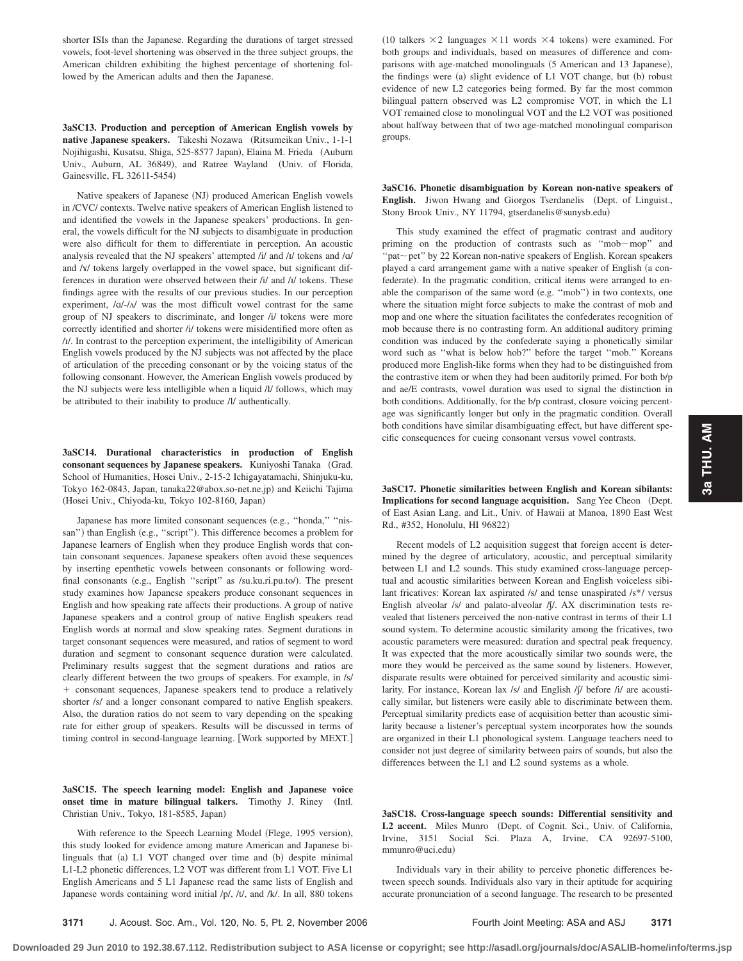shorter ISIs than the Japanese. Regarding the durations of target stressed vowels, foot-level shortening was observed in the three subject groups, the American children exhibiting the highest percentage of shortening followed by the American adults and then the Japanese.

**3aSC13. Production and perception of American English vowels by** native Japanese speakers. Takeshi Nozawa (Ritsumeikan Univ., 1-1-1 Nojihigashi, Kusatsu, Shiga, 525-8577 Japan), Elaina M. Frieda (Auburn Univ., Auburn, AL 36849), and Ratree Wayland (Univ. of Florida, Gainesville, FL 32611-5454-

Native speakers of Japanese (NJ) produced American English vowels in /CVC/ contexts. Twelve native speakers of American English listened to and identified the vowels in the Japanese speakers' productions. In general, the vowels difficult for the NJ subjects to disambiguate in production were also difficult for them to differentiate in perception. An acoustic analysis revealed that the NJ speakers' attempted  $/i/$  and  $/I/$  tokens and  $/I/$ and /x/ tokens largely overlapped in the vowel space, but significant differences in duration were observed between their /i/ and /t/ tokens. These findings agree with the results of our previous studies. In our perception experiment,  $\sqrt{a}/\sqrt{a}$  was the most difficult vowel contrast for the same group of NJ speakers to discriminate, and longer /i/ tokens were more correctly identified and shorter /i/ tokens were misidentified more often as /1/. In contrast to the perception experiment, the intelligibility of American English vowels produced by the NJ subjects was not affected by the place of articulation of the preceding consonant or by the voicing status of the following consonant. However, the American English vowels produced by the NJ subjects were less intelligible when a liquid /l/ follows, which may be attributed to their inability to produce /l/ authentically.

**3aSC14. Durational characteristics in production of English** consonant sequences by Japanese speakers. Kuniyoshi Tanaka (Grad. School of Humanities, Hosei Univ., 2-15-2 Ichigayatamachi, Shinjuku-ku, Tokyo 162-0843, Japan, tanaka22@abox.so-net.ne.jp) and Keiichi Tajima (Hosei Univ., Chiyoda-ku, Tokyo 102-8160, Japan)

Japanese has more limited consonant sequences (e.g., "honda," "nissan") than English (e.g., "script"). This difference becomes a problem for Japanese learners of English when they produce English words that contain consonant sequences. Japanese speakers often avoid these sequences by inserting epenthetic vowels between consonants or following wordfinal consonants (e.g., English "script" as /su.ku.ri.pu.to/). The present study examines how Japanese speakers produce consonant sequences in English and how speaking rate affects their productions. A group of native Japanese speakers and a control group of native English speakers read English words at normal and slow speaking rates. Segment durations in target consonant sequences were measured, and ratios of segment to word duration and segment to consonant sequence duration were calculated. Preliminary results suggest that the segment durations and ratios are clearly different between the two groups of speakers. For example, in /s/ consonant sequences, Japanese speakers tend to produce a relatively shorter /s/ and a longer consonant compared to native English speakers. Also, the duration ratios do not seem to vary depending on the speaking rate for either group of speakers. Results will be discussed in terms of timing control in second-language learning. Work supported by MEXT.

**3aSC15. The speech learning model: English and Japanese voice** onset time in mature bilingual talkers. Timothy J. Riney (Intl. Christian Univ., Tokyo, 181-8585, Japan)

With reference to the Speech Learning Model (Flege, 1995 version), this study looked for evidence among mature American and Japanese bilinguals that (a) L1 VOT changed over time and (b) despite minimal L1-L2 phonetic differences, L2 VOT was different from L1 VOT. Five L1 English Americans and 5 L1 Japanese read the same lists of English and Japanese words containing word initial /p/, /t/, and /k/. In all, 880 tokens

(10 talkers  $\times$ 2 languages  $\times$ 11 words  $\times$ 4 tokens) were examined. For both groups and individuals, based on measures of difference and comparisons with age-matched monolinguals (5 American and 13 Japanese), the findings were (a) slight evidence of L1 VOT change, but (b) robust evidence of new L2 categories being formed. By far the most common bilingual pattern observed was L2 compromise VOT, in which the L1 VOT remained close to monolingual VOT and the L2 VOT was positioned about halfway between that of two age-matched monolingual comparison groups.

**3aSC16. Phonetic disambiguation by Korean non-native speakers of** English. Jiwon Hwang and Giorgos Tserdanelis (Dept. of Linguist., Stony Brook Univ., NY 11794, gtserdanelis@sunysb.edu)

This study examined the effect of pragmatic contrast and auditory priming on the production of contrasts such as "mob $\sim$ mop" and 'pat $\sim$  pet'' by 22 Korean non-native speakers of English. Korean speakers played a card arrangement game with a native speaker of English (a confederate). In the pragmatic condition, critical items were arranged to enable the comparison of the same word (e.g. "mob") in two contexts, one where the situation might force subjects to make the contrast of mob and mop and one where the situation facilitates the confederates recognition of mob because there is no contrasting form. An additional auditory priming condition was induced by the confederate saying a phonetically similar word such as ''what is below hob?'' before the target ''mob.'' Koreans produced more English-like forms when they had to be distinguished from the contrastive item or when they had been auditorily primed. For both b/p and ae/E contrasts, vowel duration was used to signal the distinction in both conditions. Additionally, for the b/p contrast, closure voicing percentage was significantly longer but only in the pragmatic condition. Overall both conditions have similar disambiguating effect, but have different specific consequences for cueing consonant versus vowel contrasts.

**3aSC17. Phonetic similarities between English and Korean sibilants:** Implications for second language acquisition. Sang Yee Cheon (Dept. of East Asian Lang. and Lit., Univ. of Hawaii at Manoa, 1890 East West Rd., #352, Honolulu, HI 96822)

Recent models of L2 acquisition suggest that foreign accent is determined by the degree of articulatory, acoustic, and perceptual similarity between L1 and L2 sounds. This study examined cross-language perceptual and acoustic similarities between Korean and English voiceless sibilant fricatives: Korean lax aspirated /s/ and tense unaspirated /s\*/ versus English alveolar /s/ and palato-alveolar / $\int$ /. AX discrimination tests revealed that listeners perceived the non-native contrast in terms of their L1 sound system. To determine acoustic similarity among the fricatives, two acoustic parameters were measured: duration and spectral peak frequency. It was expected that the more acoustically similar two sounds were, the more they would be perceived as the same sound by listeners. However, disparate results were obtained for perceived similarity and acoustic similarity. For instance, Korean lax /s/ and English / $\int$ / before /i/ are acoustically similar, but listeners were easily able to discriminate between them. Perceptual similarity predicts ease of acquisition better than acoustic similarity because a listener's perceptual system incorporates how the sounds are organized in their L1 phonological system. Language teachers need to consider not just degree of similarity between pairs of sounds, but also the differences between the L1 and L2 sound systems as a whole.

**3aSC18. Cross-language speech sounds: Differential sensitivity and** L2 accent. Miles Munro (Dept. of Cognit. Sci., Univ. of California, Irvine, 3151 Social Sci. Plaza A, Irvine, CA 92697-5100, mmunro@uci.edu)

Individuals vary in their ability to perceive phonetic differences between speech sounds. Individuals also vary in their aptitude for acquiring accurate pronunciation of a second language. The research to be presented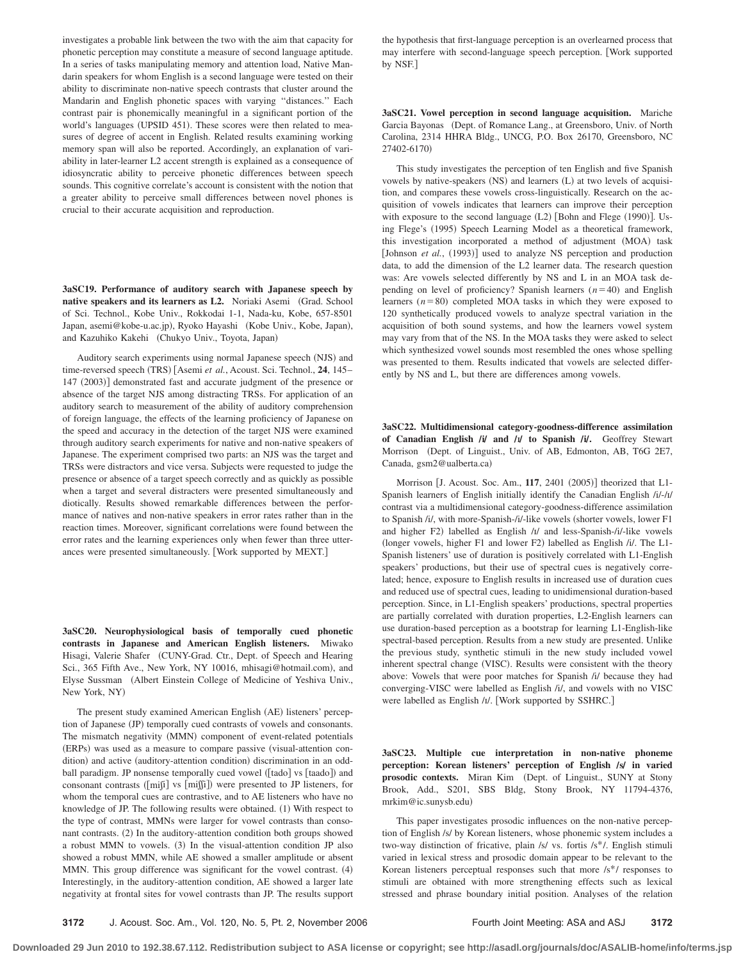investigates a probable link between the two with the aim that capacity for phonetic perception may constitute a measure of second language aptitude. In a series of tasks manipulating memory and attention load, Native Mandarin speakers for whom English is a second language were tested on their ability to discriminate non-native speech contrasts that cluster around the Mandarin and English phonetic spaces with varying ''distances.'' Each contrast pair is phonemically meaningful in a significant portion of the world's languages (UPSID 451). These scores were then related to measures of degree of accent in English. Related results examining working memory span will also be reported. Accordingly, an explanation of variability in later-learner L2 accent strength is explained as a consequence of idiosyncratic ability to perceive phonetic differences between speech sounds. This cognitive correlate's account is consistent with the notion that a greater ability to perceive small differences between novel phones is crucial to their accurate acquisition and reproduction.

**3aSC19. Performance of auditory search with Japanese speech by** native speakers and its learners as L2. Noriaki Asemi (Grad. School of Sci. Technol., Kobe Univ., Rokkodai 1-1, Nada-ku, Kobe, 657-8501 Japan, asemi@kobe-u.ac.jp), Ryoko Hayashi (Kobe Univ., Kobe, Japan), and Kazuhiko Kakehi (Chukyo Univ., Toyota, Japan)

Auditory search experiments using normal Japanese speech (NJS) and time-reversed speech (TRS) [Asemi *et al.*, Acoust. Sci. Technol., **24**, 145– 147 (2003)] demonstrated fast and accurate judgment of the presence or absence of the target NJS among distracting TRSs. For application of an auditory search to measurement of the ability of auditory comprehension of foreign language, the effects of the learning proficiency of Japanese on the speed and accuracy in the detection of the target NJS were examined through auditory search experiments for native and non-native speakers of Japanese. The experiment comprised two parts: an NJS was the target and TRSs were distractors and vice versa. Subjects were requested to judge the presence or absence of a target speech correctly and as quickly as possible when a target and several distracters were presented simultaneously and diotically. Results showed remarkable differences between the performance of natives and non-native speakers in error rates rather than in the reaction times. Moreover, significant correlations were found between the error rates and the learning experiences only when fewer than three utterances were presented simultaneously. Work supported by MEXT.

**3aSC20. Neurophysiological basis of temporally cued phonetic contrasts in Japanese and American English listeners.** Miwako Hisagi, Valerie Shafer (CUNY-Grad. Ctr., Dept. of Speech and Hearing Sci., 365 Fifth Ave., New York, NY 10016, mhisagi@hotmail.com), and Elyse Sussman (Albert Einstein College of Medicine of Yeshiva Univ., New York, NY)

The present study examined American English (AE) listeners' perception of Japanese (JP) temporally cued contrasts of vowels and consonants. The mismatch negativity (MMN) component of event-related potentials (ERPs) was used as a measure to compare passive (visual-attention condition) and active (auditory-attention condition) discrimination in an oddball paradigm. JP nonsense temporally cued vowel ([tado] vs [taado]) and consonant contrasts ([miʃi] vs [miʃʃi]) were presented to JP listeners, for whom the temporal cues are contrastive, and to AE listeners who have no knowledge of JP. The following results were obtained. (1) With respect to the type of contrast, MMNs were larger for vowel contrasts than consonant contrasts. (2) In the auditory-attention condition both groups showed a robust MMN to vowels. (3) In the visual-attention condition JP also showed a robust MMN, while AE showed a smaller amplitude or absent MMN. This group difference was significant for the vowel contrast. (4) Interestingly, in the auditory-attention condition, AE showed a larger late negativity at frontal sites for vowel contrasts than JP. The results support

the hypothesis that first-language perception is an overlearned process that may interfere with second-language speech perception. Work supported by NSF.

**3aSC21. Vowel perception in second language acquisition.** Mariche Garcia Bayonas (Dept. of Romance Lang., at Greensboro, Univ. of North Carolina, 2314 HHRA Bldg., UNCG, P.O. Box 26170, Greensboro, NC 27402-6170)

This study investigates the perception of ten English and five Spanish vowels by native-speakers (NS) and learners (L) at two levels of acquisition, and compares these vowels cross-linguistically. Research on the acquisition of vowels indicates that learners can improve their perception with exposure to the second language (L2) [Bohn and Flege (1990)]. Using Flege's (1995) Speech Learning Model as a theoretical framework, this investigation incorporated a method of adjustment (MOA) task [Johnson et al., (1993)] used to analyze NS perception and production data, to add the dimension of the L2 learner data. The research question was: Are vowels selected differently by NS and L in an MOA task depending on level of proficiency? Spanish learners  $(n=40)$  and English learners  $(n=80)$  completed MOA tasks in which they were exposed to 120 synthetically produced vowels to analyze spectral variation in the acquisition of both sound systems, and how the learners vowel system may vary from that of the NS. In the MOA tasks they were asked to select which synthesized vowel sounds most resembled the ones whose spelling was presented to them. Results indicated that vowels are selected differently by NS and L, but there are differences among vowels.

**3aSC22. Multidimensional category-goodness-difference assimilation of Canadian English /i/ and /v/ to Spanish /i/.** Geoffrey Stewart Morrison (Dept. of Linguist., Univ. of AB, Edmonton, AB, T6G 2E7, Canada, gsm2@ualberta.ca)

Morrison [J. Acoust. Soc. Am., 117, 2401 (2005)] theorized that L1-Spanish learners of English initially identify the Canadian English /i/-/1/ contrast via a multidimensional category-goodness-difference assimilation to Spanish /i/, with more-Spanish-/i/-like vowels (shorter vowels, lower F1 and higher F2) labelled as English /1/ and less-Spanish-/i/-like vowels (longer vowels, higher F1 and lower F2) labelled as English /i/. The L1-Spanish listeners' use of duration is positively correlated with L1-English speakers' productions, but their use of spectral cues is negatively correlated; hence, exposure to English results in increased use of duration cues and reduced use of spectral cues, leading to unidimensional duration-based perception. Since, in L1-English speakers' productions, spectral properties are partially correlated with duration properties, L2-English learners can use duration-based perception as a bootstrap for learning L1-English-like spectral-based perception. Results from a new study are presented. Unlike the previous study, synthetic stimuli in the new study included vowel inherent spectral change (VISC). Results were consistent with the theory above: Vowels that were poor matches for Spanish /i/ because they had converging-VISC were labelled as English /i/, and vowels with no VISC were labelled as English /I/. [Work supported by SSHRC.]

**3aSC23. Multiple cue interpretation in non-native phoneme perception:** Korean listeners' perception of English /s/ in varied prosodic contexts. Miran Kim (Dept. of Linguist., SUNY at Stony Brook, Add., S201, SBS Bldg, Stony Brook, NY 11794-4376, mrkim@ic.sunysb.edu-

This paper investigates prosodic influences on the non-native perception of English /s/ by Korean listeners, whose phonemic system includes a two-way distinction of fricative, plain /s/ vs. fortis /s\*/. English stimuli varied in lexical stress and prosodic domain appear to be relevant to the Korean listeners perceptual responses such that more /s\*/ responses to stimuli are obtained with more strengthening effects such as lexical stressed and phrase boundary initial position. Analyses of the relation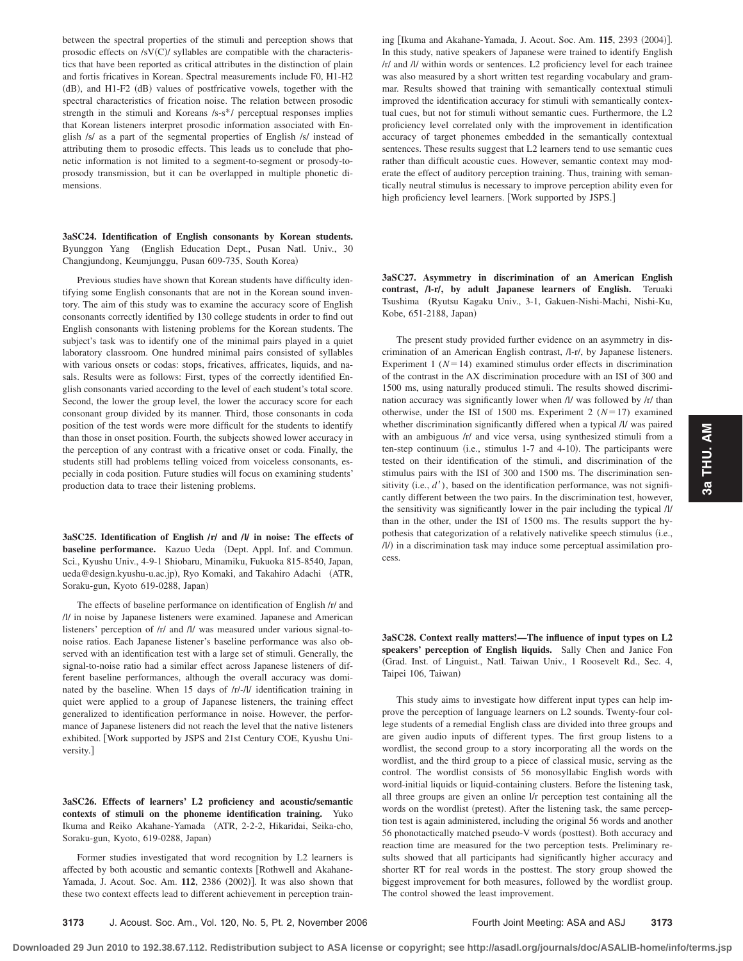between the spectral properties of the stimuli and perception shows that prosodic effects on  $\frac{1}{S}V(C)$  syllables are compatible with the characteristics that have been reported as critical attributes in the distinction of plain and fortis fricatives in Korean. Spectral measurements include F0, H1-H2 (dB), and H1-F2 (dB) values of postfricative vowels, together with the spectral characteristics of frication noise. The relation between prosodic strength in the stimuli and Koreans /s-s\*/ perceptual responses implies that Korean listeners interpret prosodic information associated with English /s/ as a part of the segmental properties of English /s/ instead of attributing them to prosodic effects. This leads us to conclude that phonetic information is not limited to a segment-to-segment or prosody-toprosody transmission, but it can be overlapped in multiple phonetic dimensions.

**3aSC24. Identification of English consonants by Korean students.** Byunggon Yang (English Education Dept., Pusan Natl. Univ., 30 Changjundong, Keumjunggu, Pusan 609-735, South Korea)

Previous studies have shown that Korean students have difficulty identifying some English consonants that are not in the Korean sound inventory. The aim of this study was to examine the accuracy score of English consonants correctly identified by 130 college students in order to find out English consonants with listening problems for the Korean students. The subject's task was to identify one of the minimal pairs played in a quiet laboratory classroom. One hundred minimal pairs consisted of syllables with various onsets or codas: stops, fricatives, affricates, liquids, and nasals. Results were as follows: First, types of the correctly identified English consonants varied according to the level of each student's total score. Second, the lower the group level, the lower the accuracy score for each consonant group divided by its manner. Third, those consonants in coda position of the test words were more difficult for the students to identify than those in onset position. Fourth, the subjects showed lower accuracy in the perception of any contrast with a fricative onset or coda. Finally, the students still had problems telling voiced from voiceless consonants, especially in coda position. Future studies will focus on examining students' production data to trace their listening problems.

**3aSC25.** Identification of English  $\vert r \vert$  and  $\vert \vert$  in noise: The effects of baseline performance. Kazuo Ueda (Dept. Appl. Inf. and Commun. Sci., Kyushu Univ., 4-9-1 Shiobaru, Minamiku, Fukuoka 815-8540, Japan, ueda@design.kyushu-u.ac.jp), Ryo Komaki, and Takahiro Adachi (ATR, Soraku-gun, Kyoto 619-0288, Japan)

The effects of baseline performance on identification of English /r/ and /l/ in noise by Japanese listeners were examined. Japanese and American listeners' perception of /r/ and /l/ was measured under various signal-tonoise ratios. Each Japanese listener's baseline performance was also observed with an identification test with a large set of stimuli. Generally, the signal-to-noise ratio had a similar effect across Japanese listeners of different baseline performances, although the overall accuracy was dominated by the baseline. When 15 days of /r/-/l/ identification training in quiet were applied to a group of Japanese listeners, the training effect generalized to identification performance in noise. However, the performance of Japanese listeners did not reach the level that the native listeners exhibited. Work supported by JSPS and 21st Century COE, Kyushu University.

**3aSC26.** Effects of learners' L2 proficiency and acoustic/semantic **contexts of stimuli on the phoneme identification training.** Yuko Ikuma and Reiko Akahane-Yamada (ATR, 2-2-2, Hikaridai, Seika-cho, Soraku-gun, Kyoto, 619-0288, Japan)

Former studies investigated that word recognition by L2 learners is affected by both acoustic and semantic contexts [Rothwell and Akahane-Yamada, J. Acout. Soc. Am. 112, 2386 (2002)]. It was also shown that these two context effects lead to different achievement in perception train-

ing [Ikuma and Akahane-Yamada, J. Acout. Soc. Am. 115, 2393 (2004)]. In this study, native speakers of Japanese were trained to identify English /r/ and /l/ within words or sentences. L2 proficiency level for each trainee was also measured by a short written test regarding vocabulary and grammar. Results showed that training with semantically contextual stimuli improved the identification accuracy for stimuli with semantically contextual cues, but not for stimuli without semantic cues. Furthermore, the L2 proficiency level correlated only with the improvement in identification accuracy of target phonemes embedded in the semantically contextual sentences. These results suggest that L2 learners tend to use semantic cues rather than difficult acoustic cues. However, semantic context may moderate the effect of auditory perception training. Thus, training with semantically neutral stimulus is necessary to improve perception ability even for high proficiency level learners. [Work supported by JSPS.]

**3aSC27. Asymmetry in discrimination of an American English contrast, Õl-rÕ, by adult Japanese learners of English.** Teruaki Tsushima (Ryutsu Kagaku Univ., 3-1, Gakuen-Nishi-Machi, Nishi-Ku, Kobe, 651-2188, Japan)

The present study provided further evidence on an asymmetry in discrimination of an American English contrast, /l-r/, by Japanese listeners. Experiment 1 ( $N=14$ ) examined stimulus order effects in discrimination of the contrast in the AX discrimination procedure with an ISI of 300 and 1500 ms, using naturally produced stimuli. The results showed discrimination accuracy was significantly lower when /l/ was followed by /r/ than otherwise, under the ISI of 1500 ms. Experiment 2  $(N=17)$  examined whether discrimination significantly differed when a typical /l/ was paired with an ambiguous /r/ and vice versa, using synthesized stimuli from a ten-step continuum (i.e., stimulus 1-7 and 4-10). The participants were tested on their identification of the stimuli, and discrimination of the stimulus pairs with the ISI of 300 and 1500 ms. The discrimination sensitivity (i.e.,  $d'$ ), based on the identification performance, was not significantly different between the two pairs. In the discrimination test, however, the sensitivity was significantly lower in the pair including the typical /l/ than in the other, under the ISI of 1500 ms. The results support the hypothesis that categorization of a relatively nativelike speech stimulus (i.e., /l/) in a discrimination task may induce some perceptual assimilation process.

**3aSC28. Context really matters!—The influence of input types on L2 speakers' perception of English liquids.** Sally Chen and Janice Fon Grad. Inst. of Linguist., Natl. Taiwan Univ., 1 Roosevelt Rd., Sec. 4, Taipei 106, Taiwan)

This study aims to investigate how different input types can help improve the perception of language learners on L2 sounds. Twenty-four college students of a remedial English class are divided into three groups and are given audio inputs of different types. The first group listens to a wordlist, the second group to a story incorporating all the words on the wordlist, and the third group to a piece of classical music, serving as the control. The wordlist consists of 56 monosyllabic English words with word-initial liquids or liquid-containing clusters. Before the listening task, all three groups are given an online l/r perception test containing all the words on the wordlist (pretest). After the listening task, the same perception test is again administered, including the original 56 words and another 56 phonotactically matched pseudo-V words (posttest). Both accuracy and reaction time are measured for the two perception tests. Preliminary results showed that all participants had significantly higher accuracy and shorter RT for real words in the posttest. The story group showed the biggest improvement for both measures, followed by the wordlist group. The control showed the least improvement.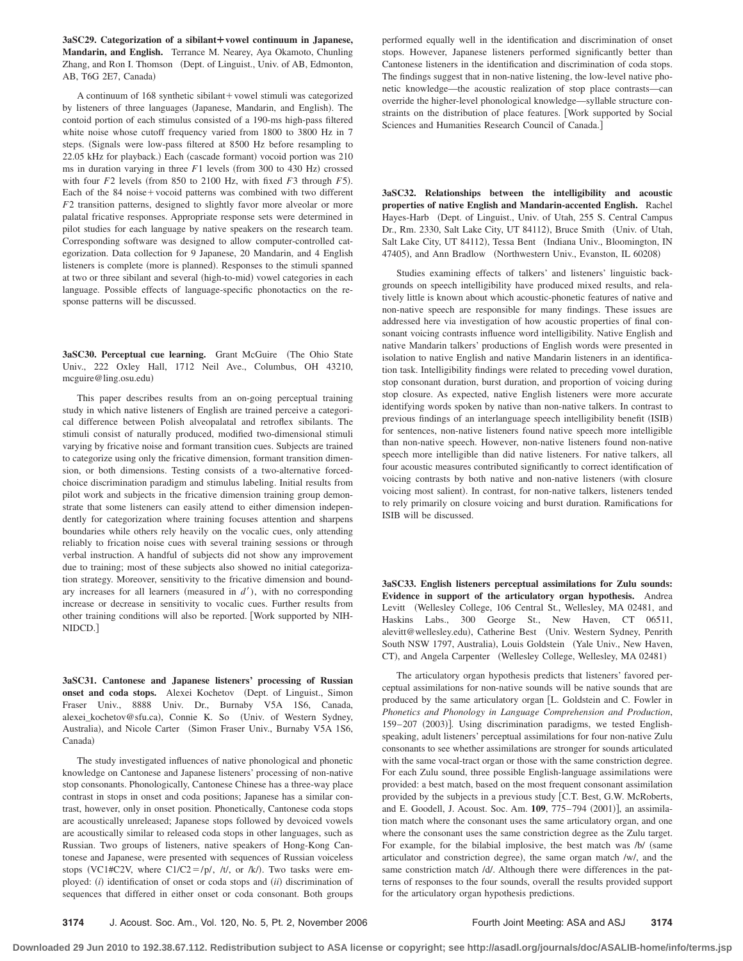**3aSC29. Categorization of a sibilant¿vowel continuum in Japanese, Mandarin, and English.** Terrance M. Nearey, Aya Okamoto, Chunling Zhang, and Ron I. Thomson (Dept. of Linguist., Univ. of AB, Edmonton, AB, T6G 2E7, Canada)

A continuum of  $168$  synthetic sibilant + vowel stimuli was categorized by listeners of three languages (Japanese, Mandarin, and English). The contoid portion of each stimulus consisted of a 190-ms high-pass filtered white noise whose cutoff frequency varied from 1800 to 3800 Hz in 7 steps. (Signals were low-pass filtered at 8500 Hz before resampling to 22.05 kHz for playback.) Each (cascade formant) vocoid portion was 210 ms in duration varying in three  $F1$  levels (from 300 to 430 Hz) crossed with four  $F2$  levels (from 850 to 2100 Hz, with fixed  $F3$  through  $F5$ ). Each of the  $84$  noise + vocoid patterns was combined with two different *F*2 transition patterns, designed to slightly favor more alveolar or more palatal fricative responses. Appropriate response sets were determined in pilot studies for each language by native speakers on the research team. Corresponding software was designed to allow computer-controlled categorization. Data collection for 9 Japanese, 20 Mandarin, and 4 English listeners is complete (more is planned). Responses to the stimuli spanned at two or three sibilant and several (high-to-mid) vowel categories in each language. Possible effects of language-specific phonotactics on the response patterns will be discussed.

3aSC30. Perceptual cue learning. Grant McGuire (The Ohio State Univ., 222 Oxley Hall, 1712 Neil Ave., Columbus, OH 43210, mcguire@ling.osu.edu)

This paper describes results from an on-going perceptual training study in which native listeners of English are trained perceive a categorical difference between Polish alveopalatal and retroflex sibilants. The stimuli consist of naturally produced, modified two-dimensional stimuli varying by fricative noise and formant transition cues. Subjects are trained to categorize using only the fricative dimension, formant transition dimension, or both dimensions. Testing consists of a two-alternative forcedchoice discrimination paradigm and stimulus labeling. Initial results from pilot work and subjects in the fricative dimension training group demonstrate that some listeners can easily attend to either dimension independently for categorization where training focuses attention and sharpens boundaries while others rely heavily on the vocalic cues, only attending reliably to frication noise cues with several training sessions or through verbal instruction. A handful of subjects did not show any improvement due to training; most of these subjects also showed no initial categorization strategy. Moreover, sensitivity to the fricative dimension and boundary increases for all learners (measured in  $d'$ ), with no corresponding increase or decrease in sensitivity to vocalic cues. Further results from other training conditions will also be reported. Work supported by NIH-NIDCD.

**3aSC31. Cantonese and Japanese listeners' processing of Russian** onset and coda stops. Alexei Kochetov (Dept. of Linguist., Simon Fraser Univ., 8888 Univ. Dr., Burnaby V5A 1S6, Canada, alexei\_kochetov@sfu.ca), Connie K. So (Univ. of Western Sydney, Australia), and Nicole Carter (Simon Fraser Univ., Burnaby V5A 1S6, Canada)

The study investigated influences of native phonological and phonetic knowledge on Cantonese and Japanese listeners' processing of non-native stop consonants. Phonologically, Cantonese Chinese has a three-way place contrast in stops in onset and coda positions; Japanese has a similar contrast, however, only in onset position. Phonetically, Cantonese coda stops are acoustically unreleased; Japanese stops followed by devoiced vowels are acoustically similar to released coda stops in other languages, such as Russian. Two groups of listeners, native speakers of Hong-Kong Cantonese and Japanese, were presented with sequences of Russian voiceless stops (VC1#C2V, where C1/C2=/p/, /t/, or /k/). Two tasks were employed: *(i)* identification of onset or coda stops and *(ii)* discrimination of sequences that differed in either onset or coda consonant. Both groups

performed equally well in the identification and discrimination of onset stops. However, Japanese listeners performed significantly better than Cantonese listeners in the identification and discrimination of coda stops. The findings suggest that in non-native listening, the low-level native phonetic knowledge—the acoustic realization of stop place contrasts—can override the higher-level phonological knowledge—syllable structure constraints on the distribution of place features. Work supported by Social Sciences and Humanities Research Council of Canada.]

**3aSC32. Relationships between the intelligibility and acoustic properties of native English and Mandarin-accented English.** Rachel Hayes-Harb (Dept. of Linguist., Univ. of Utah, 255 S. Central Campus Dr., Rm. 2330, Salt Lake City, UT 84112), Bruce Smith (Univ. of Utah, Salt Lake City, UT 84112), Tessa Bent (Indiana Univ., Bloomington, IN 47405), and Ann Bradlow (Northwestern Univ., Evanston, IL 60208)

Studies examining effects of talkers' and listeners' linguistic backgrounds on speech intelligibility have produced mixed results, and relatively little is known about which acoustic-phonetic features of native and non-native speech are responsible for many findings. These issues are addressed here via investigation of how acoustic properties of final consonant voicing contrasts influence word intelligibility. Native English and native Mandarin talkers' productions of English words were presented in isolation to native English and native Mandarin listeners in an identification task. Intelligibility findings were related to preceding vowel duration, stop consonant duration, burst duration, and proportion of voicing during stop closure. As expected, native English listeners were more accurate identifying words spoken by native than non-native talkers. In contrast to previous findings of an interlanguage speech intelligibility benefit (ISIB) for sentences, non-native listeners found native speech more intelligible than non-native speech. However, non-native listeners found non-native speech more intelligible than did native listeners. For native talkers, all four acoustic measures contributed significantly to correct identification of voicing contrasts by both native and non-native listeners (with closure voicing most salient). In contrast, for non-native talkers, listeners tended to rely primarily on closure voicing and burst duration. Ramifications for ISIB will be discussed.

**3aSC33. English listeners perceptual assimilations for Zulu sounds: Evidence in support of the articulatory organ hypothesis.** Andrea Levitt Wellesley College, 106 Central St., Wellesley, MA 02481, and Haskins Labs., 300 George St., New Haven, CT 06511, alevitt@wellesley.edu), Catherine Best (Univ. Western Sydney, Penrith South NSW 1797, Australia), Louis Goldstein (Yale Univ., New Haven, CT), and Angela Carpenter (Wellesley College, Wellesley, MA 02481)

The articulatory organ hypothesis predicts that listeners' favored perceptual assimilations for non-native sounds will be native sounds that are produced by the same articulatory organ L. Goldstein and C. Fowler in *Phonetics and Phonology in Language Comprehension and Production*, 159-207 (2003)]. Using discrimination paradigms, we tested Englishspeaking, adult listeners' perceptual assimilations for four non-native Zulu consonants to see whether assimilations are stronger for sounds articulated with the same vocal-tract organ or those with the same constriction degree. For each Zulu sound, three possible English-language assimilations were provided: a best match, based on the most frequent consonant assimilation provided by the subjects in a previous study C.T. Best, G.W. McRoberts, and E. Goodell, J. Acoust. Soc. Am. 109, 775-794 (2001)], an assimilation match where the consonant uses the same articulatory organ, and one where the consonant uses the same constriction degree as the Zulu target. For example, for the bilabial implosive, the best match was /b/ (same articulator and constriction degree), the same organ match /w/, and the same constriction match /d/. Although there were differences in the patterns of responses to the four sounds, overall the results provided support for the articulatory organ hypothesis predictions.

**Downloaded 29 Jun 2010 to 192.38.67.112. Redistribution subject to ASA license or copyright; see http://asadl.org/journals/doc/ASALIB-home/info/terms.jsp**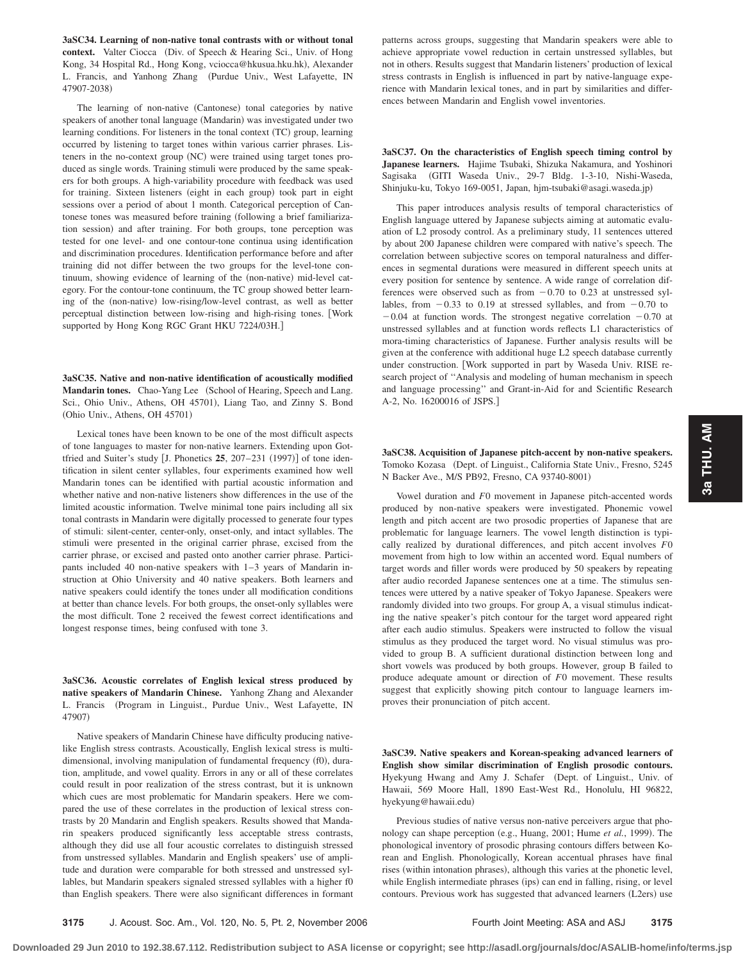**3aSC34. Learning of non-native tonal contrasts with or without tonal** context. Valter Ciocca (Div. of Speech & Hearing Sci., Univ. of Hong Kong, 34 Hospital Rd., Hong Kong, vciocca@hkusua.hku.hk), Alexander L. Francis, and Yanhong Zhang (Purdue Univ., West Lafayette, IN 47907-2038)

The learning of non-native (Cantonese) tonal categories by native speakers of another tonal language (Mandarin) was investigated under two learning conditions. For listeners in the tonal context (TC) group, learning occurred by listening to target tones within various carrier phrases. Listeners in the no-context group (NC) were trained using target tones produced as single words. Training stimuli were produced by the same speakers for both groups. A high-variability procedure with feedback was used for training. Sixteen listeners (eight in each group) took part in eight sessions over a period of about 1 month. Categorical perception of Cantonese tones was measured before training (following a brief familiarization session) and after training. For both groups, tone perception was tested for one level- and one contour-tone continua using identification and discrimination procedures. Identification performance before and after training did not differ between the two groups for the level-tone continuum, showing evidence of learning of the (non-native) mid-level category. For the contour-tone continuum, the TC group showed better learning of the (non-native) low-rising/low-level contrast, as well as better perceptual distinction between low-rising and high-rising tones. Work supported by Hong Kong RGC Grant HKU 7224/03H.]

**3aSC35. Native and non-native identification of acoustically modified Mandarin tones.** Chao-Yang Lee (School of Hearing, Speech and Lang. Sci., Ohio Univ., Athens, OH 45701), Liang Tao, and Zinny S. Bond (Ohio Univ., Athens, OH 45701)

Lexical tones have been known to be one of the most difficult aspects of tone languages to master for non-native learners. Extending upon Gottfried and Suiter's study  $[J.$  Phonetics  $25$ ,  $207-231$   $(1997)$ ] of tone identification in silent center syllables, four experiments examined how well Mandarin tones can be identified with partial acoustic information and whether native and non-native listeners show differences in the use of the limited acoustic information. Twelve minimal tone pairs including all six tonal contrasts in Mandarin were digitally processed to generate four types of stimuli: silent-center, center-only, onset-only, and intact syllables. The stimuli were presented in the original carrier phrase, excised from the carrier phrase, or excised and pasted onto another carrier phrase. Participants included 40 non-native speakers with 1–3 years of Mandarin instruction at Ohio University and 40 native speakers. Both learners and native speakers could identify the tones under all modification conditions at better than chance levels. For both groups, the onset-only syllables were the most difficult. Tone 2 received the fewest correct identifications and longest response times, being confused with tone 3.

**3aSC36. Acoustic correlates of English lexical stress produced by native speakers of Mandarin Chinese.** Yanhong Zhang and Alexander L. Francis (Program in Linguist., Purdue Univ., West Lafayette, IN 47907)

Native speakers of Mandarin Chinese have difficulty producing nativelike English stress contrasts. Acoustically, English lexical stress is multidimensional, involving manipulation of fundamental frequency (f0), duration, amplitude, and vowel quality. Errors in any or all of these correlates could result in poor realization of the stress contrast, but it is unknown which cues are most problematic for Mandarin speakers. Here we compared the use of these correlates in the production of lexical stress contrasts by 20 Mandarin and English speakers. Results showed that Mandarin speakers produced significantly less acceptable stress contrasts, although they did use all four acoustic correlates to distinguish stressed from unstressed syllables. Mandarin and English speakers' use of amplitude and duration were comparable for both stressed and unstressed syllables, but Mandarin speakers signaled stressed syllables with a higher f0 than English speakers. There were also significant differences in formant

patterns across groups, suggesting that Mandarin speakers were able to achieve appropriate vowel reduction in certain unstressed syllables, but not in others. Results suggest that Mandarin listeners' production of lexical stress contrasts in English is influenced in part by native-language experience with Mandarin lexical tones, and in part by similarities and differences between Mandarin and English vowel inventories.

**3aSC37. On the characteristics of English speech timing control by Japanese learners.** Hajime Tsubaki, Shizuka Nakamura, and Yoshinori Sagisaka GITI Waseda Univ., 29-7 Bldg. 1-3-10, Nishi-Waseda, Shinjuku-ku, Tokyo 169-0051, Japan, hjm-tsubaki@asagi.waseda.jp)

This paper introduces analysis results of temporal characteristics of English language uttered by Japanese subjects aiming at automatic evaluation of L2 prosody control. As a preliminary study, 11 sentences uttered by about 200 Japanese children were compared with native's speech. The correlation between subjective scores on temporal naturalness and differences in segmental durations were measured in different speech units at every position for sentence by sentence. A wide range of correlation differences were observed such as from  $-0.70$  to 0.23 at unstressed syllables, from  $-0.33$  to 0.19 at stressed syllables, and from  $-0.70$  to  $-0.04$  at function words. The strongest negative correlation  $-0.70$  at unstressed syllables and at function words reflects L1 characteristics of mora-timing characteristics of Japanese. Further analysis results will be given at the conference with additional huge L2 speech database currently under construction. Work supported in part by Waseda Univ. RISE research project of ''Analysis and modeling of human mechanism in speech and language processing'' and Grant-in-Aid for and Scientific Research A-2, No. 16200016 of JSPS.

**3aSC38. Acquisition of Japanese pitch-accent by non-native speakers.** Tomoko Kozasa (Dept. of Linguist., California State Univ., Fresno, 5245 N Backer Ave., M/S PB92, Fresno, CA 93740-8001)

Vowel duration and *F*0 movement in Japanese pitch-accented words produced by non-native speakers were investigated. Phonemic vowel length and pitch accent are two prosodic properties of Japanese that are problematic for language learners. The vowel length distinction is typically realized by durational differences, and pitch accent involves *F*0 movement from high to low within an accented word. Equal numbers of target words and filler words were produced by 50 speakers by repeating after audio recorded Japanese sentences one at a time. The stimulus sentences were uttered by a native speaker of Tokyo Japanese. Speakers were randomly divided into two groups. For group A, a visual stimulus indicating the native speaker's pitch contour for the target word appeared right after each audio stimulus. Speakers were instructed to follow the visual stimulus as they produced the target word. No visual stimulus was provided to group B. A sufficient durational distinction between long and short vowels was produced by both groups. However, group B failed to produce adequate amount or direction of *F*0 movement. These results suggest that explicitly showing pitch contour to language learners improves their pronunciation of pitch accent.

**3aSC39. Native speakers and Korean-speaking advanced learners of English show similar discrimination of English prosodic contours.** Hyekyung Hwang and Amy J. Schafer (Dept. of Linguist., Univ. of Hawaii, 569 Moore Hall, 1890 East-West Rd., Honolulu, HI 96822, hyekyung@hawaii.edu)

Previous studies of native versus non-native perceivers argue that phonology can shape perception (e.g., Huang, 2001; Hume et al., 1999). The phonological inventory of prosodic phrasing contours differs between Korean and English. Phonologically, Korean accentual phrases have final rises (within intonation phrases), although this varies at the phonetic level, while English intermediate phrases (ips) can end in falling, rising, or level contours. Previous work has suggested that advanced learners (L2ers) use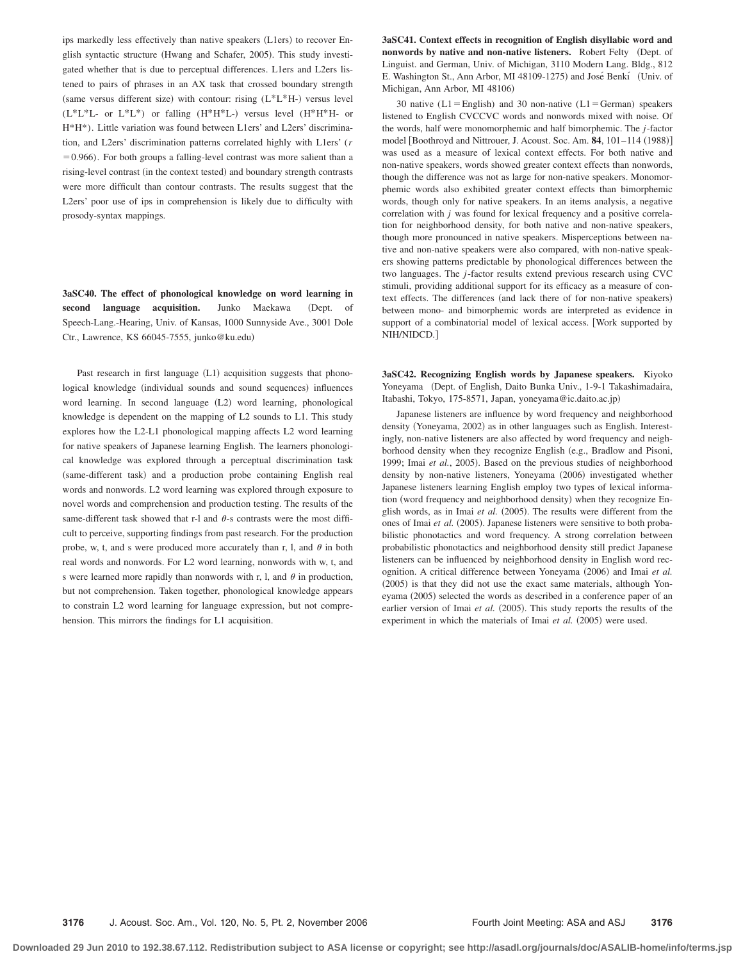ips markedly less effectively than native speakers (L1ers) to recover English syntactic structure (Hwang and Schafer, 2005). This study investigated whether that is due to perceptual differences. L1ers and L2ers listened to pairs of phrases in an AX task that crossed boundary strength (same versus different size) with contour: rising (L\*L\*H-) versus level  $(L^*L^*L$ - or  $L^*L^*)$  or falling  $(H^*H^*L-)$  versus level  $(H^*H^*H-$  or H\*H\*). Little variation was found between L1ers' and L2ers' discrimination, and L2ers' discrimination patterns correlated highly with L1ers' (*r*  $= 0.966$ ). For both groups a falling-level contrast was more salient than a rising-level contrast (in the context tested) and boundary strength contrasts were more difficult than contour contrasts. The results suggest that the L2ers' poor use of ips in comprehension is likely due to difficulty with prosody-syntax mappings.

**3aSC40. The effect of phonological knowledge on word learning in** second language acquisition. Junko Maekawa (Dept. of Speech-Lang.-Hearing, Univ. of Kansas, 1000 Sunnyside Ave., 3001 Dole Ctr., Lawrence, KS 66045-7555, junko@ku.edu-

Past research in first language (L1) acquisition suggests that phonological knowledge (individual sounds and sound sequences) influences word learning. In second language (L2) word learning, phonological knowledge is dependent on the mapping of L2 sounds to L1. This study explores how the L2-L1 phonological mapping affects L2 word learning for native speakers of Japanese learning English. The learners phonological knowledge was explored through a perceptual discrimination task (same-different task) and a production probe containing English real words and nonwords. L2 word learning was explored through exposure to novel words and comprehension and production testing. The results of the same-different task showed that r-l and  $\theta$ -s contrasts were the most difficult to perceive, supporting findings from past research. For the production probe, w, t, and s were produced more accurately than r, l, and  $\theta$  in both real words and nonwords. For L2 word learning, nonwords with w, t, and s were learned more rapidly than nonwords with r, l, and  $\theta$  in production, but not comprehension. Taken together, phonological knowledge appears to constrain L2 word learning for language expression, but not comprehension. This mirrors the findings for L1 acquisition.

**3aSC41. Context effects in recognition of English disyllabic word and** nonwords by native and non-native listeners. Robert Felty (Dept. of Linguist. and German, Univ. of Michigan, 3110 Modern Lang. Bldg., 812 E. Washington St., Ann Arbor, MI 48109-1275) and José Benkí (Univ. of Michigan, Ann Arbor, MI 48106)

30 native ( $L1 =$ English) and 30 non-native ( $L1 =$ German) speakers listened to English CVCCVC words and nonwords mixed with noise. Of the words, half were monomorphemic and half bimorphemic. The *j*-factor model [Boothroyd and Nittrouer, J. Acoust. Soc. Am. 84, 101-114 (1988)] was used as a measure of lexical context effects. For both native and non-native speakers, words showed greater context effects than nonwords, though the difference was not as large for non-native speakers. Monomorphemic words also exhibited greater context effects than bimorphemic words, though only for native speakers. In an items analysis, a negative correlation with *j* was found for lexical frequency and a positive correlation for neighborhood density, for both native and non-native speakers, though more pronounced in native speakers. Misperceptions between native and non-native speakers were also compared, with non-native speakers showing patterns predictable by phonological differences between the two languages. The *j*-factor results extend previous research using CVC stimuli, providing additional support for its efficacy as a measure of context effects. The differences (and lack there of for non-native speakers) between mono- and bimorphemic words are interpreted as evidence in support of a combinatorial model of lexical access. Work supported by NIH/NIDCD.

**3aSC42. Recognizing English words by Japanese speakers.** Kiyoko Yoneyama (Dept. of English, Daito Bunka Univ., 1-9-1 Takashimadaira, Itabashi, Tokyo, 175-8571, Japan, yoneyama@ic.daito.ac.jp-

Japanese listeners are influence by word frequency and neighborhood density (Yoneyama, 2002) as in other languages such as English. Interestingly, non-native listeners are also affected by word frequency and neighborhood density when they recognize English (e.g., Bradlow and Pisoni, 1999; Imai et al., 2005). Based on the previous studies of neighborhood density by non-native listeners, Yoneyama (2006) investigated whether Japanese listeners learning English employ two types of lexical information (word frequency and neighborhood density) when they recognize English words, as in Imai et al. (2005). The results were different from the ones of Imai et al. (2005). Japanese listeners were sensitive to both probabilistic phonotactics and word frequency. A strong correlation between probabilistic phonotactics and neighborhood density still predict Japanese listeners can be influenced by neighborhood density in English word recognition. A critical difference between Yoneyama (2006) and Imai et al. (2005) is that they did not use the exact same materials, although Yoneyama (2005) selected the words as described in a conference paper of an earlier version of Imai et al. (2005). This study reports the results of the experiment in which the materials of Imai et al. (2005) were used.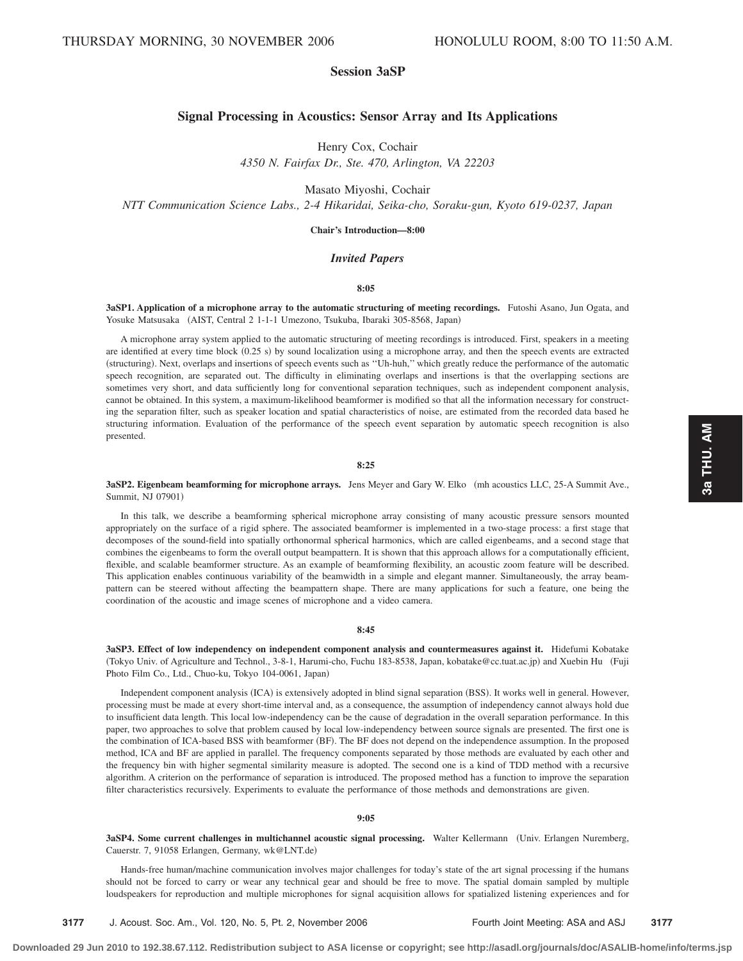# **Session 3aSP**

# **Signal Processing in Acoustics: Sensor Array and Its Applications**

Henry Cox, Cochair *4350 N. Fairfax Dr., Ste. 470, Arlington, VA 22203*

Masato Miyoshi, Cochair

*NTT Communication Science Labs., 2-4 Hikaridai, Seika-cho, Soraku-gun, Kyoto 619-0237, Japan*

# **Chair's Introduction—8:00**

# *Invited Papers*

# **8:05**

**3aSP1. Application of a microphone array to the automatic structuring of meeting recordings.** Futoshi Asano, Jun Ogata, and Yosuke Matsusaka (AIST, Central 2 1-1-1 Umezono, Tsukuba, Ibaraki 305-8568, Japan)

A microphone array system applied to the automatic structuring of meeting recordings is introduced. First, speakers in a meeting are identified at every time block (0.25 s) by sound localization using a microphone array, and then the speech events are extracted (structuring). Next, overlaps and insertions of speech events such as "Uh-huh," which greatly reduce the performance of the automatic speech recognition, are separated out. The difficulty in eliminating overlaps and insertions is that the overlapping sections are sometimes very short, and data sufficiently long for conventional separation techniques, such as independent component analysis, cannot be obtained. In this system, a maximum-likelihood beamformer is modified so that all the information necessary for constructing the separation filter, such as speaker location and spatial characteristics of noise, are estimated from the recorded data based he structuring information. Evaluation of the performance of the speech event separation by automatic speech recognition is also presented.

### **8:25**

**3aSP2. Eigenbeam beamforming for microphone arrays.** Jens Meyer and Gary W. Elko mh acoustics LLC, 25-A Summit Ave., Summit, NJ 07901)

In this talk, we describe a beamforming spherical microphone array consisting of many acoustic pressure sensors mounted appropriately on the surface of a rigid sphere. The associated beamformer is implemented in a two-stage process: a first stage that decomposes of the sound-field into spatially orthonormal spherical harmonics, which are called eigenbeams, and a second stage that combines the eigenbeams to form the overall output beampattern. It is shown that this approach allows for a computationally efficient, flexible, and scalable beamformer structure. As an example of beamforming flexibility, an acoustic zoom feature will be described. This application enables continuous variability of the beamwidth in a simple and elegant manner. Simultaneously, the array beampattern can be steered without affecting the beampattern shape. There are many applications for such a feature, one being the coordination of the acoustic and image scenes of microphone and a video camera.

### **8:45**

**3aSP3. Effect of low independency on independent component analysis and countermeasures against it.** Hidefumi Kobatake (Tokyo Univ. of Agriculture and Technol., 3-8-1, Harumi-cho, Fuchu 183-8538, Japan, kobatake@cc.tuat.ac.jp) and Xuebin Hu (Fuji Photo Film Co., Ltd., Chuo-ku, Tokyo 104-0061, Japan)

Independent component analysis (ICA) is extensively adopted in blind signal separation (BSS). It works well in general. However, processing must be made at every short-time interval and, as a consequence, the assumption of independency cannot always hold due to insufficient data length. This local low-independency can be the cause of degradation in the overall separation performance. In this paper, two approaches to solve that problem caused by local low-independency between source signals are presented. The first one is the combination of ICA-based BSS with beamformer (BF). The BF does not depend on the independence assumption. In the proposed method, ICA and BF are applied in parallel. The frequency components separated by those methods are evaluated by each other and the frequency bin with higher segmental similarity measure is adopted. The second one is a kind of TDD method with a recursive algorithm. A criterion on the performance of separation is introduced. The proposed method has a function to improve the separation filter characteristics recursively. Experiments to evaluate the performance of those methods and demonstrations are given.

#### **9:05**

**3aSP4. Some current challenges in multichannel acoustic signal processing.** Walter Kellermann Univ. Erlangen Nuremberg, Cauerstr. 7, 91058 Erlangen, Germany, wk@LNT.de)

Hands-free human/machine communication involves major challenges for today's state of the art signal processing if the humans should not be forced to carry or wear any technical gear and should be free to move. The spatial domain sampled by multiple loudspeakers for reproduction and multiple microphones for signal acquisition allows for spatialized listening experiences and for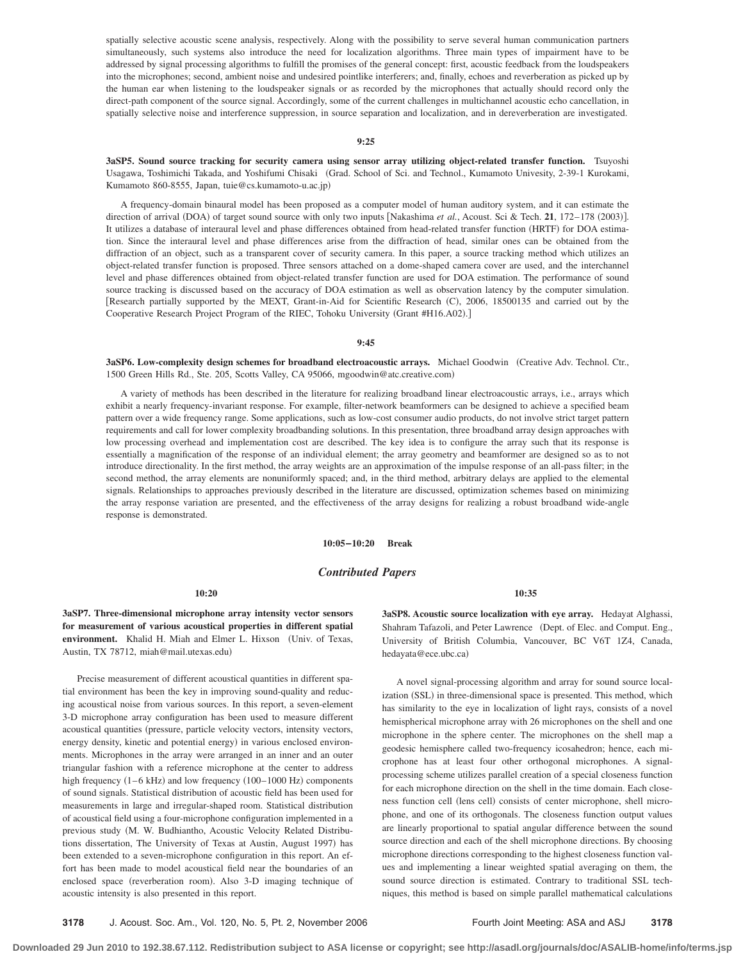spatially selective acoustic scene analysis, respectively. Along with the possibility to serve several human communication partners simultaneously, such systems also introduce the need for localization algorithms. Three main types of impairment have to be addressed by signal processing algorithms to fulfill the promises of the general concept: first, acoustic feedback from the loudspeakers into the microphones; second, ambient noise and undesired pointlike interferers; and, finally, echoes and reverberation as picked up by the human ear when listening to the loudspeaker signals or as recorded by the microphones that actually should record only the direct-path component of the source signal. Accordingly, some of the current challenges in multichannel acoustic echo cancellation, in spatially selective noise and interference suppression, in source separation and localization, and in dereverberation are investigated.

# **9:25**

**3aSP5. Sound source tracking for security camera using sensor array utilizing object-related transfer function.** Tsuyoshi Usagawa, Toshimichi Takada, and Yoshifumi Chisaki Grad. School of Sci. and Technol., Kumamoto Univesity, 2-39-1 Kurokami, Kumamoto 860-8555, Japan, tuie@cs.kumamoto-u.ac.jp)

A frequency-domain binaural model has been proposed as a computer model of human auditory system, and it can estimate the direction of arrival (DOA) of target sound source with only two inputs [Nakashima *et al.*, Acoust. Sci & Tech. 21, 172-178 (2003)]. It utilizes a database of interaural level and phase differences obtained from head-related transfer function (HRTF) for DOA estimation. Since the interaural level and phase differences arise from the diffraction of head, similar ones can be obtained from the diffraction of an object, such as a transparent cover of security camera. In this paper, a source tracking method which utilizes an object-related transfer function is proposed. Three sensors attached on a dome-shaped camera cover are used, and the interchannel level and phase differences obtained from object-related transfer function are used for DOA estimation. The performance of sound source tracking is discussed based on the accuracy of DOA estimation as well as observation latency by the computer simulation. [Research partially supported by the MEXT, Grant-in-Aid for Scientific Research (C), 2006, 18500135 and carried out by the Cooperative Research Project Program of the RIEC, Tohoku University (Grant #H16.A02).]

### **9:45**

**3aSP6. Low-complexity design schemes for broadband electroacoustic arrays.** Michael Goodwin (Creative Adv. Technol. Ctr., 1500 Green Hills Rd., Ste. 205, Scotts Valley, CA 95066, mgoodwin@atc.creative.com)

A variety of methods has been described in the literature for realizing broadband linear electroacoustic arrays, i.e., arrays which exhibit a nearly frequency-invariant response. For example, filter-network beamformers can be designed to achieve a specified beam pattern over a wide frequency range. Some applications, such as low-cost consumer audio products, do not involve strict target pattern requirements and call for lower complexity broadbanding solutions. In this presentation, three broadband array design approaches with low processing overhead and implementation cost are described. The key idea is to configure the array such that its response is essentially a magnification of the response of an individual element; the array geometry and beamformer are designed so as to not introduce directionality. In the first method, the array weights are an approximation of the impulse response of an all-pass filter; in the second method, the array elements are nonuniformly spaced; and, in the third method, arbitrary delays are applied to the elemental signals. Relationships to approaches previously described in the literature are discussed, optimization schemes based on minimizing the array response variation are presented, and the effectiveness of the array designs for realizing a robust broadband wide-angle response is demonstrated.

### **10:05–10:20 Break**

# *Contributed Papers*

**10:20**

**3aSP7. Three-dimensional microphone array intensity vector sensors for measurement of various acoustical properties in different spatial** environment. Khalid H. Miah and Elmer L. Hixson (Univ. of Texas, Austin, TX 78712, miah@mail.utexas.edu-

Precise measurement of different acoustical quantities in different spatial environment has been the key in improving sound-quality and reducing acoustical noise from various sources. In this report, a seven-element 3-D microphone array configuration has been used to measure different acoustical quantities (pressure, particle velocity vectors, intensity vectors, energy density, kinetic and potential energy) in various enclosed environments. Microphones in the array were arranged in an inner and an outer triangular fashion with a reference microphone at the center to address high frequency (1–6 kHz) and low frequency (100–1000 Hz) components of sound signals. Statistical distribution of acoustic field has been used for measurements in large and irregular-shaped room. Statistical distribution of acoustical field using a four-microphone configuration implemented in a previous study M. W. Budhiantho, Acoustic Velocity Related Distributions dissertation, The University of Texas at Austin, August 1997) has been extended to a seven-microphone configuration in this report. An effort has been made to model acoustical field near the boundaries of an enclosed space (reverberation room). Also 3-D imaging technique of acoustic intensity is also presented in this report.

# **10:35**

**3aSP8. Acoustic source localization with eye array.** Hedayat Alghassi, Shahram Tafazoli, and Peter Lawrence (Dept. of Elec. and Comput. Eng., University of British Columbia, Vancouver, BC V6T 1Z4, Canada, hedayata@ece.ubc.ca-

A novel signal-processing algorithm and array for sound source localization (SSL) in three-dimensional space is presented. This method, which has similarity to the eye in localization of light rays, consists of a novel hemispherical microphone array with 26 microphones on the shell and one microphone in the sphere center. The microphones on the shell map a geodesic hemisphere called two-frequency icosahedron; hence, each microphone has at least four other orthogonal microphones. A signalprocessing scheme utilizes parallel creation of a special closeness function for each microphone direction on the shell in the time domain. Each closeness function cell (lens cell) consists of center microphone, shell microphone, and one of its orthogonals. The closeness function output values are linearly proportional to spatial angular difference between the sound source direction and each of the shell microphone directions. By choosing microphone directions corresponding to the highest closeness function values and implementing a linear weighted spatial averaging on them, the sound source direction is estimated. Contrary to traditional SSL techniques, this method is based on simple parallel mathematical calculations

**3178** J. Acoust. Soc. Am., Vol. 120, No. 5, Pt. 2, November 2006 Fourth Joint Meeting: ASA and ASJ **3178**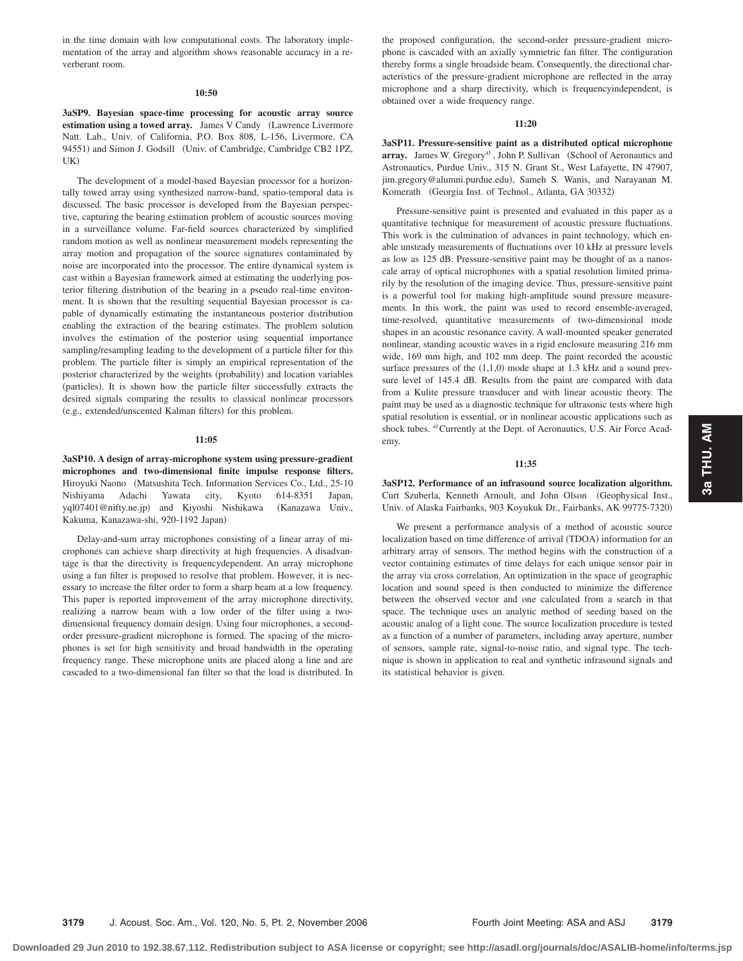in the time domain with low computational costs. The laboratory implementation of the array and algorithm shows reasonable accuracy in a reverberant room.

### **10:50**

# **3aSP9. Bayesian space-time processing for acoustic array source** estimation using a towed array. James V Candy (Lawrence Livermore Natt. Lab., Univ. of California, P.O. Box 808, L-156, Livermore, CA 94551) and Simon J. Godsill (Univ. of Cambridge, Cambridge CB2 1PZ, UK)

The development of a model-based Bayesian processor for a horizontally towed array using synthesized narrow-band, spatio-temporal data is discussed. The basic processor is developed from the Bayesian perspective, capturing the bearing estimation problem of acoustic sources moving in a surveillance volume. Far-field sources characterized by simplified random motion as well as nonlinear measurement models representing the array motion and propagation of the source signatures contaminated by noise are incorporated into the processor. The entire dynamical system is cast within a Bayesian framework aimed at estimating the underlying posterior filtering distribution of the bearing in a pseudo real-time environment. It is shown that the resulting sequential Bayesian processor is capable of dynamically estimating the instantaneous posterior distribution enabling the extraction of the bearing estimates. The problem solution involves the estimation of the posterior using sequential importance sampling/resampling leading to the development of a particle filter for this problem. The particle filter is simply an empirical representation of the posterior characterized by the weights (probability) and location variables (particles). It is shown how the particle filter successfully extracts the desired signals comparing the results to classical nonlinear processors (e.g., extended/unscented Kalman filters) for this problem.

# **11:05**

**3aSP10. A design of array-microphone system using pressure-gradient microphones and two-dimensional finite impulse response filters.** Hiroyuki Naono (Matsushita Tech. Information Services Co., Ltd., 25-10) Nishiyama Adachi Yawata city, Kyoto 614-8351 Japan, yql07401@nifty.ne.jp) and Kiyoshi Nishikawa (Kanazawa Univ., Kakuma, Kanazawa-shi, 920-1192 Japan)

Delay-and-sum array microphones consisting of a linear array of microphones can achieve sharp directivity at high frequencies. A disadvantage is that the directivity is frequencydependent. An array microphone using a fan filter is proposed to resolve that problem. However, it is necessary to increase the filter order to form a sharp beam at a low frequency. This paper is reported improvement of the array microphone directivity, realizing a narrow beam with a low order of the filter using a twodimensional frequency domain design. Using four microphones, a secondorder pressure-gradient microphone is formed. The spacing of the microphones is set for high sensitivity and broad bandwidth in the operating frequency range. These microphone units are placed along a line and are cascaded to a two-dimensional fan filter so that the load is distributed. In

the proposed configuration, the second-order pressure-gradient microphone is cascaded with an axially symmetric fan filter. The configuration thereby forms a single broadside beam. Consequently, the directional characteristics of the pressure-gradient microphone are reflected in the array microphone and a sharp directivity, which is frequencyindependent, is obtained over a wide frequency range.

#### **11:20**

**3aSP11. Pressure-sensitive paint as a distributed optical microphone** array. James W. Gregory<sup>a)</sup>, John P. Sullivan (School of Aeronautics and Astronautics, Purdue Univ., 315 N. Grant St., West Lafayette, IN 47907, jim.gregory@alumni.purdue.edu), Sameh S. Wanis, and Narayanan M. Komerath (Georgia Inst. of Technol., Atlanta, GA 30332)

Pressure-sensitive paint is presented and evaluated in this paper as a quantitative technique for measurement of acoustic pressure fluctuations. This work is the culmination of advances in paint technology, which enable unsteady measurements of fluctuations over 10 kHz at pressure levels as low as 125 dB. Pressure-sensitive paint may be thought of as a nanoscale array of optical microphones with a spatial resolution limited primarily by the resolution of the imaging device. Thus, pressure-sensitive paint is a powerful tool for making high-amplitude sound pressure measurements. In this work, the paint was used to record ensemble-averaged, time-resolved, quantitative measurements of two-dimensional mode shapes in an acoustic resonance cavity. A wall-mounted speaker generated nonlinear, standing acoustic waves in a rigid enclosure measuring 216 mm wide, 169 mm high, and 102 mm deep. The paint recorded the acoustic surface pressures of the  $(1,1,0)$  mode shape at 1.3 kHz and a sound pressure level of 145.4 dB. Results from the paint are compared with data from a Kulite pressure transducer and with linear acoustic theory. The paint may be used as a diagnostic technique for ultrasonic tests where high spatial resolution is essential, or in nonlinear acoustic applications such as shock tubes. <sup>a)</sup> Currently at the Dept. of Aeronautics, U.S. Air Force Academy.

### **11:35**

**3aSP12. Performance of an infrasound source localization algorithm.** Curt Szuberla, Kenneth Arnoult, and John Olson Geophysical Inst., Univ. of Alaska Fairbanks, 903 Koyukuk Dr., Fairbanks, AK 99775-7320)

We present a performance analysis of a method of acoustic source localization based on time difference of arrival (TDOA) information for an arbitrary array of sensors. The method begins with the construction of a vector containing estimates of time delays for each unique sensor pair in the array via cross correlation. An optimization in the space of geographic location and sound speed is then conducted to minimize the difference between the observed vector and one calculated from a search in that space. The technique uses an analytic method of seeding based on the acoustic analog of a light cone. The source localization procedure is tested as a function of a number of parameters, including array aperture, number of sensors, sample rate, signal-to-noise ratio, and signal type. The technique is shown in application to real and synthetic infrasound signals and its statistical behavior is given.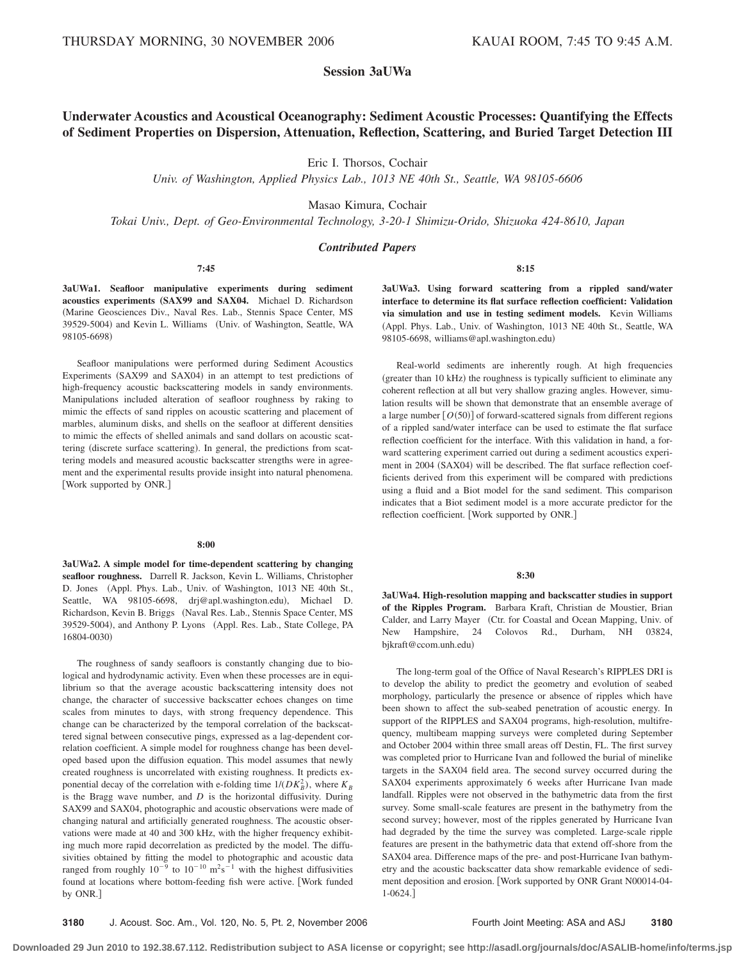# **Session 3aUWa**

# **Underwater Acoustics and Acoustical Oceanography: Sediment Acoustic Processes: Quantifying the Effects of Sediment Properties on Dispersion, Attenuation, Reflection, Scattering, and Buried Target Detection III**

Eric I. Thorsos, Cochair

*Univ. of Washington, Applied Physics Lab., 1013 NE 40th St., Seattle, WA 98105-6606*

Masao Kimura, Cochair

*Tokai Univ., Dept. of Geo-Environmental Technology, 3-20-1 Shimizu-Orido, Shizuoka 424-8610, Japan*

## *Contributed Papers*

**7:45**

**3aUWa1. Seafloor manipulative experiments during sediment** acoustics experiments (SAX99 and SAX04. Michael D. Richardson Marine Geosciences Div., Naval Res. Lab., Stennis Space Center, MS 39529-5004) and Kevin L. Williams (Univ. of Washington, Seattle, WA 98105-6698)

Seafloor manipulations were performed during Sediment Acoustics Experiments (SAX99 and SAX04) in an attempt to test predictions of high-frequency acoustic backscattering models in sandy environments. Manipulations included alteration of seafloor roughness by raking to mimic the effects of sand ripples on acoustic scattering and placement of marbles, aluminum disks, and shells on the seafloor at different densities to mimic the effects of shelled animals and sand dollars on acoustic scattering (discrete surface scattering). In general, the predictions from scattering models and measured acoustic backscatter strengths were in agreement and the experimental results provide insight into natural phenomena. [Work supported by ONR.]

## **8:00**

**3aUWa2. A simple model for time-dependent scattering by changing seafloor roughness.** Darrell R. Jackson, Kevin L. Williams, Christopher D. Jones (Appl. Phys. Lab., Univ. of Washington, 1013 NE 40th St., Seattle, WA 98105-6698, drj@apl.washington.edu), Michael D. Richardson, Kevin B. Briggs (Naval Res. Lab., Stennis Space Center, MS 39529-5004), and Anthony P. Lyons (Appl. Res. Lab., State College, PA 16804-0030)

The roughness of sandy seafloors is constantly changing due to biological and hydrodynamic activity. Even when these processes are in equilibrium so that the average acoustic backscattering intensity does not change, the character of successive backscatter echoes changes on time scales from minutes to days, with strong frequency dependence. This change can be characterized by the temporal correlation of the backscattered signal between consecutive pings, expressed as a lag-dependent correlation coefficient. A simple model for roughness change has been developed based upon the diffusion equation. This model assumes that newly created roughness is uncorrelated with existing roughness. It predicts exponential decay of the correlation with e-folding time  $1/(DK_B^2)$ , where  $K_B$ is the Bragg wave number, and *D* is the horizontal diffusivity. During SAX99 and SAX04, photographic and acoustic observations were made of changing natural and artificially generated roughness. The acoustic observations were made at 40 and 300 kHz, with the higher frequency exhibiting much more rapid decorrelation as predicted by the model. The diffusivities obtained by fitting the model to photographic and acoustic data ranged from roughly  $10^{-9}$  to  $10^{-10}$  m<sup>2</sup>s<sup>-1</sup> with the highest diffusivities found at locations where bottom-feeding fish were active. [Work funded by ONR.

**8:15**

3aUWa3. Using forward scattering from a rippled sand/water **interface to determine its flat surface reflection coefficient: Validation via simulation and use in testing sediment models.** Kevin Williams Appl. Phys. Lab., Univ. of Washington, 1013 NE 40th St., Seattle, WA 98105-6698, williams@apl.washington.edu)

Real-world sediments are inherently rough. At high frequencies (greater than 10 kHz) the roughness is typically sufficient to eliminate any coherent reflection at all but very shallow grazing angles. However, simulation results will be shown that demonstrate that an ensemble average of a large number  $[O(50)]$  of forward-scattered signals from different regions of a rippled sand/water interface can be used to estimate the flat surface reflection coefficient for the interface. With this validation in hand, a forward scattering experiment carried out during a sediment acoustics experiment in 2004 (SAX04) will be described. The flat surface reflection coefficients derived from this experiment will be compared with predictions using a fluid and a Biot model for the sand sediment. This comparison indicates that a Biot sediment model is a more accurate predictor for the reflection coefficient. Work supported by ONR.

#### **8:30**

**3aUWa4. High-resolution mapping and backscatter studies in support of the Ripples Program.** Barbara Kraft, Christian de Moustier, Brian Calder, and Larry Mayer (Ctr. for Coastal and Ocean Mapping, Univ. of New Hampshire, 24 Colovos Rd., Durham, NH 03824, bjkraft@ccom.unh.edu-

The long-term goal of the Office of Naval Research's RIPPLES DRI is to develop the ability to predict the geometry and evolution of seabed morphology, particularly the presence or absence of ripples which have been shown to affect the sub-seabed penetration of acoustic energy. In support of the RIPPLES and SAX04 programs, high-resolution, multifrequency, multibeam mapping surveys were completed during September and October 2004 within three small areas off Destin, FL. The first survey was completed prior to Hurricane Ivan and followed the burial of minelike targets in the SAX04 field area. The second survey occurred during the SAX04 experiments approximately 6 weeks after Hurricane Ivan made landfall. Ripples were not observed in the bathymetric data from the first survey. Some small-scale features are present in the bathymetry from the second survey; however, most of the ripples generated by Hurricane Ivan had degraded by the time the survey was completed. Large-scale ripple features are present in the bathymetric data that extend off-shore from the SAX04 area. Difference maps of the pre- and post-Hurricane Ivan bathymetry and the acoustic backscatter data show remarkable evidence of sediment deposition and erosion. Work supported by ONR Grant N00014-04- 1-0624.

**3180** J. Acoust. Soc. Am., Vol. 120, No. 5, Pt. 2, November 2006 Fourth Joint Meeting: ASA and ASJ **3180**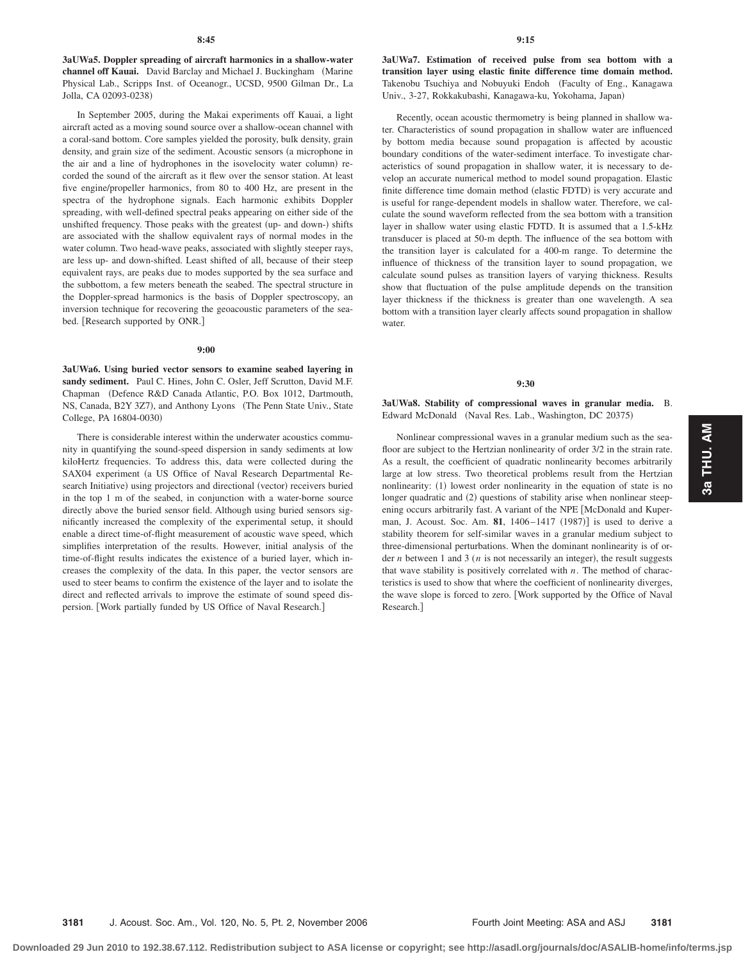**3aUWa5. Doppler spreading of aircraft harmonics in a shallow-water** channel off Kauai. David Barclay and Michael J. Buckingham (Marine Physical Lab., Scripps Inst. of Oceanogr., UCSD, 9500 Gilman Dr., La Jolla, CA 02093-0238)

In September 2005, during the Makai experiments off Kauai, a light aircraft acted as a moving sound source over a shallow-ocean channel with a coral-sand bottom. Core samples yielded the porosity, bulk density, grain density, and grain size of the sediment. Acoustic sensors (a microphone in the air and a line of hydrophones in the isovelocity water column) recorded the sound of the aircraft as it flew over the sensor station. At least five engine/propeller harmonics, from 80 to 400 Hz, are present in the spectra of the hydrophone signals. Each harmonic exhibits Doppler spreading, with well-defined spectral peaks appearing on either side of the unshifted frequency. Those peaks with the greatest (up- and down-) shifts are associated with the shallow equivalent rays of normal modes in the water column. Two head-wave peaks, associated with slightly steeper rays, are less up- and down-shifted. Least shifted of all, because of their steep equivalent rays, are peaks due to modes supported by the sea surface and the subbottom, a few meters beneath the seabed. The spectral structure in the Doppler-spread harmonics is the basis of Doppler spectroscopy, an inversion technique for recovering the geoacoustic parameters of the seabed. [Research supported by ONR.]

## **9:00**

**3aUWa6. Using buried vector sensors to examine seabed layering in sandy sediment.** Paul C. Hines, John C. Osler, Jeff Scrutton, David M.F. Chapman (Defence R&D Canada Atlantic, P.O. Box 1012, Dartmouth, NS, Canada, B2Y 3Z7), and Anthony Lyons (The Penn State Univ., State College, PA 16804-0030)

There is considerable interest within the underwater acoustics community in quantifying the sound-speed dispersion in sandy sediments at low kiloHertz frequencies. To address this, data were collected during the SAX04 experiment (a US Office of Naval Research Departmental Research Initiative) using projectors and directional (vector) receivers buried in the top 1 m of the seabed, in conjunction with a water-borne source directly above the buried sensor field. Although using buried sensors significantly increased the complexity of the experimental setup, it should enable a direct time-of-flight measurement of acoustic wave speed, which simplifies interpretation of the results. However, initial analysis of the time-of-flight results indicates the existence of a buried layer, which increases the complexity of the data. In this paper, the vector sensors are used to steer beams to confirm the existence of the layer and to isolate the direct and reflected arrivals to improve the estimate of sound speed dispersion. [Work partially funded by US Office of Naval Research.]

**3aUWa7. Estimation of received pulse from sea bottom with a transition layer using elastic finite difference time domain method.** Takenobu Tsuchiya and Nobuyuki Endoh (Faculty of Eng., Kanagawa Univ., 3-27, Rokkakubashi, Kanagawa-ku, Yokohama, Japan-

Recently, ocean acoustic thermometry is being planned in shallow water. Characteristics of sound propagation in shallow water are influenced by bottom media because sound propagation is affected by acoustic boundary conditions of the water-sediment interface. To investigate characteristics of sound propagation in shallow water, it is necessary to develop an accurate numerical method to model sound propagation. Elastic finite difference time domain method (elastic FDTD) is very accurate and is useful for range-dependent models in shallow water. Therefore, we calculate the sound waveform reflected from the sea bottom with a transition layer in shallow water using elastic FDTD. It is assumed that a 1.5-kHz transducer is placed at 50-m depth. The influence of the sea bottom with the transition layer is calculated for a 400-m range. To determine the influence of thickness of the transition layer to sound propagation, we calculate sound pulses as transition layers of varying thickness. Results show that fluctuation of the pulse amplitude depends on the transition layer thickness if the thickness is greater than one wavelength. A sea bottom with a transition layer clearly affects sound propagation in shallow water.

#### **9:30**

**3aUWa8. Stability of compressional waves in granular media.** B. Edward McDonald (Naval Res. Lab., Washington, DC 20375)

Nonlinear compressional waves in a granular medium such as the seafloor are subject to the Hertzian nonlinearity of order 3/2 in the strain rate. As a result, the coefficient of quadratic nonlinearity becomes arbitrarily large at low stress. Two theoretical problems result from the Hertzian nonlinearity: (1) lowest order nonlinearity in the equation of state is no longer quadratic and (2) questions of stability arise when nonlinear steepening occurs arbitrarily fast. A variant of the NPE [McDonald and Kuperman, J. Acoust. Soc. Am. 81, 1406–1417 (1987)] is used to derive a stability theorem for self-similar waves in a granular medium subject to three-dimensional perturbations. When the dominant nonlinearity is of order  $n$  between 1 and 3 ( $n$  is not necessarily an integer), the result suggests that wave stability is positively correlated with  $n$ . The method of characteristics is used to show that where the coefficient of nonlinearity diverges, the wave slope is forced to zero. Work supported by the Office of Naval Research.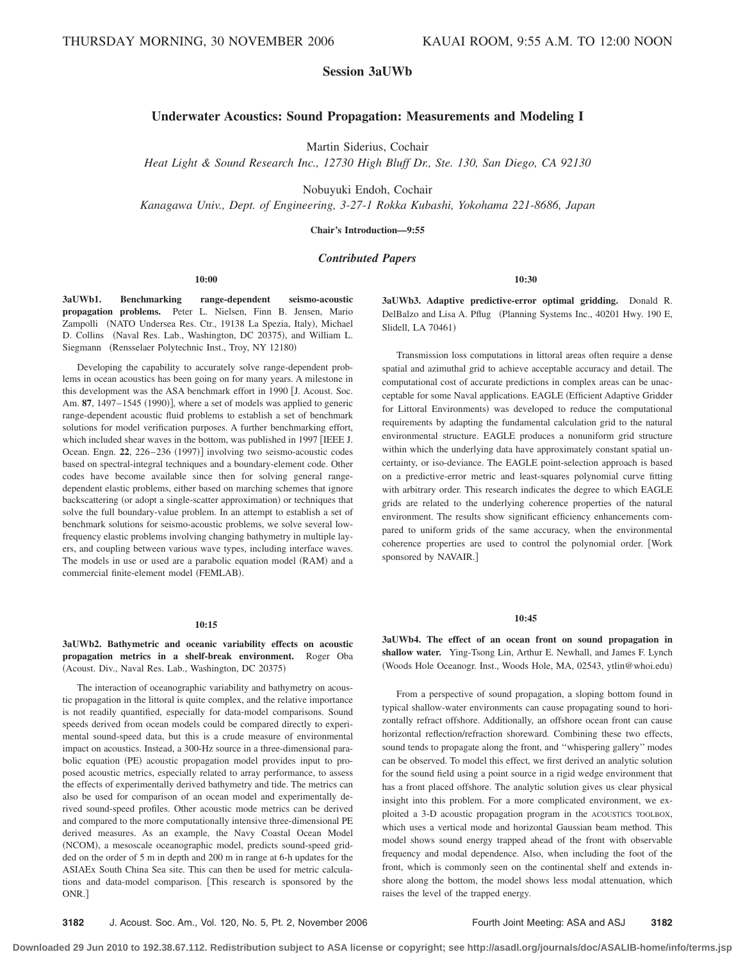# **Session 3aUWb**

# **Underwater Acoustics: Sound Propagation: Measurements and Modeling I**

Martin Siderius, Cochair

*Heat Light & Sound Research Inc., 12730 High Bluff Dr., Ste. 130, San Diego, CA 92130*

Nobuyuki Endoh, Cochair

*Kanagawa Univ., Dept. of Engineering, 3-27-1 Rokka Kubashi, Yokohama 221-8686, Japan*

**Chair's Introduction—9:55**

# *Contributed Papers*

**10:00**

**3aUWb1. Benchmarking range-dependent seismo-acoustic propagation problems.** Peter L. Nielsen, Finn B. Jensen, Mario Zampolli (NATO Undersea Res. Ctr., 19138 La Spezia, Italy), Michael D. Collins (Naval Res. Lab., Washington, DC 20375), and William L. Siegmann (Rensselaer Polytechnic Inst., Troy, NY 12180)

Developing the capability to accurately solve range-dependent problems in ocean acoustics has been going on for many years. A milestone in this development was the ASA benchmark effort in 1990 [J. Acoust. Soc. Am. 87, 1497–1545 (1990)], where a set of models was applied to generic range-dependent acoustic fluid problems to establish a set of benchmark solutions for model verification purposes. A further benchmarking effort, which included shear waves in the bottom, was published in 1997 [IEEE J. Ocean. Engn. 22, 226-236 (1997)] involving two seismo-acoustic codes based on spectral-integral techniques and a boundary-element code. Other codes have become available since then for solving general rangedependent elastic problems, either based on marching schemes that ignore backscattering (or adopt a single-scatter approximation) or techniques that solve the full boundary-value problem. In an attempt to establish a set of benchmark solutions for seismo-acoustic problems, we solve several lowfrequency elastic problems involving changing bathymetry in multiple layers, and coupling between various wave types, including interface waves. The models in use or used are a parabolic equation model (RAM) and a commercial finite-element model (FEMLAB).

#### **10:15**

**3aUWb2. Bathymetric and oceanic variability effects on acoustic propagation metrics in a shelf-break environment.** Roger Oba (Acoust. Div., Naval Res. Lab., Washington, DC 20375)

The interaction of oceanographic variability and bathymetry on acoustic propagation in the littoral is quite complex, and the relative importance is not readily quantified, especially for data-model comparisons. Sound speeds derived from ocean models could be compared directly to experimental sound-speed data, but this is a crude measure of environmental impact on acoustics. Instead, a 300-Hz source in a three-dimensional parabolic equation (PE) acoustic propagation model provides input to proposed acoustic metrics, especially related to array performance, to assess the effects of experimentally derived bathymetry and tide. The metrics can also be used for comparison of an ocean model and experimentally derived sound-speed profiles. Other acoustic mode metrics can be derived and compared to the more computationally intensive three-dimensional PE derived measures. As an example, the Navy Coastal Ocean Model (NCOM), a mesoscale oceanographic model, predicts sound-speed gridded on the order of 5 m in depth and 200 m in range at 6-h updates for the ASIAEx South China Sea site. This can then be used for metric calculations and data-model comparison. This research is sponsored by the ONR.

**10:30**

**3aUWb3. Adaptive predictive-error optimal gridding.** Donald R. DelBalzo and Lisa A. Pflug (Planning Systems Inc., 40201 Hwy. 190 E, Slidell, LA 70461)

Transmission loss computations in littoral areas often require a dense spatial and azimuthal grid to achieve acceptable accuracy and detail. The computational cost of accurate predictions in complex areas can be unacceptable for some Naval applications. EAGLE (Efficient Adaptive Gridder for Littoral Environments) was developed to reduce the computational requirements by adapting the fundamental calculation grid to the natural environmental structure. EAGLE produces a nonuniform grid structure within which the underlying data have approximately constant spatial uncertainty, or iso-deviance. The EAGLE point-selection approach is based on a predictive-error metric and least-squares polynomial curve fitting with arbitrary order. This research indicates the degree to which EAGLE grids are related to the underlying coherence properties of the natural environment. The results show significant efficiency enhancements compared to uniform grids of the same accuracy, when the environmental coherence properties are used to control the polynomial order. Work sponsored by NAVAIR.

## **10:45**

**3aUWb4. The effect of an ocean front on sound propagation in shallow water.** Ying-Tsong Lin, Arthur E. Newhall, and James F. Lynch Woods Hole Oceanogr. Inst., Woods Hole, MA, 02543, ytlin@whoi.edu-

From a perspective of sound propagation, a sloping bottom found in typical shallow-water environments can cause propagating sound to horizontally refract offshore. Additionally, an offshore ocean front can cause horizontal reflection/refraction shoreward. Combining these two effects, sound tends to propagate along the front, and ''whispering gallery'' modes can be observed. To model this effect, we first derived an analytic solution for the sound field using a point source in a rigid wedge environment that has a front placed offshore. The analytic solution gives us clear physical insight into this problem. For a more complicated environment, we exploited a 3-D acoustic propagation program in the ACOUSTICS TOOLBOX, which uses a vertical mode and horizontal Gaussian beam method. This model shows sound energy trapped ahead of the front with observable frequency and modal dependence. Also, when including the foot of the front, which is commonly seen on the continental shelf and extends inshore along the bottom, the model shows less modal attenuation, which raises the level of the trapped energy.

**3182** J. Acoust. Soc. Am., Vol. 120, No. 5, Pt. 2, November 2006 Fourth Joint Meeting: ASA and ASJ **3182**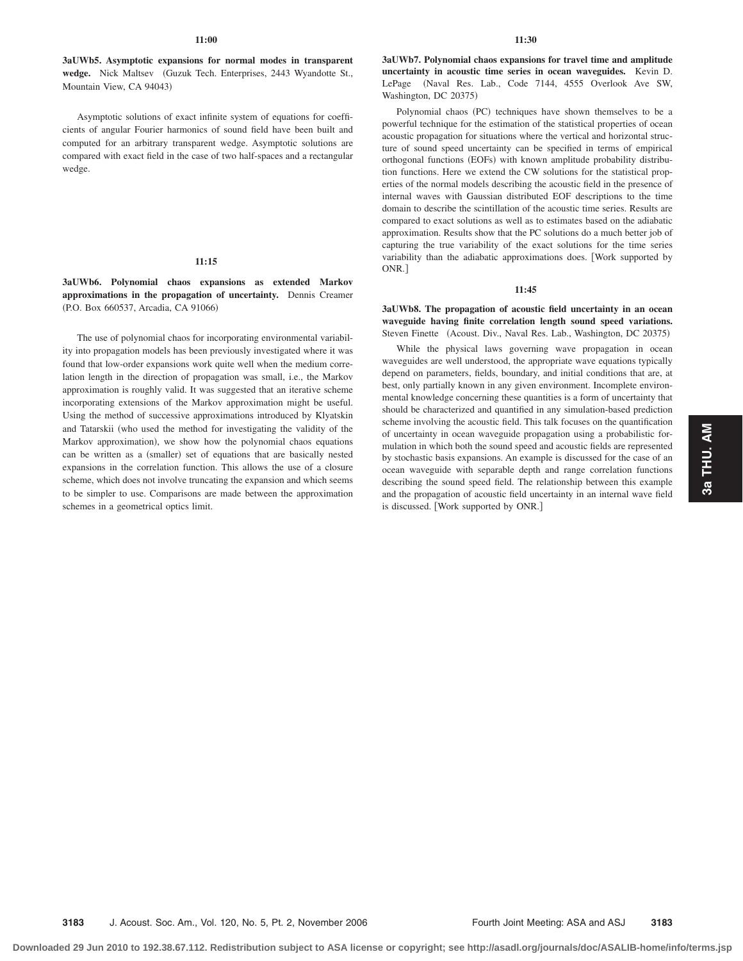**3aUWb5. Asymptotic expansions for normal modes in transparent** wedge. Nick Maltsev (Guzuk Tech. Enterprises, 2443 Wyandotte St., Mountain View, CA 94043)

Asymptotic solutions of exact infinite system of equations for coefficients of angular Fourier harmonics of sound field have been built and computed for an arbitrary transparent wedge. Asymptotic solutions are compared with exact field in the case of two half-spaces and a rectangular wedge.

## **11:15**

**3aUWb6. Polynomial chaos expansions as extended Markov approximations in the propagation of uncertainty.** Dennis Creamer (P.O. Box 660537, Arcadia, CA 91066)

The use of polynomial chaos for incorporating environmental variability into propagation models has been previously investigated where it was found that low-order expansions work quite well when the medium correlation length in the direction of propagation was small, i.e., the Markov approximation is roughly valid. It was suggested that an iterative scheme incorporating extensions of the Markov approximation might be useful. Using the method of successive approximations introduced by Klyatskin and Tatarskii (who used the method for investigating the validity of the Markov approximation), we show how the polynomial chaos equations can be written as a (smaller) set of equations that are basically nested expansions in the correlation function. This allows the use of a closure scheme, which does not involve truncating the expansion and which seems to be simpler to use. Comparisons are made between the approximation schemes in a geometrical optics limit.

**3aUWb7. Polynomial chaos expansions for travel time and amplitude uncertainty in acoustic time series in ocean waveguides.** Kevin D. LePage (Naval Res. Lab., Code 7144, 4555 Overlook Ave SW, Washington, DC 20375)

Polynomial chaos (PC) techniques have shown themselves to be a powerful technique for the estimation of the statistical properties of ocean acoustic propagation for situations where the vertical and horizontal structure of sound speed uncertainty can be specified in terms of empirical orthogonal functions (EOFs) with known amplitude probability distribution functions. Here we extend the CW solutions for the statistical properties of the normal models describing the acoustic field in the presence of internal waves with Gaussian distributed EOF descriptions to the time domain to describe the scintillation of the acoustic time series. Results are compared to exact solutions as well as to estimates based on the adiabatic approximation. Results show that the PC solutions do a much better job of capturing the true variability of the exact solutions for the time series variability than the adiabatic approximations does. Work supported by ONR.

## **11:45**

**3aUWb8. The propagation of acoustic field uncertainty in an ocean waveguide having finite correlation length sound speed variations.** Steven Finette (Acoust. Div., Naval Res. Lab., Washington, DC 20375)

While the physical laws governing wave propagation in ocean waveguides are well understood, the appropriate wave equations typically depend on parameters, fields, boundary, and initial conditions that are, at best, only partially known in any given environment. Incomplete environmental knowledge concerning these quantities is a form of uncertainty that should be characterized and quantified in any simulation-based prediction scheme involving the acoustic field. This talk focuses on the quantification of uncertainty in ocean waveguide propagation using a probabilistic formulation in which both the sound speed and acoustic fields are represented by stochastic basis expansions. An example is discussed for the case of an ocean waveguide with separable depth and range correlation functions describing the sound speed field. The relationship between this example and the propagation of acoustic field uncertainty in an internal wave field is discussed. [Work supported by ONR.]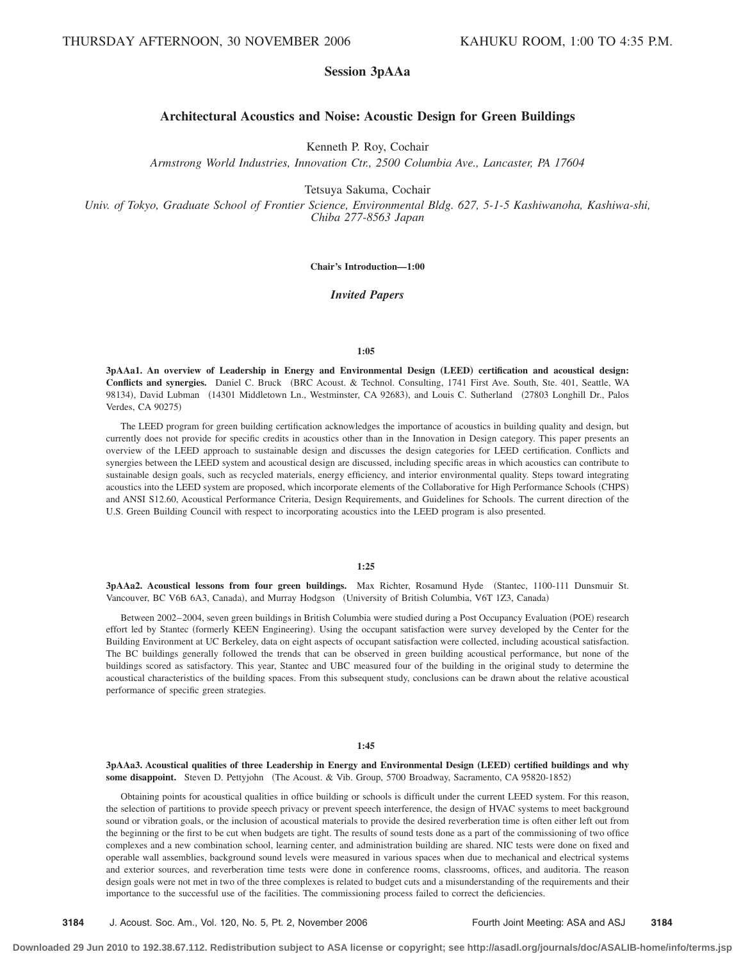# **Session 3pAAa**

# **Architectural Acoustics and Noise: Acoustic Design for Green Buildings**

Kenneth P. Roy, Cochair

*Armstrong World Industries, Innovation Ctr., 2500 Columbia Ave., Lancaster, PA 17604*

Tetsuya Sakuma, Cochair

*Univ. of Tokyo, Graduate School of Frontier Science, Environmental Bldg. 627, 5-1-5 Kashiwanoha, Kashiwa-shi, Chiba 277-8563 Japan*

**Chair's Introduction—1:00**

*Invited Papers*

# **1:05**

**3pAAa1. An overview of Leadership in Energy and Environmental Design** "**LEED**… **certification and acoustical design: Conflicts and synergies.** Daniel C. Bruck BRC Acoust. & Technol. Consulting, 1741 First Ave. South, Ste. 401, Seattle, WA 98134), David Lubman (14301 Middletown Ln., Westminster, CA 92683), and Louis C. Sutherland (27803 Longhill Dr., Palos Verdes, CA 90275)

The LEED program for green building certification acknowledges the importance of acoustics in building quality and design, but currently does not provide for specific credits in acoustics other than in the Innovation in Design category. This paper presents an overview of the LEED approach to sustainable design and discusses the design categories for LEED certification. Conflicts and synergies between the LEED system and acoustical design are discussed, including specific areas in which acoustics can contribute to sustainable design goals, such as recycled materials, energy efficiency, and interior environmental quality. Steps toward integrating acoustics into the LEED system are proposed, which incorporate elements of the Collaborative for High Performance Schools CHPS and ANSI S12.60, Acoustical Performance Criteria, Design Requirements, and Guidelines for Schools. The current direction of the U.S. Green Building Council with respect to incorporating acoustics into the LEED program is also presented.

# **1:25**

**3pAAa2. Acoustical lessons from four green buildings.** Max Richter, Rosamund Hyde (Stantec, 1100-111 Dunsmuir St. Vancouver, BC V6B 6A3, Canada), and Murray Hodgson (University of British Columbia, V6T 1Z3, Canada)

Between 2002-2004, seven green buildings in British Columbia were studied during a Post Occupancy Evaluation (POE) research effort led by Stantec (formerly KEEN Engineering). Using the occupant satisfaction were survey developed by the Center for the Building Environment at UC Berkeley, data on eight aspects of occupant satisfaction were collected, including acoustical satisfaction. The BC buildings generally followed the trends that can be observed in green building acoustical performance, but none of the buildings scored as satisfactory. This year, Stantec and UBC measured four of the building in the original study to determine the acoustical characteristics of the building spaces. From this subsequent study, conclusions can be drawn about the relative acoustical performance of specific green strategies.

## **1:45**

**3pAAa3. Acoustical qualities of three Leadership in Energy and Environmental Design** "**LEED**… **certified buildings and why** some disappoint. Steven D. Pettyjohn (The Acoust. & Vib. Group, 5700 Broadway, Sacramento, CA 95820-1852)

Obtaining points for acoustical qualities in office building or schools is difficult under the current LEED system. For this reason, the selection of partitions to provide speech privacy or prevent speech interference, the design of HVAC systems to meet background sound or vibration goals, or the inclusion of acoustical materials to provide the desired reverberation time is often either left out from the beginning or the first to be cut when budgets are tight. The results of sound tests done as a part of the commissioning of two office complexes and a new combination school, learning center, and administration building are shared. NIC tests were done on fixed and operable wall assemblies, background sound levels were measured in various spaces when due to mechanical and electrical systems and exterior sources, and reverberation time tests were done in conference rooms, classrooms, offices, and auditoria. The reason design goals were not met in two of the three complexes is related to budget cuts and a misunderstanding of the requirements and their importance to the successful use of the facilities. The commissioning process failed to correct the deficiencies.

**3184** J. Acoust. Soc. Am., Vol. 120, No. 5, Pt. 2, November 2006 Fourth Joint Meeting: ASA and ASJ **3184**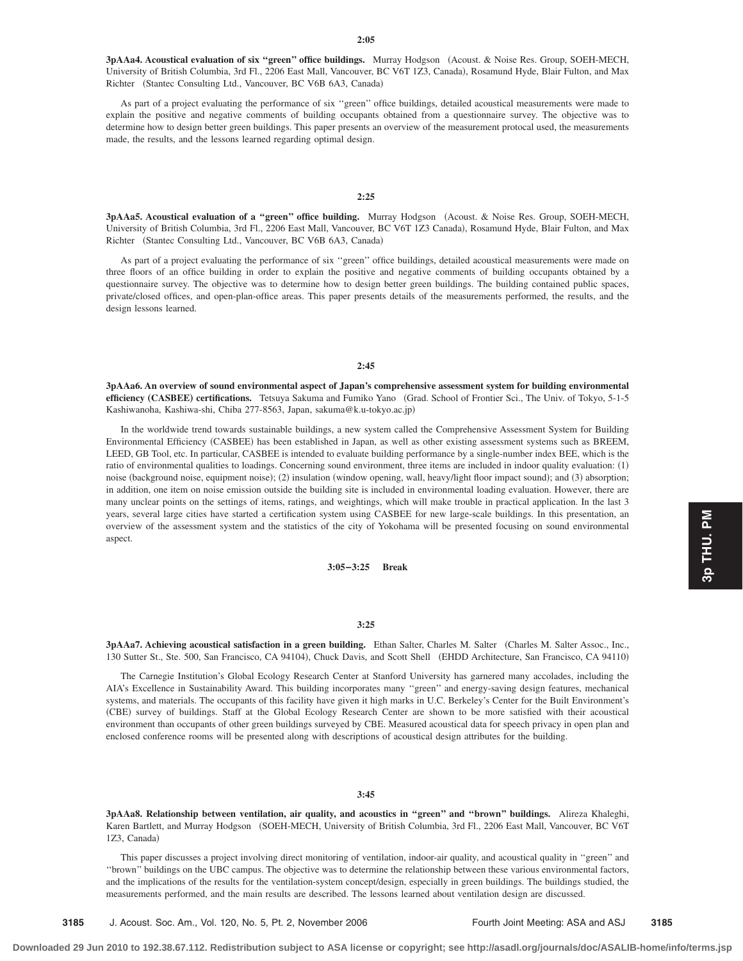**3pAAa4. Acoustical evaluation of six ''green'' office buildings.** Murray Hodgson Acoust. & Noise Res. Group, SOEH-MECH, University of British Columbia, 3rd Fl., 2206 East Mall, Vancouver, BC V6T 1Z3, Canada), Rosamund Hyde, Blair Fulton, and Max Richter (Stantec Consulting Ltd., Vancouver, BC V6B 6A3, Canada)

As part of a project evaluating the performance of six ''green'' office buildings, detailed acoustical measurements were made to explain the positive and negative comments of building occupants obtained from a questionnaire survey. The objective was to determine how to design better green buildings. This paper presents an overview of the measurement protocal used, the measurements made, the results, and the lessons learned regarding optimal design.

#### **2:25**

**3pAAa5. Acoustical evaluation of a ''green'' office building.** Murray Hodgson Acoust. & Noise Res. Group, SOEH-MECH, University of British Columbia, 3rd Fl., 2206 East Mall, Vancouver, BC V6T 1Z3 Canada), Rosamund Hyde, Blair Fulton, and Max Richter (Stantec Consulting Ltd., Vancouver, BC V6B 6A3, Canada)

As part of a project evaluating the performance of six "green" office buildings, detailed acoustical measurements were made on three floors of an office building in order to explain the positive and negative comments of building occupants obtained by a questionnaire survey. The objective was to determine how to design better green buildings. The building contained public spaces, private/closed offices, and open-plan-office areas. This paper presents details of the measurements performed, the results, and the design lessons learned.

# **2:45**

**3pAAa6. An overview of sound environmental aspect of Japan's comprehensive assessment system for building environmental efficiency** (CASBEE) certifications. Tetsuya Sakuma and Fumiko Yano (Grad. School of Frontier Sci., The Univ. of Tokyo, 5-1-5 Kashiwanoha, Kashiwa-shi, Chiba 277-8563, Japan, sakuma@k.u-tokyo.ac.jp-

In the worldwide trend towards sustainable buildings, a new system called the Comprehensive Assessment System for Building Environmental Efficiency (CASBEE) has been established in Japan, as well as other existing assessment systems such as BREEM, LEED, GB Tool, etc. In particular, CASBEE is intended to evaluate building performance by a single-number index BEE, which is the ratio of environmental qualities to loadings. Concerning sound environment, three items are included in indoor quality evaluation: (1) noise (background noise, equipment noise); (2) insulation (window opening, wall, heavy/light floor impact sound); and (3) absorption; in addition, one item on noise emission outside the building site is included in environmental loading evaluation. However, there are many unclear points on the settings of items, ratings, and weightings, which will make trouble in practical application. In the last 3 years, several large cities have started a certification system using CASBEE for new large-scale buildings. In this presentation, an overview of the assessment system and the statistics of the city of Yokohama will be presented focusing on sound environmental aspect.

## **3:05–3:25 Break**

## **3:25**

**3pAAa7. Achieving acoustical satisfaction in a green building.** Ethan Salter, Charles M. Salter Charles M. Salter Assoc., Inc., 130 Sutter St., Ste. 500, San Francisco, CA 94104), Chuck Davis, and Scott Shell (EHDD Architecture, San Francisco, CA 94110)

The Carnegie Institution's Global Ecology Research Center at Stanford University has garnered many accolades, including the AIA's Excellence in Sustainability Award. This building incorporates many ''green'' and energy-saving design features, mechanical systems, and materials. The occupants of this facility have given it high marks in U.C. Berkeley's Center for the Built Environment's (CBE) survey of buildings. Staff at the Global Ecology Research Center are shown to be more satisfied with their acoustical environment than occupants of other green buildings surveyed by CBE. Measured acoustical data for speech privacy in open plan and enclosed conference rooms will be presented along with descriptions of acoustical design attributes for the building.

#### **3:45**

**3pAAa8. Relationship between ventilation, air quality, and acoustics in ''green'' and ''brown'' buildings.** Alireza Khaleghi, Karen Bartlett, and Murray Hodgson (SOEH-MECH, University of British Columbia, 3rd Fl., 2206 East Mall, Vancouver, BC V6T 1Z3, Canada)

This paper discusses a project involving direct monitoring of ventilation, indoor-air quality, and acoustical quality in ''green'' and ''brown'' buildings on the UBC campus. The objective was to determine the relationship between these various environmental factors, and the implications of the results for the ventilation-system concept/design, especially in green buildings. The buildings studied, the measurements performed, and the main results are described. The lessons learned about ventilation design are discussed.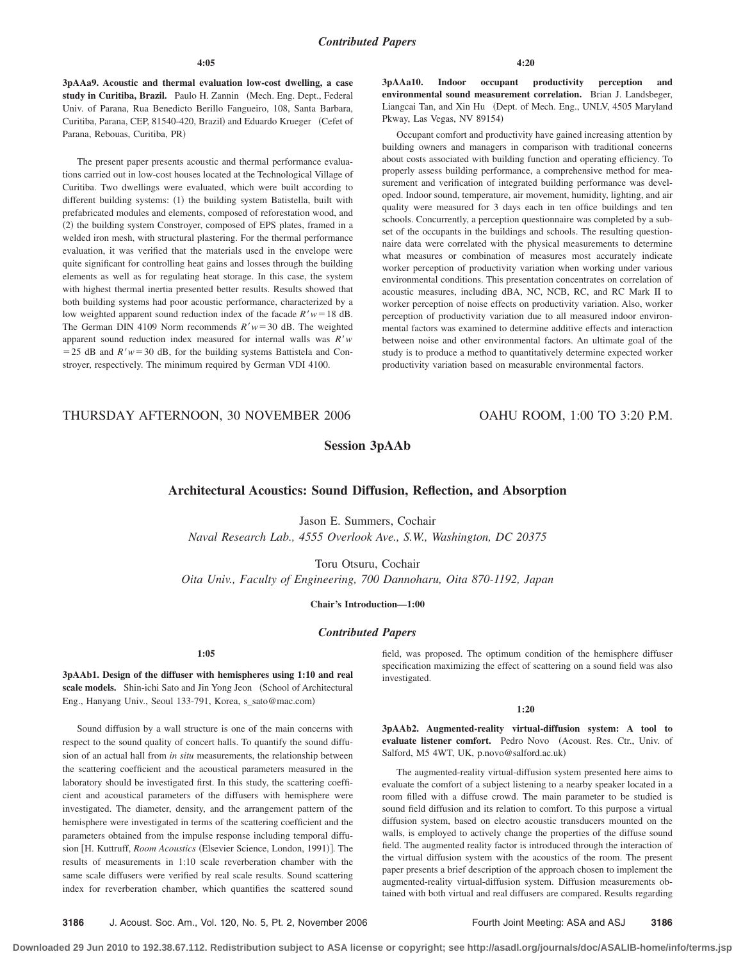**3pAAa9. Acoustic and thermal evaluation low-cost dwelling, a case** study in Curitiba, Brazil. Paulo H. Zannin (Mech. Eng. Dept., Federal Univ. of Parana, Rua Benedicto Berillo Fangueiro, 108, Santa Barbara, Curitiba, Parana, CEP, 81540-420, Brazil) and Eduardo Krueger (Cefet of Parana, Rebouas, Curitiba, PR)

The present paper presents acoustic and thermal performance evaluations carried out in low-cost houses located at the Technological Village of Curitiba. Two dwellings were evaluated, which were built according to different building systems: (1) the building system Batistella, built with prefabricated modules and elements, composed of reforestation wood, and (2) the building system Constroyer, composed of EPS plates, framed in a welded iron mesh, with structural plastering. For the thermal performance evaluation, it was verified that the materials used in the envelope were quite significant for controlling heat gains and losses through the building elements as well as for regulating heat storage. In this case, the system with highest thermal inertia presented better results. Results showed that both building systems had poor acoustic performance, characterized by a low weighted apparent sound reduction index of the facade  $R/w = 18$  dB. The German DIN 4109 Norm recommends  $R/w = 30$  dB. The weighted apparent sound reduction index measured for internal walls was *Rw* = 25 dB and  $R'w$  = 30 dB, for the building systems Battistela and Constroyer, respectively. The minimum required by German VDI 4100.

**3pAAa10. Indoor occupant productivity perception and environmental sound measurement correlation.** Brian J. Landsbeger, Liangcai Tan, and Xin Hu (Dept. of Mech. Eng., UNLV, 4505 Maryland Pkway, Las Vegas, NV 89154)

Occupant comfort and productivity have gained increasing attention by building owners and managers in comparison with traditional concerns about costs associated with building function and operating efficiency. To properly assess building performance, a comprehensive method for measurement and verification of integrated building performance was developed. Indoor sound, temperature, air movement, humidity, lighting, and air quality were measured for 3 days each in ten office buildings and ten schools. Concurrently, a perception questionnaire was completed by a subset of the occupants in the buildings and schools. The resulting questionnaire data were correlated with the physical measurements to determine what measures or combination of measures most accurately indicate worker perception of productivity variation when working under various environmental conditions. This presentation concentrates on correlation of acoustic measures, including dBA, NC, NCB, RC, and RC Mark II to worker perception of noise effects on productivity variation. Also, worker perception of productivity variation due to all measured indoor environmental factors was examined to determine additive effects and interaction between noise and other environmental factors. An ultimate goal of the study is to produce a method to quantitatively determine expected worker productivity variation based on measurable environmental factors.

# THURSDAY AFTERNOON, 30 NOVEMBER 2006 OAHU ROOM, 1:00 TO 3:20 P.M.

**Session 3pAAb**

# **Architectural Acoustics: Sound Diffusion, Reflection, and Absorption**

Jason E. Summers, Cochair *Naval Research Lab., 4555 Overlook Ave., S.W., Washington, DC 20375*

Toru Otsuru, Cochair

*Oita Univ., Faculty of Engineering, 700 Dannoharu, Oita 870-1192, Japan*

**Chair's Introduction—1:00**

# *Contributed Papers*

**1:05**

**3pAAb1. Design of the diffuser with hemispheres using 1:10 and real** scale models. Shin-ichi Sato and Jin Yong Jeon (School of Architectural Eng., Hanyang Univ., Seoul 133-791, Korea, s\_sato@mac.com)

Sound diffusion by a wall structure is one of the main concerns with respect to the sound quality of concert halls. To quantify the sound diffusion of an actual hall from *in situ* measurements, the relationship between the scattering coefficient and the acoustical parameters measured in the laboratory should be investigated first. In this study, the scattering coefficient and acoustical parameters of the diffusers with hemisphere were investigated. The diameter, density, and the arrangement pattern of the hemisphere were investigated in terms of the scattering coefficient and the parameters obtained from the impulse response including temporal diffusion [H. Kuttruff, *Room Acoustics* (Elsevier Science, London, 1991)]. The results of measurements in 1:10 scale reverberation chamber with the same scale diffusers were verified by real scale results. Sound scattering index for reverberation chamber, which quantifies the scattered sound

field, was proposed. The optimum condition of the hemisphere diffuser specification maximizing the effect of scattering on a sound field was also investigated.

#### **1:20**

**3pAAb2. Augmented-reality virtual-diffusion system: A tool to** evaluate listener comfort. Pedro Novo (Acoust. Res. Ctr., Univ. of Salford, M5 4WT, UK, p.novo@salford.ac.uk-

The augmented-reality virtual-diffusion system presented here aims to evaluate the comfort of a subject listening to a nearby speaker located in a room filled with a diffuse crowd. The main parameter to be studied is sound field diffusion and its relation to comfort. To this purpose a virtual diffusion system, based on electro acoustic transducers mounted on the walls, is employed to actively change the properties of the diffuse sound field. The augmented reality factor is introduced through the interaction of the virtual diffusion system with the acoustics of the room. The present paper presents a brief description of the approach chosen to implement the augmented-reality virtual-diffusion system. Diffusion measurements obtained with both virtual and real diffusers are compared. Results regarding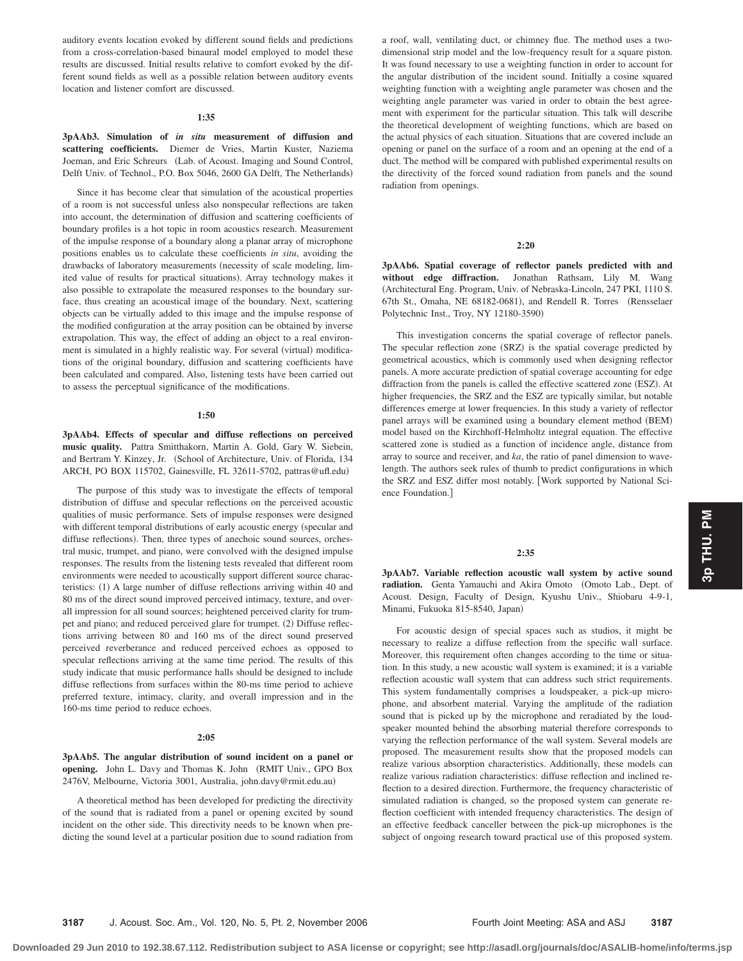auditory events location evoked by different sound fields and predictions from a cross-correlation-based binaural model employed to model these results are discussed. Initial results relative to comfort evoked by the different sound fields as well as a possible relation between auditory events location and listener comfort are discussed.

## **1:35**

**3pAAb3. Simulation of** *in situ* **measurement of diffusion and scattering coefficients.** Diemer de Vries, Martin Kuster, Naziema Joeman, and Eric Schreurs (Lab. of Acoust. Imaging and Sound Control, Delft Univ. of Technol., P.O. Box 5046, 2600 GA Delft, The Netherlands)

Since it has become clear that simulation of the acoustical properties of a room is not successful unless also nonspecular reflections are taken into account, the determination of diffusion and scattering coefficients of boundary profiles is a hot topic in room acoustics research. Measurement of the impulse response of a boundary along a planar array of microphone positions enables us to calculate these coefficients *in situ*, avoiding the drawbacks of laboratory measurements (necessity of scale modeling, limited value of results for practical situations). Array technology makes it also possible to extrapolate the measured responses to the boundary surface, thus creating an acoustical image of the boundary. Next, scattering objects can be virtually added to this image and the impulse response of the modified configuration at the array position can be obtained by inverse extrapolation. This way, the effect of adding an object to a real environment is simulated in a highly realistic way. For several (virtual) modifications of the original boundary, diffusion and scattering coefficients have been calculated and compared. Also, listening tests have been carried out to assess the perceptual significance of the modifications.

#### **1:50**

**3pAAb4. Effects of specular and diffuse reflections on perceived music quality.** Pattra Smitthakorn, Martin A. Gold, Gary W. Siebein, and Bertram Y. Kinzey, Jr. (School of Architecture, Univ. of Florida, 134 ARCH, PO BOX 115702, Gainesville, FL 32611-5702, pattras@ufl.edu)

The purpose of this study was to investigate the effects of temporal distribution of diffuse and specular reflections on the perceived acoustic qualities of music performance. Sets of impulse responses were designed with different temporal distributions of early acoustic energy (specular and diffuse reflections). Then, three types of anechoic sound sources, orchestral music, trumpet, and piano, were convolved with the designed impulse responses. The results from the listening tests revealed that different room environments were needed to acoustically support different source characteristics: (1) A large number of diffuse reflections arriving within 40 and 80 ms of the direct sound improved perceived intimacy, texture, and overall impression for all sound sources; heightened perceived clarity for trumpet and piano; and reduced perceived glare for trumpet. (2) Diffuse reflections arriving between 80 and 160 ms of the direct sound preserved perceived reverberance and reduced perceived echoes as opposed to specular reflections arriving at the same time period. The results of this study indicate that music performance halls should be designed to include diffuse reflections from surfaces within the 80-ms time period to achieve preferred texture, intimacy, clarity, and overall impression and in the 160-ms time period to reduce echoes.

#### **2:05**

**3pAAb5. The angular distribution of sound incident on a panel or opening.** John L. Davy and Thomas K. John (RMIT Univ., GPO Box 2476V, Melbourne, Victoria 3001, Australia, john.davy@rmit.edu.au-

A theoretical method has been developed for predicting the directivity of the sound that is radiated from a panel or opening excited by sound incident on the other side. This directivity needs to be known when predicting the sound level at a particular position due to sound radiation from a roof, wall, ventilating duct, or chimney flue. The method uses a twodimensional strip model and the low-frequency result for a square piston. It was found necessary to use a weighting function in order to account for the angular distribution of the incident sound. Initially a cosine squared weighting function with a weighting angle parameter was chosen and the weighting angle parameter was varied in order to obtain the best agreement with experiment for the particular situation. This talk will describe the theoretical development of weighting functions, which are based on the actual physics of each situation. Situations that are covered include an opening or panel on the surface of a room and an opening at the end of a duct. The method will be compared with published experimental results on the directivity of the forced sound radiation from panels and the sound radiation from openings.

## **2:20**

**3pAAb6. Spatial coverage of reflector panels predicted with and without edge diffraction.** Jonathan Rathsam, Lily M. Wang Architectural Eng. Program, Univ. of Nebraska-Lincoln, 247 PKI, 1110 S. 67th St., Omaha, NE 68182-0681), and Rendell R. Torres (Rensselaer Polytechnic Inst., Troy, NY 12180-3590)

This investigation concerns the spatial coverage of reflector panels. The specular reflection zone (SRZ) is the spatial coverage predicted by geometrical acoustics, which is commonly used when designing reflector panels. A more accurate prediction of spatial coverage accounting for edge diffraction from the panels is called the effective scattered zone (ESZ). At higher frequencies, the SRZ and the ESZ are typically similar, but notable differences emerge at lower frequencies. In this study a variety of reflector panel arrays will be examined using a boundary element method (BEM) model based on the Kirchhoff-Helmholtz integral equation. The effective scattered zone is studied as a function of incidence angle, distance from array to source and receiver, and *ka*, the ratio of panel dimension to wavelength. The authors seek rules of thumb to predict configurations in which the SRZ and ESZ differ most notably. Work supported by National Science Foundation.

## **2:35**

**3pAAb7. Variable reflection acoustic wall system by active sound** radiation. Genta Yamauchi and Akira Omoto (Omoto Lab., Dept. of Acoust. Design, Faculty of Design, Kyushu Univ., Shiobaru 4-9-1, Minami, Fukuoka 815-8540, Japan)

For acoustic design of special spaces such as studios, it might be necessary to realize a diffuse reflection from the specific wall surface. Moreover, this requirement often changes according to the time or situation. In this study, a new acoustic wall system is examined; it is a variable reflection acoustic wall system that can address such strict requirements. This system fundamentally comprises a loudspeaker, a pick-up microphone, and absorbent material. Varying the amplitude of the radiation sound that is picked up by the microphone and reradiated by the loudspeaker mounted behind the absorbing material therefore corresponds to varying the reflection performance of the wall system. Several models are proposed. The measurement results show that the proposed models can realize various absorption characteristics. Additionally, these models can realize various radiation characteristics: diffuse reflection and inclined reflection to a desired direction. Furthermore, the frequency characteristic of simulated radiation is changed, so the proposed system can generate reflection coefficient with intended frequency characteristics. The design of an effective feedback canceller between the pick-up microphones is the subject of ongoing research toward practical use of this proposed system.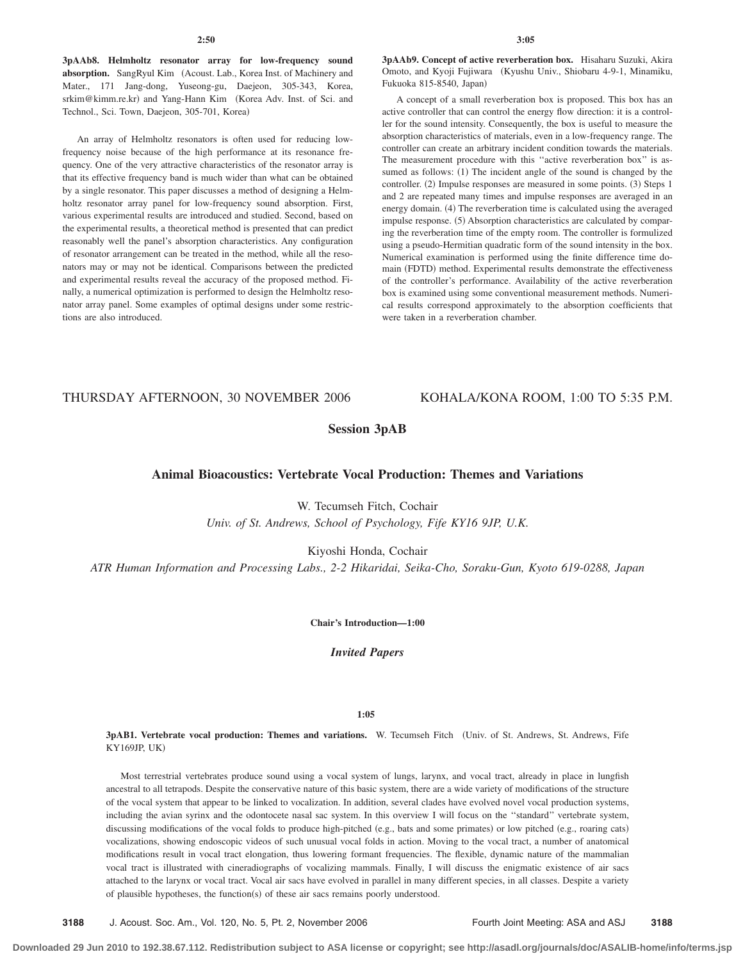**3pAAb8. Helmholtz resonator array for low-frequency sound** absorption. SangRyul Kim (Acoust. Lab., Korea Inst. of Machinery and Mater., 171 Jang-dong, Yuseong-gu, Daejeon, 305-343, Korea, srkim@kimm.re.kr) and Yang-Hann Kim (Korea Adv. Inst. of Sci. and Technol., Sci. Town, Daejeon, 305-701, Korea)

An array of Helmholtz resonators is often used for reducing lowfrequency noise because of the high performance at its resonance frequency. One of the very attractive characteristics of the resonator array is that its effective frequency band is much wider than what can be obtained by a single resonator. This paper discusses a method of designing a Helmholtz resonator array panel for low-frequency sound absorption. First, various experimental results are introduced and studied. Second, based on the experimental results, a theoretical method is presented that can predict reasonably well the panel's absorption characteristics. Any configuration of resonator arrangement can be treated in the method, while all the resonators may or may not be identical. Comparisons between the predicted and experimental results reveal the accuracy of the proposed method. Finally, a numerical optimization is performed to design the Helmholtz resonator array panel. Some examples of optimal designs under some restrictions are also introduced.

**3pAAb9. Concept of active reverberation box.** Hisaharu Suzuki, Akira Omoto, and Kyoji Fujiwara (Kyushu Univ., Shiobaru 4-9-1, Minamiku, Fukuoka 815-8540, Japan)

A concept of a small reverberation box is proposed. This box has an active controller that can control the energy flow direction: it is a controller for the sound intensity. Consequently, the box is useful to measure the absorption characteristics of materials, even in a low-frequency range. The controller can create an arbitrary incident condition towards the materials. The measurement procedure with this ''active reverberation box'' is assumed as follows: (1) The incident angle of the sound is changed by the controller. (2) Impulse responses are measured in some points. (3) Steps 1 and 2 are repeated many times and impulse responses are averaged in an energy domain. (4) The reverberation time is calculated using the averaged impulse response. (5) Absorption characteristics are calculated by comparing the reverberation time of the empty room. The controller is formulized using a pseudo-Hermitian quadratic form of the sound intensity in the box. Numerical examination is performed using the finite difference time domain (FDTD) method. Experimental results demonstrate the effectiveness of the controller's performance. Availability of the active reverberation box is examined using some conventional measurement methods. Numerical results correspond approximately to the absorption coefficients that were taken in a reverberation chamber.

# THURSDAY AFTERNOON, 30 NOVEMBER 2006 KOHALA/KONA ROOM, 1:00 TO 5:35 P.M.

# **Session 3pAB**

# **Animal Bioacoustics: Vertebrate Vocal Production: Themes and Variations**

W. Tecumseh Fitch, Cochair *Univ. of St. Andrews, School of Psychology, Fife KY16 9JP, U.K.*

Kiyoshi Honda, Cochair

*ATR Human Information and Processing Labs., 2-2 Hikaridai, Seika-Cho, Soraku-Gun, Kyoto 619-0288, Japan*

**Chair's Introduction—1:00**

*Invited Papers*

**1:05**

**3pAB1. Vertebrate vocal production: Themes and variations.** W. Tecumseh Fitch Univ. of St. Andrews, St. Andrews, Fife KY169JP, UK-

Most terrestrial vertebrates produce sound using a vocal system of lungs, larynx, and vocal tract, already in place in lungfish ancestral to all tetrapods. Despite the conservative nature of this basic system, there are a wide variety of modifications of the structure of the vocal system that appear to be linked to vocalization. In addition, several clades have evolved novel vocal production systems, including the avian syrinx and the odontocete nasal sac system. In this overview I will focus on the ''standard'' vertebrate system, discussing modifications of the vocal folds to produce high-pitched (e.g., bats and some primates) or low pitched (e.g., roaring cats) vocalizations, showing endoscopic videos of such unusual vocal folds in action. Moving to the vocal tract, a number of anatomical modifications result in vocal tract elongation, thus lowering formant frequencies. The flexible, dynamic nature of the mammalian vocal tract is illustrated with cineradiographs of vocalizing mammals. Finally, I will discuss the enigmatic existence of air sacs attached to the larynx or vocal tract. Vocal air sacs have evolved in parallel in many different species, in all classes. Despite a variety of plausible hypotheses, the function(s) of these air sacs remains poorly understood.

**3188** J. Acoust. Soc. Am., Vol. 120, No. 5, Pt. 2, November 2006 Fourth Joint Meeting: ASA and ASJ **3188**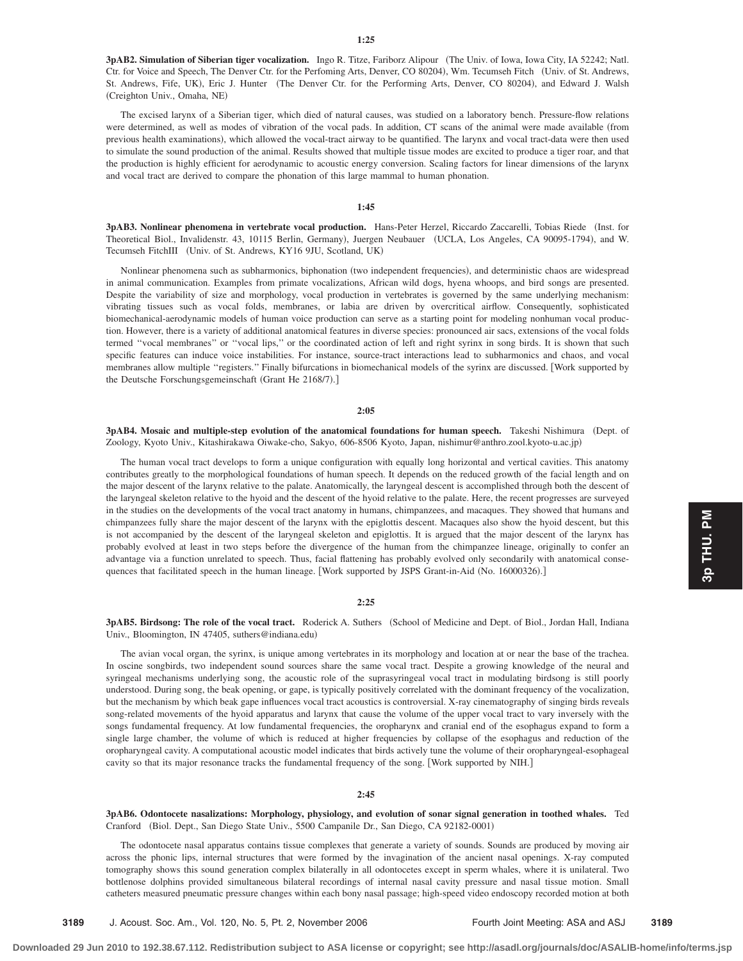**3pAB2. Simulation of Siberian tiger vocalization.** Ingo R. Titze, Fariborz Alipour The Univ. of Iowa, Iowa City, IA 52242; Natl. Ctr. for Voice and Speech, The Denver Ctr. for the Perfoming Arts, Denver, CO 80204), Wm. Tecumseh Fitch (Univ. of St. Andrews, St. Andrews, Fife, UK), Eric J. Hunter (The Denver Ctr. for the Performing Arts, Denver, CO 80204), and Edward J. Walsh (Creighton Univ., Omaha, NE)

The excised larynx of a Siberian tiger, which died of natural causes, was studied on a laboratory bench. Pressure-flow relations were determined, as well as modes of vibration of the vocal pads. In addition, CT scans of the animal were made available from previous health examinations), which allowed the vocal-tract airway to be quantified. The larynx and vocal tract-data were then used to simulate the sound production of the animal. Results showed that multiple tissue modes are excited to produce a tiger roar, and that the production is highly efficient for aerodynamic to acoustic energy conversion. Scaling factors for linear dimensions of the larynx and vocal tract are derived to compare the phonation of this large mammal to human phonation.

# **1:45**

**3pAB3. Nonlinear phenomena in vertebrate vocal production.** Hans-Peter Herzel, Riccardo Zaccarelli, Tobias Riede Inst. for Theoretical Biol., Invalidenstr. 43, 10115 Berlin, Germany), Juergen Neubauer (UCLA, Los Angeles, CA 90095-1794), and W. Tecumseh FitchIII (Univ. of St. Andrews, KY16 9JU, Scotland, UK)

Nonlinear phenomena such as subharmonics, biphonation (two independent frequencies), and deterministic chaos are widespread in animal communication. Examples from primate vocalizations, African wild dogs, hyena whoops, and bird songs are presented. Despite the variability of size and morphology, vocal production in vertebrates is governed by the same underlying mechanism: vibrating tissues such as vocal folds, membranes, or labia are driven by overcritical airflow. Consequently, sophisticated biomechanical-aerodynamic models of human voice production can serve as a starting point for modeling nonhuman vocal production. However, there is a variety of additional anatomical features in diverse species: pronounced air sacs, extensions of the vocal folds termed ''vocal membranes'' or ''vocal lips,'' or the coordinated action of left and right syrinx in song birds. It is shown that such specific features can induce voice instabilities. For instance, source-tract interactions lead to subharmonics and chaos, and vocal membranes allow multiple ''registers.'' Finally bifurcations in biomechanical models of the syrinx are discussed. Work supported by the Deutsche Forschungsgemeinschaft (Grant He 2168/7).]

## **2:05**

**3pAB4. Mosaic and multiple-step evolution of the anatomical foundations for human speech.** Takeshi Nishimura (Dept. of Zoology, Kyoto Univ., Kitashirakawa Oiwake-cho, Sakyo, 606-8506 Kyoto, Japan, nishimur@anthro.zool.kyoto-u.ac.jp-

The human vocal tract develops to form a unique configuration with equally long horizontal and vertical cavities. This anatomy contributes greatly to the morphological foundations of human speech. It depends on the reduced growth of the facial length and on the major descent of the larynx relative to the palate. Anatomically, the laryngeal descent is accomplished through both the descent of the laryngeal skeleton relative to the hyoid and the descent of the hyoid relative to the palate. Here, the recent progresses are surveyed in the studies on the developments of the vocal tract anatomy in humans, chimpanzees, and macaques. They showed that humans and chimpanzees fully share the major descent of the larynx with the epiglottis descent. Macaques also show the hyoid descent, but this is not accompanied by the descent of the laryngeal skeleton and epiglottis. It is argued that the major descent of the larynx has probably evolved at least in two steps before the divergence of the human from the chimpanzee lineage, originally to confer an advantage via a function unrelated to speech. Thus, facial flattening has probably evolved only secondarily with anatomical consequences that facilitated speech in the human lineage. [Work supported by JSPS Grant-in-Aid (No. 16000326).]

## **2:25**

3pAB5. Birdsong: The role of the vocal tract. Roderick A. Suthers (School of Medicine and Dept. of Biol., Jordan Hall, Indiana Univ., Bloomington, IN 47405, suthers@indiana.edu)

The avian vocal organ, the syrinx, is unique among vertebrates in its morphology and location at or near the base of the trachea. In oscine songbirds, two independent sound sources share the same vocal tract. Despite a growing knowledge of the neural and syringeal mechanisms underlying song, the acoustic role of the suprasyringeal vocal tract in modulating birdsong is still poorly understood. During song, the beak opening, or gape, is typically positively correlated with the dominant frequency of the vocalization, but the mechanism by which beak gape influences vocal tract acoustics is controversial. X-ray cinematography of singing birds reveals song-related movements of the hyoid apparatus and larynx that cause the volume of the upper vocal tract to vary inversely with the songs fundamental frequency. At low fundamental frequencies, the oropharynx and cranial end of the esophagus expand to form a single large chamber, the volume of which is reduced at higher frequencies by collapse of the esophagus and reduction of the oropharyngeal cavity. A computational acoustic model indicates that birds actively tune the volume of their oropharyngeal-esophageal cavity so that its major resonance tracks the fundamental frequency of the song. Work supported by NIH.

#### **2:45**

**3pAB6. Odontocete nasalizations: Morphology, physiology, and evolution of sonar signal generation in toothed whales.** Ted Cranford (Biol. Dept., San Diego State Univ., 5500 Campanile Dr., San Diego, CA 92182-0001)

The odontocete nasal apparatus contains tissue complexes that generate a variety of sounds. Sounds are produced by moving air across the phonic lips, internal structures that were formed by the invagination of the ancient nasal openings. X-ray computed tomography shows this sound generation complex bilaterally in all odontocetes except in sperm whales, where it is unilateral. Two bottlenose dolphins provided simultaneous bilateral recordings of internal nasal cavity pressure and nasal tissue motion. Small catheters measured pneumatic pressure changes within each bony nasal passage; high-speed video endoscopy recorded motion at both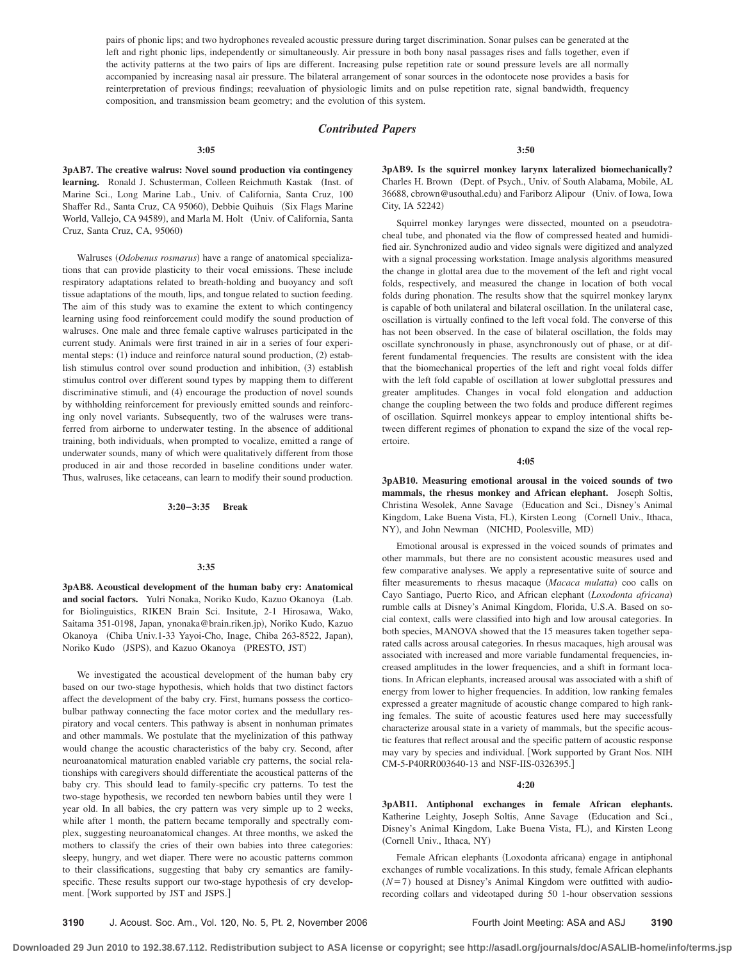pairs of phonic lips; and two hydrophones revealed acoustic pressure during target discrimination. Sonar pulses can be generated at the left and right phonic lips, independently or simultaneously. Air pressure in both bony nasal passages rises and falls together, even if the activity patterns at the two pairs of lips are different. Increasing pulse repetition rate or sound pressure levels are all normally accompanied by increasing nasal air pressure. The bilateral arrangement of sonar sources in the odontocete nose provides a basis for reinterpretation of previous findings; reevaluation of physiologic limits and on pulse repetition rate, signal bandwidth, frequency composition, and transmission beam geometry; and the evolution of this system.

# *Contributed Papers*

**3:05**

**3pAB7. The creative walrus: Novel sound production via contingency** learning. Ronald J. Schusterman, Colleen Reichmuth Kastak (Inst. of Marine Sci., Long Marine Lab., Univ. of California, Santa Cruz, 100 Shaffer Rd., Santa Cruz, CA 95060), Debbie Quihuis (Six Flags Marine World, Vallejo, CA 94589), and Marla M. Holt (Univ. of California, Santa Cruz, Santa Cruz, CA, 95060)

Walruses (Odobenus rosmarus) have a range of anatomical specializations that can provide plasticity to their vocal emissions. These include respiratory adaptations related to breath-holding and buoyancy and soft tissue adaptations of the mouth, lips, and tongue related to suction feeding. The aim of this study was to examine the extent to which contingency learning using food reinforcement could modify the sound production of walruses. One male and three female captive walruses participated in the current study. Animals were first trained in air in a series of four experimental steps: (1) induce and reinforce natural sound production, (2) establish stimulus control over sound production and inhibition, (3) establish stimulus control over different sound types by mapping them to different discriminative stimuli, and (4) encourage the production of novel sounds by withholding reinforcement for previously emitted sounds and reinforcing only novel variants. Subsequently, two of the walruses were transferred from airborne to underwater testing. In the absence of additional training, both individuals, when prompted to vocalize, emitted a range of underwater sounds, many of which were qualitatively different from those produced in air and those recorded in baseline conditions under water. Thus, walruses, like cetaceans, can learn to modify their sound production.

**3:20–3:35 Break**

## **3:35**

**3pAB8. Acoustical development of the human baby cry: Anatomical** and social factors. Yulri Nonaka, Noriko Kudo, Kazuo Okanoya (Lab. for Biolinguistics, RIKEN Brain Sci. Insitute, 2-1 Hirosawa, Wako, Saitama 351-0198, Japan, ynonaka@brain.riken.jp), Noriko Kudo, Kazuo Okanoya (Chiba Univ.1-33 Yayoi-Cho, Inage, Chiba 263-8522, Japan), Noriko Kudo (JSPS), and Kazuo Okanoya (PRESTO, JST)

We investigated the acoustical development of the human baby cry based on our two-stage hypothesis, which holds that two distinct factors affect the development of the baby cry. First, humans possess the corticobulbar pathway connecting the face motor cortex and the medullary respiratory and vocal centers. This pathway is absent in nonhuman primates and other mammals. We postulate that the myelinization of this pathway would change the acoustic characteristics of the baby cry. Second, after neuroanatomical maturation enabled variable cry patterns, the social relationships with caregivers should differentiate the acoustical patterns of the baby cry. This should lead to family-specific cry patterns. To test the two-stage hypothesis, we recorded ten newborn babies until they were 1 year old. In all babies, the cry pattern was very simple up to 2 weeks, while after 1 month, the pattern became temporally and spectrally complex, suggesting neuroanatomical changes. At three months, we asked the mothers to classify the cries of their own babies into three categories: sleepy, hungry, and wet diaper. There were no acoustic patterns common to their classifications, suggesting that baby cry semantics are familyspecific. These results support our two-stage hypothesis of cry development. Work supported by JST and JSPS.

**3:50**

**3pAB9. Is the squirrel monkey larynx lateralized biomechanically?** Charles H. Brown (Dept. of Psych., Univ. of South Alabama, Mobile, AL 36688, cbrown@usouthal.edu) and Fariborz Alipour (Univ. of Iowa, Iowa City, IA 52242)

Squirrel monkey larynges were dissected, mounted on a pseudotracheal tube, and phonated via the flow of compressed heated and humidified air. Synchronized audio and video signals were digitized and analyzed with a signal processing workstation. Image analysis algorithms measured the change in glottal area due to the movement of the left and right vocal folds, respectively, and measured the change in location of both vocal folds during phonation. The results show that the squirrel monkey larynx is capable of both unilateral and bilateral oscillation. In the unilateral case, oscillation is virtually confined to the left vocal fold. The converse of this has not been observed. In the case of bilateral oscillation, the folds may oscillate synchronously in phase, asynchronously out of phase, or at different fundamental frequencies. The results are consistent with the idea that the biomechanical properties of the left and right vocal folds differ with the left fold capable of oscillation at lower subglottal pressures and greater amplitudes. Changes in vocal fold elongation and adduction change the coupling between the two folds and produce different regimes of oscillation. Squirrel monkeys appear to employ intentional shifts between different regimes of phonation to expand the size of the vocal repertoire.

**4:05**

**3pAB10. Measuring emotional arousal in the voiced sounds of two mammals, the rhesus monkey and African elephant.** Joseph Soltis, Christina Wesolek, Anne Savage (Education and Sci., Disney's Animal Kingdom, Lake Buena Vista, FL), Kirsten Leong (Cornell Univ., Ithaca, NY), and John Newman (NICHD, Poolesville, MD)

Emotional arousal is expressed in the voiced sounds of primates and other mammals, but there are no consistent acoustic measures used and few comparative analyses. We apply a representative suite of source and filter measurements to rhesus macaque (Macaca mulatta) coo calls on Cayo Santiago, Puerto Rico, and African elephant (Loxodonta africana) rumble calls at Disney's Animal Kingdom, Florida, U.S.A. Based on social context, calls were classified into high and low arousal categories. In both species, MANOVA showed that the 15 measures taken together separated calls across arousal categories. In rhesus macaques, high arousal was associated with increased and more variable fundamental frequencies, increased amplitudes in the lower frequencies, and a shift in formant locations. In African elephants, increased arousal was associated with a shift of energy from lower to higher frequencies. In addition, low ranking females expressed a greater magnitude of acoustic change compared to high ranking females. The suite of acoustic features used here may successfully characterize arousal state in a variety of mammals, but the specific acoustic features that reflect arousal and the specific pattern of acoustic response may vary by species and individual. Work supported by Grant Nos. NIH CM-5-P40RR003640-13 and NSF-IIS-0326395.

#### **4:20**

**3pAB11. Antiphonal exchanges in female African elephants.** Katherine Leighty, Joseph Soltis, Anne Savage (Education and Sci., Disney's Animal Kingdom, Lake Buena Vista, FL), and Kirsten Leong Cornell Univ., Ithaca, NY-

Female African elephants (Loxodonta africana) engage in antiphonal exchanges of rumble vocalizations. In this study, female African elephants  $(N=7)$  housed at Disney's Animal Kingdom were outfitted with audiorecording collars and videotaped during 50 1-hour observation sessions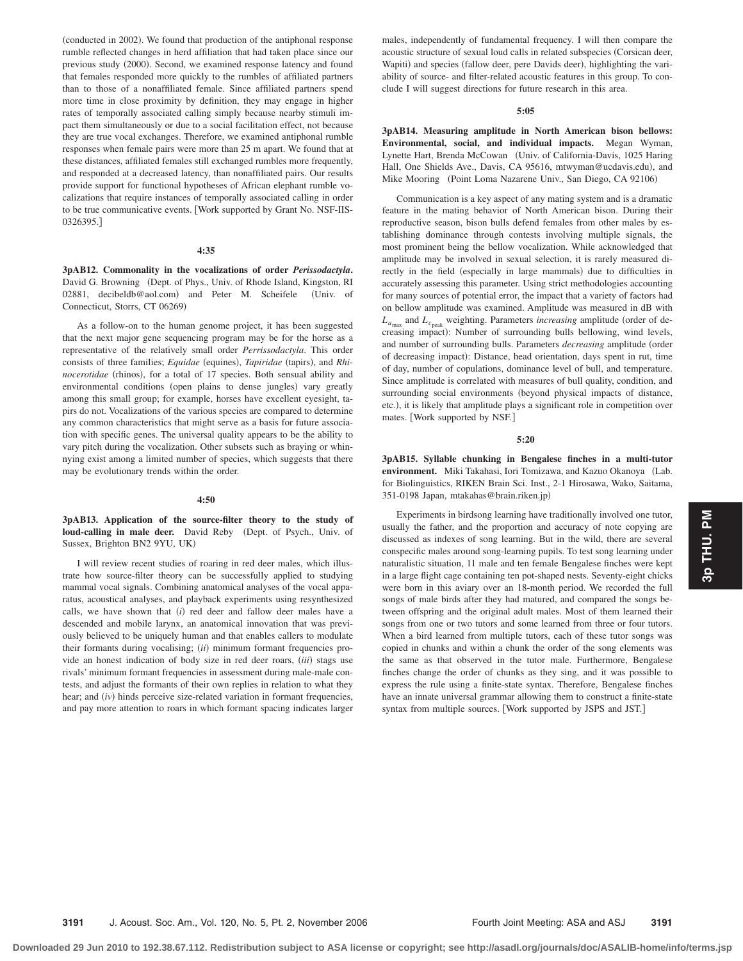(conducted in 2002). We found that production of the antiphonal response rumble reflected changes in herd affiliation that had taken place since our previous study (2000). Second, we examined response latency and found that females responded more quickly to the rumbles of affiliated partners than to those of a nonaffiliated female. Since affiliated partners spend more time in close proximity by definition, they may engage in higher rates of temporally associated calling simply because nearby stimuli impact them simultaneously or due to a social facilitation effect, not because they are true vocal exchanges. Therefore, we examined antiphonal rumble responses when female pairs were more than 25 m apart. We found that at these distances, affiliated females still exchanged rumbles more frequently, and responded at a decreased latency, than nonaffiliated pairs. Our results provide support for functional hypotheses of African elephant rumble vocalizations that require instances of temporally associated calling in order to be true communicative events. [Work supported by Grant No. NSF-IIS-0326395.

## **4:35**

**3pAB12. Commonality in the vocalizations of order** *Perissodactyla***.** David G. Browning (Dept. of Phys., Univ. of Rhode Island, Kingston, RI 02881, decibeldb@aol.com) and Peter M. Scheifele (Univ. of Connecticut, Storrs, CT 06269)

As a follow-on to the human genome project, it has been suggested that the next major gene sequencing program may be for the horse as a representative of the relatively small order *Perrissodactyla*. This order consists of three families; *Equidae* (equines), *Tapiridae* (tapirs), and *Rhi*nocerotidae (rhinos), for a total of 17 species. Both sensual ability and environmental conditions (open plains to dense jungles) vary greatly among this small group; for example, horses have excellent eyesight, tapirs do not. Vocalizations of the various species are compared to determine any common characteristics that might serve as a basis for future association with specific genes. The universal quality appears to be the ability to vary pitch during the vocalization. Other subsets such as braying or whinnying exist among a limited number of species, which suggests that there may be evolutionary trends within the order.

#### **4:50**

**3pAB13. Application of the source-filter theory to the study of** loud-calling in male deer. David Reby (Dept. of Psych., Univ. of Sussex, Brighton BN2 9YU, UK-

I will review recent studies of roaring in red deer males, which illustrate how source-filter theory can be successfully applied to studying mammal vocal signals. Combining anatomical analyses of the vocal apparatus, acoustical analyses, and playback experiments using resynthesized calls, we have shown that (i) red deer and fallow deer males have a descended and mobile larynx, an anatomical innovation that was previously believed to be uniquely human and that enables callers to modulate their formants during vocalising; (ii) minimum formant frequencies provide an honest indication of body size in red deer roars, *(iii)* stags use rivals' minimum formant frequencies in assessment during male-male contests, and adjust the formants of their own replies in relation to what they hear; and *(iv)* hinds perceive size-related variation in formant frequencies, and pay more attention to roars in which formant spacing indicates larger males, independently of fundamental frequency. I will then compare the acoustic structure of sexual loud calls in related subspecies Corsican deer, Wapiti) and species (fallow deer, pere Davids deer), highlighting the variability of source- and filter-related acoustic features in this group. To conclude I will suggest directions for future research in this area.

#### **5:05**

**3pAB14. Measuring amplitude in North American bison bellows: Environmental, social, and individual impacts.** Megan Wyman, Lynette Hart, Brenda McCowan (Univ. of California-Davis, 1025 Haring Hall, One Shields Ave., Davis, CA 95616, mtwyman@ucdavis.edu), and Mike Mooring (Point Loma Nazarene Univ., San Diego, CA 92106)

Communication is a key aspect of any mating system and is a dramatic feature in the mating behavior of North American bison. During their reproductive season, bison bulls defend females from other males by establishing dominance through contests involving multiple signals, the most prominent being the bellow vocalization. While acknowledged that amplitude may be involved in sexual selection, it is rarely measured directly in the field (especially in large mammals) due to difficulties in accurately assessing this parameter. Using strict methodologies accounting for many sources of potential error, the impact that a variety of factors had on bellow amplitude was examined. Amplitude was measured in dB with  $L_{a_{\text{max}}}$  and  $L_{c_{\text{peak}}}$  weighting. Parameters *increasing* amplitude (order of decreasing impact): Number of surrounding bulls bellowing, wind levels, and number of surrounding bulls. Parameters *decreasing* amplitude (order of decreasing impact): Distance, head orientation, days spent in rut, time of day, number of copulations, dominance level of bull, and temperature. Since amplitude is correlated with measures of bull quality, condition, and surrounding social environments (beyond physical impacts of distance, etc.), it is likely that amplitude plays a significant role in competition over mates. Work supported by NSF.

# **5:20**

**3pAB15. Syllable chunking in Bengalese finches in a multi-tutor environment.** Miki Takahasi, Iori Tomizawa, and Kazuo Okanoya (Lab. for Biolinguistics, RIKEN Brain Sci. Inst., 2-1 Hirosawa, Wako, Saitama, 351-0198 Japan, mtakahas@brain.riken.jp-

Experiments in birdsong learning have traditionally involved one tutor, usually the father, and the proportion and accuracy of note copying are discussed as indexes of song learning. But in the wild, there are several conspecific males around song-learning pupils. To test song learning under naturalistic situation, 11 male and ten female Bengalese finches were kept in a large flight cage containing ten pot-shaped nests. Seventy-eight chicks were born in this aviary over an 18-month period. We recorded the full songs of male birds after they had matured, and compared the songs between offspring and the original adult males. Most of them learned their songs from one or two tutors and some learned from three or four tutors. When a bird learned from multiple tutors, each of these tutor songs was copied in chunks and within a chunk the order of the song elements was the same as that observed in the tutor male. Furthermore, Bengalese finches change the order of chunks as they sing, and it was possible to express the rule using a finite-state syntax. Therefore, Bengalese finches have an innate universal grammar allowing them to construct a finite-state syntax from multiple sources. Work supported by JSPS and JST.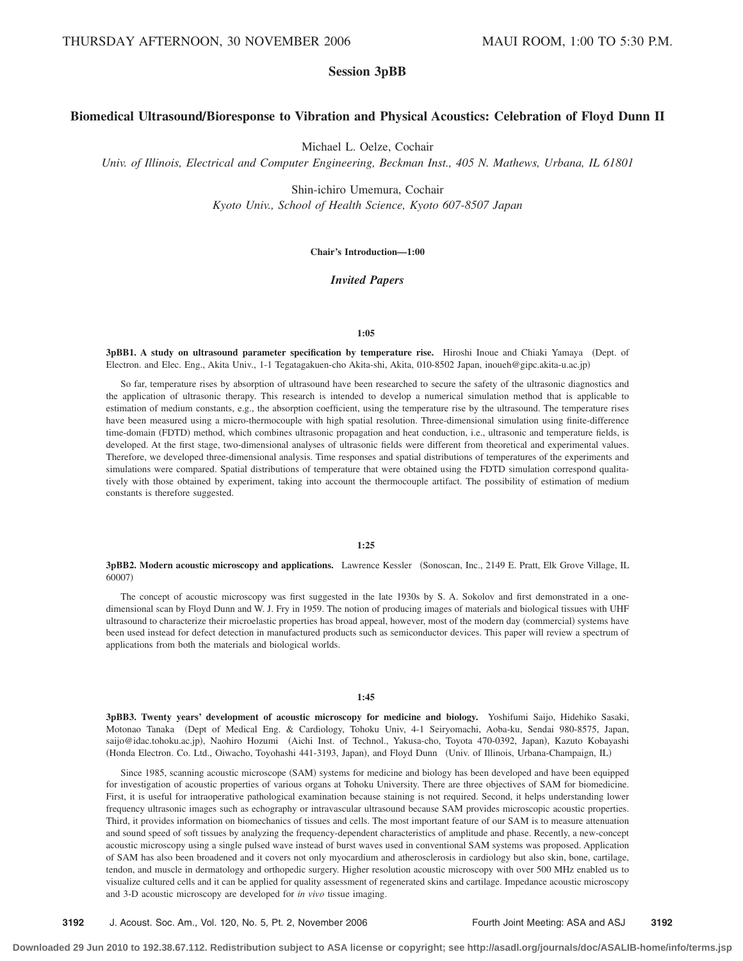# **Session 3pBB**

# **Biomedical UltrasoundÕBioresponse to Vibration and Physical Acoustics: Celebration of Floyd Dunn II**

Michael L. Oelze, Cochair

*Univ. of Illinois, Electrical and Computer Engineering, Beckman Inst., 405 N. Mathews, Urbana, IL 61801*

Shin-ichiro Umemura, Cochair

*Kyoto Univ., School of Health Science, Kyoto 607-8507 Japan*

# **Chair's Introduction—1:00**

# *Invited Papers*

## **1:05**

**3pBB1. A study on ultrasound parameter specification by temperature rise.** Hiroshi Inoue and Chiaki Yamaya (Dept. of Electron. and Elec. Eng., Akita Univ., 1-1 Tegatagakuen-cho Akita-shi, Akita, 010-8502 Japan, inoueh@gipc.akita-u.ac.jp-

So far, temperature rises by absorption of ultrasound have been researched to secure the safety of the ultrasonic diagnostics and the application of ultrasonic therapy. This research is intended to develop a numerical simulation method that is applicable to estimation of medium constants, e.g., the absorption coefficient, using the temperature rise by the ultrasound. The temperature rises have been measured using a micro-thermocouple with high spatial resolution. Three-dimensional simulation using finite-difference time-domain (FDTD) method, which combines ultrasonic propagation and heat conduction, i.e., ultrasonic and temperature fields, is developed. At the first stage, two-dimensional analyses of ultrasonic fields were different from theoretical and experimental values. Therefore, we developed three-dimensional analysis. Time responses and spatial distributions of temperatures of the experiments and simulations were compared. Spatial distributions of temperature that were obtained using the FDTD simulation correspond qualitatively with those obtained by experiment, taking into account the thermocouple artifact. The possibility of estimation of medium constants is therefore suggested.

# **1:25**

**3pBB2. Modern acoustic microscopy and applications.** Lawrence Kessler (Sonoscan, Inc., 2149 E. Pratt, Elk Grove Village, IL 60007)

The concept of acoustic microscopy was first suggested in the late 1930s by S. A. Sokolov and first demonstrated in a onedimensional scan by Floyd Dunn and W. J. Fry in 1959. The notion of producing images of materials and biological tissues with UHF ultrasound to characterize their microelastic properties has broad appeal, however, most of the modern day (commercial) systems have been used instead for defect detection in manufactured products such as semiconductor devices. This paper will review a spectrum of applications from both the materials and biological worlds.

### **1:45**

**3pBB3. Twenty years' development of acoustic microscopy for medicine and biology.** Yoshifumi Saijo, Hidehiko Sasaki, Motonao Tanaka Dept of Medical Eng. & Cardiology, Tohoku Univ, 4-1 Seiryomachi, Aoba-ku, Sendai 980-8575, Japan, saijo@idac.tohoku.ac.jp), Naohiro Hozumi (Aichi Inst. of Technol., Yakusa-cho, Toyota 470-0392, Japan), Kazuto Kobayashi (Honda Electron. Co. Ltd., Oiwacho, Toyohashi 441-3193, Japan), and Floyd Dunn (Univ. of Illinois, Urbana-Champaign, IL)

Since 1985, scanning acoustic microscope (SAM) systems for medicine and biology has been developed and have been equipped for investigation of acoustic properties of various organs at Tohoku University. There are three objectives of SAM for biomedicine. First, it is useful for intraoperative pathological examination because staining is not required. Second, it helps understanding lower frequency ultrasonic images such as echography or intravascular ultrasound because SAM provides microscopic acoustic properties. Third, it provides information on biomechanics of tissues and cells. The most important feature of our SAM is to measure attenuation and sound speed of soft tissues by analyzing the frequency-dependent characteristics of amplitude and phase. Recently, a new-concept acoustic microscopy using a single pulsed wave instead of burst waves used in conventional SAM systems was proposed. Application of SAM has also been broadened and it covers not only myocardium and atherosclerosis in cardiology but also skin, bone, cartilage, tendon, and muscle in dermatology and orthopedic surgery. Higher resolution acoustic microscopy with over 500 MHz enabled us to visualize cultured cells and it can be applied for quality assessment of regenerated skins and cartilage. Impedance acoustic microscopy and 3-D acoustic microscopy are developed for *in vivo* tissue imaging.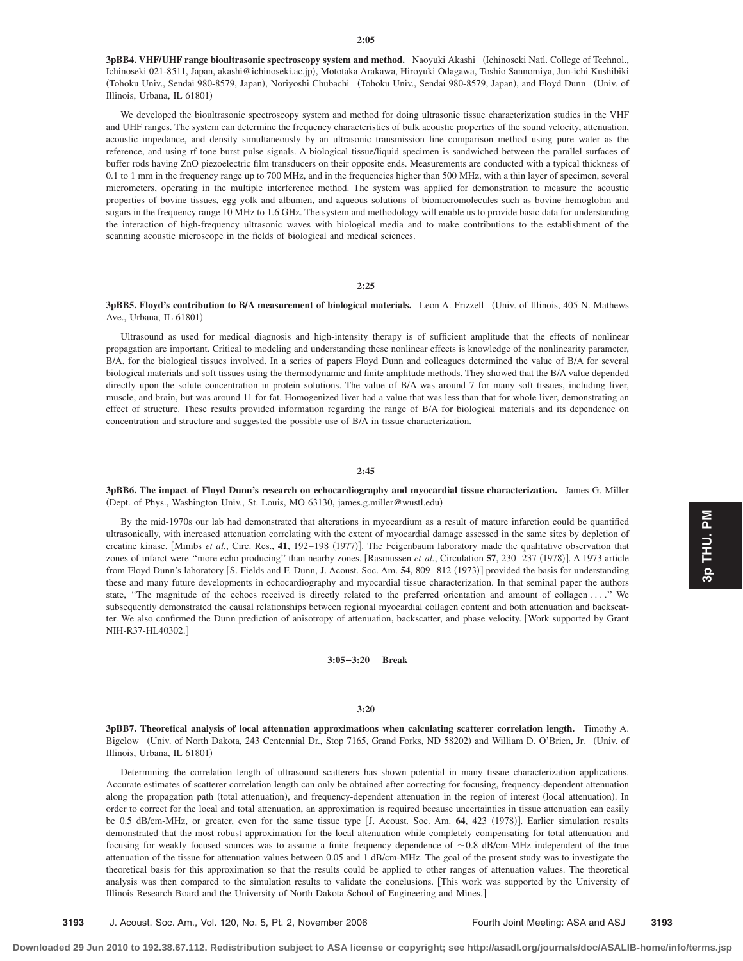**3pBB4. VHFÕUHF range bioultrasonic spectroscopy system and method.** Naoyuki Akashi Ichinoseki Natl. College of Technol., Ichinoseki 021-8511, Japan, akashi@ichinoseki.ac.jp), Mototaka Arakawa, Hiroyuki Odagawa, Toshio Sannomiya, Jun-ichi Kushibiki (Tohoku Univ., Sendai 980-8579, Japan), Noriyoshi Chubachi (Tohoku Univ., Sendai 980-8579, Japan), and Floyd Dunn (Univ. of Illinois, Urbana, IL 61801)

We developed the bioultrasonic spectroscopy system and method for doing ultrasonic tissue characterization studies in the VHF and UHF ranges. The system can determine the frequency characteristics of bulk acoustic properties of the sound velocity, attenuation, acoustic impedance, and density simultaneously by an ultrasonic transmission line comparison method using pure water as the reference, and using rf tone burst pulse signals. A biological tissue/liquid specimen is sandwiched between the parallel surfaces of buffer rods having ZnO piezoelectric film transducers on their opposite ends. Measurements are conducted with a typical thickness of 0.1 to 1 mm in the frequency range up to 700 MHz, and in the frequencies higher than 500 MHz, with a thin layer of specimen, several micrometers, operating in the multiple interference method. The system was applied for demonstration to measure the acoustic properties of bovine tissues, egg yolk and albumen, and aqueous solutions of biomacromolecules such as bovine hemoglobin and sugars in the frequency range 10 MHz to 1.6 GHz. The system and methodology will enable us to provide basic data for understanding the interaction of high-frequency ultrasonic waves with biological media and to make contributions to the establishment of the scanning acoustic microscope in the fields of biological and medical sciences.

# **2:25**

**3pBB5. Floyd's contribution to BÕA measurement of biological materials.** Leon A. Frizzell Univ. of Illinois, 405 N. Mathews Ave., Urbana, IL 61801)

Ultrasound as used for medical diagnosis and high-intensity therapy is of sufficient amplitude that the effects of nonlinear propagation are important. Critical to modeling and understanding these nonlinear effects is knowledge of the nonlinearity parameter, B/A, for the biological tissues involved. In a series of papers Floyd Dunn and colleagues determined the value of B/A for several biological materials and soft tissues using the thermodynamic and finite amplitude methods. They showed that the B/A value depended directly upon the solute concentration in protein solutions. The value of B/A was around 7 for many soft tissues, including liver, muscle, and brain, but was around 11 for fat. Homogenized liver had a value that was less than that for whole liver, demonstrating an effect of structure. These results provided information regarding the range of B/A for biological materials and its dependence on concentration and structure and suggested the possible use of B/A in tissue characterization.

#### **2:45**

**3pBB6. The impact of Floyd Dunn's research on echocardiography and myocardial tissue characterization.** James G. Miller (Dept. of Phys., Washington Univ., St. Louis, MO 63130, james.g.miller@wustl.edu)

By the mid-1970s our lab had demonstrated that alterations in myocardium as a result of mature infarction could be quantified ultrasonically, with increased attenuation correlating with the extent of myocardial damage assessed in the same sites by depletion of creatine kinase. [Mimbs *et al.*, Circ. Res., 41, 192-198 (1977)]. The Feigenbaum laboratory made the qualitative observation that zones of infarct were "more echo producing" than nearby zones. [Rasmussen *et al.*, Circulation 57, 230–237 (1978)]. A 1973 article from Floyd Dunn's laboratory [S. Fields and F. Dunn, J. Acoust. Soc. Am. 54, 809–812 (1973)] provided the basis for understanding these and many future developments in echocardiography and myocardial tissue characterization. In that seminal paper the authors state, ''The magnitude of the echoes received is directly related to the preferred orientation and amount of collagen . . . .'' We subsequently demonstrated the causal relationships between regional myocardial collagen content and both attenuation and backscatter. We also confirmed the Dunn prediction of anisotropy of attenuation, backscatter, and phase velocity. Work supported by Grant NIH-R37-HL40302.

**3:05–3:20 Break**

#### **3:20**

**3pBB7. Theoretical analysis of local attenuation approximations when calculating scatterer correlation length.** Timothy A. Bigelow (Univ. of North Dakota, 243 Centennial Dr., Stop 7165, Grand Forks, ND 58202) and William D. O'Brien, Jr. (Univ. of Illinois, Urbana, IL 61801)

Determining the correlation length of ultrasound scatterers has shown potential in many tissue characterization applications. Accurate estimates of scatterer correlation length can only be obtained after correcting for focusing, frequency-dependent attenuation along the propagation path (total attenuation), and frequency-dependent attenuation in the region of interest (local attenuation). In order to correct for the local and total attenuation, an approximation is required because uncertainties in tissue attenuation can easily be 0.5 dB/cm-MHz, or greater, even for the same tissue type [J. Acoust. Soc. Am. 64, 423 (1978)]. Earlier simulation results demonstrated that the most robust approximation for the local attenuation while completely compensating for total attenuation and focusing for weakly focused sources was to assume a finite frequency dependence of  $\sim 0.8$  dB/cm-MHz independent of the true attenuation of the tissue for attenuation values between 0.05 and 1 dB/cm-MHz. The goal of the present study was to investigate the theoretical basis for this approximation so that the results could be applied to other ranges of attenuation values. The theoretical analysis was then compared to the simulation results to validate the conclusions. This work was supported by the University of Illinois Research Board and the University of North Dakota School of Engineering and Mines.

**3193** J. Acoust. Soc. Am., Vol. 120, No. 5, Pt. 2, November 2006 Fourth Joint Meeting: ASA and ASJ **3193**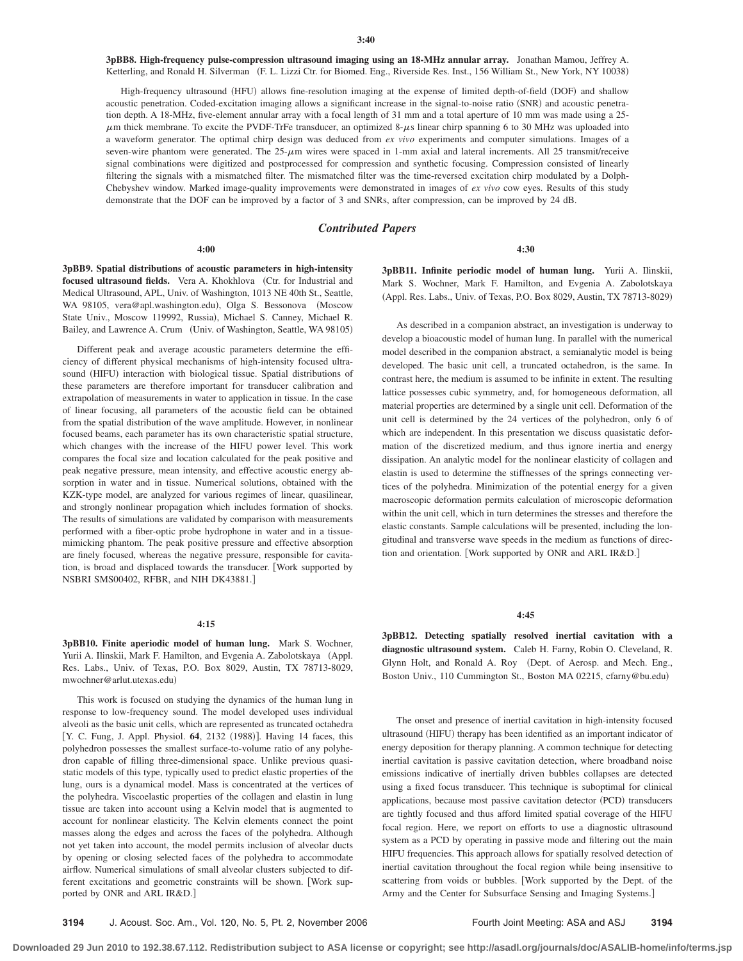**3pBB8. High-frequency pulse-compression ultrasound imaging using an 18-MHz annular array.** Jonathan Mamou, Jeffrey A. Ketterling, and Ronald H. Silverman (F. L. Lizzi Ctr. for Biomed. Eng., Riverside Res. Inst., 156 William St., New York, NY 10038)

High-frequency ultrasound (HFU) allows fine-resolution imaging at the expense of limited depth-of-field (DOF) and shallow acoustic penetration. Coded-excitation imaging allows a significant increase in the signal-to-noise ratio (SNR) and acoustic penetration depth. A 18-MHz, five-element annular array with a focal length of 31 mm and a total aperture of 10 mm was made using a 25-  $\mu$ m thick membrane. To excite the PVDF-TrFe transducer, an optimized 8- $\mu$ s linear chirp spanning 6 to 30 MHz was uploaded into a waveform generator. The optimal chirp design was deduced from *ex vivo* experiments and computer simulations. Images of a seven-wire phantom were generated. The 25- $\mu$ m wires were spaced in 1-mm axial and lateral increments. All 25 transmit/receive signal combinations were digitized and postprocessed for compression and synthetic focusing. Compression consisted of linearly filtering the signals with a mismatched filter. The mismatched filter was the time-reversed excitation chirp modulated by a Dolph-Chebyshev window. Marked image-quality improvements were demonstrated in images of *ex vivo* cow eyes. Results of this study demonstrate that the DOF can be improved by a factor of 3 and SNRs, after compression, can be improved by 24 dB.

# *Contributed Papers*

## **4:00**

**3pBB9. Spatial distributions of acoustic parameters in high-intensity** focused ultrasound fields. Vera A. Khokhlova (Ctr. for Industrial and Medical Ultrasound, APL, Univ. of Washington, 1013 NE 40th St., Seattle, WA 98105, vera@apl.washington.edu), Olga S. Bessonova (Moscow State Univ., Moscow 119992, Russia), Michael S. Canney, Michael R. Bailey, and Lawrence A. Crum (Univ. of Washington, Seattle, WA 98105)

Different peak and average acoustic parameters determine the efficiency of different physical mechanisms of high-intensity focused ultrasound (HIFU) interaction with biological tissue. Spatial distributions of these parameters are therefore important for transducer calibration and extrapolation of measurements in water to application in tissue. In the case of linear focusing, all parameters of the acoustic field can be obtained from the spatial distribution of the wave amplitude. However, in nonlinear focused beams, each parameter has its own characteristic spatial structure, which changes with the increase of the HIFU power level. This work compares the focal size and location calculated for the peak positive and peak negative pressure, mean intensity, and effective acoustic energy absorption in water and in tissue. Numerical solutions, obtained with the KZK-type model, are analyzed for various regimes of linear, quasilinear, and strongly nonlinear propagation which includes formation of shocks. The results of simulations are validated by comparison with measurements performed with a fiber-optic probe hydrophone in water and in a tissuemimicking phantom. The peak positive pressure and effective absorption are finely focused, whereas the negative pressure, responsible for cavitation, is broad and displaced towards the transducer. Work supported by NSBRI SMS00402, RFBR, and NIH DK43881.

#### **4:15**

**3pBB10. Finite aperiodic model of human lung.** Mark S. Wochner, Yurii A. Ilinskii, Mark F. Hamilton, and Evgenia A. Zabolotskaya (Appl. Res. Labs., Univ. of Texas, P.O. Box 8029, Austin, TX 78713-8029, mwochner@arlut.utexas.edu)

This work is focused on studying the dynamics of the human lung in response to low-frequency sound. The model developed uses individual alveoli as the basic unit cells, which are represented as truncated octahedra [Y. C. Fung, J. Appl. Physiol. 64, 2132 (1988)]. Having 14 faces, this polyhedron possesses the smallest surface-to-volume ratio of any polyhedron capable of filling three-dimensional space. Unlike previous quasistatic models of this type, typically used to predict elastic properties of the lung, ours is a dynamical model. Mass is concentrated at the vertices of the polyhedra. Viscoelastic properties of the collagen and elastin in lung tissue are taken into account using a Kelvin model that is augmented to account for nonlinear elasticity. The Kelvin elements connect the point masses along the edges and across the faces of the polyhedra. Although not yet taken into account, the model permits inclusion of alveolar ducts by opening or closing selected faces of the polyhedra to accommodate airflow. Numerical simulations of small alveolar clusters subjected to different excitations and geometric constraints will be shown. [Work supported by ONR and ARL IR&D.

**3pBB11. Infinite periodic model of human lung.** Yurii A. Ilinskii, Mark S. Wochner, Mark F. Hamilton, and Evgenia A. Zabolotskaya Appl. Res. Labs., Univ. of Texas, P.O. Box 8029, Austin, TX 78713-8029-

**4:30**

As described in a companion abstract, an investigation is underway to develop a bioacoustic model of human lung. In parallel with the numerical model described in the companion abstract, a semianalytic model is being developed. The basic unit cell, a truncated octahedron, is the same. In contrast here, the medium is assumed to be infinite in extent. The resulting lattice possesses cubic symmetry, and, for homogeneous deformation, all material properties are determined by a single unit cell. Deformation of the unit cell is determined by the 24 vertices of the polyhedron, only 6 of which are independent. In this presentation we discuss quasistatic deformation of the discretized medium, and thus ignore inertia and energy dissipation. An analytic model for the nonlinear elasticity of collagen and elastin is used to determine the stiffnesses of the springs connecting vertices of the polyhedra. Minimization of the potential energy for a given macroscopic deformation permits calculation of microscopic deformation within the unit cell, which in turn determines the stresses and therefore the elastic constants. Sample calculations will be presented, including the longitudinal and transverse wave speeds in the medium as functions of direction and orientation. Work supported by ONR and ARL IR&D.

## **4:45**

**3pBB12. Detecting spatially resolved inertial cavitation with a diagnostic ultrasound system.** Caleb H. Farny, Robin O. Cleveland, R. Glynn Holt, and Ronald A. Roy (Dept. of Aerosp. and Mech. Eng., Boston Univ., 110 Cummington St., Boston MA 02215, cfarny@bu.edu)

The onset and presence of inertial cavitation in high-intensity focused ultrasound (HIFU) therapy has been identified as an important indicator of energy deposition for therapy planning. A common technique for detecting inertial cavitation is passive cavitation detection, where broadband noise emissions indicative of inertially driven bubbles collapses are detected using a fixed focus transducer. This technique is suboptimal for clinical applications, because most passive cavitation detector (PCD) transducers are tightly focused and thus afford limited spatial coverage of the HIFU focal region. Here, we report on efforts to use a diagnostic ultrasound system as a PCD by operating in passive mode and filtering out the main HIFU frequencies. This approach allows for spatially resolved detection of inertial cavitation throughout the focal region while being insensitive to scattering from voids or bubbles. Work supported by the Dept. of the Army and the Center for Subsurface Sensing and Imaging Systems.

**3194** J. Acoust. Soc. Am., Vol. 120, No. 5, Pt. 2, November 2006 Fourth Joint Meeting: ASA and ASJ **3194**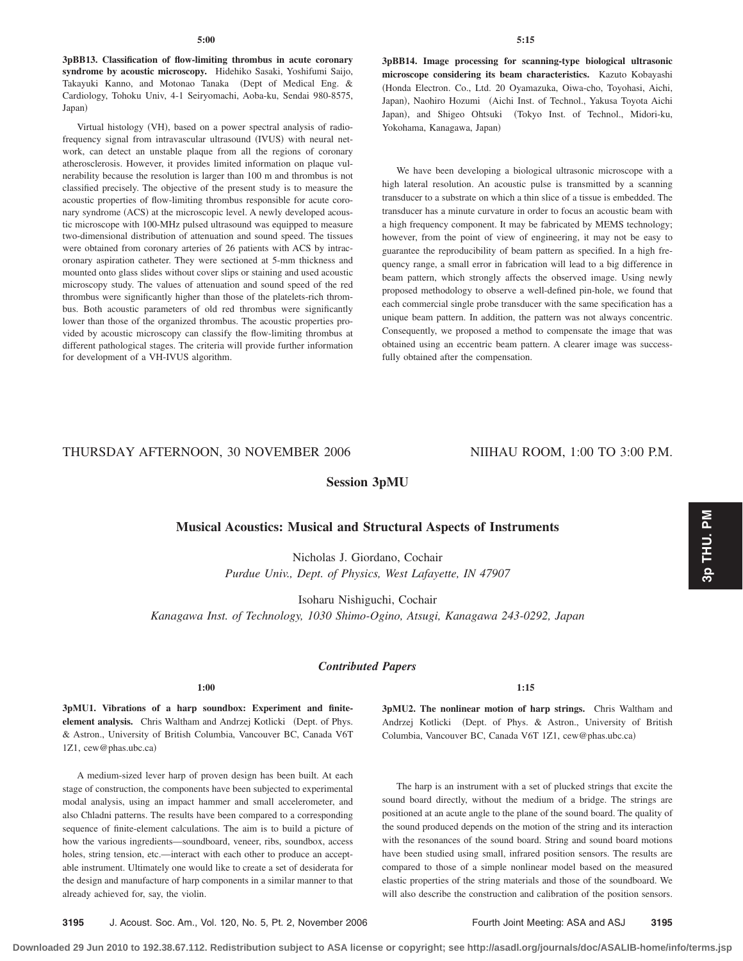**3pBB13. Classification of flow-limiting thrombus in acute coronary syndrome by acoustic microscopy.** Hidehiko Sasaki, Yoshifumi Saijo, Takayuki Kanno, and Motonao Tanaka (Dept of Medical Eng. & Cardiology, Tohoku Univ, 4-1 Seiryomachi, Aoba-ku, Sendai 980-8575, Japan)

Virtual histology (VH), based on a power spectral analysis of radiofrequency signal from intravascular ultrasound (IVUS) with neural network, can detect an unstable plaque from all the regions of coronary atherosclerosis. However, it provides limited information on plaque vulnerability because the resolution is larger than 100 m and thrombus is not classified precisely. The objective of the present study is to measure the acoustic properties of flow-limiting thrombus responsible for acute coronary syndrome (ACS) at the microscopic level. A newly developed acoustic microscope with 100-MHz pulsed ultrasound was equipped to measure two-dimensional distribution of attenuation and sound speed. The tissues were obtained from coronary arteries of 26 patients with ACS by intracoronary aspiration catheter. They were sectioned at 5-mm thickness and mounted onto glass slides without cover slips or staining and used acoustic microscopy study. The values of attenuation and sound speed of the red thrombus were significantly higher than those of the platelets-rich thrombus. Both acoustic parameters of old red thrombus were significantly lower than those of the organized thrombus. The acoustic properties provided by acoustic microscopy can classify the flow-limiting thrombus at different pathological stages. The criteria will provide further information for development of a VH-IVUS algorithm.

**3pBB14. Image processing for scanning-type biological ultrasonic microscope considering its beam characteristics.** Kazuto Kobayashi Honda Electron. Co., Ltd. 20 Oyamazuka, Oiwa-cho, Toyohasi, Aichi, Japan), Naohiro Hozumi (Aichi Inst. of Technol., Yakusa Toyota Aichi Japan), and Shigeo Ohtsuki (Tokyo Inst. of Technol., Midori-ku, Yokohama, Kanagawa, Japan)

We have been developing a biological ultrasonic microscope with a high lateral resolution. An acoustic pulse is transmitted by a scanning transducer to a substrate on which a thin slice of a tissue is embedded. The transducer has a minute curvature in order to focus an acoustic beam with a high frequency component. It may be fabricated by MEMS technology; however, from the point of view of engineering, it may not be easy to guarantee the reproducibility of beam pattern as specified. In a high frequency range, a small error in fabrication will lead to a big difference in beam pattern, which strongly affects the observed image. Using newly proposed methodology to observe a well-defined pin-hole, we found that each commercial single probe transducer with the same specification has a unique beam pattern. In addition, the pattern was not always concentric. Consequently, we proposed a method to compensate the image that was obtained using an eccentric beam pattern. A clearer image was successfully obtained after the compensation.

# THURSDAY AFTERNOON, 30 NOVEMBER 2006 NIIHAU ROOM, 1:00 TO 3:00 P.M.

**Session 3pMU**

# **Musical Acoustics: Musical and Structural Aspects of Instruments**

Nicholas J. Giordano, Cochair *Purdue Univ., Dept. of Physics, West Lafayette, IN 47907*

Isoharu Nishiguchi, Cochair *Kanagawa Inst. of Technology, 1030 Shimo-Ogino, Atsugi, Kanagawa 243-0292, Japan*

# *Contributed Papers*

**3pMU1. Vibrations of a harp soundbox: Experiment and finiteelement analysis.** Chris Waltham and Andrzej Kotlicki (Dept. of Phys. & Astron., University of British Columbia, Vancouver BC, Canada V6T 1Z1, cew@phas.ubc.ca)

A medium-sized lever harp of proven design has been built. At each stage of construction, the components have been subjected to experimental modal analysis, using an impact hammer and small accelerometer, and also Chladni patterns. The results have been compared to a corresponding sequence of finite-element calculations. The aim is to build a picture of how the various ingredients—soundboard, veneer, ribs, soundbox, access holes, string tension, etc.—interact with each other to produce an acceptable instrument. Ultimately one would like to create a set of desiderata for the design and manufacture of harp components in a similar manner to that already achieved for, say, the violin.

**3pMU2. The nonlinear motion of harp strings.** Chris Waltham and Andrzej Kotlicki Dept. of Phys. & Astron., University of British Columbia, Vancouver BC, Canada V6T 1Z1, cew@phas.ubc.ca-

**1:15**

The harp is an instrument with a set of plucked strings that excite the sound board directly, without the medium of a bridge. The strings are positioned at an acute angle to the plane of the sound board. The quality of the sound produced depends on the motion of the string and its interaction with the resonances of the sound board. String and sound board motions have been studied using small, infrared position sensors. The results are compared to those of a simple nonlinear model based on the measured elastic properties of the string materials and those of the soundboard. We will also describe the construction and calibration of the position sensors.

3p THU. PM **3p THU. PM**

**3195** J. Acoust. Soc. Am., Vol. 120, No. 5, Pt. 2, November 2006 Fourth Joint Meeting: ASA and ASJ **3195** 

**Downloaded 29 Jun 2010 to 192.38.67.112. Redistribution subject to ASA license or copyright; see http://asadl.org/journals/doc/ASALIB-home/info/terms.jsp**

**1:00**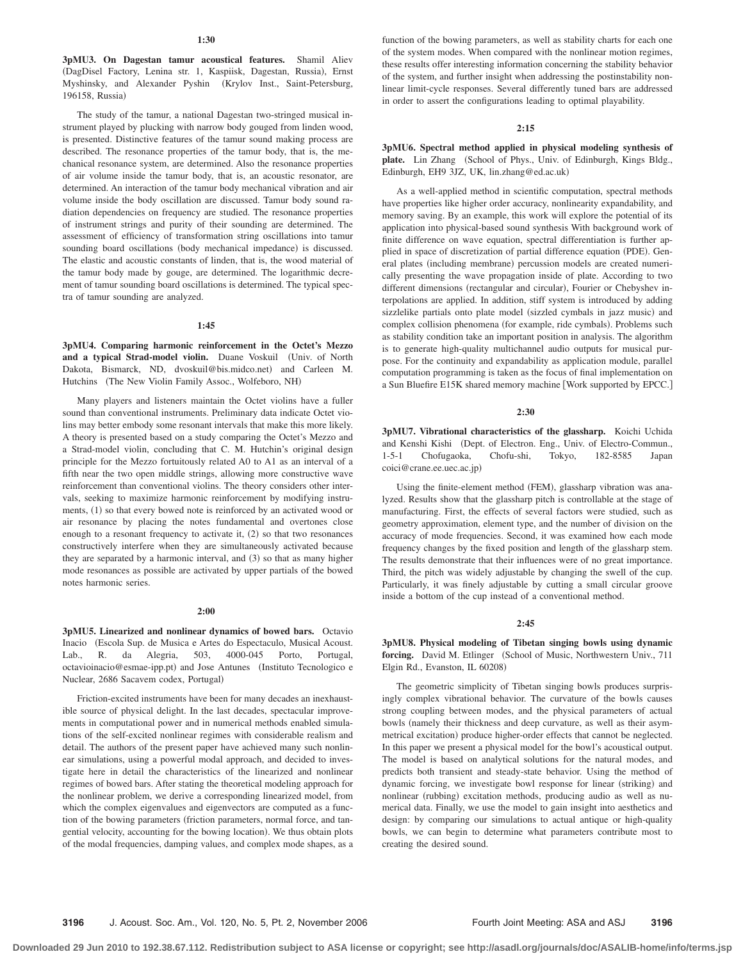**3pMU3. On Dagestan tamur acoustical features.** Shamil Aliev (DagDisel Factory, Lenina str. 1, Kaspiisk, Dagestan, Russia), Ernst Myshinsky, and Alexander Pyshin (Krylov Inst., Saint-Petersburg, 196158, Russia)

The study of the tamur, a national Dagestan two-stringed musical instrument played by plucking with narrow body gouged from linden wood, is presented. Distinctive features of the tamur sound making process are described. The resonance properties of the tamur body, that is, the mechanical resonance system, are determined. Also the resonance properties of air volume inside the tamur body, that is, an acoustic resonator, are determined. An interaction of the tamur body mechanical vibration and air volume inside the body oscillation are discussed. Tamur body sound radiation dependencies on frequency are studied. The resonance properties of instrument strings and purity of their sounding are determined. The assessment of efficiency of transformation string oscillations into tamur sounding board oscillations (body mechanical impedance) is discussed. The elastic and acoustic constants of linden, that is, the wood material of the tamur body made by gouge, are determined. The logarithmic decrement of tamur sounding board oscillations is determined. The typical spectra of tamur sounding are analyzed.

## **1:45**

**3pMU4. Comparing harmonic reinforcement in the Octet's Mezzo** and a typical Strad-model violin. Duane Voskuil (Univ. of North Dakota, Bismarck, ND, dvoskuil@bis.midco.net) and Carleen M. Hutchins (The New Violin Family Assoc., Wolfeboro, NH)

Many players and listeners maintain the Octet violins have a fuller sound than conventional instruments. Preliminary data indicate Octet violins may better embody some resonant intervals that make this more likely. A theory is presented based on a study comparing the Octet's Mezzo and a Strad-model violin, concluding that C. M. Hutchin's original design principle for the Mezzo fortuitously related A0 to A1 as an interval of a fifth near the two open middle strings, allowing more constructive wave reinforcement than conventional violins. The theory considers other intervals, seeking to maximize harmonic reinforcement by modifying instruments, (1) so that every bowed note is reinforced by an activated wood or air resonance by placing the notes fundamental and overtones close enough to a resonant frequency to activate it, (2) so that two resonances constructively interfere when they are simultaneously activated because they are separated by a harmonic interval, and (3) so that as many higher mode resonances as possible are activated by upper partials of the bowed notes harmonic series.

#### **2:00**

**3pMU5. Linearized and nonlinear dynamics of bowed bars.** Octavio Inacio Escola Sup. de Musica e Artes do Espectaculo, Musical Acoust. Lab., R. da Alegria, 503, 4000-045 Porto, Portugal, octavioinacio@esmae-ipp.pt) and Jose Antunes (Instituto Tecnologico e Nuclear, 2686 Sacavem codex, Portugal)

Friction-excited instruments have been for many decades an inexhaustible source of physical delight. In the last decades, spectacular improvements in computational power and in numerical methods enabled simulations of the self-excited nonlinear regimes with considerable realism and detail. The authors of the present paper have achieved many such nonlinear simulations, using a powerful modal approach, and decided to investigate here in detail the characteristics of the linearized and nonlinear regimes of bowed bars. After stating the theoretical modeling approach for the nonlinear problem, we derive a corresponding linearized model, from which the complex eigenvalues and eigenvectors are computed as a function of the bowing parameters (friction parameters, normal force, and tangential velocity, accounting for the bowing location). We thus obtain plots of the modal frequencies, damping values, and complex mode shapes, as a function of the bowing parameters, as well as stability charts for each one of the system modes. When compared with the nonlinear motion regimes, these results offer interesting information concerning the stability behavior of the system, and further insight when addressing the postinstability nonlinear limit-cycle responses. Several differently tuned bars are addressed in order to assert the configurations leading to optimal playability.

## **2:15**

**3pMU6. Spectral method applied in physical modeling synthesis of** plate. Lin Zhang (School of Phys., Univ. of Edinburgh, Kings Bldg., Edinburgh, EH9 3JZ, UK, lin.zhang@ed.ac.uk-

As a well-applied method in scientific computation, spectral methods have properties like higher order accuracy, nonlinearity expandability, and memory saving. By an example, this work will explore the potential of its application into physical-based sound synthesis With background work of finite difference on wave equation, spectral differentiation is further applied in space of discretization of partial difference equation (PDE). General plates (including membrane) percussion models are created numerically presenting the wave propagation inside of plate. According to two different dimensions (rectangular and circular), Fourier or Chebyshev interpolations are applied. In addition, stiff system is introduced by adding sizzlelike partials onto plate model (sizzled cymbals in jazz music) and complex collision phenomena (for example, ride cymbals). Problems such as stability condition take an important position in analysis. The algorithm is to generate high-quality multichannel audio outputs for musical purpose. For the continuity and expandability as application module, parallel computation programming is taken as the focus of final implementation on a Sun Bluefire E15K shared memory machine [Work supported by EPCC.]

### **2:30**

**3pMU7. Vibrational characteristics of the glassharp.** Koichi Uchida and Kenshi Kishi (Dept. of Electron. Eng., Univ. of Electro-Commun., 1-5-1 Chofugaoka, Chofu-shi, Tokyo, 182-8585 Japan coici@crane.ee.uec.ac.jp)

Using the finite-element method (FEM), glassharp vibration was analyzed. Results show that the glassharp pitch is controllable at the stage of manufacturing. First, the effects of several factors were studied, such as geometry approximation, element type, and the number of division on the accuracy of mode frequencies. Second, it was examined how each mode frequency changes by the fixed position and length of the glassharp stem. The results demonstrate that their influences were of no great importance. Third, the pitch was widely adjustable by changing the swell of the cup. Particularly, it was finely adjustable by cutting a small circular groove inside a bottom of the cup instead of a conventional method.

#### **2:45**

**3pMU8. Physical modeling of Tibetan singing bowls using dynamic** forcing. David M. Etlinger (School of Music, Northwestern Univ., 711 Elgin Rd., Evanston, IL 60208)

The geometric simplicity of Tibetan singing bowls produces surprisingly complex vibrational behavior. The curvature of the bowls causes strong coupling between modes, and the physical parameters of actual bowls (namely their thickness and deep curvature, as well as their asymmetrical excitation) produce higher-order effects that cannot be neglected. In this paper we present a physical model for the bowl's acoustical output. The model is based on analytical solutions for the natural modes, and predicts both transient and steady-state behavior. Using the method of dynamic forcing, we investigate bowl response for linear (striking) and nonlinear (rubbing) excitation methods, producing audio as well as numerical data. Finally, we use the model to gain insight into aesthetics and design: by comparing our simulations to actual antique or high-quality bowls, we can begin to determine what parameters contribute most to creating the desired sound.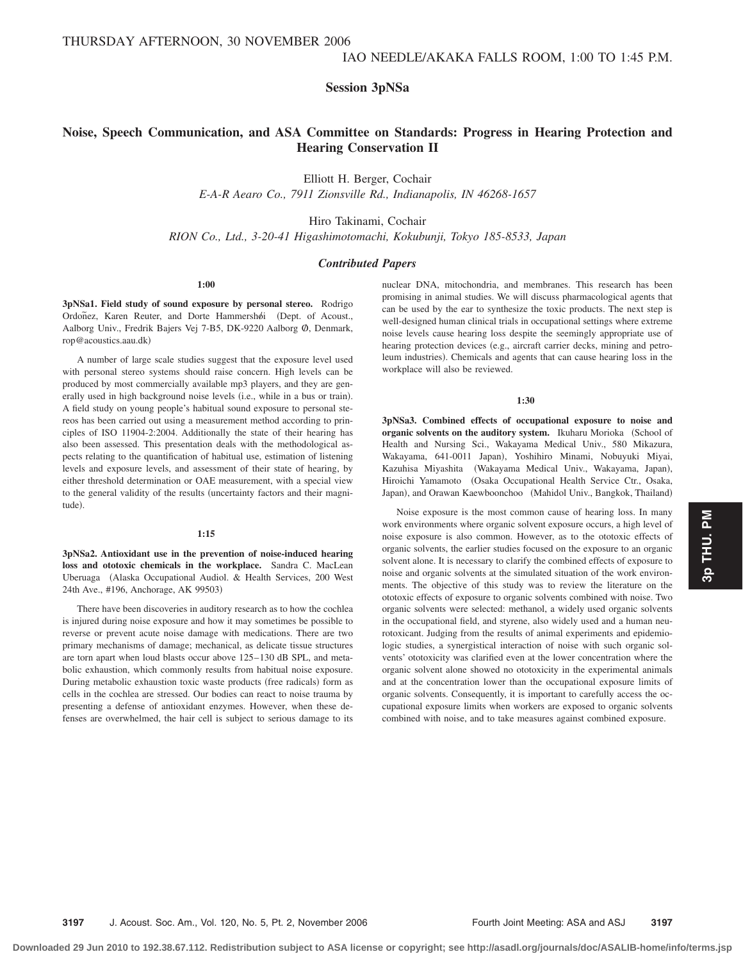**Session 3pNSa**

# **Noise, Speech Communication, and ASA Committee on Standards: Progress in Hearing Protection and Hearing Conservation II**

Elliott H. Berger, Cochair

*E-A-R Aearo Co., 7911 Zionsville Rd., Indianapolis, IN 46268-1657*

Hiro Takinami, Cochair *RION Co., Ltd., 3-20-41 Higashimotomachi, Kokubunji, Tokyo 185-8533, Japan*

# *Contributed Papers*

#### **1:00**

**3pNSa1. Field study of sound exposure by personal stereo.** Rodrigo Ordonez, Karen Reuter, and Dorte Hammershøi (Dept. of Acoust., Aalborg Univ., Fredrik Bajers Vej 7-B5, DK-9220 Aalborg Ø, Denmark, rop@acoustics.aau.dk-

A number of large scale studies suggest that the exposure level used with personal stereo systems should raise concern. High levels can be produced by most commercially available mp3 players, and they are generally used in high background noise levels (i.e., while in a bus or train). A field study on young people's habitual sound exposure to personal stereos has been carried out using a measurement method according to principles of ISO 11904-2:2004. Additionally the state of their hearing has also been assessed. This presentation deals with the methodological aspects relating to the quantification of habitual use, estimation of listening levels and exposure levels, and assessment of their state of hearing, by either threshold determination or OAE measurement, with a special view to the general validity of the results (uncertainty factors and their magnitude).

#### **1:15**

**3pNSa2. Antioxidant use in the prevention of noise-induced hearing loss and ototoxic chemicals in the workplace.** Sandra C. MacLean Uberuaga (Alaska Occupational Audiol. & Health Services, 200 West 24th Ave., #196, Anchorage, AK 99503)

There have been discoveries in auditory research as to how the cochlea is injured during noise exposure and how it may sometimes be possible to reverse or prevent acute noise damage with medications. There are two primary mechanisms of damage; mechanical, as delicate tissue structures are torn apart when loud blasts occur above 125–130 dB SPL, and metabolic exhaustion, which commonly results from habitual noise exposure. During metabolic exhaustion toxic waste products (free radicals) form as cells in the cochlea are stressed. Our bodies can react to noise trauma by presenting a defense of antioxidant enzymes. However, when these defenses are overwhelmed, the hair cell is subject to serious damage to its

nuclear DNA, mitochondria, and membranes. This research has been promising in animal studies. We will discuss pharmacological agents that can be used by the ear to synthesize the toxic products. The next step is well-designed human clinical trials in occupational settings where extreme noise levels cause hearing loss despite the seemingly appropriate use of hearing protection devices (e.g., aircraft carrier decks, mining and petroleum industries). Chemicals and agents that can cause hearing loss in the workplace will also be reviewed.

## **1:30**

**3pNSa3. Combined effects of occupational exposure to noise and organic solvents on the auditory system.** Ikuharu Morioka (School of Health and Nursing Sci., Wakayama Medical Univ., 580 Mikazura, Wakayama, 641-0011 Japan), Yoshihiro Minami, Nobuyuki Miyai, Kazuhisa Miyashita (Wakayama Medical Univ., Wakayama, Japan), Hiroichi Yamamoto (Osaka Occupational Health Service Ctr., Osaka, Japan), and Orawan Kaewboonchoo (Mahidol Univ., Bangkok, Thailand)

Noise exposure is the most common cause of hearing loss. In many work environments where organic solvent exposure occurs, a high level of noise exposure is also common. However, as to the ototoxic effects of organic solvents, the earlier studies focused on the exposure to an organic solvent alone. It is necessary to clarify the combined effects of exposure to noise and organic solvents at the simulated situation of the work environments. The objective of this study was to review the literature on the ototoxic effects of exposure to organic solvents combined with noise. Two organic solvents were selected: methanol, a widely used organic solvents in the occupational field, and styrene, also widely used and a human neurotoxicant. Judging from the results of animal experiments and epidemiologic studies, a synergistical interaction of noise with such organic solvents' ototoxicity was clarified even at the lower concentration where the organic solvent alone showed no ototoxicity in the experimental animals and at the concentration lower than the occupational exposure limits of organic solvents. Consequently, it is important to carefully access the occupational exposure limits when workers are exposed to organic solvents combined with noise, and to take measures against combined exposure.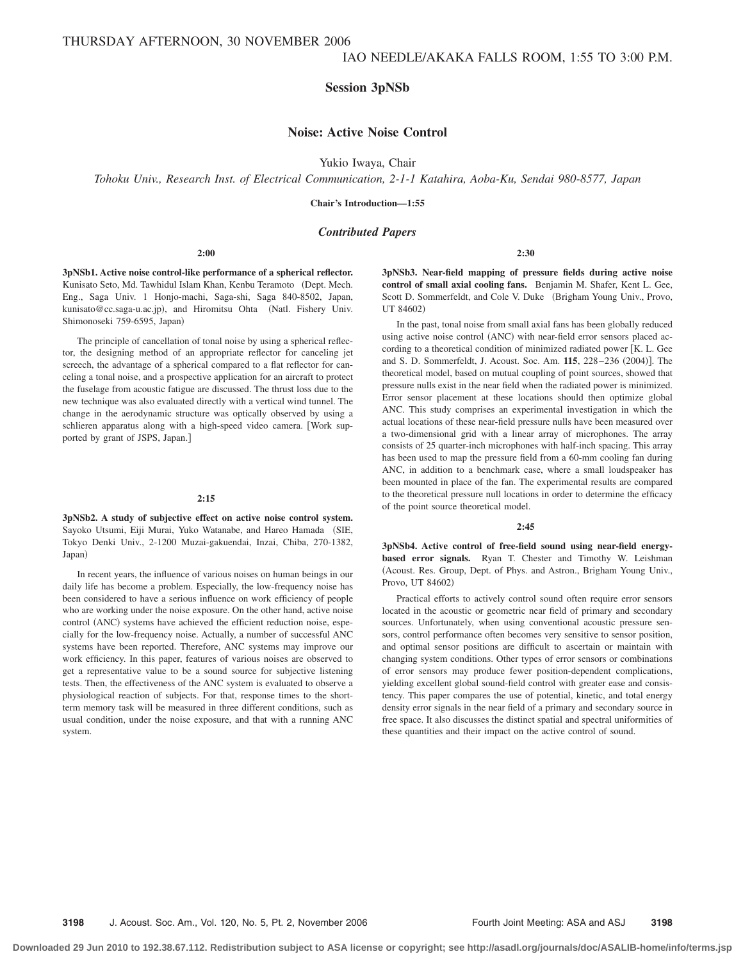# **Session 3pNSb**

# **Noise: Active Noise Control**

Yukio Iwaya, Chair

*Tohoku Univ., Research Inst. of Electrical Communication, 2-1-1 Katahira, Aoba-Ku, Sendai 980-8577, Japan*

**Chair's Introduction—1:55**

# *Contributed Papers*

#### **2:00**

**3pNSb1. Active noise control-like performance of a spherical reflector.** Kunisato Seto, Md. Tawhidul Islam Khan, Kenbu Teramoto (Dept. Mech. Eng., Saga Univ. 1 Honjo-machi, Saga-shi, Saga 840-8502, Japan, kunisato@cc.saga-u.ac.jp), and Hiromitsu Ohta (Natl. Fishery Univ. Shimonoseki 759-6595, Japan)

The principle of cancellation of tonal noise by using a spherical reflector, the designing method of an appropriate reflector for canceling jet screech, the advantage of a spherical compared to a flat reflector for canceling a tonal noise, and a prospective application for an aircraft to protect the fuselage from acoustic fatigue are discussed. The thrust loss due to the new technique was also evaluated directly with a vertical wind tunnel. The change in the aerodynamic structure was optically observed by using a schlieren apparatus along with a high-speed video camera. [Work supported by grant of JSPS, Japan.

## **2:15**

**3pNSb2. A study of subjective effect on active noise control system.** Sayoko Utsumi, Eiji Murai, Yuko Watanabe, and Hareo Hamada (SIE, Tokyo Denki Univ., 2-1200 Muzai-gakuendai, Inzai, Chiba, 270-1382, Japan)

In recent years, the influence of various noises on human beings in our daily life has become a problem. Especially, the low-frequency noise has been considered to have a serious influence on work efficiency of people who are working under the noise exposure. On the other hand, active noise control (ANC) systems have achieved the efficient reduction noise, especially for the low-frequency noise. Actually, a number of successful ANC systems have been reported. Therefore, ANC systems may improve our work efficiency. In this paper, features of various noises are observed to get a representative value to be a sound source for subjective listening tests. Then, the effectiveness of the ANC system is evaluated to observe a physiological reaction of subjects. For that, response times to the shortterm memory task will be measured in three different conditions, such as usual condition, under the noise exposure, and that with a running ANC system.

**3pNSb3. Near-field mapping of pressure fields during active noise control of small axial cooling fans.** Benjamin M. Shafer, Kent L. Gee, Scott D. Sommerfeldt, and Cole V. Duke (Brigham Young Univ., Provo, UT 84602)

**2:30**

In the past, tonal noise from small axial fans has been globally reduced using active noise control (ANC) with near-field error sensors placed according to a theoretical condition of minimized radiated power [K. L. Gee and S. D. Sommerfeldt, J. Acoust. Soc. Am. 115, 228-236 (2004)]. The theoretical model, based on mutual coupling of point sources, showed that pressure nulls exist in the near field when the radiated power is minimized. Error sensor placement at these locations should then optimize global ANC. This study comprises an experimental investigation in which the actual locations of these near-field pressure nulls have been measured over a two-dimensional grid with a linear array of microphones. The array consists of 25 quarter-inch microphones with half-inch spacing. This array has been used to map the pressure field from a 60-mm cooling fan during ANC, in addition to a benchmark case, where a small loudspeaker has been mounted in place of the fan. The experimental results are compared to the theoretical pressure null locations in order to determine the efficacy of the point source theoretical model.

#### **2:45**

**3pNSb4. Active control of free-field sound using near-field energybased error signals.** Ryan T. Chester and Timothy W. Leishman Acoust. Res. Group, Dept. of Phys. and Astron., Brigham Young Univ., Provo, UT 84602)

Practical efforts to actively control sound often require error sensors located in the acoustic or geometric near field of primary and secondary sources. Unfortunately, when using conventional acoustic pressure sensors, control performance often becomes very sensitive to sensor position, and optimal sensor positions are difficult to ascertain or maintain with changing system conditions. Other types of error sensors or combinations of error sensors may produce fewer position-dependent complications, yielding excellent global sound-field control with greater ease and consistency. This paper compares the use of potential, kinetic, and total energy density error signals in the near field of a primary and secondary source in free space. It also discusses the distinct spatial and spectral uniformities of these quantities and their impact on the active control of sound.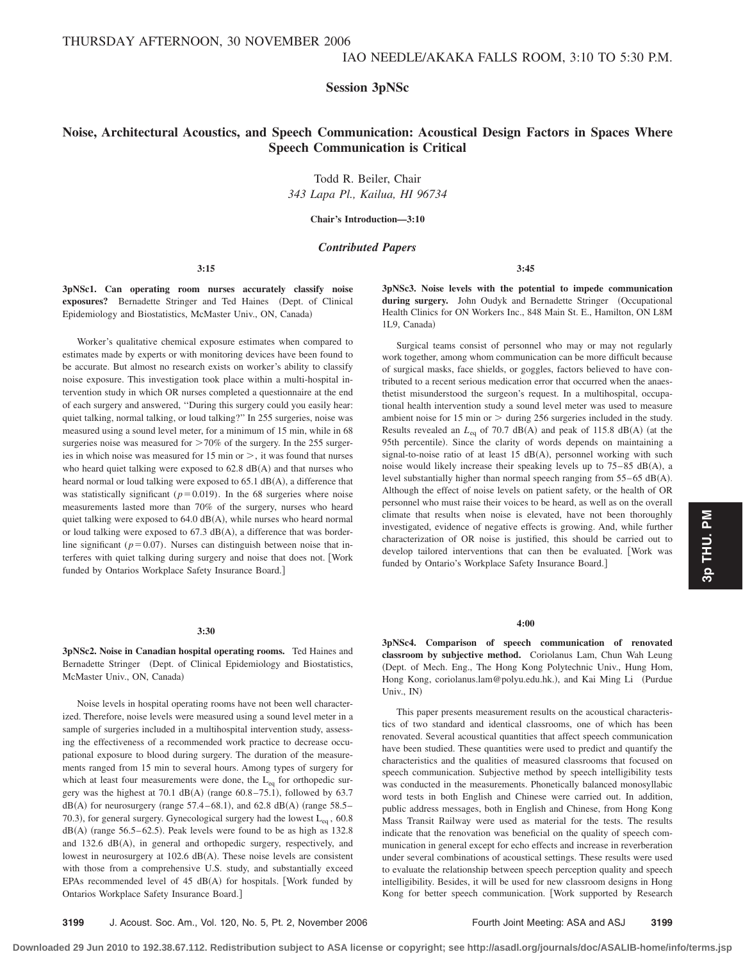# **Session 3pNSc**

# **Noise, Architectural Acoustics, and Speech Communication: Acoustical Design Factors in Spaces Where Speech Communication is Critical**

Todd R. Beiler, Chair *343 Lapa Pl., Kailua, HI 96734*

**Chair's Introduction—3:10**

## *Contributed Papers*

## **3:15**

**3pNSc1. Can operating room nurses accurately classify noise** exposures? Bernadette Stringer and Ted Haines (Dept. of Clinical Epidemiology and Biostatistics, McMaster Univ., ON, Canada)

Worker's qualitative chemical exposure estimates when compared to estimates made by experts or with monitoring devices have been found to be accurate. But almost no research exists on worker's ability to classify noise exposure. This investigation took place within a multi-hospital intervention study in which OR nurses completed a questionnaire at the end of each surgery and answered, ''During this surgery could you easily hear: quiet talking, normal talking, or loud talking?'' In 255 surgeries, noise was measured using a sound level meter, for a minimum of 15 min, while in 68 surgeries noise was measured for  $>70\%$  of the surgery. In the 255 surgeries in which noise was measured for  $15$  min or  $\ge$ , it was found that nurses who heard quiet talking were exposed to  $62.8$  dB(A) and that nurses who heard normal or loud talking were exposed to  $65.1$  dB(A), a difference that was statistically significant ( $p=0.019$ ). In the 68 surgeries where noise measurements lasted more than 70% of the surgery, nurses who heard quiet talking were exposed to  $64.0$  dB(A), while nurses who heard normal or loud talking were exposed to  $67.3$  dB(A), a difference that was borderline significant ( $p=0.07$ ). Nurses can distinguish between noise that interferes with quiet talking during surgery and noise that does not. Work funded by Ontarios Workplace Safety Insurance Board.

#### **3:30**

**3pNSc2. Noise in Canadian hospital operating rooms.** Ted Haines and Bernadette Stringer (Dept. of Clinical Epidemiology and Biostatistics, McMaster Univ., ON, Canada)

Noise levels in hospital operating rooms have not been well characterized. Therefore, noise levels were measured using a sound level meter in a sample of surgeries included in a multihospital intervention study, assessing the effectiveness of a recommended work practice to decrease occupational exposure to blood during surgery. The duration of the measurements ranged from 15 min to several hours. Among types of surgery for which at least four measurements were done, the  $L_{eq}$  for orthopedic surgery was the highest at  $70.1$  dB(A) (range  $60.8-75.1$ ), followed by  $63.7$  $dB(A)$  for neurosurgery (range 57.4–68.1), and 62.8 dB(A) (range 58.5– 70.3), for general surgery. Gynecological surgery had the lowest  $L_{eq}$ , 60.8  $dB(A)$  (range 56.5–62.5). Peak levels were found to be as high as 132.8 and  $132.6$   $dB(A)$ , in general and orthopedic surgery, respectively, and lowest in neurosurgery at 102.6 dB(A). These noise levels are consistent with those from a comprehensive U.S. study, and substantially exceed EPAs recommended level of  $45$  dB(A) for hospitals. [Work funded by Ontarios Workplace Safety Insurance Board.

**3pNSc3. Noise levels with the potential to impede communication** during surgery. John Oudyk and Bernadette Stringer (Occupational Health Clinics for ON Workers Inc., 848 Main St. E., Hamilton, ON L8M  $11.9$  Canada)

**3:45**

Surgical teams consist of personnel who may or may not regularly work together, among whom communication can be more difficult because of surgical masks, face shields, or goggles, factors believed to have contributed to a recent serious medication error that occurred when the anaesthetist misunderstood the surgeon's request. In a multihospital, occupational health intervention study a sound level meter was used to measure ambient noise for 15 min or  $>$  during 256 surgeries included in the study. Results revealed an  $L_{eq}$  of 70.7 dB(A) and peak of 115.8 dB(A) (at the 95th percentile). Since the clarity of words depends on maintaining a signal-to-noise ratio of at least  $15$  dB(A), personnel working with such noise would likely increase their speaking levels up to  $75-85$  dB(A), a level substantially higher than normal speech ranging from  $55-65$  dB(A). Although the effect of noise levels on patient safety, or the health of OR personnel who must raise their voices to be heard, as well as on the overall climate that results when noise is elevated, have not been thoroughly investigated, evidence of negative effects is growing. And, while further characterization of OR noise is justified, this should be carried out to develop tailored interventions that can then be evaluated. Work was funded by Ontario's Workplace Safety Insurance Board.

**4:00**

**3pNSc4. Comparison of speech communication of renovated classroom by subjective method.** Coriolanus Lam, Chun Wah Leung Dept. of Mech. Eng., The Hong Kong Polytechnic Univ., Hung Hom, Hong Kong, coriolanus.lam@polyu.edu.hk.), and Kai Ming Li (Purdue Univ., IN-

This paper presents measurement results on the acoustical characteristics of two standard and identical classrooms, one of which has been renovated. Several acoustical quantities that affect speech communication have been studied. These quantities were used to predict and quantify the characteristics and the qualities of measured classrooms that focused on speech communication. Subjective method by speech intelligibility tests was conducted in the measurements. Phonetically balanced monosyllabic word tests in both English and Chinese were carried out. In addition, public address messages, both in English and Chinese, from Hong Kong Mass Transit Railway were used as material for the tests. The results indicate that the renovation was beneficial on the quality of speech communication in general except for echo effects and increase in reverberation under several combinations of acoustical settings. These results were used to evaluate the relationship between speech perception quality and speech intelligibility. Besides, it will be used for new classroom designs in Hong Kong for better speech communication. Work supported by Research

**3199** J. Acoust. Soc. Am., Vol. 120, No. 5, Pt. 2, November 2006 Fourth Joint Meeting: ASA and ASJ **3199**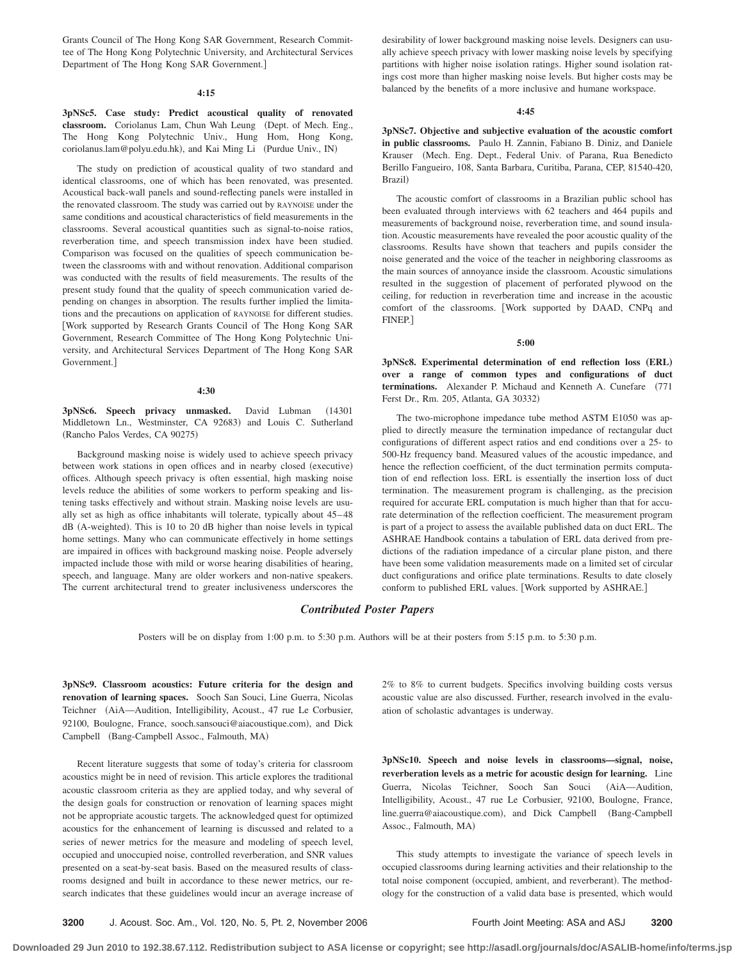Grants Council of The Hong Kong SAR Government, Research Committee of The Hong Kong Polytechnic University, and Architectural Services Department of The Hong Kong SAR Government.

#### **4:15**

**3pNSc5. Case study: Predict acoustical quality of renovated** classroom. Coriolanus Lam, Chun Wah Leung (Dept. of Mech. Eng., The Hong Kong Polytechnic Univ., Hung Hom, Hong Kong, coriolanus.lam@polyu.edu.hk), and Kai Ming Li (Purdue Univ., IN)

The study on prediction of acoustical quality of two standard and identical classrooms, one of which has been renovated, was presented. Acoustical back-wall panels and sound-reflecting panels were installed in the renovated classroom. The study was carried out by RAYNOISE under the same conditions and acoustical characteristics of field measurements in the classrooms. Several acoustical quantities such as signal-to-noise ratios, reverberation time, and speech transmission index have been studied. Comparison was focused on the qualities of speech communication between the classrooms with and without renovation. Additional comparison was conducted with the results of field measurements. The results of the present study found that the quality of speech communication varied depending on changes in absorption. The results further implied the limitations and the precautions on application of RAYNOISE for different studies. Work supported by Research Grants Council of The Hong Kong SAR Government, Research Committee of The Hong Kong Polytechnic University, and Architectural Services Department of The Hong Kong SAR Government.

## **4:30**

3pNSc6. Speech privacy unmasked. David Lubman (14301) Middletown Ln., Westminster, CA 92683) and Louis C. Sutherland (Rancho Palos Verdes, CA 90275)

Background masking noise is widely used to achieve speech privacy between work stations in open offices and in nearby closed (executive) offices. Although speech privacy is often essential, high masking noise levels reduce the abilities of some workers to perform speaking and listening tasks effectively and without strain. Masking noise levels are usually set as high as office inhabitants will tolerate, typically about  $45-48$ dB (A-weighted). This is 10 to 20 dB higher than noise levels in typical home settings. Many who can communicate effectively in home settings are impaired in offices with background masking noise. People adversely impacted include those with mild or worse hearing disabilities of hearing, speech, and language. Many are older workers and non-native speakers. The current architectural trend to greater inclusiveness underscores the

desirability of lower background masking noise levels. Designers can usually achieve speech privacy with lower masking noise levels by specifying partitions with higher noise isolation ratings. Higher sound isolation ratings cost more than higher masking noise levels. But higher costs may be balanced by the benefits of a more inclusive and humane workspace.

#### **4:45**

**3pNSc7. Objective and subjective evaluation of the acoustic comfort in public classrooms.** Paulo H. Zannin, Fabiano B. Diniz, and Daniele Krauser (Mech. Eng. Dept., Federal Univ. of Parana, Rua Benedicto Berillo Fangueiro, 108, Santa Barbara, Curitiba, Parana, CEP, 81540-420, Brazil-

The acoustic comfort of classrooms in a Brazilian public school has been evaluated through interviews with 62 teachers and 464 pupils and measurements of background noise, reverberation time, and sound insulation. Acoustic measurements have revealed the poor acoustic quality of the classrooms. Results have shown that teachers and pupils consider the noise generated and the voice of the teacher in neighboring classrooms as the main sources of annoyance inside the classroom. Acoustic simulations resulted in the suggestion of placement of perforated plywood on the ceiling, for reduction in reverberation time and increase in the acoustic comfort of the classrooms. Work supported by DAAD, CNPq and FINEP.

## **5:00**

3pNSc8. Experimental determination of end reflection loss (ERL) **over a range of common types and configurations of duct** terminations. Alexander P. Michaud and Kenneth A. Cunefare (771) Ferst Dr., Rm. 205, Atlanta, GA 30332)

The two-microphone impedance tube method ASTM E1050 was applied to directly measure the termination impedance of rectangular duct configurations of different aspect ratios and end conditions over a 25- to 500-Hz frequency band. Measured values of the acoustic impedance, and hence the reflection coefficient, of the duct termination permits computation of end reflection loss. ERL is essentially the insertion loss of duct termination. The measurement program is challenging, as the precision required for accurate ERL computation is much higher than that for accurate determination of the reflection coefficient. The measurement program is part of a project to assess the available published data on duct ERL. The ASHRAE Handbook contains a tabulation of ERL data derived from predictions of the radiation impedance of a circular plane piston, and there have been some validation measurements made on a limited set of circular duct configurations and orifice plate terminations. Results to date closely conform to published ERL values. [Work supported by ASHRAE.]

# *Contributed Poster Papers*

Posters will be on display from 1:00 p.m. to 5:30 p.m. Authors will be at their posters from 5:15 p.m. to 5:30 p.m.

**3pNSc9. Classroom acoustics: Future criteria for the design and renovation of learning spaces.** Sooch San Souci, Line Guerra, Nicolas Teichner (AiA—Audition, Intelligibility, Acoust., 47 rue Le Corbusier, 92100, Boulogne, France, sooch.sansouci@aiacoustique.com), and Dick Campbell (Bang-Campbell Assoc., Falmouth, MA)

Recent literature suggests that some of today's criteria for classroom acoustics might be in need of revision. This article explores the traditional acoustic classroom criteria as they are applied today, and why several of the design goals for construction or renovation of learning spaces might not be appropriate acoustic targets. The acknowledged quest for optimized acoustics for the enhancement of learning is discussed and related to a series of newer metrics for the measure and modeling of speech level, occupied and unoccupied noise, controlled reverberation, and SNR values presented on a seat-by-seat basis. Based on the measured results of classrooms designed and built in accordance to these newer metrics, our research indicates that these guidelines would incur an average increase of 2% to 8% to current budgets. Specifics involving building costs versus acoustic value are also discussed. Further, research involved in the evaluation of scholastic advantages is underway.

**3pNSc10. Speech and noise levels in classrooms—signal, noise, reverberation levels as a metric for acoustic design for learning.** Line Guerra, Nicolas Teichner, Sooch San Souci AiA—Audition, Intelligibility, Acoust., 47 rue Le Corbusier, 92100, Boulogne, France, line.guerra@aiacoustique.com), and Dick Campbell (Bang-Campbell Assoc., Falmouth, MA)

This study attempts to investigate the variance of speech levels in occupied classrooms during learning activities and their relationship to the total noise component (occupied, ambient, and reverberant). The methodology for the construction of a valid data base is presented, which would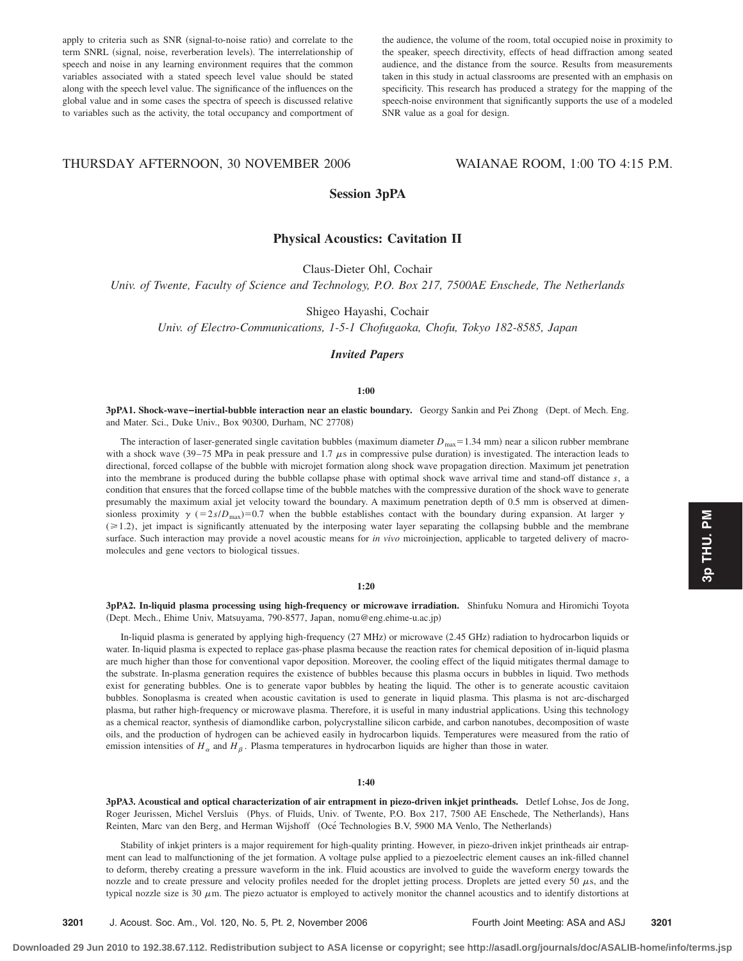apply to criteria such as SNR (signal-to-noise ratio) and correlate to the term SNRL (signal, noise, reverberation levels). The interrelationship of speech and noise in any learning environment requires that the common variables associated with a stated speech level value should be stated along with the speech level value. The significance of the influences on the global value and in some cases the spectra of speech is discussed relative to variables such as the activity, the total occupancy and comportment of the audience, the volume of the room, total occupied noise in proximity to the speaker, speech directivity, effects of head diffraction among seated audience, and the distance from the source. Results from measurements taken in this study in actual classrooms are presented with an emphasis on specificity. This research has produced a strategy for the mapping of the speech-noise environment that significantly supports the use of a modeled SNR value as a goal for design.

# THURSDAY AFTERNOON, 30 NOVEMBER 2006 WAIANAE ROOM, 1:00 TO 4:15 P.M.

# **Session 3pPA**

# **Physical Acoustics: Cavitation II**

Claus-Dieter Ohl, Cochair

*Univ. of Twente, Faculty of Science and Technology, P.O. Box 217, 7500AE Enschede, The Netherlands*

Shigeo Hayashi, Cochair

*Univ. of Electro-Communications, 1-5-1 Chofugaoka, Chofu, Tokyo 182-8585, Japan*

## *Invited Papers*

# **1:00**

**3pPA1. Shock-wave-inertial-bubble interaction near an elastic boundary. Georgy Sankin and Pei Zhong (Dept. of Mech. Eng.** and Mater. Sci., Duke Univ., Box 90300, Durham, NC 27708)

The interaction of laser-generated single cavitation bubbles (maximum diameter  $D_{\text{max}}=1.34$  mm) near a silicon rubber membrane with a shock wave  $(39-75 \text{ MPa}$  in peak pressure and 1.7  $\mu$ s in compressive pulse duration) is investigated. The interaction leads to directional, forced collapse of the bubble with microjet formation along shock wave propagation direction. Maximum jet penetration into the membrane is produced during the bubble collapse phase with optimal shock wave arrival time and stand-off distance *s*, a condition that ensures that the forced collapse time of the bubble matches with the compressive duration of the shock wave to generate presumably the maximum axial jet velocity toward the boundary. A maximum penetration depth of 0.5 mm is observed at dimensionless proximity  $\gamma$  (=2*s/D*<sub>max</sub>)=0.7 when the bubble establishes contact with the boundary during expansion. At larger  $\gamma$  $(\geq 1.2)$ , jet impact is significantly attenuated by the interposing water layer separating the collapsing bubble and the membrane surface. Such interaction may provide a novel acoustic means for *in vivo* microinjection, applicable to targeted delivery of macromolecules and gene vectors to biological tissues.

# **1:20**

**3pPA2. In-liquid plasma processing using high-frequency or microwave irradiation.** Shinfuku Nomura and Hiromichi Toyota Dept. Mech., Ehime Univ, Matsuyama, 790-8577, Japan, nomu@eng.ehime-u.ac.jp-

In-liquid plasma is generated by applying high-frequency (27 MHz) or microwave (2.45 GHz) radiation to hydrocarbon liquids or water. In-liquid plasma is expected to replace gas-phase plasma because the reaction rates for chemical deposition of in-liquid plasma are much higher than those for conventional vapor deposition. Moreover, the cooling effect of the liquid mitigates thermal damage to the substrate. In-plasma generation requires the existence of bubbles because this plasma occurs in bubbles in liquid. Two methods exist for generating bubbles. One is to generate vapor bubbles by heating the liquid. The other is to generate acoustic cavitaion bubbles. Sonoplasma is created when acoustic cavitation is used to generate in liquid plasma. This plasma is not arc-discharged plasma, but rather high-frequency or microwave plasma. Therefore, it is useful in many industrial applications. Using this technology as a chemical reactor, synthesis of diamondlike carbon, polycrystalline silicon carbide, and carbon nanotubes, decomposition of waste oils, and the production of hydrogen can be achieved easily in hydrocarbon liquids. Temperatures were measured from the ratio of emission intensities of  $H_\alpha$  and  $H_\beta$ . Plasma temperatures in hydrocarbon liquids are higher than those in water.

## **1:40**

**3pPA3. Acoustical and optical characterization of air entrapment in piezo-driven inkjet printheads.** Detlef Lohse, Jos de Jong, Roger Jeurissen, Michel Versluis (Phys. of Fluids, Univ. of Twente, P.O. Box 217, 7500 AE Enschede, The Netherlands), Hans Reinten, Marc van den Berg, and Herman Wijshoff (Océ Technologies B.V, 5900 MA Venlo, The Netherlands)

Stability of inkjet printers is a major requirement for high-quality printing. However, in piezo-driven inkjet printheads air entrapment can lead to malfunctioning of the jet formation. A voltage pulse applied to a piezoelectric element causes an ink-filled channel to deform, thereby creating a pressure waveform in the ink. Fluid acoustics are involved to guide the waveform energy towards the nozzle and to create pressure and velocity profiles needed for the droplet jetting process. Droplets are jetted every 50  $\mu$ s, and the typical nozzle size is 30  $\mu$ m. The piezo actuator is employed to actively monitor the channel acoustics and to identify distortions at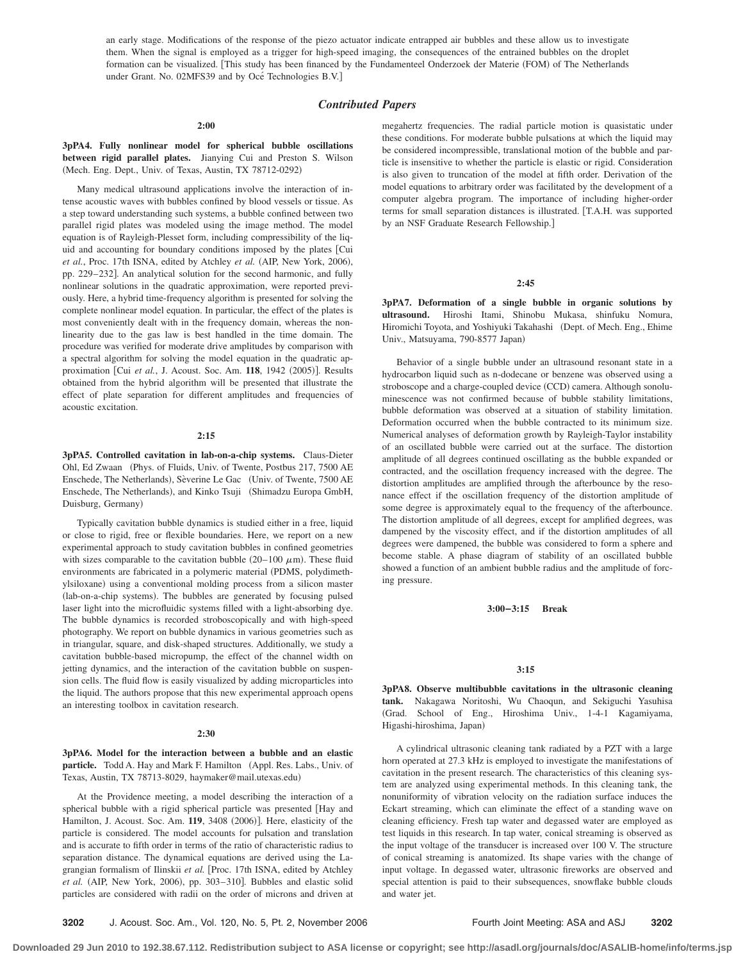an early stage. Modifications of the response of the piezo actuator indicate entrapped air bubbles and these allow us to investigate them. When the signal is employed as a trigger for high-speed imaging, the consequences of the entrained bubbles on the droplet formation can be visualized. [This study has been financed by the Fundamenteel Onderzoek der Materie (FOM) of The Netherlands under Grant. No. 02MFS39 and by Océ Technologies B.V.]

# *Contributed Papers*

#### **2:00**

**3pPA4. Fully nonlinear model for spherical bubble oscillations between rigid parallel plates.** Jianying Cui and Preston S. Wilson (Mech. Eng. Dept., Univ. of Texas, Austin, TX 78712-0292)

Many medical ultrasound applications involve the interaction of intense acoustic waves with bubbles confined by blood vessels or tissue. As a step toward understanding such systems, a bubble confined between two parallel rigid plates was modeled using the image method. The model equation is of Rayleigh-Plesset form, including compressibility of the liquid and accounting for boundary conditions imposed by the plates Cui et al., Proc. 17th ISNA, edited by Atchley et al. (AIP, New York, 2006), pp. 229–232]. An analytical solution for the second harmonic, and fully nonlinear solutions in the quadratic approximation, were reported previously. Here, a hybrid time-frequency algorithm is presented for solving the complete nonlinear model equation. In particular, the effect of the plates is most conveniently dealt with in the frequency domain, whereas the nonlinearity due to the gas law is best handled in the time domain. The procedure was verified for moderate drive amplitudes by comparison with a spectral algorithm for solving the model equation in the quadratic approximation [Cui et al., J. Acoust. Soc. Am. 118, 1942 (2005)]. Results obtained from the hybrid algorithm will be presented that illustrate the effect of plate separation for different amplitudes and frequencies of acoustic excitation.

#### **2:15**

**3pPA5. Controlled cavitation in lab-on-a-chip systems.** Claus-Dieter Ohl, Ed Zwaan (Phys. of Fluids, Univ. of Twente, Postbus 217, 7500 AE Enschede, The Netherlands), Sèverine Le Gac (Univ. of Twente, 7500 AE Enschede, The Netherlands), and Kinko Tsuji (Shimadzu Europa GmbH, Duisburg, Germany)

Typically cavitation bubble dynamics is studied either in a free, liquid or close to rigid, free or flexible boundaries. Here, we report on a new experimental approach to study cavitation bubbles in confined geometries with sizes comparable to the cavitation bubble  $(20-100 \ \mu m)$ . These fluid environments are fabricated in a polymeric material (PDMS, polydimethylsiloxane) using a conventional molding process from a silicon master (lab-on-a-chip systems). The bubbles are generated by focusing pulsed laser light into the microfluidic systems filled with a light-absorbing dye. The bubble dynamics is recorded stroboscopically and with high-speed photography. We report on bubble dynamics in various geometries such as in triangular, square, and disk-shaped structures. Additionally, we study a cavitation bubble-based micropump, the effect of the channel width on jetting dynamics, and the interaction of the cavitation bubble on suspension cells. The fluid flow is easily visualized by adding microparticles into the liquid. The authors propose that this new experimental approach opens an interesting toolbox in cavitation research.

#### **2:30**

**3pPA6. Model for the interaction between a bubble and an elastic** particle. Todd A. Hay and Mark F. Hamilton (Appl. Res. Labs., Univ. of Texas, Austin, TX 78713-8029, haymaker@mail.utexas.edu-

At the Providence meeting, a model describing the interaction of a spherical bubble with a rigid spherical particle was presented [Hay and Hamilton, J. Acoust. Soc. Am. 119, 3408 (2006)]. Here, elasticity of the particle is considered. The model accounts for pulsation and translation and is accurate to fifth order in terms of the ratio of characteristic radius to separation distance. The dynamical equations are derived using the Lagrangian formalism of Ilinskii et al. [Proc. 17th ISNA, edited by Atchley et al. (AIP, New York, 2006), pp. 303-310]. Bubbles and elastic solid particles are considered with radii on the order of microns and driven at megahertz frequencies. The radial particle motion is quasistatic under these conditions. For moderate bubble pulsations at which the liquid may be considered incompressible, translational motion of the bubble and particle is insensitive to whether the particle is elastic or rigid. Consideration is also given to truncation of the model at fifth order. Derivation of the model equations to arbitrary order was facilitated by the development of a computer algebra program. The importance of including higher-order terms for small separation distances is illustrated. T.A.H. was supported by an NSF Graduate Research Fellowship.

## **2:45**

**3pPA7. Deformation of a single bubble in organic solutions by ultrasound.** Hiroshi Itami, Shinobu Mukasa, shinfuku Nomura, Hiromichi Toyota, and Yoshiyuki Takahashi (Dept. of Mech. Eng., Ehime Univ., Matsuyama, 790-8577 Japan)

Behavior of a single bubble under an ultrasound resonant state in a hydrocarbon liquid such as n-dodecane or benzene was observed using a stroboscope and a charge-coupled device (CCD) camera. Although sonoluminescence was not confirmed because of bubble stability limitations, bubble deformation was observed at a situation of stability limitation. Deformation occurred when the bubble contracted to its minimum size. Numerical analyses of deformation growth by Rayleigh-Taylor instability of an oscillated bubble were carried out at the surface. The distortion amplitude of all degrees continued oscillating as the bubble expanded or contracted, and the oscillation frequency increased with the degree. The distortion amplitudes are amplified through the afterbounce by the resonance effect if the oscillation frequency of the distortion amplitude of some degree is approximately equal to the frequency of the afterbounce. The distortion amplitude of all degrees, except for amplified degrees, was dampened by the viscosity effect, and if the distortion amplitudes of all degrees were dampened, the bubble was considered to form a sphere and become stable. A phase diagram of stability of an oscillated bubble showed a function of an ambient bubble radius and the amplitude of forcing pressure.

**3:00–3:15 Break**

#### **3:15**

**3pPA8. Observe multibubble cavitations in the ultrasonic cleaning tank.** Nakagawa Noritoshi, Wu Chaoqun, and Sekiguchi Yasuhisa Grad. School of Eng., Hiroshima Univ., 1-4-1 Kagamiyama, Higashi-hiroshima, Japan-

A cylindrical ultrasonic cleaning tank radiated by a PZT with a large horn operated at 27.3 kHz is employed to investigate the manifestations of cavitation in the present research. The characteristics of this cleaning system are analyzed using experimental methods. In this cleaning tank, the nonuniformity of vibration velocity on the radiation surface induces the Eckart streaming, which can eliminate the effect of a standing wave on cleaning efficiency. Fresh tap water and degassed water are employed as test liquids in this research. In tap water, conical streaming is observed as the input voltage of the transducer is increased over 100 V. The structure of conical streaming is anatomized. Its shape varies with the change of input voltage. In degassed water, ultrasonic fireworks are observed and special attention is paid to their subsequences, snowflake bubble clouds and water jet.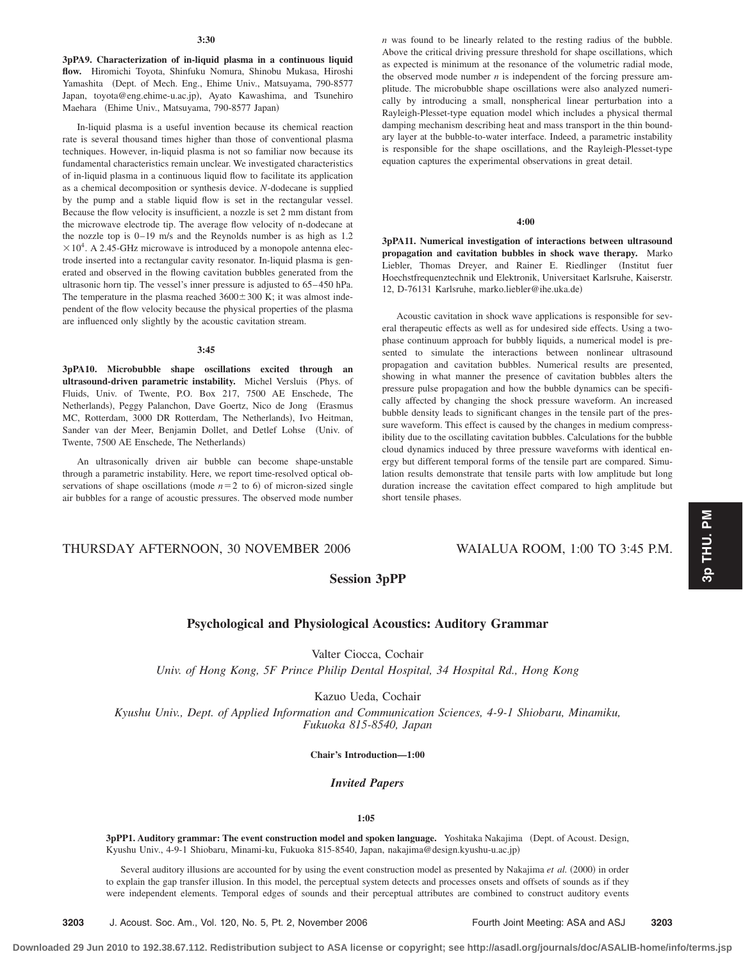**3pPA9. Characterization of in-liquid plasma in a continuous liquid flow.** Hiromichi Toyota, Shinfuku Nomura, Shinobu Mukasa, Hiroshi Yamashita (Dept. of Mech. Eng., Ehime Univ., Matsuyama, 790-8577 Japan, toyota@eng.ehime-u.ac.jp), Ayato Kawashima, and Tsunehiro Maehara (Ehime Univ., Matsuyama, 790-8577 Japan)

In-liquid plasma is a useful invention because its chemical reaction rate is several thousand times higher than those of conventional plasma techniques. However, in-liquid plasma is not so familiar now because its fundamental characteristics remain unclear. We investigated characteristics of in-liquid plasma in a continuous liquid flow to facilitate its application as a chemical decomposition or synthesis device. *N*-dodecane is supplied by the pump and a stable liquid flow is set in the rectangular vessel. Because the flow velocity is insufficient, a nozzle is set 2 mm distant from the microwave electrode tip. The average flow velocity of n-dodecane at the nozzle top is 0–19 m/s and the Reynolds number is as high as 1.2  $\times 10^4$ . A 2.45-GHz microwave is introduced by a monopole antenna electrode inserted into a rectangular cavity resonator. In-liquid plasma is generated and observed in the flowing cavitation bubbles generated from the ultrasonic horn tip. The vessel's inner pressure is adjusted to 65– 450 hPa. The temperature in the plasma reached  $3600 \pm 300$  K; it was almost independent of the flow velocity because the physical properties of the plasma are influenced only slightly by the acoustic cavitation stream.

#### **3:45**

**3pPA10. Microbubble shape oscillations excited through an** ultrasound-driven parametric instability. Michel Versluis (Phys. of Fluids, Univ. of Twente, P.O. Box 217, 7500 AE Enschede, The Netherlands), Peggy Palanchon, Dave Goertz, Nico de Jong (Erasmus MC, Rotterdam, 3000 DR Rotterdam, The Netherlands), Ivo Heitman, Sander van der Meer, Benjamin Dollet, and Detlef Lohse (Univ. of Twente, 7500 AE Enschede, The Netherlands)

An ultrasonically driven air bubble can become shape-unstable through a parametric instability. Here, we report time-resolved optical observations of shape oscillations (mode  $n=2$  to 6) of micron-sized single air bubbles for a range of acoustic pressures. The observed mode number

*n* was found to be linearly related to the resting radius of the bubble. Above the critical driving pressure threshold for shape oscillations, which as expected is minimum at the resonance of the volumetric radial mode, the observed mode number  $n$  is independent of the forcing pressure amplitude. The microbubble shape oscillations were also analyzed numerically by introducing a small, nonspherical linear perturbation into a Rayleigh-Plesset-type equation model which includes a physical thermal damping mechanism describing heat and mass transport in the thin boundary layer at the bubble-to-water interface. Indeed, a parametric instability is responsible for the shape oscillations, and the Rayleigh-Plesset-type equation captures the experimental observations in great detail.

## **4:00**

**3pPA11. Numerical investigation of interactions between ultrasound propagation and cavitation bubbles in shock wave therapy.** Marko Liebler, Thomas Dreyer, and Rainer E. Riedlinger (Institut fuer Hoechstfrequenztechnik und Elektronik, Universitaet Karlsruhe, Kaiserstr. 12, D-76131 Karlsruhe, marko.liebler@ihe.uka.de)

Acoustic cavitation in shock wave applications is responsible for several therapeutic effects as well as for undesired side effects. Using a twophase continuum approach for bubbly liquids, a numerical model is presented to simulate the interactions between nonlinear ultrasound propagation and cavitation bubbles. Numerical results are presented, showing in what manner the presence of cavitation bubbles alters the pressure pulse propagation and how the bubble dynamics can be specifically affected by changing the shock pressure waveform. An increased bubble density leads to significant changes in the tensile part of the pressure waveform. This effect is caused by the changes in medium compressibility due to the oscillating cavitation bubbles. Calculations for the bubble cloud dynamics induced by three pressure waveforms with identical energy but different temporal forms of the tensile part are compared. Simulation results demonstrate that tensile parts with low amplitude but long duration increase the cavitation effect compared to high amplitude but short tensile phases.

THURSDAY AFTERNOON, 30 NOVEMBER 2006 WAIALUA ROOM, 1:00 TO 3:45 P.M.

# **Session 3pPP**

# **Psychological and Physiological Acoustics: Auditory Grammar**

Valter Ciocca, Cochair

*Univ. of Hong Kong, 5F Prince Philip Dental Hospital, 34 Hospital Rd., Hong Kong*

Kazuo Ueda, Cochair

*Kyushu Univ., Dept. of Applied Information and Communication Sciences, 4-9-1 Shiobaru, Minamiku, Fukuoka 815-8540, Japan*

**Chair's Introduction—1:00**

# *Invited Papers*

### **1:05**

**3pPP1. Auditory grammar: The event construction model and spoken language.** Yoshitaka Nakajima (Dept. of Acoust. Design, Kyushu Univ., 4-9-1 Shiobaru, Minami-ku, Fukuoka 815-8540, Japan, nakajima@design.kyushu-u.ac.jp-

Several auditory illusions are accounted for by using the event construction model as presented by Nakajima et al. (2000) in order to explain the gap transfer illusion. In this model, the perceptual system detects and processes onsets and offsets of sounds as if they were independent elements. Temporal edges of sounds and their perceptual attributes are combined to construct auditory events **3p THU. PM**

3p THU. PM

**3203** J. Acoust. Soc. Am., Vol. 120, No. 5, Pt. 2, November 2006 Fourth Joint Meeting: ASA and ASJ **3203**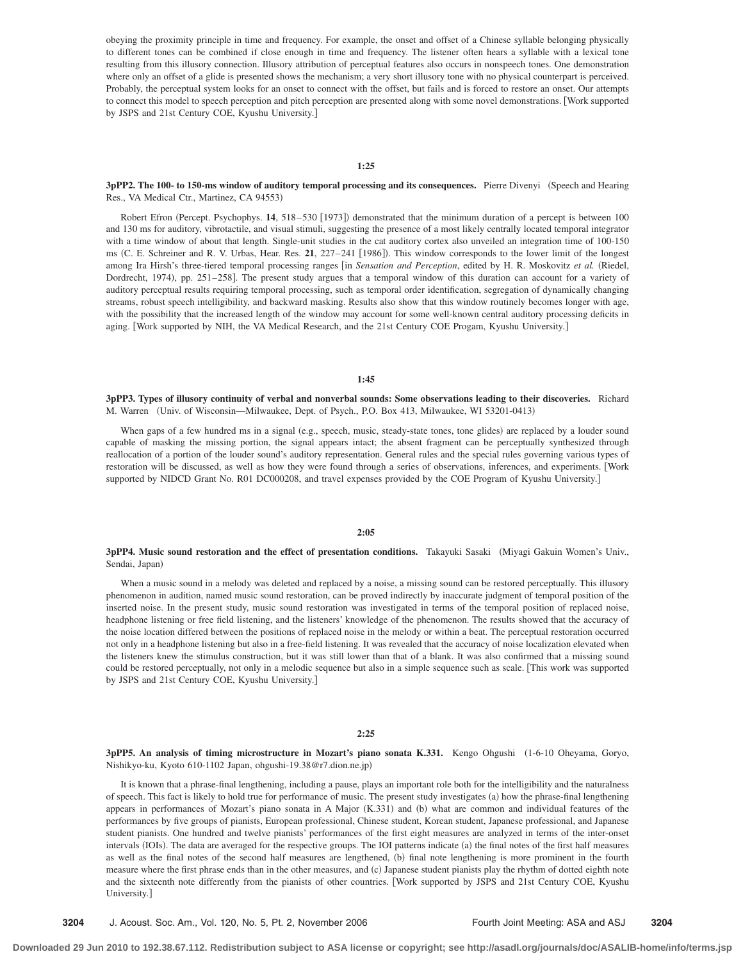obeying the proximity principle in time and frequency. For example, the onset and offset of a Chinese syllable belonging physically to different tones can be combined if close enough in time and frequency. The listener often hears a syllable with a lexical tone resulting from this illusory connection. Illusory attribution of perceptual features also occurs in nonspeech tones. One demonstration where only an offset of a glide is presented shows the mechanism; a very short illusory tone with no physical counterpart is perceived. Probably, the perceptual system looks for an onset to connect with the offset, but fails and is forced to restore an onset. Our attempts to connect this model to speech perception and pitch perception are presented along with some novel demonstrations. [Work supported by JSPS and 21st Century COE, Kyushu University.

## **1:25**

# **3pPP2. The 100- to 150-ms window of auditory temporal processing and its consequences.** Pierre Divenyi (Speech and Hearing Res., VA Medical Ctr., Martinez, CA 94553)

Robert Efron (Percept. Psychophys. 14, 518–530 [1973]) demonstrated that the minimum duration of a percept is between 100 and 130 ms for auditory, vibrotactile, and visual stimuli, suggesting the presence of a most likely centrally located temporal integrator with a time window of about that length. Single-unit studies in the cat auditory cortex also unveiled an integration time of 100-150 ms (C. E. Schreiner and R. V. Urbas, Hear. Res. 21, 227-241 [1986]). This window corresponds to the lower limit of the longest among Ira Hirsh's three-tiered temporal processing ranges [in *Sensation and Perception*, edited by H. R. Moskovitz et al. (Riedel, Dordrecht, 1974), pp. 251–258]. The present study argues that a temporal window of this duration can account for a variety of auditory perceptual results requiring temporal processing, such as temporal order identification, segregation of dynamically changing streams, robust speech intelligibility, and backward masking. Results also show that this window routinely becomes longer with age, with the possibility that the increased length of the window may account for some well-known central auditory processing deficits in aging. [Work supported by NIH, the VA Medical Research, and the 21st Century COE Progam, Kyushu University.]

#### **1:45**

**3pPP3. Types of illusory continuity of verbal and nonverbal sounds: Some observations leading to their discoveries.** Richard M. Warren (Univ. of Wisconsin—Milwaukee, Dept. of Psych., P.O. Box 413, Milwaukee, WI 53201-0413)

When gaps of a few hundred ms in a signal (e.g., speech, music, steady-state tones, tone glides) are replaced by a louder sound capable of masking the missing portion, the signal appears intact; the absent fragment can be perceptually synthesized through reallocation of a portion of the louder sound's auditory representation. General rules and the special rules governing various types of restoration will be discussed, as well as how they were found through a series of observations, inferences, and experiments. Work supported by NIDCD Grant No. R01 DC000208, and travel expenses provided by the COE Program of Kyushu University.]

# **2:05**

# **3pPP4. Music sound restoration and the effect of presentation conditions.** Takayuki Sasaki (Miyagi Gakuin Women's Univ., Sendai, Japan)

When a music sound in a melody was deleted and replaced by a noise, a missing sound can be restored perceptually. This illusory phenomenon in audition, named music sound restoration, can be proved indirectly by inaccurate judgment of temporal position of the inserted noise. In the present study, music sound restoration was investigated in terms of the temporal position of replaced noise, headphone listening or free field listening, and the listeners' knowledge of the phenomenon. The results showed that the accuracy of the noise location differed between the positions of replaced noise in the melody or within a beat. The perceptual restoration occurred not only in a headphone listening but also in a free-field listening. It was revealed that the accuracy of noise localization elevated when the listeners knew the stimulus construction, but it was still lower than that of a blank. It was also confirmed that a missing sound could be restored perceptually, not only in a melodic sequence but also in a simple sequence such as scale. This work was supported by JSPS and 21st Century COE, Kyushu University.

## **2:25**

# **3pPP5. An analysis of timing microstructure in Mozart's piano sonata K.331.** Kengo Ohgushi 1-6-10 Oheyama, Goryo, Nishikyo-ku, Kyoto 610-1102 Japan, ohgushi-19.38@r7.dion.ne.jp-

It is known that a phrase-final lengthening, including a pause, plays an important role both for the intelligibility and the naturalness of speech. This fact is likely to hold true for performance of music. The present study investigates (a) how the phrase-final lengthening appears in performances of Mozart's piano sonata in A Major (K.331) and (b) what are common and individual features of the performances by five groups of pianists, European professional, Chinese student, Korean student, Japanese professional, and Japanese student pianists. One hundred and twelve pianists' performances of the first eight measures are analyzed in terms of the inter-onset intervals (IOIs). The data are averaged for the respective groups. The IOI patterns indicate (a) the final notes of the first half measures as well as the final notes of the second half measures are lengthened, (b) final note lengthening is more prominent in the fourth measure where the first phrase ends than in the other measures, and (c) Japanese student pianists play the rhythm of dotted eighth note and the sixteenth note differently from the pianists of other countries. [Work supported by JSPS and 21st Century COE, Kyushu University.]

**3204** J. Acoust. Soc. Am., Vol. 120, No. 5, Pt. 2, November 2006 Fourth Joint Meeting: ASA and ASJ **3204**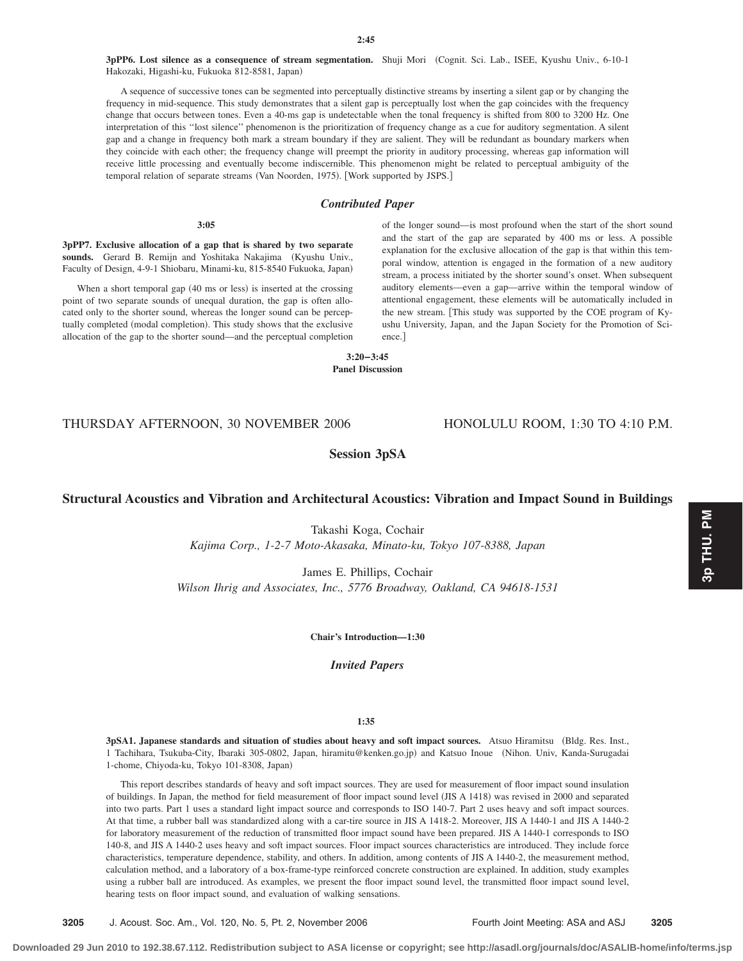**3pPP6. Lost silence as a consequence of stream segmentation.** Shuji Mori Cognit. Sci. Lab., ISEE, Kyushu Univ., 6-10-1 Hakozaki, Higashi-ku, Fukuoka 812-8581, Japan)

A sequence of successive tones can be segmented into perceptually distinctive streams by inserting a silent gap or by changing the frequency in mid-sequence. This study demonstrates that a silent gap is perceptually lost when the gap coincides with the frequency change that occurs between tones. Even a 40-ms gap is undetectable when the tonal frequency is shifted from 800 to 3200 Hz. One interpretation of this ''lost silence'' phenomenon is the prioritization of frequency change as a cue for auditory segmentation. A silent gap and a change in frequency both mark a stream boundary if they are salient. They will be redundant as boundary markers when they coincide with each other; the frequency change will preempt the priority in auditory processing, whereas gap information will receive little processing and eventually become indiscernible. This phenomenon might be related to perceptual ambiguity of the temporal relation of separate streams (Van Noorden, 1975). [Work supported by JSPS.]

# *Contributed Paper*

## **3:05**

**3pPP7. Exclusive allocation of a gap that is shared by two separate** sounds. Gerard B. Remijn and Yoshitaka Nakajima (Kyushu Univ., Faculty of Design, 4-9-1 Shiobaru, Minami-ku, 815-8540 Fukuoka, Japan-

When a short temporal gap (40 ms or less) is inserted at the crossing point of two separate sounds of unequal duration, the gap is often allocated only to the shorter sound, whereas the longer sound can be perceptually completed (modal completion). This study shows that the exclusive allocation of the gap to the shorter sound—and the perceptual completion of the longer sound—is most profound when the start of the short sound and the start of the gap are separated by 400 ms or less. A possible explanation for the exclusive allocation of the gap is that within this temporal window, attention is engaged in the formation of a new auditory stream, a process initiated by the shorter sound's onset. When subsequent auditory elements—even a gap—arrive within the temporal window of attentional engagement, these elements will be automatically included in the new stream. [This study was supported by the COE program of Kyushu University, Japan, and the Japan Society for the Promotion of Science.

**3:20–3:45**

**Panel Discussion**

# THURSDAY AFTERNOON, 30 NOVEMBER 2006 HONOLULU ROOM, 1:30 TO 4:10 P.M.

**Session 3pSA**

# **Structural Acoustics and Vibration and Architectural Acoustics: Vibration and Impact Sound in Buildings**

Takashi Koga, Cochair *Kajima Corp., 1-2-7 Moto-Akasaka, Minato-ku, Tokyo 107-8388, Japan*

James E. Phillips, Cochair *Wilson Ihrig and Associates, Inc., 5776 Broadway, Oakland, CA 94618-1531*

**Chair's Introduction—1:30**

*Invited Papers*

# **1:35**

**3pSA1. Japanese standards and situation of studies about heavy and soft impact sources.** Atsuo Hiramitsu Bldg. Res. Inst., 1 Tachihara, Tsukuba-City, Ibaraki 305-0802, Japan, hiramitu@kenken.go.jp) and Katsuo Inoue (Nihon. Univ, Kanda-Surugadai 1-chome, Chiyoda-ku, Tokyo 101-8308, Japan)

This report describes standards of heavy and soft impact sources. They are used for measurement of floor impact sound insulation of buildings. In Japan, the method for field measurement of floor impact sound level (JIS A 1418) was revised in 2000 and separated into two parts. Part 1 uses a standard light impact source and corresponds to ISO 140-7. Part 2 uses heavy and soft impact sources. At that time, a rubber ball was standardized along with a car-tire source in JIS A 1418-2. Moreover, JIS A 1440-1 and JIS A 1440-2 for laboratory measurement of the reduction of transmitted floor impact sound have been prepared. JIS A 1440-1 corresponds to ISO 140-8, and JIS A 1440-2 uses heavy and soft impact sources. Floor impact sources characteristics are introduced. They include force characteristics, temperature dependence, stability, and others. In addition, among contents of JIS A 1440-2, the measurement method, calculation method, and a laboratory of a box-frame-type reinforced concrete construction are explained. In addition, study examples using a rubber ball are introduced. As examples, we present the floor impact sound level, the transmitted floor impact sound level, hearing tests on floor impact sound, and evaluation of walking sensations.

**3205** J. Acoust. Soc. Am., Vol. 120, No. 5, Pt. 2, November 2006 Fourth Joint Meeting: ASA and ASJ **3205**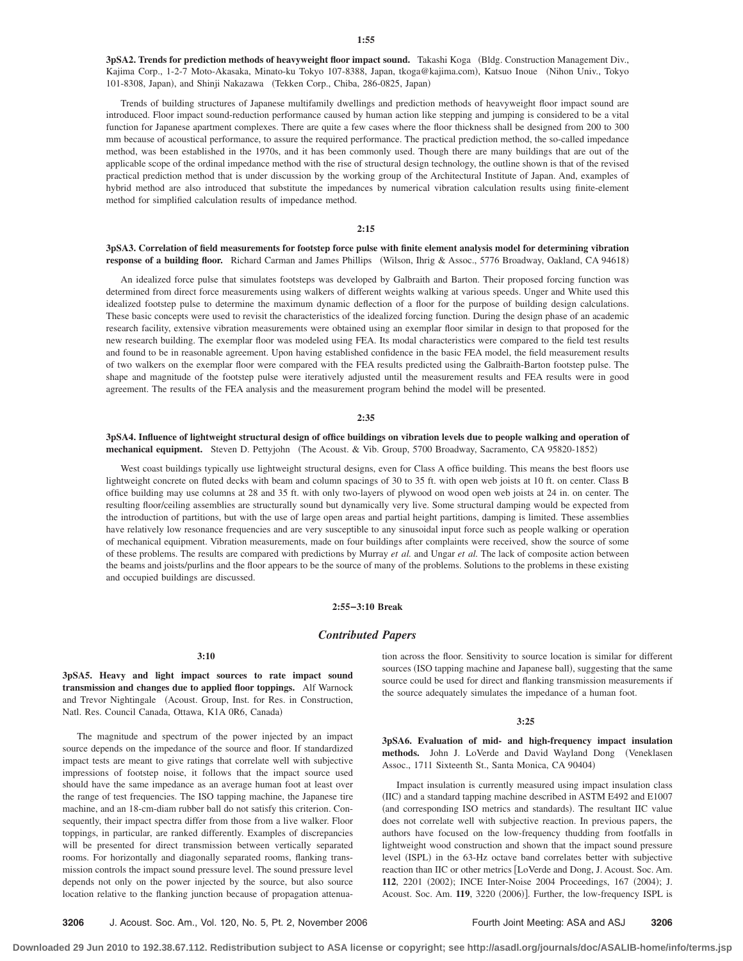**3pSA2. Trends for prediction methods of heavyweight floor impact sound.** Takashi Koga Bldg. Construction Management Div., Kajima Corp., 1-2-7 Moto-Akasaka, Minato-ku Tokyo 107-8388, Japan, tkoga@kajima.com), Katsuo Inoue (Nihon Univ., Tokyo 101-8308, Japan), and Shinji Nakazawa (Tekken Corp., Chiba, 286-0825, Japan)

Trends of building structures of Japanese multifamily dwellings and prediction methods of heavyweight floor impact sound are introduced. Floor impact sound-reduction performance caused by human action like stepping and jumping is considered to be a vital function for Japanese apartment complexes. There are quite a few cases where the floor thickness shall be designed from 200 to 300 mm because of acoustical performance, to assure the required performance. The practical prediction method, the so-called impedance method, was been established in the 1970s, and it has been commonly used. Though there are many buildings that are out of the applicable scope of the ordinal impedance method with the rise of structural design technology, the outline shown is that of the revised practical prediction method that is under discussion by the working group of the Architectural Institute of Japan. And, examples of hybrid method are also introduced that substitute the impedances by numerical vibration calculation results using finite-element method for simplified calculation results of impedance method.

#### **2:15**

## **3pSA3. Correlation of field measurements for footstep force pulse with finite element analysis model for determining vibration** response of a building floor. Richard Carman and James Phillips (Wilson, Ihrig & Assoc., 5776 Broadway, Oakland, CA 94618)

An idealized force pulse that simulates footsteps was developed by Galbraith and Barton. Their proposed forcing function was determined from direct force measurements using walkers of different weights walking at various speeds. Unger and White used this idealized footstep pulse to determine the maximum dynamic deflection of a floor for the purpose of building design calculations. These basic concepts were used to revisit the characteristics of the idealized forcing function. During the design phase of an academic research facility, extensive vibration measurements were obtained using an exemplar floor similar in design to that proposed for the new research building. The exemplar floor was modeled using FEA. Its modal characteristics were compared to the field test results and found to be in reasonable agreement. Upon having established confidence in the basic FEA model, the field measurement results of two walkers on the exemplar floor were compared with the FEA results predicted using the Galbraith-Barton footstep pulse. The shape and magnitude of the footstep pulse were iteratively adjusted until the measurement results and FEA results were in good agreement. The results of the FEA analysis and the measurement program behind the model will be presented.

## **2:35**

**3pSA4. Influence of lightweight structural design of office buildings on vibration levels due to people walking and operation of** mechanical equipment. Steven D. Pettyjohn (The Acoust. & Vib. Group, 5700 Broadway, Sacramento, CA 95820-1852)

West coast buildings typically use lightweight structural designs, even for Class A office building. This means the best floors use lightweight concrete on fluted decks with beam and column spacings of 30 to 35 ft. with open web joists at 10 ft. on center. Class B office building may use columns at 28 and 35 ft. with only two-layers of plywood on wood open web joists at 24 in. on center. The resulting floor/ceiling assemblies are structurally sound but dynamically very live. Some structural damping would be expected from the introduction of partitions, but with the use of large open areas and partial height partitions, damping is limited. These assemblies have relatively low resonance frequencies and are very susceptible to any sinusoidal input force such as people walking or operation of mechanical equipment. Vibration measurements, made on four buildings after complaints were received, show the source of some of these problems. The results are compared with predictions by Murray *et al.* and Ungar *et al.* The lack of composite action between the beams and joists/purlins and the floor appears to be the source of many of the problems. Solutions to the problems in these existing and occupied buildings are discussed.

# **2:55–3:10 Break**

# *Contributed Papers*

#### **3:10**

**3pSA5. Heavy and light impact sources to rate impact sound transmission and changes due to applied floor toppings.** Alf Warnock and Trevor Nightingale (Acoust. Group, Inst. for Res. in Construction, Natl. Res. Council Canada, Ottawa, K1A 0R6, Canada)

The magnitude and spectrum of the power injected by an impact source depends on the impedance of the source and floor. If standardized impact tests are meant to give ratings that correlate well with subjective impressions of footstep noise, it follows that the impact source used should have the same impedance as an average human foot at least over the range of test frequencies. The ISO tapping machine, the Japanese tire machine, and an 18-cm-diam rubber ball do not satisfy this criterion. Consequently, their impact spectra differ from those from a live walker. Floor toppings, in particular, are ranked differently. Examples of discrepancies will be presented for direct transmission between vertically separated rooms. For horizontally and diagonally separated rooms, flanking transmission controls the impact sound pressure level. The sound pressure level depends not only on the power injected by the source, but also source location relative to the flanking junction because of propagation attenuation across the floor. Sensitivity to source location is similar for different sources (ISO tapping machine and Japanese ball), suggesting that the same source could be used for direct and flanking transmission measurements if the source adequately simulates the impedance of a human foot.

#### **3:25**

**3pSA6. Evaluation of mid- and high-frequency impact insulation methods.** John J. LoVerde and David Wayland Dong Veneklasen Assoc., 1711 Sixteenth St., Santa Monica, CA 90404)

Impact insulation is currently measured using impact insulation class (IIC) and a standard tapping machine described in ASTM E492 and E1007 (and corresponding ISO metrics and standards). The resultant IIC value does not correlate well with subjective reaction. In previous papers, the authors have focused on the low-frequency thudding from footfalls in lightweight wood construction and shown that the impact sound pressure level (ISPL) in the 63-Hz octave band correlates better with subjective reaction than IIC or other metrics [LoVerde and Dong, J. Acoust. Soc. Am. 112, 2201 (2002); INCE Inter-Noise 2004 Proceedings, 167 (2004); J. Acoust. Soc. Am. 119, 3220 (2006)]. Further, the low-frequency ISPL is

**3206** J. Acoust. Soc. Am., Vol. 120, No. 5, Pt. 2, November 2006 Fourth Joint Meeting: ASA and ASJ **3206**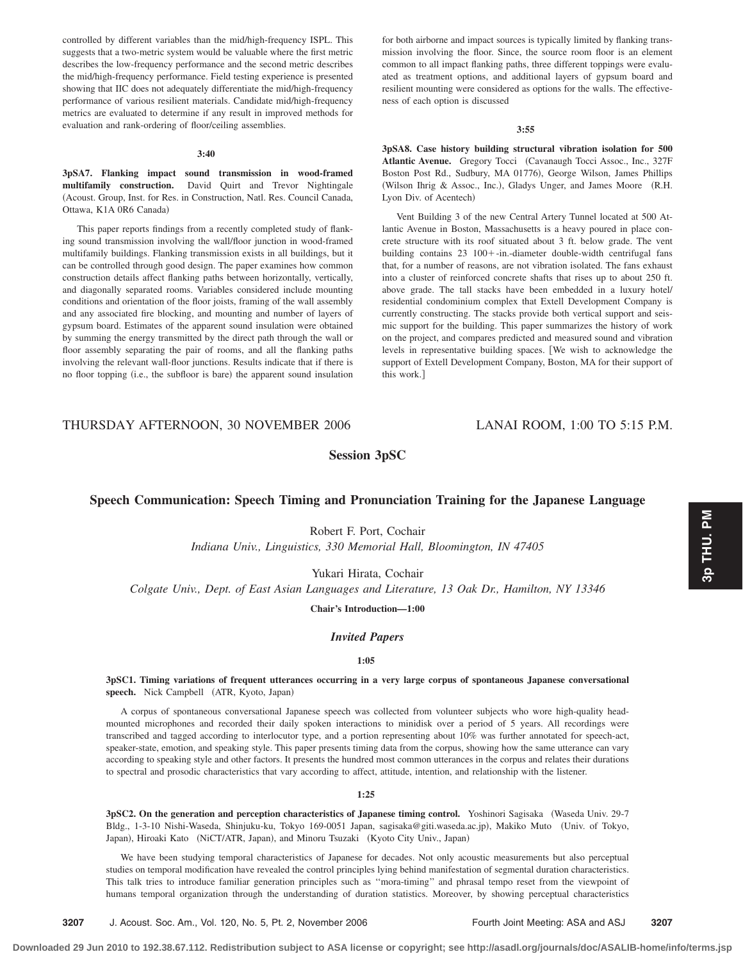controlled by different variables than the mid/high-frequency ISPL. This suggests that a two-metric system would be valuable where the first metric describes the low-frequency performance and the second metric describes the mid/high-frequency performance. Field testing experience is presented showing that IIC does not adequately differentiate the mid/high-frequency performance of various resilient materials. Candidate mid/high-frequency metrics are evaluated to determine if any result in improved methods for evaluation and rank-ordering of floor/ceiling assemblies.

## **3:40**

# **3pSA7. Flanking impact sound transmission in wood-framed multifamily construction.** David Quirt and Trevor Nightingale Acoust. Group, Inst. for Res. in Construction, Natl. Res. Council Canada, Ottawa, K1A 0R6 Canada)

This paper reports findings from a recently completed study of flanking sound transmission involving the wall/floor junction in wood-framed multifamily buildings. Flanking transmission exists in all buildings, but it can be controlled through good design. The paper examines how common construction details affect flanking paths between horizontally, vertically, and diagonally separated rooms. Variables considered include mounting conditions and orientation of the floor joists, framing of the wall assembly and any associated fire blocking, and mounting and number of layers of gypsum board. Estimates of the apparent sound insulation were obtained by summing the energy transmitted by the direct path through the wall or floor assembly separating the pair of rooms, and all the flanking paths involving the relevant wall-floor junctions. Results indicate that if there is no floor topping (i.e., the subfloor is bare) the apparent sound insulation

for both airborne and impact sources is typically limited by flanking transmission involving the floor. Since, the source room floor is an element common to all impact flanking paths, three different toppings were evaluated as treatment options, and additional layers of gypsum board and resilient mounting were considered as options for the walls. The effectiveness of each option is discussed

#### **3:55**

**3pSA8. Case history building structural vibration isolation for 500 Atlantic Avenue.** Gregory Tocci Cavanaugh Tocci Assoc., Inc., 327F Boston Post Rd., Sudbury, MA 01776), George Wilson, James Phillips (Wilson Ihrig & Assoc., Inc.), Gladys Unger, and James Moore (R.H. Lyon Div. of Acentech)

Vent Building 3 of the new Central Artery Tunnel located at 500 Atlantic Avenue in Boston, Massachusetts is a heavy poured in place concrete structure with its roof situated about 3 ft. below grade. The vent building contains  $23 \cdot 100 + \text{-in.-diameter double-width centrifugal}$  fans that, for a number of reasons, are not vibration isolated. The fans exhaust into a cluster of reinforced concrete shafts that rises up to about 250 ft. above grade. The tall stacks have been embedded in a luxury hotel/ residential condominium complex that Extell Development Company is currently constructing. The stacks provide both vertical support and seismic support for the building. This paper summarizes the history of work on the project, and compares predicted and measured sound and vibration levels in representative building spaces. We wish to acknowledge the support of Extell Development Company, Boston, MA for their support of this work.

# THURSDAY AFTERNOON, 30 NOVEMBER 2006 LANAI ROOM, 1:00 TO 5:15 P.M.

**Session 3pSC**

# **Speech Communication: Speech Timing and Pronunciation Training for the Japanese Language**

Robert F. Port, Cochair

*Indiana Univ., Linguistics, 330 Memorial Hall, Bloomington, IN 47405*

Yukari Hirata, Cochair

*Colgate Univ., Dept. of East Asian Languages and Literature, 13 Oak Dr., Hamilton, NY 13346*

**Chair's Introduction—1:00**

# *Invited Papers*

# **1:05**

**3pSC1. Timing variations of frequent utterances occurring in a very large corpus of spontaneous Japanese conversational** speech. Nick Campbell (ATR, Kyoto, Japan)

A corpus of spontaneous conversational Japanese speech was collected from volunteer subjects who wore high-quality headmounted microphones and recorded their daily spoken interactions to minidisk over a period of 5 years. All recordings were transcribed and tagged according to interlocutor type, and a portion representing about 10% was further annotated for speech-act, speaker-state, emotion, and speaking style. This paper presents timing data from the corpus, showing how the same utterance can vary according to speaking style and other factors. It presents the hundred most common utterances in the corpus and relates their durations to spectral and prosodic characteristics that vary according to affect, attitude, intention, and relationship with the listener.

## **1:25**

**3pSC2. On the generation and perception characteristics of Japanese timing control.** Yoshinori Sagisaka (Waseda Univ. 29-7 Bldg., 1-3-10 Nishi-Waseda, Shinjuku-ku, Tokyo 169-0051 Japan, sagisaka@giti.waseda.ac.jp), Makiko Muto (Univ. of Tokyo, Japan), Hiroaki Kato (NiCT/ATR, Japan), and Minoru Tsuzaki (Kyoto City Univ., Japan)

We have been studying temporal characteristics of Japanese for decades. Not only acoustic measurements but also perceptual studies on temporal modification have revealed the control principles lying behind manifestation of segmental duration characteristics. This talk tries to introduce familiar generation principles such as ''mora-timing'' and phrasal tempo reset from the viewpoint of humans temporal organization through the understanding of duration statistics. Moreover, by showing perceptual characteristics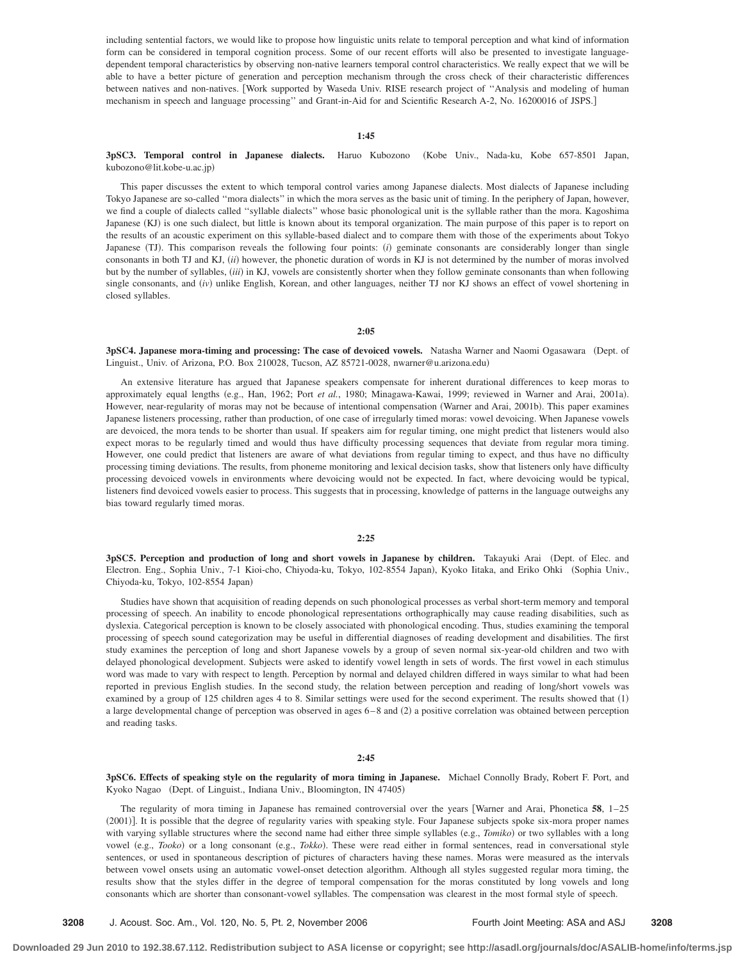including sentential factors, we would like to propose how linguistic units relate to temporal perception and what kind of information form can be considered in temporal cognition process. Some of our recent efforts will also be presented to investigate languagedependent temporal characteristics by observing non-native learners temporal control characteristics. We really expect that we will be able to have a better picture of generation and perception mechanism through the cross check of their characteristic differences between natives and non-natives. Work supported by Waseda Univ. RISE research project of ''Analysis and modeling of human mechanism in speech and language processing'' and Grant-in-Aid for and Scientific Research A-2, No. 16200016 of JSPS.

### **1:45**

**3pSC3. Temporal control in Japanese dialects.** Haruo Kubozono Kobe Univ., Nada-ku, Kobe 657-8501 Japan, kubozono@lit.kobe-u.ac.jp-

This paper discusses the extent to which temporal control varies among Japanese dialects. Most dialects of Japanese including Tokyo Japanese are so-called ''mora dialects'' in which the mora serves as the basic unit of timing. In the periphery of Japan, however, we find a couple of dialects called ''syllable dialects'' whose basic phonological unit is the syllable rather than the mora. Kagoshima Japanese (KJ) is one such dialect, but little is known about its temporal organization. The main purpose of this paper is to report on the results of an acoustic experiment on this syllable-based dialect and to compare them with those of the experiments about Tokyo Japanese (TJ). This comparison reveals the following four points: *(i)* geminate consonants are considerably longer than single consonants in both TJ and KJ, *(ii)* however, the phonetic duration of words in KJ is not determined by the number of moras involved but by the number of syllables, *(iii)* in KJ, vowels are consistently shorter when they follow geminate consonants than when following single consonants, and *(iv)* unlike English, Korean, and other languages, neither TJ nor KJ shows an effect of vowel shortening in closed syllables.

#### **2:05**

3pSC4. Japanese mora-timing and processing: The case of devoiced vowels. Natasha Warner and Naomi Ogasawara (Dept. of Linguist., Univ. of Arizona, P.O. Box 210028, Tucson, AZ 85721-0028, nwarner@u.arizona.edu-

An extensive literature has argued that Japanese speakers compensate for inherent durational differences to keep moras to approximately equal lengths (e.g., Han, 1962; Port *et al.*, 1980; Minagawa-Kawai, 1999; reviewed in Warner and Arai, 2001a). However, near-regularity of moras may not be because of intentional compensation (Warner and Arai, 2001b). This paper examines Japanese listeners processing, rather than production, of one case of irregularly timed moras: vowel devoicing. When Japanese vowels are devoiced, the mora tends to be shorter than usual. If speakers aim for regular timing, one might predict that listeners would also expect moras to be regularly timed and would thus have difficulty processing sequences that deviate from regular mora timing. However, one could predict that listeners are aware of what deviations from regular timing to expect, and thus have no difficulty processing timing deviations. The results, from phoneme monitoring and lexical decision tasks, show that listeners only have difficulty processing devoiced vowels in environments where devoicing would not be expected. In fact, where devoicing would be typical, listeners find devoiced vowels easier to process. This suggests that in processing, knowledge of patterns in the language outweighs any bias toward regularly timed moras.

## **2:25**

**3pSC5. Perception and production of long and short vowels in Japanese by children.** Takayuki Arai Dept. of Elec. and Electron. Eng., Sophia Univ., 7-1 Kioi-cho, Chiyoda-ku, Tokyo, 102-8554 Japan), Kyoko Iitaka, and Eriko Ohki (Sophia Univ., Chiyoda-ku, Tokyo, 102-8554 Japan)

Studies have shown that acquisition of reading depends on such phonological processes as verbal short-term memory and temporal processing of speech. An inability to encode phonological representations orthographically may cause reading disabilities, such as dyslexia. Categorical perception is known to be closely associated with phonological encoding. Thus, studies examining the temporal processing of speech sound categorization may be useful in differential diagnoses of reading development and disabilities. The first study examines the perception of long and short Japanese vowels by a group of seven normal six-year-old children and two with delayed phonological development. Subjects were asked to identify vowel length in sets of words. The first vowel in each stimulus word was made to vary with respect to length. Perception by normal and delayed children differed in ways similar to what had been reported in previous English studies. In the second study, the relation between perception and reading of long/short vowels was examined by a group of 125 children ages 4 to 8. Similar settings were used for the second experiment. The results showed that (1) a large developmental change of perception was observed in ages 6–8 and (2) a positive correlation was obtained between perception and reading tasks.

# **2:45**

**3pSC6. Effects of speaking style on the regularity of mora timing in Japanese.** Michael Connolly Brady, Robert F. Port, and Kyoko Nagao (Dept. of Linguist., Indiana Univ., Bloomington, IN 47405)

The regularity of mora timing in Japanese has remained controversial over the years Warner and Arai, Phonetica **58**, 1–25 (2001)]. It is possible that the degree of regularity varies with speaking style. Four Japanese subjects spoke six-mora proper names with varying syllable structures where the second name had either three simple syllables (e.g., *Tomiko*) or two syllables with a long vowel (e.g., *Tooko*) or a long consonant (e.g., *Tokko*). These were read either in formal sentences, read in conversational style sentences, or used in spontaneous description of pictures of characters having these names. Moras were measured as the intervals between vowel onsets using an automatic vowel-onset detection algorithm. Although all styles suggested regular mora timing, the results show that the styles differ in the degree of temporal compensation for the moras constituted by long vowels and long consonants which are shorter than consonant-vowel syllables. The compensation was clearest in the most formal style of speech.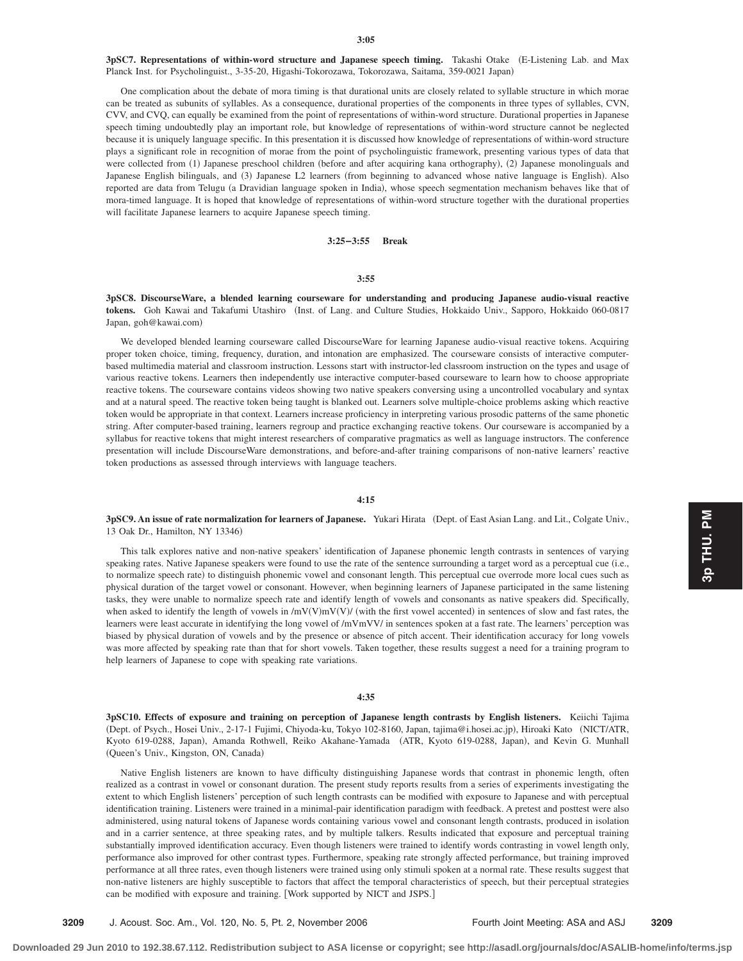**3pSC7. Representations of within-word structure and Japanese speech timing.** Takashi Otake E-Listening Lab. and Max Planck Inst. for Psycholinguist., 3-35-20, Higashi-Tokorozawa, Tokorozawa, Saitama, 359-0021 Japan-

One complication about the debate of mora timing is that durational units are closely related to syllable structure in which morae can be treated as subunits of syllables. As a consequence, durational properties of the components in three types of syllables, CVN, CVV, and CVQ, can equally be examined from the point of representations of within-word structure. Durational properties in Japanese speech timing undoubtedly play an important role, but knowledge of representations of within-word structure cannot be neglected because it is uniquely language specific. In this presentation it is discussed how knowledge of representations of within-word structure plays a significant role in recognition of morae from the point of psycholinguistic framework, presenting various types of data that were collected from (1) Japanese preschool children (before and after acquiring kana orthography), (2) Japanese monolinguals and Japanese English bilinguals, and (3) Japanese L2 learners (from beginning to advanced whose native language is English). Also reported are data from Telugu (a Dravidian language spoken in India), whose speech segmentation mechanism behaves like that of mora-timed language. It is hoped that knowledge of representations of within-word structure together with the durational properties will facilitate Japanese learners to acquire Japanese speech timing.

## **3:25–3:55 Break**

### **3:55**

**3pSC8. DiscourseWare, a blended learning courseware for understanding and producing Japanese audio-visual reactive** tokens. Goh Kawai and Takafumi Utashiro (Inst. of Lang. and Culture Studies, Hokkaido Univ., Sapporo, Hokkaido 060-0817 Japan, goh@kawai.com)

We developed blended learning courseware called DiscourseWare for learning Japanese audio-visual reactive tokens. Acquiring proper token choice, timing, frequency, duration, and intonation are emphasized. The courseware consists of interactive computerbased multimedia material and classroom instruction. Lessons start with instructor-led classroom instruction on the types and usage of various reactive tokens. Learners then independently use interactive computer-based courseware to learn how to choose appropriate reactive tokens. The courseware contains videos showing two native speakers conversing using a uncontrolled vocabulary and syntax and at a natural speed. The reactive token being taught is blanked out. Learners solve multiple-choice problems asking which reactive token would be appropriate in that context. Learners increase proficiency in interpreting various prosodic patterns of the same phonetic string. After computer-based training, learners regroup and practice exchanging reactive tokens. Our courseware is accompanied by a syllabus for reactive tokens that might interest researchers of comparative pragmatics as well as language instructors. The conference presentation will include DiscourseWare demonstrations, and before-and-after training comparisons of non-native learners' reactive token productions as assessed through interviews with language teachers.

# **4:15**

**3pSC9. An issue of rate normalization for learners of Japanese.** Yukari Hirata (Dept. of East Asian Lang. and Lit., Colgate Univ., 13 Oak Dr., Hamilton, NY 13346)

This talk explores native and non-native speakers' identification of Japanese phonemic length contrasts in sentences of varying speaking rates. Native Japanese speakers were found to use the rate of the sentence surrounding a target word as a perceptual cue (i.e., to normalize speech rate) to distinguish phonemic vowel and consonant length. This perceptual cue overrode more local cues such as physical duration of the target vowel or consonant. However, when beginning learners of Japanese participated in the same listening tasks, they were unable to normalize speech rate and identify length of vowels and consonants as native speakers did. Specifically, when asked to identify the length of vowels in  $/mV(V)mV(V)$  (with the first vowel accented) in sentences of slow and fast rates, the learners were least accurate in identifying the long vowel of /mVmVV/ in sentences spoken at a fast rate. The learners' perception was biased by physical duration of vowels and by the presence or absence of pitch accent. Their identification accuracy for long vowels was more affected by speaking rate than that for short vowels. Taken together, these results suggest a need for a training program to help learners of Japanese to cope with speaking rate variations.

#### **4:35**

**3pSC10. Effects of exposure and training on perception of Japanese length contrasts by English listeners.** Keiichi Tajima (Dept. of Psych., Hosei Univ., 2-17-1 Fujimi, Chiyoda-ku, Tokyo 102-8160, Japan, tajima@i.hosei.ac.jp), Hiroaki Kato (NICT/ATR, Kyoto 619-0288, Japan), Amanda Rothwell, Reiko Akahane-Yamada (ATR, Kyoto 619-0288, Japan), and Kevin G. Munhall (Queen's Univ., Kingston, ON, Canada)

Native English listeners are known to have difficulty distinguishing Japanese words that contrast in phonemic length, often realized as a contrast in vowel or consonant duration. The present study reports results from a series of experiments investigating the extent to which English listeners' perception of such length contrasts can be modified with exposure to Japanese and with perceptual identification training. Listeners were trained in a minimal-pair identification paradigm with feedback. A pretest and posttest were also administered, using natural tokens of Japanese words containing various vowel and consonant length contrasts, produced in isolation and in a carrier sentence, at three speaking rates, and by multiple talkers. Results indicated that exposure and perceptual training substantially improved identification accuracy. Even though listeners were trained to identify words contrasting in vowel length only, performance also improved for other contrast types. Furthermore, speaking rate strongly affected performance, but training improved performance at all three rates, even though listeners were trained using only stimuli spoken at a normal rate. These results suggest that non-native listeners are highly susceptible to factors that affect the temporal characteristics of speech, but their perceptual strategies can be modified with exposure and training. Work supported by NICT and JSPS.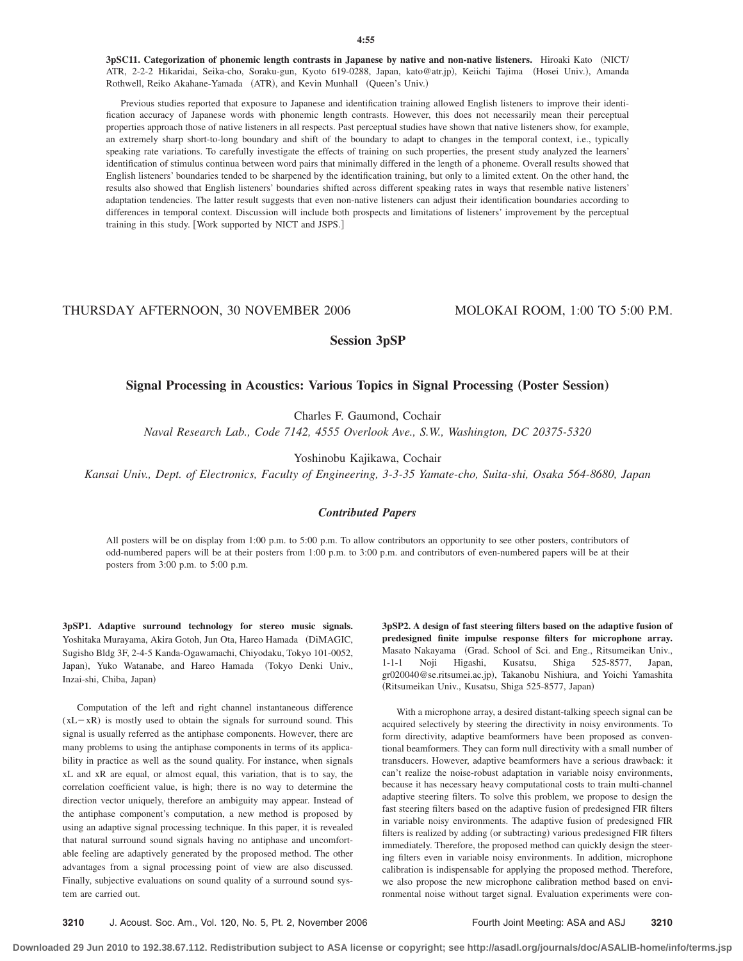**3pSC11. Categorization of phonemic length contrasts in Japanese by native and non-native listeners.** Hiroaki Kato NICT/ ATR, 2-2-2 Hikaridai, Seika-cho, Soraku-gun, Kyoto 619-0288, Japan, kato@atr.jp), Keiichi Tajima (Hosei Univ.), Amanda Rothwell, Reiko Akahane-Yamada (ATR), and Kevin Munhall (Queen's Univ.)

Previous studies reported that exposure to Japanese and identification training allowed English listeners to improve their identification accuracy of Japanese words with phonemic length contrasts. However, this does not necessarily mean their perceptual properties approach those of native listeners in all respects. Past perceptual studies have shown that native listeners show, for example, an extremely sharp short-to-long boundary and shift of the boundary to adapt to changes in the temporal context, i.e., typically speaking rate variations. To carefully investigate the effects of training on such properties, the present study analyzed the learners' identification of stimulus continua between word pairs that minimally differed in the length of a phoneme. Overall results showed that English listeners' boundaries tended to be sharpened by the identification training, but only to a limited extent. On the other hand, the results also showed that English listeners' boundaries shifted across different speaking rates in ways that resemble native listeners' adaptation tendencies. The latter result suggests that even non-native listeners can adjust their identification boundaries according to differences in temporal context. Discussion will include both prospects and limitations of listeners' improvement by the perceptual training in this study. Work supported by NICT and JSPS.

# THURSDAY AFTERNOON, 30 NOVEMBER 2006 MOLOKAI ROOM, 1:00 TO 5:00 P.M.

**Session 3pSP**

# **Signal Processing in Acoustics: Various Topics in Signal Processing (Poster Session)**

Charles F. Gaumond, Cochair

*Naval Research Lab., Code 7142, 4555 Overlook Ave., S.W., Washington, DC 20375-5320*

Yoshinobu Kajikawa, Cochair

*Kansai Univ., Dept. of Electronics, Faculty of Engineering, 3-3-35 Yamate-cho, Suita-shi, Osaka 564-8680, Japan*

# *Contributed Papers*

All posters will be on display from 1:00 p.m. to 5:00 p.m. To allow contributors an opportunity to see other posters, contributors of odd-numbered papers will be at their posters from 1:00 p.m. to 3:00 p.m. and contributors of even-numbered papers will be at their posters from 3:00 p.m. to 5:00 p.m.

**3pSP1. Adaptive surround technology for stereo music signals.** Yoshitaka Murayama, Akira Gotoh, Jun Ota, Hareo Hamada (DiMAGIC, Sugisho Bldg 3F, 2-4-5 Kanda-Ogawamachi, Chiyodaku, Tokyo 101-0052, Japan), Yuko Watanabe, and Hareo Hamada (Tokyo Denki Univ., Inzai-shi, Chiba, Japan)

Computation of the left and right channel instantaneous difference  $(xL-xR)$  is mostly used to obtain the signals for surround sound. This signal is usually referred as the antiphase components. However, there are many problems to using the antiphase components in terms of its applicability in practice as well as the sound quality. For instance, when signals xL and xR are equal, or almost equal, this variation, that is to say, the correlation coefficient value, is high; there is no way to determine the direction vector uniquely, therefore an ambiguity may appear. Instead of the antiphase component's computation, a new method is proposed by using an adaptive signal processing technique. In this paper, it is revealed that natural surround sound signals having no antiphase and uncomfortable feeling are adaptively generated by the proposed method. The other advantages from a signal processing point of view are also discussed. Finally, subjective evaluations on sound quality of a surround sound system are carried out.

**3pSP2. A design of fast steering filters based on the adaptive fusion of predesigned finite impulse response filters for microphone array.** Masato Nakayama Grad. School of Sci. and Eng., Ritsumeikan Univ., 1-1-1 Noji Higashi, Kusatsu, Shiga 525-8577, Japan, gr020040@se.ritsumei.ac.jp), Takanobu Nishiura, and Yoichi Yamashita (Ritsumeikan Univ., Kusatsu, Shiga 525-8577, Japan)

With a microphone array, a desired distant-talking speech signal can be acquired selectively by steering the directivity in noisy environments. To form directivity, adaptive beamformers have been proposed as conventional beamformers. They can form null directivity with a small number of transducers. However, adaptive beamformers have a serious drawback: it can't realize the noise-robust adaptation in variable noisy environments, because it has necessary heavy computational costs to train multi-channel adaptive steering filters. To solve this problem, we propose to design the fast steering filters based on the adaptive fusion of predesigned FIR filters in variable noisy environments. The adaptive fusion of predesigned FIR filters is realized by adding (or subtracting) various predesigned FIR filters immediately. Therefore, the proposed method can quickly design the steering filters even in variable noisy environments. In addition, microphone calibration is indispensable for applying the proposed method. Therefore, we also propose the new microphone calibration method based on environmental noise without target signal. Evaluation experiments were con-

**3210** J. Acoust. Soc. Am., Vol. 120, No. 5, Pt. 2, November 2006 Fourth Joint Meeting: ASA and ASJ **3210**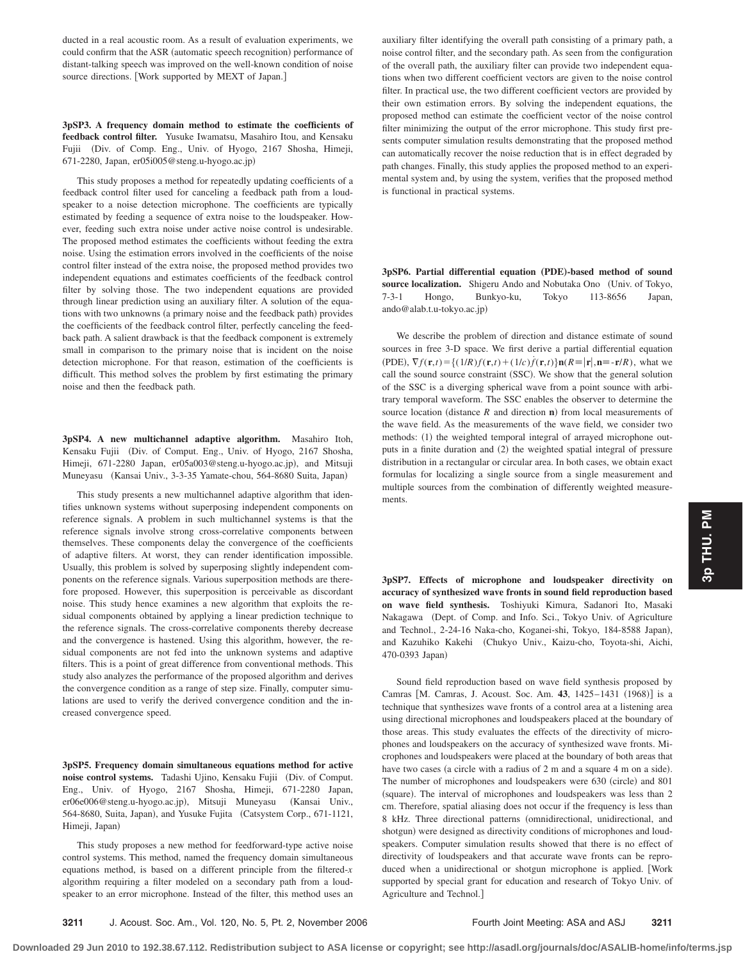ducted in a real acoustic room. As a result of evaluation experiments, we could confirm that the ASR (automatic speech recognition) performance of distant-talking speech was improved on the well-known condition of noise source directions. [Work supported by MEXT of Japan.]

**3pSP3. A frequency domain method to estimate the coefficients of feedback control filter.** Yusuke Iwamatsu, Masahiro Itou, and Kensaku Fujii Div. of Comp. Eng., Univ. of Hyogo, 2167 Shosha, Himeji, 671-2280, Japan, er05i005@steng.u-hyogo.ac.jp-

This study proposes a method for repeatedly updating coefficients of a feedback control filter used for canceling a feedback path from a loudspeaker to a noise detection microphone. The coefficients are typically estimated by feeding a sequence of extra noise to the loudspeaker. However, feeding such extra noise under active noise control is undesirable. The proposed method estimates the coefficients without feeding the extra noise. Using the estimation errors involved in the coefficients of the noise control filter instead of the extra noise, the proposed method provides two independent equations and estimates coefficients of the feedback control filter by solving those. The two independent equations are provided through linear prediction using an auxiliary filter. A solution of the equations with two unknowns (a primary noise and the feedback path) provides the coefficients of the feedback control filter, perfectly canceling the feedback path. A salient drawback is that the feedback component is extremely small in comparison to the primary noise that is incident on the noise detection microphone. For that reason, estimation of the coefficients is difficult. This method solves the problem by first estimating the primary noise and then the feedback path.

**3pSP4. A new multichannel adaptive algorithm.** Masahiro Itoh, Kensaku Fujii (Div. of Comput. Eng., Univ. of Hyogo, 2167 Shosha, Himeji, 671-2280 Japan, er05a003@steng.u-hyogo.ac.jp), and Mitsuji Muneyasu (Kansai Univ., 3-3-35 Yamate-chou, 564-8680 Suita, Japan)

This study presents a new multichannel adaptive algorithm that identifies unknown systems without superposing independent components on reference signals. A problem in such multichannel systems is that the reference signals involve strong cross-correlative components between themselves. These components delay the convergence of the coefficients of adaptive filters. At worst, they can render identification impossible. Usually, this problem is solved by superposing slightly independent components on the reference signals. Various superposition methods are therefore proposed. However, this superposition is perceivable as discordant noise. This study hence examines a new algorithm that exploits the residual components obtained by applying a linear prediction technique to the reference signals. The cross-correlative components thereby decrease and the convergence is hastened. Using this algorithm, however, the residual components are not fed into the unknown systems and adaptive filters. This is a point of great difference from conventional methods. This study also analyzes the performance of the proposed algorithm and derives the convergence condition as a range of step size. Finally, computer simulations are used to verify the derived convergence condition and the increased convergence speed.

**3pSP5. Frequency domain simultaneous equations method for active** noise control systems. Tadashi Ujino, Kensaku Fujii (Div. of Comput. Eng., Univ. of Hyogo, 2167 Shosha, Himeji, 671-2280 Japan, er06e006@steng.u-hyogo.ac.jp), Mitsuji Muneyasu (Kansai Univ., 564-8680, Suita, Japan), and Yusuke Fujita (Catsystem Corp., 671-1121, Himeji, Japan)

This study proposes a new method for feedforward-type active noise control systems. This method, named the frequency domain simultaneous equations method, is based on a different principle from the filtered-*x* algorithm requiring a filter modeled on a secondary path from a loudspeaker to an error microphone. Instead of the filter, this method uses an auxiliary filter identifying the overall path consisting of a primary path, a noise control filter, and the secondary path. As seen from the configuration of the overall path, the auxiliary filter can provide two independent equations when two different coefficient vectors are given to the noise control filter. In practical use, the two different coefficient vectors are provided by their own estimation errors. By solving the independent equations, the proposed method can estimate the coefficient vector of the noise control filter minimizing the output of the error microphone. This study first presents computer simulation results demonstrating that the proposed method can automatically recover the noise reduction that is in effect degraded by path changes. Finally, this study applies the proposed method to an experimental system and, by using the system, verifies that the proposed method is functional in practical systems.

3pSP6. Partial differential equation (PDE)-based method of sound source localization. Shigeru Ando and Nobutaka Ono (Univ. of Tokyo, 7-3-1 Hongo, Bunkyo-ku, Tokyo 113-8656 Japan, ando@alab.t.u-tokyo.ac.jp)

We describe the problem of direction and distance estimate of sound sources in free 3-D space. We first derive a partial differential equation  $(PDE)$ ,  $\nabla f(\mathbf{r},t) = \{(1/R)f(\mathbf{r},t) + (1/c)\dot{f}(\mathbf{r},t)\}\mathbf{n}(R\equiv |\mathbf{r}|, \mathbf{n} = -\mathbf{r}/R)$ , what we call the sound source constraint (SSC). We show that the general solution of the SSC is a diverging spherical wave from a point sounce with arbitrary temporal waveform. The SSC enables the observer to determine the source location (distance  $R$  and direction  $n$ ) from local measurements of the wave field. As the measurements of the wave field, we consider two methods: (1) the weighted temporal integral of arrayed microphone outputs in a finite duration and (2) the weighted spatial integral of pressure distribution in a rectangular or circular area. In both cases, we obtain exact formulas for localizing a single source from a single measurement and multiple sources from the combination of differently weighted measurements.

**3pSP7. Effects of microphone and loudspeaker directivity on accuracy of synthesized wave fronts in sound field reproduction based on wave field synthesis.** Toshiyuki Kimura, Sadanori Ito, Masaki Nakagawa (Dept. of Comp. and Info. Sci., Tokyo Univ. of Agriculture and Technol., 2-24-16 Naka-cho, Koganei-shi, Tokyo, 184-8588 Japan), and Kazuhiko Kakehi Chukyo Univ., Kaizu-cho, Toyota-shi, Aichi, 470-0393 Japan)

Sound field reproduction based on wave field synthesis proposed by Camras [M. Camras, J. Acoust. Soc. Am. 43, 1425-1431 (1968)] is a technique that synthesizes wave fronts of a control area at a listening area using directional microphones and loudspeakers placed at the boundary of those areas. This study evaluates the effects of the directivity of microphones and loudspeakers on the accuracy of synthesized wave fronts. Microphones and loudspeakers were placed at the boundary of both areas that have two cases (a circle with a radius of 2 m and a square 4 m on a side). The number of microphones and loudspeakers were 630 (circle) and 801 (square). The interval of microphones and loudspeakers was less than 2 cm. Therefore, spatial aliasing does not occur if the frequency is less than 8 kHz. Three directional patterns (omnidirectional, unidirectional, and shotgun) were designed as directivity conditions of microphones and loudspeakers. Computer simulation results showed that there is no effect of directivity of loudspeakers and that accurate wave fronts can be reproduced when a unidirectional or shotgun microphone is applied. Work supported by special grant for education and research of Tokyo Univ. of Agriculture and Technol.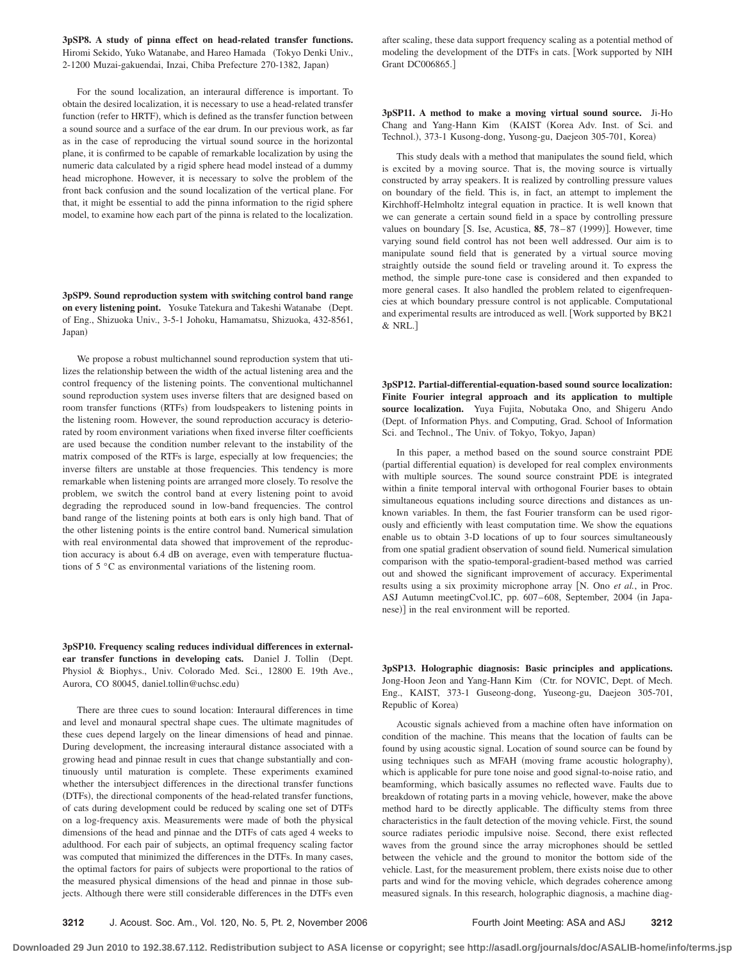**3pSP8. A study of pinna effect on head-related transfer functions.** Hiromi Sekido, Yuko Watanabe, and Hareo Hamada (Tokyo Denki Univ., 2-1200 Muzai-gakuendai, Inzai, Chiba Prefecture 270-1382, Japan)

For the sound localization, an interaural difference is important. To obtain the desired localization, it is necessary to use a head-related transfer function (refer to HRTF), which is defined as the transfer function between a sound source and a surface of the ear drum. In our previous work, as far as in the case of reproducing the virtual sound source in the horizontal plane, it is confirmed to be capable of remarkable localization by using the numeric data calculated by a rigid sphere head model instead of a dummy head microphone. However, it is necessary to solve the problem of the front back confusion and the sound localization of the vertical plane. For that, it might be essential to add the pinna information to the rigid sphere model, to examine how each part of the pinna is related to the localization.

**3pSP9. Sound reproduction system with switching control band range** on every listening point. Yosuke Tatekura and Takeshi Watanabe (Dept. of Eng., Shizuoka Univ., 3-5-1 Johoku, Hamamatsu, Shizuoka, 432-8561, Japan)

We propose a robust multichannel sound reproduction system that utilizes the relationship between the width of the actual listening area and the control frequency of the listening points. The conventional multichannel sound reproduction system uses inverse filters that are designed based on room transfer functions (RTFs) from loudspeakers to listening points in the listening room. However, the sound reproduction accuracy is deteriorated by room environment variations when fixed inverse filter coefficients are used because the condition number relevant to the instability of the matrix composed of the RTFs is large, especially at low frequencies; the inverse filters are unstable at those frequencies. This tendency is more remarkable when listening points are arranged more closely. To resolve the problem, we switch the control band at every listening point to avoid degrading the reproduced sound in low-band frequencies. The control band range of the listening points at both ears is only high band. That of the other listening points is the entire control band. Numerical simulation with real environmental data showed that improvement of the reproduction accuracy is about 6.4 dB on average, even with temperature fluctuations of 5 °C as environmental variations of the listening room.

**3pSP10. Frequency scaling reduces individual differences in external**ear transfer functions in developing cats. Daniel J. Tollin (Dept. Physiol & Biophys., Univ. Colorado Med. Sci., 12800 E. 19th Ave., Aurora, CO 80045, daniel.tollin@uchsc.edu-

There are three cues to sound location: Interaural differences in time and level and monaural spectral shape cues. The ultimate magnitudes of these cues depend largely on the linear dimensions of head and pinnae. During development, the increasing interaural distance associated with a growing head and pinnae result in cues that change substantially and continuously until maturation is complete. These experiments examined whether the intersubject differences in the directional transfer functions (DTFs), the directional components of the head-related transfer functions, of cats during development could be reduced by scaling one set of DTFs on a log-frequency axis. Measurements were made of both the physical dimensions of the head and pinnae and the DTFs of cats aged 4 weeks to adulthood. For each pair of subjects, an optimal frequency scaling factor was computed that minimized the differences in the DTFs. In many cases, the optimal factors for pairs of subjects were proportional to the ratios of the measured physical dimensions of the head and pinnae in those subjects. Although there were still considerable differences in the DTFs even after scaling, these data support frequency scaling as a potential method of modeling the development of the DTFs in cats. [Work supported by NIH Grant DC006865.

**3pSP11. A method to make a moving virtual sound source.** Ji-Ho Chang and Yang-Hann Kim (KAIST (Korea Adv. Inst. of Sci. and Technol.), 373-1 Kusong-dong, Yusong-gu, Daejeon 305-701, Korea)

This study deals with a method that manipulates the sound field, which is excited by a moving source. That is, the moving source is virtually constructed by array speakers. It is realized by controlling pressure values on boundary of the field. This is, in fact, an attempt to implement the Kirchhoff-Helmholtz integral equation in practice. It is well known that we can generate a certain sound field in a space by controlling pressure values on boundary  $[S.$  Ise, Acustica,  $85$ ,  $78-87$   $(1999)$ ]. However, time varying sound field control has not been well addressed. Our aim is to manipulate sound field that is generated by a virtual source moving straightly outside the sound field or traveling around it. To express the method, the simple pure-tone case is considered and then expanded to more general cases. It also handled the problem related to eigenfrequencies at which boundary pressure control is not applicable. Computational and experimental results are introduced as well. [Work supported by BK21  $&$  NRL.]

**3pSP12. Partial-differential-equation-based sound source localization: Finite Fourier integral approach and its application to multiple source localization.** Yuya Fujita, Nobutaka Ono, and Shigeru Ando Dept. of Information Phys. and Computing, Grad. School of Information Sci. and Technol., The Univ. of Tokyo, Tokyo, Japan)

In this paper, a method based on the sound source constraint PDE (partial differential equation) is developed for real complex environments with multiple sources. The sound source constraint PDE is integrated within a finite temporal interval with orthogonal Fourier bases to obtain simultaneous equations including source directions and distances as unknown variables. In them, the fast Fourier transform can be used rigorously and efficiently with least computation time. We show the equations enable us to obtain 3-D locations of up to four sources simultaneously from one spatial gradient observation of sound field. Numerical simulation comparison with the spatio-temporal-gradient-based method was carried out and showed the significant improvement of accuracy. Experimental results using a six proximity microphone array [N. Ono *et al.*, in Proc. ASJ Autumn meetingCvol.IC, pp. 607-608, September, 2004 (in Japanese)] in the real environment will be reported.

**3pSP13. Holographic diagnosis: Basic principles and applications.** Jong-Hoon Jeon and Yang-Hann Kim (Ctr. for NOVIC, Dept. of Mech. Eng., KAIST, 373-1 Guseong-dong, Yuseong-gu, Daejeon 305-701, Republic of Korea)

Acoustic signals achieved from a machine often have information on condition of the machine. This means that the location of faults can be found by using acoustic signal. Location of sound source can be found by using techniques such as MFAH (moving frame acoustic holography), which is applicable for pure tone noise and good signal-to-noise ratio, and beamforming, which basically assumes no reflected wave. Faults due to breakdown of rotating parts in a moving vehicle, however, make the above method hard to be directly applicable. The difficulty stems from three characteristics in the fault detection of the moving vehicle. First, the sound source radiates periodic impulsive noise. Second, there exist reflected waves from the ground since the array microphones should be settled between the vehicle and the ground to monitor the bottom side of the vehicle. Last, for the measurement problem, there exists noise due to other parts and wind for the moving vehicle, which degrades coherence among measured signals. In this research, holographic diagnosis, a machine diag-

**Downloaded 29 Jun 2010 to 192.38.67.112. Redistribution subject to ASA license or copyright; see http://asadl.org/journals/doc/ASALIB-home/info/terms.jsp**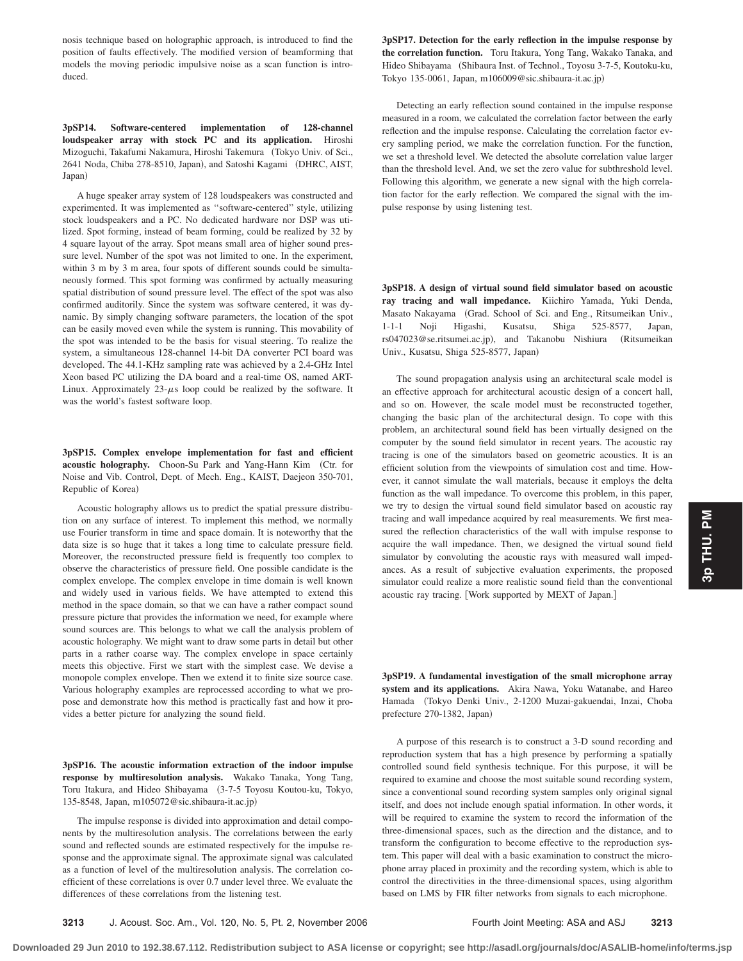nosis technique based on holographic approach, is introduced to find the position of faults effectively. The modified version of beamforming that models the moving periodic impulsive noise as a scan function is introduced.

**3pSP14. Software-centered implementation of 128-channel loudspeaker array with stock PC and its application.** Hiroshi Mizoguchi, Takafumi Nakamura, Hiroshi Takemura (Tokyo Univ. of Sci., 2641 Noda, Chiba 278-8510, Japan), and Satoshi Kagami (DHRC, AIST, Japan)

A huge speaker array system of 128 loudspeakers was constructed and experimented. It was implemented as ''software-centered'' style, utilizing stock loudspeakers and a PC. No dedicated hardware nor DSP was utilized. Spot forming, instead of beam forming, could be realized by 32 by 4 square layout of the array. Spot means small area of higher sound pressure level. Number of the spot was not limited to one. In the experiment, within 3 m by 3 m area, four spots of different sounds could be simultaneously formed. This spot forming was confirmed by actually measuring spatial distribution of sound pressure level. The effect of the spot was also confirmed auditorily. Since the system was software centered, it was dynamic. By simply changing software parameters, the location of the spot can be easily moved even while the system is running. This movability of the spot was intended to be the basis for visual steering. To realize the system, a simultaneous 128-channel 14-bit DA converter PCI board was developed. The 44.1-KHz sampling rate was achieved by a 2.4-GHz Intel Xeon based PC utilizing the DA board and a real-time OS, named ART-Linux. Approximately  $23-\mu s$  loop could be realized by the software. It was the world's fastest software loop.

**3pSP15. Complex envelope implementation for fast and efficient acoustic holography.** Choon-Su Park and Yang-Hann Kim (Ctr. for Noise and Vib. Control, Dept. of Mech. Eng., KAIST, Daejeon 350-701, Republic of Korea)

Acoustic holography allows us to predict the spatial pressure distribution on any surface of interest. To implement this method, we normally use Fourier transform in time and space domain. It is noteworthy that the data size is so huge that it takes a long time to calculate pressure field. Moreover, the reconstructed pressure field is frequently too complex to observe the characteristics of pressure field. One possible candidate is the complex envelope. The complex envelope in time domain is well known and widely used in various fields. We have attempted to extend this method in the space domain, so that we can have a rather compact sound pressure picture that provides the information we need, for example where sound sources are. This belongs to what we call the analysis problem of acoustic holography. We might want to draw some parts in detail but other parts in a rather coarse way. The complex envelope in space certainly meets this objective. First we start with the simplest case. We devise a monopole complex envelope. Then we extend it to finite size source case. Various holography examples are reprocessed according to what we propose and demonstrate how this method is practically fast and how it provides a better picture for analyzing the sound field.

**3pSP16. The acoustic information extraction of the indoor impulse response by multiresolution analysis.** Wakako Tanaka, Yong Tang, Toru Itakura, and Hideo Shibayama (3-7-5 Toyosu Koutou-ku, Tokyo, 135-8548, Japan, m105072@sic.shibaura-it.ac.jp-

The impulse response is divided into approximation and detail components by the multiresolution analysis. The correlations between the early sound and reflected sounds are estimated respectively for the impulse response and the approximate signal. The approximate signal was calculated as a function of level of the multiresolution analysis. The correlation coefficient of these correlations is over 0.7 under level three. We evaluate the differences of these correlations from the listening test.

**3pSP17. Detection for the early reflection in the impulse response by the correlation function.** Toru Itakura, Yong Tang, Wakako Tanaka, and Hideo Shibayama (Shibaura Inst. of Technol., Toyosu 3-7-5, Koutoku-ku, Tokyo 135-0061, Japan, m106009@sic.shibaura-it.ac.jp-

Detecting an early reflection sound contained in the impulse response measured in a room, we calculated the correlation factor between the early reflection and the impulse response. Calculating the correlation factor every sampling period, we make the correlation function. For the function, we set a threshold level. We detected the absolute correlation value larger than the threshold level. And, we set the zero value for subthreshold level. Following this algorithm, we generate a new signal with the high correlation factor for the early reflection. We compared the signal with the impulse response by using listening test.

**3pSP18. A design of virtual sound field simulator based on acoustic ray tracing and wall impedance.** Kiichiro Yamada, Yuki Denda, Masato Nakayama Grad. School of Sci. and Eng., Ritsumeikan Univ., 1-1-1 Noji Higashi, Kusatsu, Shiga 525-8577, Japan, rs047023@se.ritsumei.ac.jp), and Takanobu Nishiura (Ritsumeikan Univ., Kusatsu, Shiga 525-8577, Japan)

The sound propagation analysis using an architectural scale model is an effective approach for architectural acoustic design of a concert hall, and so on. However, the scale model must be reconstructed together, changing the basic plan of the architectural design. To cope with this problem, an architectural sound field has been virtually designed on the computer by the sound field simulator in recent years. The acoustic ray tracing is one of the simulators based on geometric acoustics. It is an efficient solution from the viewpoints of simulation cost and time. However, it cannot simulate the wall materials, because it employs the delta function as the wall impedance. To overcome this problem, in this paper, we try to design the virtual sound field simulator based on acoustic ray tracing and wall impedance acquired by real measurements. We first measured the reflection characteristics of the wall with impulse response to acquire the wall impedance. Then, we designed the virtual sound field simulator by convoluting the acoustic rays with measured wall impedances. As a result of subjective evaluation experiments, the proposed simulator could realize a more realistic sound field than the conventional acoustic ray tracing. Work supported by MEXT of Japan.

**3pSP19. A fundamental investigation of the small microphone array system and its applications.** Akira Nawa, Yoku Watanabe, and Hareo Hamada Tokyo Denki Univ., 2-1200 Muzai-gakuendai, Inzai, Choba prefecture 270-1382, Japan)

A purpose of this research is to construct a 3-D sound recording and reproduction system that has a high presence by performing a spatially controlled sound field synthesis technique. For this purpose, it will be required to examine and choose the most suitable sound recording system, since a conventional sound recording system samples only original signal itself, and does not include enough spatial information. In other words, it will be required to examine the system to record the information of the three-dimensional spaces, such as the direction and the distance, and to transform the configuration to become effective to the reproduction system. This paper will deal with a basic examination to construct the microphone array placed in proximity and the recording system, which is able to control the directivities in the three-dimensional spaces, using algorithm based on LMS by FIR filter networks from signals to each microphone.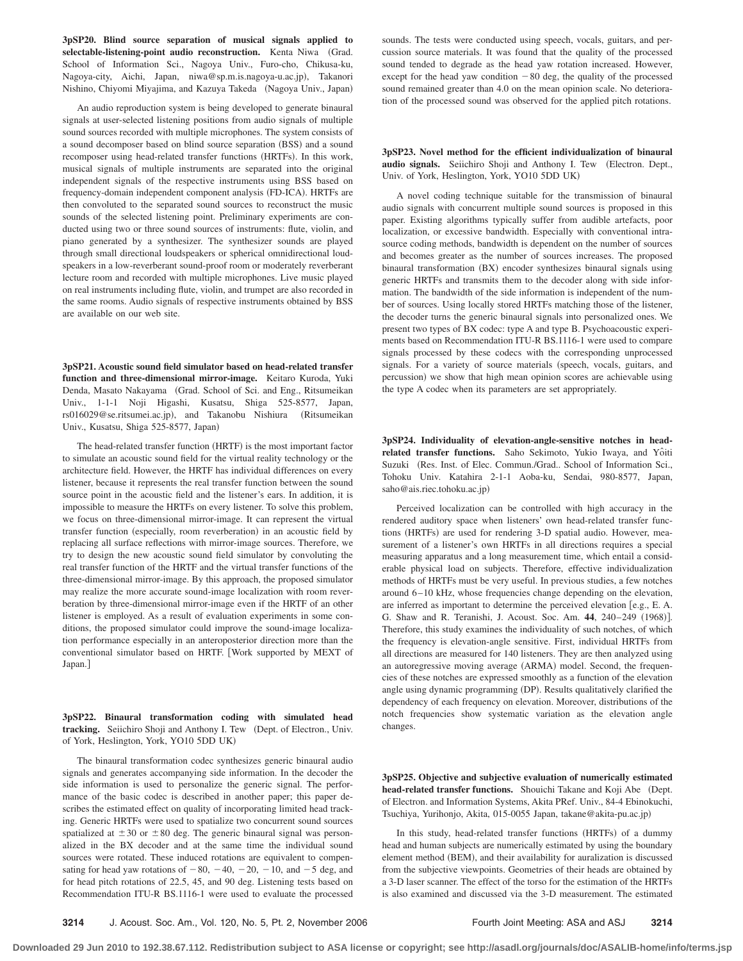**3pSP20. Blind source separation of musical signals applied to** selectable-listening-point audio reconstruction. Kenta Niwa (Grad. School of Information Sci., Nagoya Univ., Furo-cho, Chikusa-ku, Nagoya-city, Aichi, Japan, niwa@sp.m.is.nagoya-u.ac.jp), Takanori Nishino, Chiyomi Miyajima, and Kazuya Takeda (Nagoya Univ., Japan)

An audio reproduction system is being developed to generate binaural signals at user-selected listening positions from audio signals of multiple sound sources recorded with multiple microphones. The system consists of a sound decomposer based on blind source separation (BSS) and a sound recomposer using head-related transfer functions (HRTFs). In this work, musical signals of multiple instruments are separated into the original independent signals of the respective instruments using BSS based on frequency-domain independent component analysis (FD-ICA). HRTFs are then convoluted to the separated sound sources to reconstruct the music sounds of the selected listening point. Preliminary experiments are conducted using two or three sound sources of instruments: flute, violin, and piano generated by a synthesizer. The synthesizer sounds are played through small directional loudspeakers or spherical omnidirectional loudspeakers in a low-reverberant sound-proof room or moderately reverberant lecture room and recorded with multiple microphones. Live music played on real instruments including flute, violin, and trumpet are also recorded in the same rooms. Audio signals of respective instruments obtained by BSS are available on our web site.

**3pSP21. Acoustic sound field simulator based on head-related transfer function and three-dimensional mirror-image.** Keitaro Kuroda, Yuki Denda, Masato Nakayama (Grad. School of Sci. and Eng., Ritsumeikan Univ., 1-1-1 Noji Higashi, Kusatsu, Shiga 525-8577, Japan, rs016029@se.ritsumei.ac.jp), and Takanobu Nishiura (Ritsumeikan Univ., Kusatsu, Shiga 525-8577, Japan)

The head-related transfer function (HRTF) is the most important factor to simulate an acoustic sound field for the virtual reality technology or the architecture field. However, the HRTF has individual differences on every listener, because it represents the real transfer function between the sound source point in the acoustic field and the listener's ears. In addition, it is impossible to measure the HRTFs on every listener. To solve this problem, we focus on three-dimensional mirror-image. It can represent the virtual transfer function (especially, room reverberation) in an acoustic field by replacing all surface reflections with mirror-image sources. Therefore, we try to design the new acoustic sound field simulator by convoluting the real transfer function of the HRTF and the virtual transfer functions of the three-dimensional mirror-image. By this approach, the proposed simulator may realize the more accurate sound-image localization with room reverberation by three-dimensional mirror-image even if the HRTF of an other listener is employed. As a result of evaluation experiments in some conditions, the proposed simulator could improve the sound-image localization performance especially in an anteroposterior direction more than the conventional simulator based on HRTF. Work supported by MEXT of Japan.

**3pSP22. Binaural transformation coding with simulated head** tracking. Seiichiro Shoji and Anthony I. Tew (Dept. of Electron., Univ. of York, Heslington, York, YO10 5DD UK-

The binaural transformation codec synthesizes generic binaural audio signals and generates accompanying side information. In the decoder the side information is used to personalize the generic signal. The performance of the basic codec is described in another paper; this paper describes the estimated effect on quality of incorporating limited head tracking. Generic HRTFs were used to spatialize two concurrent sound sources spatialized at  $\pm 30$  or  $\pm 80$  deg. The generic binaural signal was personalized in the BX decoder and at the same time the individual sound sources were rotated. These induced rotations are equivalent to compensating for head yaw rotations of  $-80$ ,  $-40$ ,  $-20$ ,  $-10$ , and  $-5$  deg, and for head pitch rotations of 22.5, 45, and 90 deg. Listening tests based on Recommendation ITU-R BS.1116-1 were used to evaluate the processed

sounds. The tests were conducted using speech, vocals, guitars, and percussion source materials. It was found that the quality of the processed sound tended to degrade as the head yaw rotation increased. However, except for the head yaw condition  $-80$  deg, the quality of the processed sound remained greater than 4.0 on the mean opinion scale. No deterioration of the processed sound was observed for the applied pitch rotations.

**3pSP23. Novel method for the efficient individualization of binaural** audio signals. Seiichiro Shoji and Anthony I. Tew (Electron. Dept., Univ. of York, Heslington, York, YO10 5DD UK-

A novel coding technique suitable for the transmission of binaural audio signals with concurrent multiple sound sources is proposed in this paper. Existing algorithms typically suffer from audible artefacts, poor localization, or excessive bandwidth. Especially with conventional intrasource coding methods, bandwidth is dependent on the number of sources and becomes greater as the number of sources increases. The proposed binaural transformation (BX) encoder synthesizes binaural signals using generic HRTFs and transmits them to the decoder along with side information. The bandwidth of the side information is independent of the number of sources. Using locally stored HRTFs matching those of the listener, the decoder turns the generic binaural signals into personalized ones. We present two types of BX codec: type A and type B. Psychoacoustic experiments based on Recommendation ITU-R BS.1116-1 were used to compare signals processed by these codecs with the corresponding unprocessed signals. For a variety of source materials (speech, vocals, guitars, and percussion) we show that high mean opinion scores are achievable using the type A codec when its parameters are set appropriately.

**3pSP24. Individuality of elevation-angle-sensitive notches in head**related transfer functions. Saho Sekimoto, Yukio Iwaya, and Yôiti Suzuki (Res. Inst. of Elec. Commun./Grad.. School of Information Sci., Tohoku Univ. Katahira 2-1-1 Aoba-ku, Sendai, 980-8577, Japan, saho@ais.riec.tohoku.ac.jp)

Perceived localization can be controlled with high accuracy in the rendered auditory space when listeners' own head-related transfer functions (HRTFs) are used for rendering 3-D spatial audio. However, measurement of a listener's own HRTFs in all directions requires a special measuring apparatus and a long measurement time, which entail a considerable physical load on subjects. Therefore, effective individualization methods of HRTFs must be very useful. In previous studies, a few notches around 6 –10 kHz, whose frequencies change depending on the elevation, are inferred as important to determine the perceived elevation  $[e.g., E. A.$ G. Shaw and R. Teranishi, J. Acoust. Soc. Am. 44, 240-249 (1968)]. Therefore, this study examines the individuality of such notches, of which the frequency is elevation-angle sensitive. First, individual HRTFs from all directions are measured for 140 listeners. They are then analyzed using an autoregressive moving average (ARMA) model. Second, the frequencies of these notches are expressed smoothly as a function of the elevation angle using dynamic programming (DP). Results qualitatively clarified the dependency of each frequency on elevation. Moreover, distributions of the notch frequencies show systematic variation as the elevation angle changes.

**3pSP25. Objective and subjective evaluation of numerically estimated** head-related transfer functions. Shouichi Takane and Koji Abe (Dept. of Electron. and Information Systems, Akita PRef. Univ., 84-4 Ebinokuchi, Tsuchiya, Yurihonjo, Akita, 015-0055 Japan, takane@akita-pu.ac.jp-

In this study, head-related transfer functions (HRTFs) of a dummy head and human subjects are numerically estimated by using the boundary element method (BEM), and their availability for auralization is discussed from the subjective viewpoints. Geometries of their heads are obtained by a 3-D laser scanner. The effect of the torso for the estimation of the HRTFs is also examined and discussed via the 3-D measurement. The estimated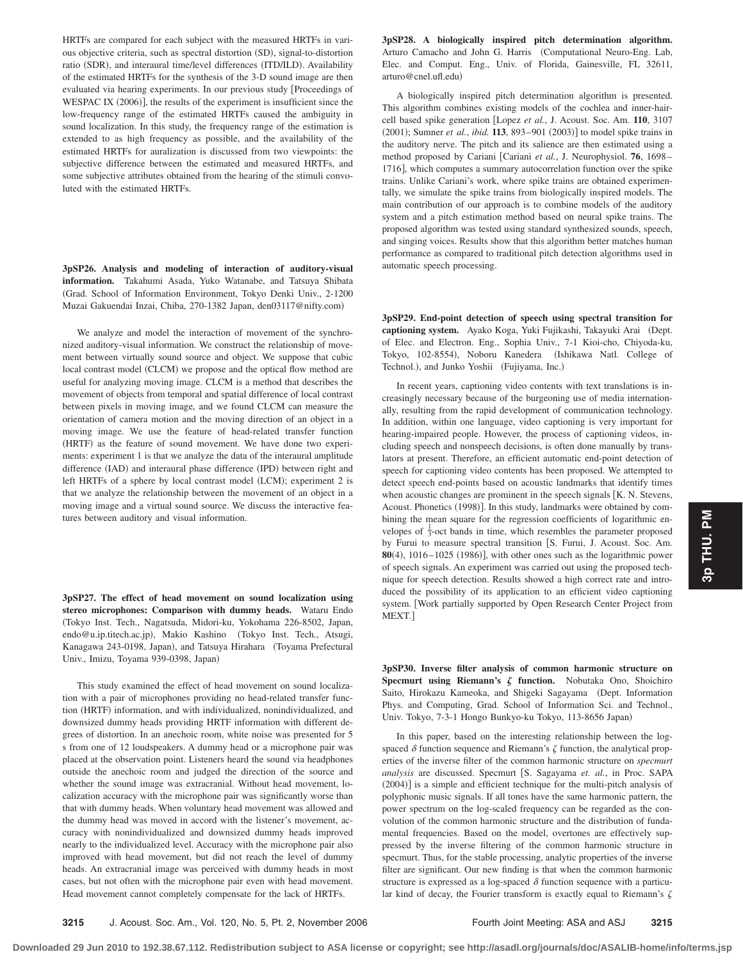HRTFs are compared for each subject with the measured HRTFs in various objective criteria, such as spectral distortion (SD), signal-to-distortion ratio (SDR), and interaural time/level differences (ITD/ILD). Availability of the estimated HRTFs for the synthesis of the 3-D sound image are then evaluated via hearing experiments. In our previous study Proceedings of WESPAC IX (2006)], the results of the experiment is insufficient since the low-frequency range of the estimated HRTFs caused the ambiguity in sound localization. In this study, the frequency range of the estimation is extended to as high frequency as possible, and the availability of the estimated HRTFs for auralization is discussed from two viewpoints: the subjective difference between the estimated and measured HRTFs, and some subjective attributes obtained from the hearing of the stimuli convoluted with the estimated HRTFs.

**3pSP26. Analysis and modeling of interaction of auditory-visual information.** Takahumi Asada, Yuko Watanabe, and Tatsuya Shibata Grad. School of Information Environment, Tokyo Denki Univ., 2-1200 Muzai Gakuendai Inzai, Chiba, 270-1382 Japan, den03117@nifty.com-

We analyze and model the interaction of movement of the synchronized auditory-visual information. We construct the relationship of movement between virtually sound source and object. We suppose that cubic local contrast model (CLCM) we propose and the optical flow method are useful for analyzing moving image. CLCM is a method that describes the movement of objects from temporal and spatial difference of local contrast between pixels in moving image, and we found CLCM can measure the orientation of camera motion and the moving direction of an object in a moving image. We use the feature of head-related transfer function (HRTF) as the feature of sound movement. We have done two experiments: experiment 1 is that we analyze the data of the interaural amplitude difference (IAD) and interaural phase difference (IPD) between right and left HRTFs of a sphere by local contrast model (LCM); experiment 2 is that we analyze the relationship between the movement of an object in a moving image and a virtual sound source. We discuss the interactive features between auditory and visual information.

**3pSP27. The effect of head movement on sound localization using stereo microphones: Comparison with dummy heads.** Wataru Endo Tokyo Inst. Tech., Nagatsuda, Midori-ku, Yokohama 226-8502, Japan, endo@u.ip.titech.ac.jp), Makio Kashino (Tokyo Inst. Tech., Atsugi, Kanagawa 243-0198, Japan), and Tatsuya Hirahara (Toyama Prefectural Univ., Imizu, Toyama 939-0398, Japan)

This study examined the effect of head movement on sound localization with a pair of microphones providing no head-related transfer function (HRTF) information, and with individualized, nonindividualized, and downsized dummy heads providing HRTF information with different degrees of distortion. In an anechoic room, white noise was presented for 5 s from one of 12 loudspeakers. A dummy head or a microphone pair was placed at the observation point. Listeners heard the sound via headphones outside the anechoic room and judged the direction of the source and whether the sound image was extracranial. Without head movement, localization accuracy with the microphone pair was significantly worse than that with dummy heads. When voluntary head movement was allowed and the dummy head was moved in accord with the listener's movement, accuracy with nonindividualized and downsized dummy heads improved nearly to the individualized level. Accuracy with the microphone pair also improved with head movement, but did not reach the level of dummy heads. An extracranial image was perceived with dummy heads in most cases, but not often with the microphone pair even with head movement. Head movement cannot completely compensate for the lack of HRTFs.

**3pSP28. A biologically inspired pitch determination algorithm.** Arturo Camacho and John G. Harris (Computational Neuro-Eng. Lab, Elec. and Comput. Eng., Univ. of Florida, Gainesville, FL 32611, arturo@cnel.ufl.edu-

A biologically inspired pitch determination algorithm is presented. This algorithm combines existing models of the cochlea and inner-haircell based spike generation Lopez *et al.*, J. Acoust. Soc. Am. **110**, 3107  $(2001)$ ; Sumner *et al.*, *ibid.* **113**, 893-901  $(2003)$ ] to model spike trains in the auditory nerve. The pitch and its salience are then estimated using a method proposed by Cariani Cariani *et al.*, J. Neurophysiol. **76**, 1698 – 1716, which computes a summary autocorrelation function over the spike trains. Unlike Cariani's work, where spike trains are obtained experimentally, we simulate the spike trains from biologically inspired models. The main contribution of our approach is to combine models of the auditory system and a pitch estimation method based on neural spike trains. The proposed algorithm was tested using standard synthesized sounds, speech, and singing voices. Results show that this algorithm better matches human performance as compared to traditional pitch detection algorithms used in automatic speech processing.

**3pSP29. End-point detection of speech using spectral transition for** captioning system. Ayako Koga, Yuki Fujikashi, Takayuki Arai (Dept. of Elec. and Electron. Eng., Sophia Univ., 7-1 Kioi-cho, Chiyoda-ku, Tokyo, 102-8554), Noboru Kanedera (Ishikawa Natl. College of Technol.), and Junko Yoshii (Fujiyama, Inc.)

In recent years, captioning video contents with text translations is increasingly necessary because of the burgeoning use of media internationally, resulting from the rapid development of communication technology. In addition, within one language, video captioning is very important for hearing-impaired people. However, the process of captioning videos, including speech and nonspeech decisions, is often done manually by translators at present. Therefore, an efficient automatic end-point detection of speech for captioning video contents has been proposed. We attempted to detect speech end-points based on acoustic landmarks that identify times when acoustic changes are prominent in the speech signals [K. N. Stevens, Acoust. Phonetics (1998)]. In this study, landmarks were obtained by combining the mean square for the regression coefficients of logarithmic envelopes of  $\frac{1}{3}$ -oct bands in time, which resembles the parameter proposed by Furui to measure spectral transition [S. Furui, J. Acoust. Soc. Am.  $80(4)$ ,  $1016 - 1025$  (1986)], with other ones such as the logarithmic power of speech signals. An experiment was carried out using the proposed technique for speech detection. Results showed a high correct rate and introduced the possibility of its application to an efficient video captioning system. [Work partially supported by Open Research Center Project from MEXT.

**3pSP30. Inverse filter analysis of common harmonic structure on** Specmurt using Riemann's  $\zeta$  function. Nobutaka Ono, Shoichiro Saito, Hirokazu Kameoka, and Shigeki Sagayama (Dept. Information Phys. and Computing, Grad. School of Information Sci. and Technol., Univ. Tokyo, 7-3-1 Hongo Bunkyo-ku Tokyo, 113-8656 Japan)

In this paper, based on the interesting relationship between the logspaced  $\delta$  function sequence and Riemann's  $\zeta$  function, the analytical properties of the inverse filter of the common harmonic structure on *specmurt* analysis are discussed. Specmurt [S. Sagayama et. al., in Proc. SAPA (2004)] is a simple and efficient technique for the multi-pitch analysis of polyphonic music signals. If all tones have the same harmonic pattern, the power spectrum on the log-scaled frequency can be regarded as the convolution of the common harmonic structure and the distribution of fundamental frequencies. Based on the model, overtones are effectively suppressed by the inverse filtering of the common harmonic structure in specmurt. Thus, for the stable processing, analytic properties of the inverse filter are significant. Our new finding is that when the common harmonic structure is expressed as a log-spaced  $\delta$  function sequence with a particular kind of decay, the Fourier transform is exactly equal to Riemann's  $\zeta$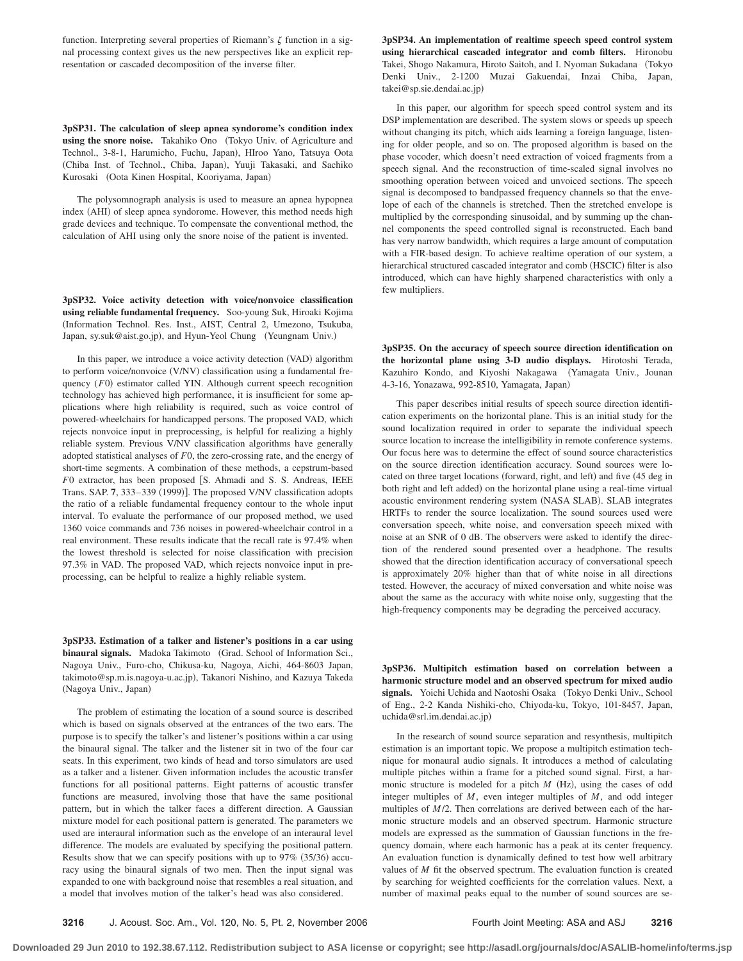function. Interpreting several properties of Riemann's  $\zeta$  function in a signal processing context gives us the new perspectives like an explicit representation or cascaded decomposition of the inverse filter.

**3pSP31. The calculation of sleep apnea syndorome's condition index** using the snore noise. Takahiko Ono (Tokyo Univ. of Agriculture and Technol., 3-8-1, Harumicho, Fuchu, Japan), HIroo Yano, Tatsuya Oota (Chiba Inst. of Technol., Chiba, Japan), Yuuji Takasaki, and Sachiko Kurosaki (Oota Kinen Hospital, Kooriyama, Japan)

The polysomnograph analysis is used to measure an apnea hypopnea index (AHI) of sleep apnea syndorome. However, this method needs high grade devices and technique. To compensate the conventional method, the calculation of AHI using only the snore noise of the patient is invented.

**3pSP32.** Voice activity detection with voice/nonvoice classification **using reliable fundamental frequency.** Soo-young Suk, Hiroaki Kojima Information Technol. Res. Inst., AIST, Central 2, Umezono, Tsukuba, Japan, sy.suk@aist.go.jp), and Hyun-Yeol Chung (Yeungnam Univ.)

In this paper, we introduce a voice activity detection (VAD) algorithm to perform voice/nonvoice (V/NV) classification using a fundamental frequency (F0) estimator called YIN. Although current speech recognition technology has achieved high performance, it is insufficient for some applications where high reliability is required, such as voice control of powered-wheelchairs for handicapped persons. The proposed VAD, which rejects nonvoice input in preprocessing, is helpful for realizing a highly reliable system. Previous V/NV classification algorithms have generally adopted statistical analyses of *F*0, the zero-crossing rate, and the energy of short-time segments. A combination of these methods, a cepstrum-based *F*0 extractor, has been proposed [S. Ahmadi and S. S. Andreas, IEEE Trans. SAP. 7, 333-339 (1999)]. The proposed V/NV classification adopts the ratio of a reliable fundamental frequency contour to the whole input interval. To evaluate the performance of our proposed method, we used 1360 voice commands and 736 noises in powered-wheelchair control in a real environment. These results indicate that the recall rate is 97.4% when the lowest threshold is selected for noise classification with precision 97.3% in VAD. The proposed VAD, which rejects nonvoice input in preprocessing, can be helpful to realize a highly reliable system.

**3pSP33. Estimation of a talker and listener's positions in a car using** binaural signals. Madoka Takimoto (Grad. School of Information Sci., Nagoya Univ., Furo-cho, Chikusa-ku, Nagoya, Aichi, 464-8603 Japan, takimoto@sp.m.is.nagoya-u.ac.jp), Takanori Nishino, and Kazuya Takeda (Nagoya Univ., Japan)

The problem of estimating the location of a sound source is described which is based on signals observed at the entrances of the two ears. The purpose is to specify the talker's and listener's positions within a car using the binaural signal. The talker and the listener sit in two of the four car seats. In this experiment, two kinds of head and torso simulators are used as a talker and a listener. Given information includes the acoustic transfer functions for all positional patterns. Eight patterns of acoustic transfer functions are measured, involving those that have the same positional pattern, but in which the talker faces a different direction. A Gaussian mixture model for each positional pattern is generated. The parameters we used are interaural information such as the envelope of an interaural level difference. The models are evaluated by specifying the positional pattern. Results show that we can specify positions with up to 97% (35/36) accuracy using the binaural signals of two men. Then the input signal was expanded to one with background noise that resembles a real situation, and a model that involves motion of the talker's head was also considered.

**3pSP34. An implementation of realtime speech speed control system using hierarchical cascaded integrator and comb filters.** Hironobu Takei, Shogo Nakamura, Hiroto Saitoh, and I. Nyoman Sukadana (Tokyo Denki Univ., 2-1200 Muzai Gakuendai, Inzai Chiba, Japan, takei@sp.sie.dendai.ac.jp)

In this paper, our algorithm for speech speed control system and its DSP implementation are described. The system slows or speeds up speech without changing its pitch, which aids learning a foreign language, listening for older people, and so on. The proposed algorithm is based on the phase vocoder, which doesn't need extraction of voiced fragments from a speech signal. And the reconstruction of time-scaled signal involves no smoothing operation between voiced and unvoiced sections. The speech signal is decomposed to bandpassed frequency channels so that the envelope of each of the channels is stretched. Then the stretched envelope is multiplied by the corresponding sinusoidal, and by summing up the channel components the speed controlled signal is reconstructed. Each band has very narrow bandwidth, which requires a large amount of computation with a FIR-based design. To achieve realtime operation of our system, a hierarchical structured cascaded integrator and comb (HSCIC) filter is also introduced, which can have highly sharpened characteristics with only a few multipliers.

**3pSP35. On the accuracy of speech source direction identification on the horizontal plane using 3-D audio displays.** Hirotoshi Terada, Kazuhiro Kondo, and Kiyoshi Nakagawa (Yamagata Univ., Jounan 4-3-16, Yonazawa, 992-8510, Yamagata, Japan)

This paper describes initial results of speech source direction identification experiments on the horizontal plane. This is an initial study for the sound localization required in order to separate the individual speech source location to increase the intelligibility in remote conference systems. Our focus here was to determine the effect of sound source characteristics on the source direction identification accuracy. Sound sources were located on three target locations (forward, right, and left) and five (45 deg in both right and left added) on the horizontal plane using a real-time virtual acoustic environment rendering system (NASA SLAB). SLAB integrates HRTFs to render the source localization. The sound sources used were conversation speech, white noise, and conversation speech mixed with noise at an SNR of 0 dB. The observers were asked to identify the direction of the rendered sound presented over a headphone. The results showed that the direction identification accuracy of conversational speech is approximately 20% higher than that of white noise in all directions tested. However, the accuracy of mixed conversation and white noise was about the same as the accuracy with white noise only, suggesting that the high-frequency components may be degrading the perceived accuracy.

**3pSP36. Multipitch estimation based on correlation between a harmonic structure model and an observed spectrum for mixed audio** signals. Yoichi Uchida and Naotoshi Osaka (Tokyo Denki Univ., School of Eng., 2-2 Kanda Nishiki-cho, Chiyoda-ku, Tokyo, 101-8457, Japan, uchida@srl.im.dendai.ac.jp)

In the research of sound source separation and resynthesis, multipitch estimation is an important topic. We propose a multipitch estimation technique for monaural audio signals. It introduces a method of calculating multiple pitches within a frame for a pitched sound signal. First, a harmonic structure is modeled for a pitch  $M$  (Hz), using the cases of odd integer multiples of *M*, even integer multiples of *M*, and odd integer multiples of *M*/2. Then correlations are derived between each of the harmonic structure models and an observed spectrum. Harmonic structure models are expressed as the summation of Gaussian functions in the frequency domain, where each harmonic has a peak at its center frequency. An evaluation function is dynamically defined to test how well arbitrary values of *M* fit the observed spectrum. The evaluation function is created by searching for weighted coefficients for the correlation values. Next, a number of maximal peaks equal to the number of sound sources are se-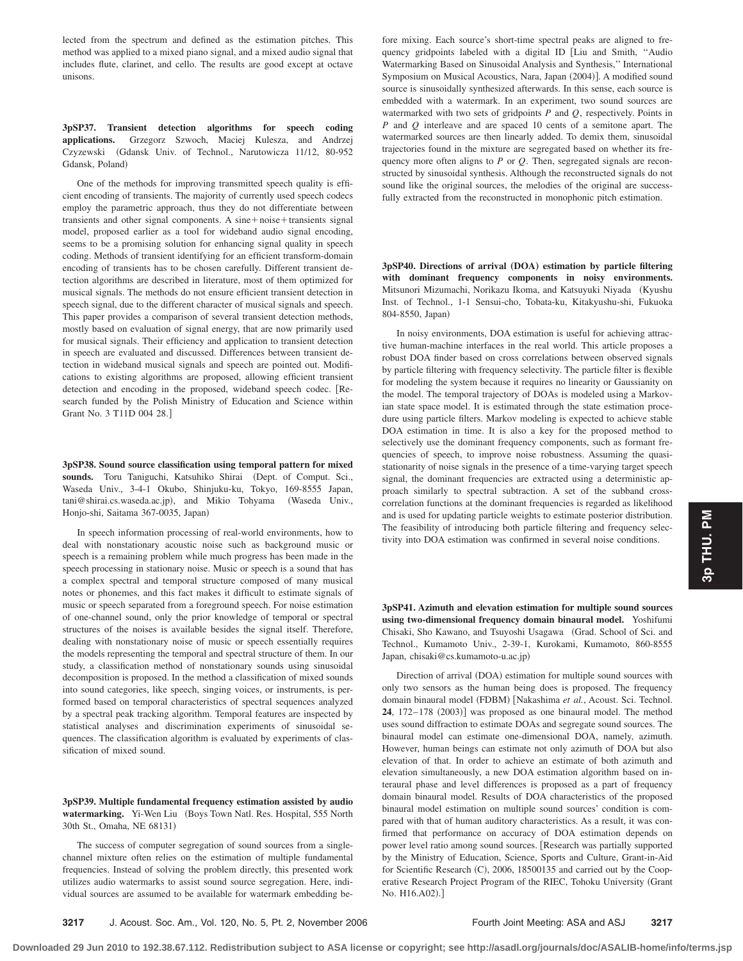lected from the spectrum and defined as the estimation pitches. This method was applied to a mixed piano signal, and a mixed audio signal that includes flute, clarinet, and cello. The results are good except at octave unisons.

# **3pSP37. Transient detection algorithms for speech coding applications.** Grzegorz Szwoch, Maciej Kulesza, and Andrzej Czyzewski Gdansk Univ. of Technol., Narutowicza 11/12, 80-952 Gdansk, Poland)

One of the methods for improving transmitted speech quality is efficient encoding of transients. The majority of currently used speech codecs employ the parametric approach, thus they do not differentiate between transients and other signal components. A sine $+$  noise $+$  transients signal model, proposed earlier as a tool for wideband audio signal encoding, seems to be a promising solution for enhancing signal quality in speech coding. Methods of transient identifying for an efficient transform-domain encoding of transients has to be chosen carefully. Different transient detection algorithms are described in literature, most of them optimized for musical signals. The methods do not ensure efficient transient detection in speech signal, due to the different character of musical signals and speech. This paper provides a comparison of several transient detection methods, mostly based on evaluation of signal energy, that are now primarily used for musical signals. Their efficiency and application to transient detection in speech are evaluated and discussed. Differences between transient detection in wideband musical signals and speech are pointed out. Modifications to existing algorithms are proposed, allowing efficient transient detection and encoding in the proposed, wideband speech codec. Research funded by the Polish Ministry of Education and Science within Grant No. 3 T11D 004 28.

**3pSP38. Sound source classification using temporal pattern for mixed** sounds. Toru Taniguchi, Katsuhiko Shirai (Dept. of Comput. Sci., Waseda Univ., 3-4-1 Okubo, Shinjuku-ku, Tokyo, 169-8555 Japan, tani@shirai.cs.waseda.ac.jp), and Mikio Tohyama (Waseda Univ., Honjo-shi, Saitama 367-0035, Japan)

In speech information processing of real-world environments, how to deal with nonstationary acoustic noise such as background music or speech is a remaining problem while much progress has been made in the speech processing in stationary noise. Music or speech is a sound that has a complex spectral and temporal structure composed of many musical notes or phonemes, and this fact makes it difficult to estimate signals of music or speech separated from a foreground speech. For noise estimation of one-channel sound, only the prior knowledge of temporal or spectral structures of the noises is available besides the signal itself. Therefore, dealing with nonstationary noise of music or speech essentially requires the models representing the temporal and spectral structure of them. In our study, a classification method of nonstationary sounds using sinusoidal decomposition is proposed. In the method a classification of mixed sounds into sound categories, like speech, singing voices, or instruments, is performed based on temporal characteristics of spectral sequences analyzed by a spectral peak tracking algorithm. Temporal features are inspected by statistical analyses and discrimination experiments of sinusoidal sequences. The classification algorithm is evaluated by experiments of classification of mixed sound.

**3pSP39. Multiple fundamental frequency estimation assisted by audio** watermarking. Yi-Wen Liu (Boys Town Natl. Res. Hospital, 555 North 30th St., Omaha, NE 68131)

The success of computer segregation of sound sources from a singlechannel mixture often relies on the estimation of multiple fundamental frequencies. Instead of solving the problem directly, this presented work utilizes audio watermarks to assist sound source segregation. Here, individual sources are assumed to be available for watermark embedding before mixing. Each source's short-time spectral peaks are aligned to frequency gridpoints labeled with a digital ID Liu and Smith, ''Audio Watermarking Based on Sinusoidal Analysis and Synthesis,'' International Symposium on Musical Acoustics, Nara, Japan (2004)]. A modified sound source is sinusoidally synthesized afterwards. In this sense, each source is embedded with a watermark. In an experiment, two sound sources are watermarked with two sets of gridpoints *P* and *Q*, respectively. Points in *P* and *Q* interleave and are spaced 10 cents of a semitone apart. The watermarked sources are then linearly added. To demix them, sinusoidal trajectories found in the mixture are segregated based on whether its frequency more often aligns to *P* or *Q*. Then, segregated signals are reconstructed by sinusoidal synthesis. Although the reconstructed signals do not sound like the original sources, the melodies of the original are successfully extracted from the reconstructed in monophonic pitch estimation.

3pSP40. Directions of arrival (DOA) estimation by particle filtering **with dominant frequency components in noisy environments.** Mitsunori Mizumachi, Norikazu Ikoma, and Katsuyuki Niyada (Kyushu Inst. of Technol., 1-1 Sensui-cho, Tobata-ku, Kitakyushu-shi, Fukuoka 804-8550, Japan)

In noisy environments, DOA estimation is useful for achieving attractive human-machine interfaces in the real world. This article proposes a robust DOA finder based on cross correlations between observed signals by particle filtering with frequency selectivity. The particle filter is flexible for modeling the system because it requires no linearity or Gaussianity on the model. The temporal trajectory of DOAs is modeled using a Markovian state space model. It is estimated through the state estimation procedure using particle filters. Markov modeling is expected to achieve stable DOA estimation in time. It is also a key for the proposed method to selectively use the dominant frequency components, such as formant frequencies of speech, to improve noise robustness. Assuming the quasistationarity of noise signals in the presence of a time-varying target speech signal, the dominant frequencies are extracted using a deterministic approach similarly to spectral subtraction. A set of the subband crosscorrelation functions at the dominant frequencies is regarded as likelihood and is used for updating particle weights to estimate posterior distribution. The feasibility of introducing both particle filtering and frequency selectivity into DOA estimation was confirmed in several noise conditions.

**3pSP41. Azimuth and elevation estimation for multiple sound sources using two-dimensional frequency domain binaural model.** Yoshifumi Chisaki, Sho Kawano, and Tsuyoshi Usagawa Grad. School of Sci. and Technol., Kumamoto Univ., 2-39-1, Kurokami, Kumamoto, 860-8555 Japan, chisaki@cs.kumamoto-u.ac.jp)

Direction of arrival (DOA) estimation for multiple sound sources with only two sensors as the human being does is proposed. The frequency domain binaural model (FDBM) [Nakashima et al., Acoust. Sci. Technol. 24, 172-178 (2003)] was proposed as one binaural model. The method uses sound diffraction to estimate DOAs and segregate sound sources. The binaural model can estimate one-dimensional DOA, namely, azimuth. However, human beings can estimate not only azimuth of DOA but also elevation of that. In order to achieve an estimate of both azimuth and elevation simultaneously, a new DOA estimation algorithm based on interaural phase and level differences is proposed as a part of frequency domain binaural model. Results of DOA characteristics of the proposed binaural model estimation on multiple sound sources' condition is compared with that of human auditory characteristics. As a result, it was confirmed that performance on accuracy of DOA estimation depends on power level ratio among sound sources. Research was partially supported by the Ministry of Education, Science, Sports and Culture, Grant-in-Aid for Scientific Research (C), 2006, 18500135 and carried out by the Cooperative Research Project Program of the RIEC, Tohoku University Grant No. H16.A02).]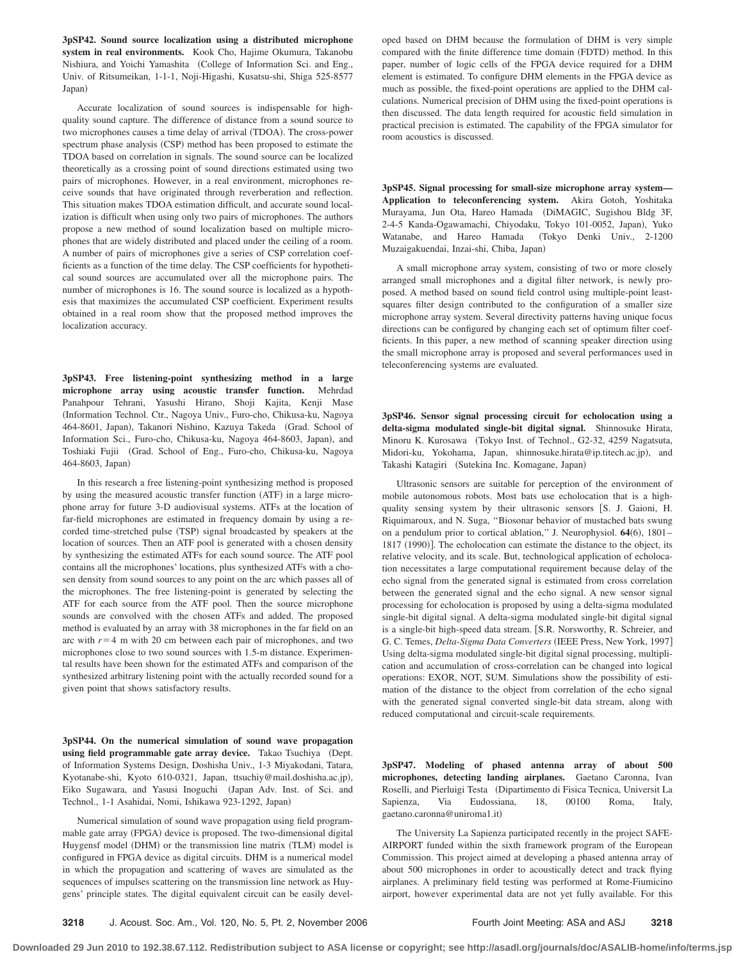**3pSP42. Sound source localization using a distributed microphone system in real environments.** Kook Cho, Hajime Okumura, Takanobu Nishiura, and Yoichi Yamashita College of Information Sci. and Eng., Univ. of Ritsumeikan, 1-1-1, Noji-Higashi, Kusatsu-shi, Shiga 525-8577 Japan)

Accurate localization of sound sources is indispensable for highquality sound capture. The difference of distance from a sound source to two microphones causes a time delay of arrival (TDOA). The cross-power spectrum phase analysis (CSP) method has been proposed to estimate the TDOA based on correlation in signals. The sound source can be localized theoretically as a crossing point of sound directions estimated using two pairs of microphones. However, in a real environment, microphones receive sounds that have originated through reverberation and reflection. This situation makes TDOA estimation difficult, and accurate sound localization is difficult when using only two pairs of microphones. The authors propose a new method of sound localization based on multiple microphones that are widely distributed and placed under the ceiling of a room. A number of pairs of microphones give a series of CSP correlation coefficients as a function of the time delay. The CSP coefficients for hypothetical sound sources are accumulated over all the microphone pairs. The number of microphones is 16. The sound source is localized as a hypothesis that maximizes the accumulated CSP coefficient. Experiment results obtained in a real room show that the proposed method improves the localization accuracy.

**3pSP43. Free listening-point synthesizing method in a large microphone array using acoustic transfer function.** Mehrdad Panahpour Tehrani, Yasushi Hirano, Shoji Kajita, Kenji Mase Information Technol. Ctr., Nagoya Univ., Furo-cho, Chikusa-ku, Nagoya 464-8601, Japan), Takanori Nishino, Kazuya Takeda (Grad. School of Information Sci., Furo-cho, Chikusa-ku, Nagoya 464-8603, Japan), and Toshiaki Fujii Grad. School of Eng., Furo-cho, Chikusa-ku, Nagoya 464-8603, Japan)

In this research a free listening-point synthesizing method is proposed by using the measured acoustic transfer function (ATF) in a large microphone array for future 3-D audiovisual systems. ATFs at the location of far-field microphones are estimated in frequency domain by using a recorded time-stretched pulse (TSP) signal broadcasted by speakers at the location of sources. Then an ATF pool is generated with a chosen density by synthesizing the estimated ATFs for each sound source. The ATF pool contains all the microphones' locations, plus synthesized ATFs with a chosen density from sound sources to any point on the arc which passes all of the microphones. The free listening-point is generated by selecting the ATF for each source from the ATF pool. Then the source microphone sounds are convolved with the chosen ATFs and added. The proposed method is evaluated by an array with 38 microphones in the far field on an arc with  $r=4$  m with 20 cm between each pair of microphones, and two microphones close to two sound sources with 1.5-m distance. Experimental results have been shown for the estimated ATFs and comparison of the synthesized arbitrary listening point with the actually recorded sound for a given point that shows satisfactory results.

**3pSP44. On the numerical simulation of sound wave propagation** using field programmable gate array device. Takao Tsuchiya (Dept. of Information Systems Design, Doshisha Univ., 1-3 Miyakodani, Tatara, Kyotanabe-shi, Kyoto 610-0321, Japan, ttsuchiy@mail.doshisha.ac.jp), Eiko Sugawara, and Yasusi Inoguchi (Japan Adv. Inst. of Sci. and Technol., 1-1 Asahidai, Nomi, Ishikawa 923-1292, Japan)

Numerical simulation of sound wave propagation using field programmable gate array (FPGA) device is proposed. The two-dimensional digital Huygensf model (DHM) or the transmission line matrix (TLM) model is configured in FPGA device as digital circuits. DHM is a numerical model in which the propagation and scattering of waves are simulated as the sequences of impulses scattering on the transmission line network as Huygens' principle states. The digital equivalent circuit can be easily developed based on DHM because the formulation of DHM is very simple compared with the finite difference time domain (FDTD) method. In this paper, number of logic cells of the FPGA device required for a DHM element is estimated. To configure DHM elements in the FPGA device as much as possible, the fixed-point operations are applied to the DHM calculations. Numerical precision of DHM using the fixed-point operations is then discussed. The data length required for acoustic field simulation in practical precision is estimated. The capability of the FPGA simulator for room acoustics is discussed.

**3pSP45. Signal processing for small-size microphone array system— Application to teleconferencing system.** Akira Gotoh, Yoshitaka Murayama, Jun Ota, Hareo Hamada (DiMAGIC, Sugishou Bldg 3F, 2-4-5 Kanda-Ogawamachi, Chiyodaku, Tokyo 101-0052, Japan), Yuko Watanabe, and Hareo Hamada (Tokyo Denki Univ., 2-1200 Muzaigakuendai, Inzai-shi, Chiba, Japan)

A small microphone array system, consisting of two or more closely arranged small microphones and a digital filter network, is newly proposed. A method based on sound field control using multiple-point leastsquares filter design contributed to the configuration of a smaller size microphone array system. Several directivity patterns having unique focus directions can be configured by changing each set of optimum filter coefficients. In this paper, a new method of scanning speaker direction using the small microphone array is proposed and several performances used in teleconferencing systems are evaluated.

**3pSP46. Sensor signal processing circuit for echolocation using a delta-sigma modulated single-bit digital signal.** Shinnosuke Hirata, Minoru K. Kurosawa (Tokyo Inst. of Technol., G2-32, 4259 Nagatsuta, Midori-ku, Yokohama, Japan, shinnosuke.hirata@ip.titech.ac.jp), and Takashi Katagiri (Sutekina Inc. Komagane, Japan)

Ultrasonic sensors are suitable for perception of the environment of mobile autonomous robots. Most bats use echolocation that is a highquality sensing system by their ultrasonic sensors [S. J. Gaioni, H. Riquimaroux, and N. Suga, ''Biosonar behavior of mustached bats swung on a pendulum prior to cortical ablation," J. Neurophysiol. **64**(6), 1801– 1817 (1990)]. The echolocation can estimate the distance to the object, its relative velocity, and its scale. But, technological application of echolocation necessitates a large computational requirement because delay of the echo signal from the generated signal is estimated from cross correlation between the generated signal and the echo signal. A new sensor signal processing for echolocation is proposed by using a delta-sigma modulated single-bit digital signal. A delta-sigma modulated single-bit digital signal is a single-bit high-speed data stream. [S.R. Norsworthy, R. Schreier, and G. C. Temes, *Delta-Sigma Data Converters* (IEEE Press, New York, 1997] Using delta-sigma modulated single-bit digital signal processing, multiplication and accumulation of cross-correlation can be changed into logical operations: EXOR, NOT, SUM. Simulations show the possibility of estimation of the distance to the object from correlation of the echo signal with the generated signal converted single-bit data stream, along with reduced computational and circuit-scale requirements.

**3pSP47. Modeling of phased antenna array of about 500 microphones, detecting landing airplanes.** Gaetano Caronna, Ivan Roselli, and Pierluigi Testa (Dipartimento di Fisica Tecnica, Universit La Sapienza, Via Eudossiana, 18, 00100 Roma, Italy, gaetano.caronna@uniroma1.it-

The University La Sapienza participated recently in the project SAFE-AIRPORT funded within the sixth framework program of the European Commission. This project aimed at developing a phased antenna array of about 500 microphones in order to acoustically detect and track flying airplanes. A preliminary field testing was performed at Rome-Fiumicino airport, however experimental data are not yet fully available. For this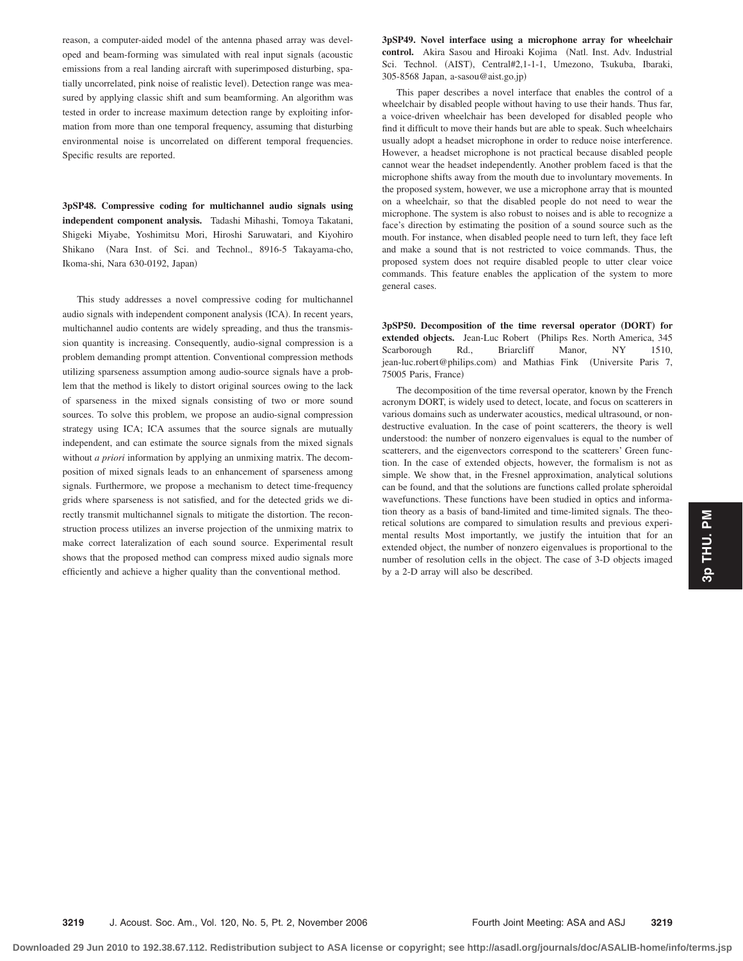reason, a computer-aided model of the antenna phased array was developed and beam-forming was simulated with real input signals (acoustic emissions from a real landing aircraft with superimposed disturbing, spatially uncorrelated, pink noise of realistic level). Detection range was measured by applying classic shift and sum beamforming. An algorithm was tested in order to increase maximum detection range by exploiting information from more than one temporal frequency, assuming that disturbing environmental noise is uncorrelated on different temporal frequencies. Specific results are reported.

**3pSP48. Compressive coding for multichannel audio signals using independent component analysis.** Tadashi Mihashi, Tomoya Takatani, Shigeki Miyabe, Yoshimitsu Mori, Hiroshi Saruwatari, and Kiyohiro Shikano (Nara Inst. of Sci. and Technol., 8916-5 Takayama-cho, Ikoma-shi, Nara 630-0192, Japan)

This study addresses a novel compressive coding for multichannel audio signals with independent component analysis (ICA). In recent years, multichannel audio contents are widely spreading, and thus the transmission quantity is increasing. Consequently, audio-signal compression is a problem demanding prompt attention. Conventional compression methods utilizing sparseness assumption among audio-source signals have a problem that the method is likely to distort original sources owing to the lack of sparseness in the mixed signals consisting of two or more sound sources. To solve this problem, we propose an audio-signal compression strategy using ICA; ICA assumes that the source signals are mutually independent, and can estimate the source signals from the mixed signals without *a priori* information by applying an unmixing matrix. The decomposition of mixed signals leads to an enhancement of sparseness among signals. Furthermore, we propose a mechanism to detect time-frequency grids where sparseness is not satisfied, and for the detected grids we directly transmit multichannel signals to mitigate the distortion. The reconstruction process utilizes an inverse projection of the unmixing matrix to make correct lateralization of each sound source. Experimental result shows that the proposed method can compress mixed audio signals more efficiently and achieve a higher quality than the conventional method.

**3pSP49. Novel interface using a microphone array for wheelchair** control. Akira Sasou and Hiroaki Kojima (Natl. Inst. Adv. Industrial Sci. Technol. (AIST), Central#2,1-1-1, Umezono, Tsukuba, Ibaraki, 305-8568 Japan, a-sasou@aist.go.jp-

This paper describes a novel interface that enables the control of a wheelchair by disabled people without having to use their hands. Thus far, a voice-driven wheelchair has been developed for disabled people who find it difficult to move their hands but are able to speak. Such wheelchairs usually adopt a headset microphone in order to reduce noise interference. However, a headset microphone is not practical because disabled people cannot wear the headset independently. Another problem faced is that the microphone shifts away from the mouth due to involuntary movements. In the proposed system, however, we use a microphone array that is mounted on a wheelchair, so that the disabled people do not need to wear the microphone. The system is also robust to noises and is able to recognize a face's direction by estimating the position of a sound source such as the mouth. For instance, when disabled people need to turn left, they face left and make a sound that is not restricted to voice commands. Thus, the proposed system does not require disabled people to utter clear voice commands. This feature enables the application of the system to more general cases.

**3pSP50.** Decomposition of the time reversal operator (DORT) for extended objects. Jean-Luc Robert (Philips Res. North America, 345 Scarborough Rd., Briarcliff Manor, NY 1510, jean-luc.robert@philips.com) and Mathias Fink (Universite Paris 7, 75005 Paris, France)

The decomposition of the time reversal operator, known by the French acronym DORT, is widely used to detect, locate, and focus on scatterers in various domains such as underwater acoustics, medical ultrasound, or nondestructive evaluation. In the case of point scatterers, the theory is well understood: the number of nonzero eigenvalues is equal to the number of scatterers, and the eigenvectors correspond to the scatterers' Green function. In the case of extended objects, however, the formalism is not as simple. We show that, in the Fresnel approximation, analytical solutions can be found, and that the solutions are functions called prolate spheroidal wavefunctions. These functions have been studied in optics and information theory as a basis of band-limited and time-limited signals. The theoretical solutions are compared to simulation results and previous experimental results Most importantly, we justify the intuition that for an extended object, the number of nonzero eigenvalues is proportional to the number of resolution cells in the object. The case of 3-D objects imaged by a 2-D array will also be described.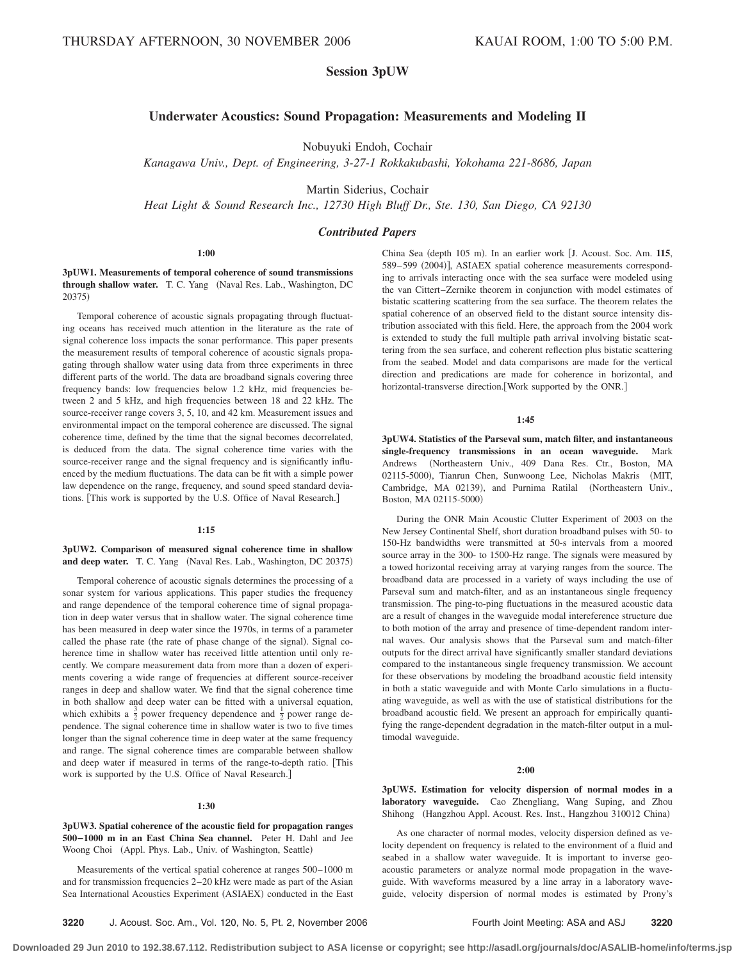# **Session 3pUW**

# **Underwater Acoustics: Sound Propagation: Measurements and Modeling II**

Nobuyuki Endoh, Cochair

*Kanagawa Univ., Dept. of Engineering, 3-27-1 Rokkakubashi, Yokohama 221-8686, Japan*

Martin Siderius, Cochair

*Heat Light & Sound Research Inc., 12730 High Bluff Dr., Ste. 130, San Diego, CA 92130*

# *Contributed Papers*

**1:00**

**3pUW1. Measurements of temporal coherence of sound transmissions through shallow water.** T. C. Yang (Naval Res. Lab., Washington, DC 20375)

Temporal coherence of acoustic signals propagating through fluctuating oceans has received much attention in the literature as the rate of signal coherence loss impacts the sonar performance. This paper presents the measurement results of temporal coherence of acoustic signals propagating through shallow water using data from three experiments in three different parts of the world. The data are broadband signals covering three frequency bands: low frequencies below 1.2 kHz, mid frequencies between 2 and 5 kHz, and high frequencies between 18 and 22 kHz. The source-receiver range covers 3, 5, 10, and 42 km. Measurement issues and environmental impact on the temporal coherence are discussed. The signal coherence time, defined by the time that the signal becomes decorrelated, is deduced from the data. The signal coherence time varies with the source-receiver range and the signal frequency and is significantly influenced by the medium fluctuations. The data can be fit with a simple power law dependence on the range, frequency, and sound speed standard deviations. [This work is supported by the U.S. Office of Naval Research.]

### **1:15**

### **3pUW2. Comparison of measured signal coherence time in shallow** and deep water. T. C. Yang (Naval Res. Lab., Washington, DC 20375)

Temporal coherence of acoustic signals determines the processing of a sonar system for various applications. This paper studies the frequency and range dependence of the temporal coherence time of signal propagation in deep water versus that in shallow water. The signal coherence time has been measured in deep water since the 1970s, in terms of a parameter called the phase rate (the rate of phase change of the signal). Signal coherence time in shallow water has received little attention until only recently. We compare measurement data from more than a dozen of experiments covering a wide range of frequencies at different source-receiver ranges in deep and shallow water. We find that the signal coherence time in both shallow and deep water can be fitted with a universal equation, which exhibits a  $\frac{3}{2}$  power frequency dependence and  $\frac{1}{2}$  power range dependence. The signal coherence time in shallow water is two to five times longer than the signal coherence time in deep water at the same frequency and range. The signal coherence times are comparable between shallow and deep water if measured in terms of the range-to-depth ratio. This work is supported by the U.S. Office of Naval Research.

#### **1:30**

**3pUW3. Spatial coherence of the acoustic field for propagation ranges 500–1000 m in an East China Sea channel.** Peter H. Dahl and Jee Woong Choi (Appl. Phys. Lab., Univ. of Washington, Seattle)

Measurements of the vertical spatial coherence at ranges 500–1000 m and for transmission frequencies 2–20 kHz were made as part of the Asian Sea International Acoustics Experiment (ASIAEX) conducted in the East

China Sea (depth 105 m). In an earlier work [J. Acoust. Soc. Am. 115, 589-599 (2004)], ASIAEX spatial coherence measurements corresponding to arrivals interacting once with the sea surface were modeled using the van Cittert–Zernike theorem in conjunction with model estimates of bistatic scattering scattering from the sea surface. The theorem relates the spatial coherence of an observed field to the distant source intensity distribution associated with this field. Here, the approach from the 2004 work is extended to study the full multiple path arrival involving bistatic scattering from the sea surface, and coherent reflection plus bistatic scattering from the seabed. Model and data comparisons are made for the vertical direction and predications are made for coherence in horizontal, and horizontal-transverse direction.[Work supported by the ONR.]

**1:45**

**3pUW4. Statistics of the Parseval sum, match filter, and instantaneous single-frequency transmissions in an ocean waveguide.** Mark Andrews (Northeastern Univ., 409 Dana Res. Ctr., Boston, MA 02115-5000), Tianrun Chen, Sunwoong Lee, Nicholas Makris (MIT, Cambridge, MA 02139), and Purnima Ratilal (Northeastern Univ., Boston, MA 02115-5000)

During the ONR Main Acoustic Clutter Experiment of 2003 on the New Jersey Continental Shelf, short duration broadband pulses with 50- to 150-Hz bandwidths were transmitted at 50-s intervals from a moored source array in the 300- to 1500-Hz range. The signals were measured by a towed horizontal receiving array at varying ranges from the source. The broadband data are processed in a variety of ways including the use of Parseval sum and match-filter, and as an instantaneous single frequency transmission. The ping-to-ping fluctuations in the measured acoustic data are a result of changes in the waveguide modal intereference structure due to both motion of the array and presence of time-dependent random internal waves. Our analysis shows that the Parseval sum and match-filter outputs for the direct arrival have significantly smaller standard deviations compared to the instantaneous single frequency transmission. We account for these observations by modeling the broadband acoustic field intensity in both a static waveguide and with Monte Carlo simulations in a fluctuating waveguide, as well as with the use of statistical distributions for the broadband acoustic field. We present an approach for empirically quantifying the range-dependent degradation in the match-filter output in a multimodal waveguide.

#### **2:00**

**3pUW5. Estimation for velocity dispersion of normal modes in a laboratory waveguide.** Cao Zhengliang, Wang Suping, and Zhou Shihong (Hangzhou Appl. Acoust. Res. Inst., Hangzhou 310012 China)

As one character of normal modes, velocity dispersion defined as velocity dependent on frequency is related to the environment of a fluid and seabed in a shallow water waveguide. It is important to inverse geoacoustic parameters or analyze normal mode propagation in the waveguide. With waveforms measured by a line array in a laboratory waveguide, velocity dispersion of normal modes is estimated by Prony's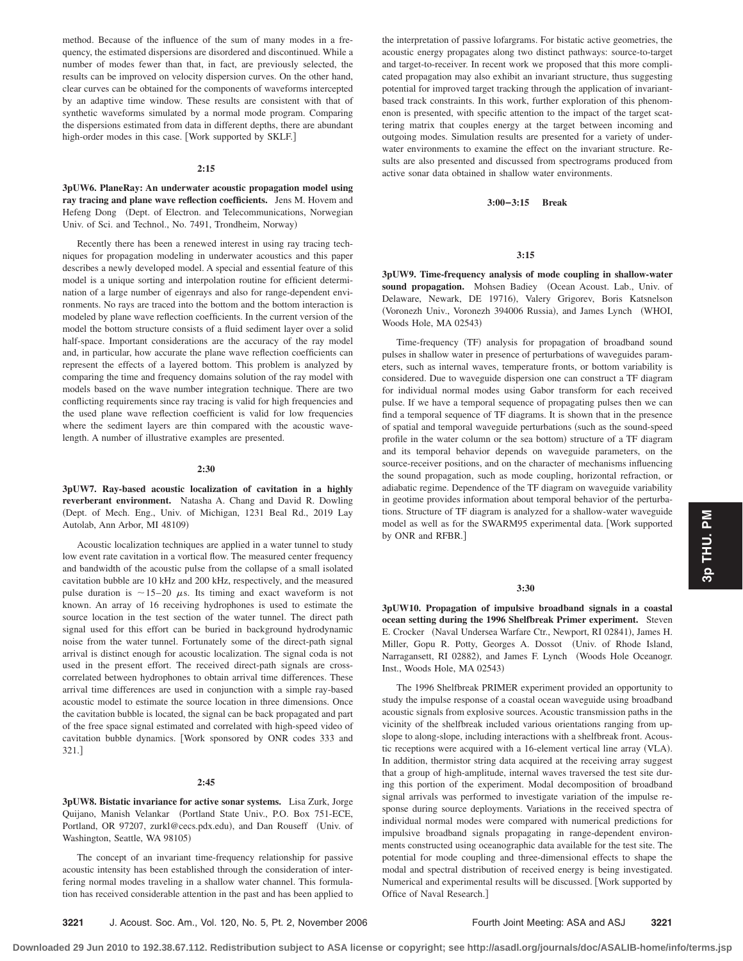method. Because of the influence of the sum of many modes in a frequency, the estimated dispersions are disordered and discontinued. While a number of modes fewer than that, in fact, are previously selected, the results can be improved on velocity dispersion curves. On the other hand, clear curves can be obtained for the components of waveforms intercepted by an adaptive time window. These results are consistent with that of synthetic waveforms simulated by a normal mode program. Comparing the dispersions estimated from data in different depths, there are abundant high-order modes in this case. [Work supported by SKLF.]

#### **2:15**

# **3pUW6. PlaneRay: An underwater acoustic propagation model using ray tracing and plane wave reflection coefficients.** Jens M. Hovem and Hefeng Dong (Dept. of Electron. and Telecommunications, Norwegian Univ. of Sci. and Technol., No. 7491, Trondheim, Norway)

Recently there has been a renewed interest in using ray tracing techniques for propagation modeling in underwater acoustics and this paper describes a newly developed model. A special and essential feature of this model is a unique sorting and interpolation routine for efficient determination of a large number of eigenrays and also for range-dependent environments. No rays are traced into the bottom and the bottom interaction is modeled by plane wave reflection coefficients. In the current version of the model the bottom structure consists of a fluid sediment layer over a solid half-space. Important considerations are the accuracy of the ray model and, in particular, how accurate the plane wave reflection coefficients can represent the effects of a layered bottom. This problem is analyzed by comparing the time and frequency domains solution of the ray model with models based on the wave number integration technique. There are two conflicting requirements since ray tracing is valid for high frequencies and the used plane wave reflection coefficient is valid for low frequencies where the sediment layers are thin compared with the acoustic wavelength. A number of illustrative examples are presented.

### **2:30**

**3pUW7. Ray-based acoustic localization of cavitation in a highly reverberant environment.** Natasha A. Chang and David R. Dowling Dept. of Mech. Eng., Univ. of Michigan, 1231 Beal Rd., 2019 Lay Autolab, Ann Arbor, MI 48109)

Acoustic localization techniques are applied in a water tunnel to study low event rate cavitation in a vortical flow. The measured center frequency and bandwidth of the acoustic pulse from the collapse of a small isolated cavitation bubble are 10 kHz and 200 kHz, respectively, and the measured pulse duration is  $\sim$  15–20  $\mu$ s. Its timing and exact waveform is not known. An array of 16 receiving hydrophones is used to estimate the source location in the test section of the water tunnel. The direct path signal used for this effort can be buried in background hydrodynamic noise from the water tunnel. Fortunately some of the direct-path signal arrival is distinct enough for acoustic localization. The signal coda is not used in the present effort. The received direct-path signals are crosscorrelated between hydrophones to obtain arrival time differences. These arrival time differences are used in conjunction with a simple ray-based acoustic model to estimate the source location in three dimensions. Once the cavitation bubble is located, the signal can be back propagated and part of the free space signal estimated and correlated with high-speed video of cavitation bubble dynamics. Work sponsored by ONR codes 333 and 321.

### **2:45**

**3pUW8. Bistatic invariance for active sonar systems.** Lisa Zurk, Jorge Quijano, Manish Velankar (Portland State Univ., P.O. Box 751-ECE, Portland, OR 97207, zurkl@cecs.pdx.edu), and Dan Rouseff (Univ. of Washington, Seattle, WA 98105)

The concept of an invariant time-frequency relationship for passive acoustic intensity has been established through the consideration of interfering normal modes traveling in a shallow water channel. This formulation has received considerable attention in the past and has been applied to the interpretation of passive lofargrams. For bistatic active geometries, the acoustic energy propagates along two distinct pathways: source-to-target and target-to-receiver. In recent work we proposed that this more complicated propagation may also exhibit an invariant structure, thus suggesting potential for improved target tracking through the application of invariantbased track constraints. In this work, further exploration of this phenomenon is presented, with specific attention to the impact of the target scattering matrix that couples energy at the target between incoming and outgoing modes. Simulation results are presented for a variety of underwater environments to examine the effect on the invariant structure. Results are also presented and discussed from spectrograms produced from active sonar data obtained in shallow water environments.

**3:00–3:15 Break**

#### **3:15**

**3pUW9. Time-frequency analysis of mode coupling in shallow-water** sound propagation. Mohsen Badiey (Ocean Acoust. Lab., Univ. of Delaware, Newark, DE 19716), Valery Grigorev, Boris Katsnelson (Voronezh Univ., Voronezh 394006 Russia), and James Lynch (WHOI, Woods Hole, MA 02543)

Time-frequency (TF) analysis for propagation of broadband sound pulses in shallow water in presence of perturbations of waveguides parameters, such as internal waves, temperature fronts, or bottom variability is considered. Due to waveguide dispersion one can construct a TF diagram for individual normal modes using Gabor transform for each received pulse. If we have a temporal sequence of propagating pulses then we can find a temporal sequence of TF diagrams. It is shown that in the presence of spatial and temporal waveguide perturbations (such as the sound-speed profile in the water column or the sea bottom) structure of a TF diagram and its temporal behavior depends on waveguide parameters, on the source-receiver positions, and on the character of mechanisms influencing the sound propagation, such as mode coupling, horizontal refraction, or adiabatic regime. Dependence of the TF diagram on waveguide variability in geotime provides information about temporal behavior of the perturbations. Structure of TF diagram is analyzed for a shallow-water waveguide model as well as for the SWARM95 experimental data. [Work supported by ONR and RFBR.

### **3:30**

**3pUW10. Propagation of impulsive broadband signals in a coastal ocean setting during the 1996 Shelfbreak Primer experiment.** Steven E. Crocker (Naval Undersea Warfare Ctr., Newport, RI 02841), James H. Miller, Gopu R. Potty, Georges A. Dossot Univ. of Rhode Island, Narragansett, RI 02882), and James F. Lynch (Woods Hole Oceanogr. Inst., Woods Hole, MA 02543)

The 1996 Shelfbreak PRIMER experiment provided an opportunity to study the impulse response of a coastal ocean waveguide using broadband acoustic signals from explosive sources. Acoustic transmission paths in the vicinity of the shelfbreak included various orientations ranging from upslope to along-slope, including interactions with a shelfbreak front. Acoustic receptions were acquired with a 16-element vertical line array (VLA). In addition, thermistor string data acquired at the receiving array suggest that a group of high-amplitude, internal waves traversed the test site during this portion of the experiment. Modal decomposition of broadband signal arrivals was performed to investigate variation of the impulse response during source deployments. Variations in the received spectra of individual normal modes were compared with numerical predictions for impulsive broadband signals propagating in range-dependent environments constructed using oceanographic data available for the test site. The potential for mode coupling and three-dimensional effects to shape the modal and spectral distribution of received energy is being investigated. Numerical and experimental results will be discussed. [Work supported by Office of Naval Research.